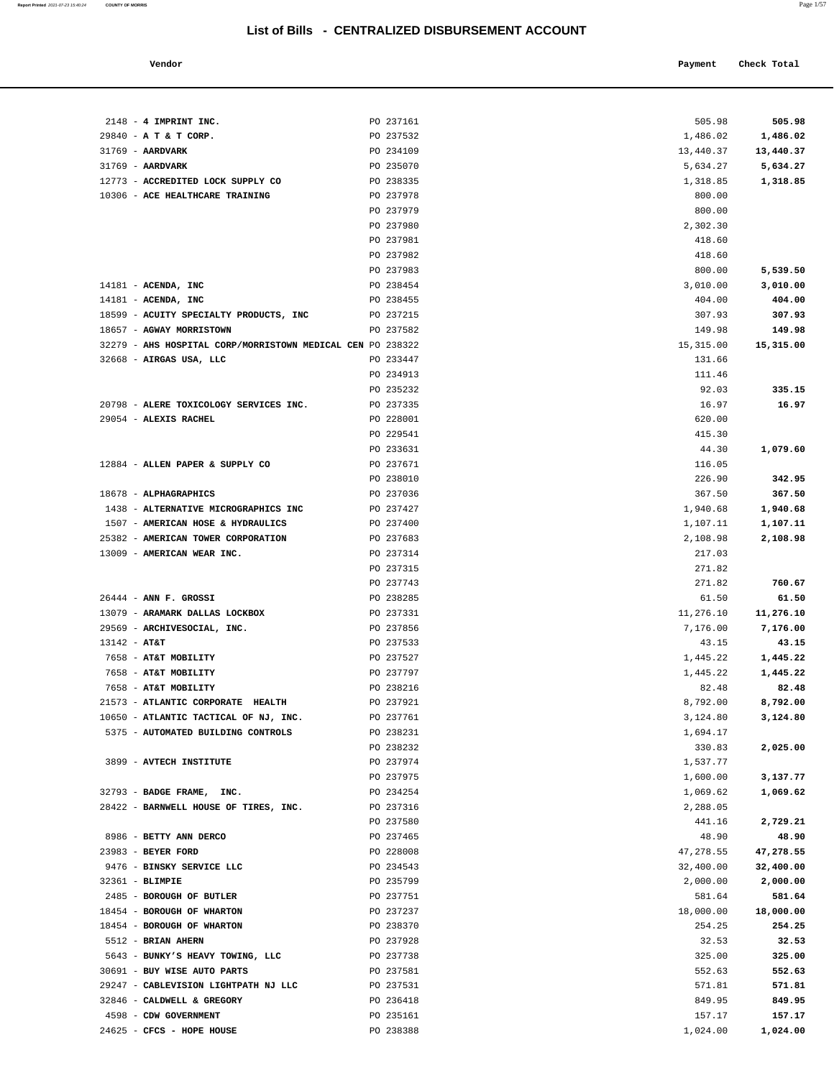| Vendor | Payment Check Total |
|--------|---------------------|
|        |                     |

| 2148 - 4 IMPRINT INC.                                      | PO 237161 | 505.98    | 505.98    |
|------------------------------------------------------------|-----------|-----------|-----------|
| 29840 - A T & T CORP.                                      | PO 237532 | 1,486.02  | 1,486.02  |
| $31769$ - AARDVARK                                         | PO 234109 | 13,440.37 | 13,440.37 |
| 31769 - AARDVARK                                           | PO 235070 | 5,634.27  | 5,634.27  |
|                                                            |           |           |           |
| 12773 - ACCREDITED LOCK SUPPLY CO                          | PO 238335 | 1,318.85  | 1,318.85  |
| 10306 - ACE HEALTHCARE TRAINING                            | PO 237978 | 800.00    |           |
|                                                            | PO 237979 | 800.00    |           |
|                                                            | PO 237980 | 2,302.30  |           |
|                                                            | PO 237981 | 418.60    |           |
|                                                            | PO 237982 | 418.60    |           |
|                                                            | PO 237983 | 800.00    | 5,539.50  |
| $14181$ - ACENDA, INC                                      | PO 238454 | 3,010.00  | 3,010.00  |
| $14181$ - ACENDA, INC                                      | PO 238455 | 404.00    | 404.00    |
| 18599 - ACUITY SPECIALTY PRODUCTS, INC                     | PO 237215 | 307.93    | 307.93    |
| 18657 - AGWAY MORRISTOWN                                   | PO 237582 | 149.98    | 149.98    |
| 32279 - AHS HOSPITAL CORP/MORRISTOWN MEDICAL CEN PO 238322 |           | 15,315.00 | 15,315.00 |
| 32668 - AIRGAS USA, LLC                                    | PO 233447 | 131.66    |           |
|                                                            | PO 234913 | 111.46    |           |
|                                                            |           |           |           |
|                                                            | PO 235232 | 92.03     | 335.15    |
| 20798 - ALERE TOXICOLOGY SERVICES INC.                     | PO 237335 | 16.97     | 16.97     |
| 29054 - ALEXIS RACHEL                                      | PO 228001 | 620.00    |           |
|                                                            | PO 229541 | 415.30    |           |
|                                                            | PO 233631 | 44.30     | 1,079.60  |
| 12884 - ALLEN PAPER & SUPPLY CO                            | PO 237671 | 116.05    |           |
|                                                            | PO 238010 | 226.90    | 342.95    |
| 18678 - ALPHAGRAPHICS                                      | PO 237036 | 367.50    | 367.50    |
| 1438 - ALTERNATIVE MICROGRAPHICS INC                       | PO 237427 | 1,940.68  | 1,940.68  |
| 1507 - AMERICAN HOSE & HYDRAULICS                          | PO 237400 | 1,107.11  | 1,107.11  |
| 25382 - AMERICAN TOWER CORPORATION                         | PO 237683 | 2,108.98  | 2,108.98  |
| 13009 - AMERICAN WEAR INC.                                 | PO 237314 | 217.03    |           |
|                                                            | PO 237315 | 271.82    |           |
|                                                            | PO 237743 | 271.82    | 760.67    |
| $26444$ - ANN F. GROSSI                                    | PO 238285 | 61.50     | 61.50     |
| 13079 - ARAMARK DALLAS LOCKBOX                             | PO 237331 | 11,276.10 | 11,276.10 |
| 29569 - ARCHIVESOCIAL, INC.                                | PO 237856 | 7,176.00  | 7,176.00  |
| $13142 - AT&T$                                             | PO 237533 | 43.15     | 43.15     |
| 7658 - AT&T MOBILITY                                       | PO 237527 | 1,445.22  | 1,445.22  |
| 7658 - AT&T MOBILITY                                       | PO 237797 | 1,445.22  | 1,445.22  |
| 7658 - AT&T MOBILITY                                       | PO 238216 | 82.48     | 82.48     |
|                                                            |           |           |           |
| 21573 - ATLANTIC CORPORATE HEALTH                          | PO 237921 | 8,792.00  | 8,792.00  |
| 10650 - ATLANTIC TACTICAL OF NJ, INC.                      | PO 237761 | 3,124.80  | 3,124.80  |
| 5375 - AUTOMATED BUILDING CONTROLS                         | PO 238231 | 1,694.17  |           |
|                                                            | PO 238232 | 330.83    | 2,025.00  |
| 3899 - AVTECH INSTITUTE                                    | PO 237974 | 1,537.77  |           |
|                                                            | PO 237975 | 1,600.00  | 3,137.77  |
| 32793 - BADGE FRAME, INC.                                  | PO 234254 | 1,069.62  | 1,069.62  |
| 28422 - BARNWELL HOUSE OF TIRES, INC.                      | PO 237316 | 2,288.05  |           |
|                                                            | PO 237580 | 441.16    | 2,729.21  |
| 8986 - BETTY ANN DERCO                                     | PO 237465 | 48.90     | 48.90     |
| 23983 - BEYER FORD                                         | PO 228008 | 47,278.55 | 47,278.55 |
| 9476 - BINSKY SERVICE LLC                                  | PO 234543 | 32,400.00 | 32,400.00 |
| 32361 - BLIMPIE                                            | PO 235799 | 2,000.00  | 2,000.00  |
| 2485 - BOROUGH OF BUTLER                                   | PO 237751 | 581.64    | 581.64    |
| 18454 - BOROUGH OF WHARTON                                 | PO 237237 | 18,000.00 | 18,000.00 |
| 18454 - BOROUGH OF WHARTON                                 | PO 238370 | 254.25    | 254.25    |
| 5512 - BRIAN AHERN                                         | PO 237928 | 32.53     | 32.53     |
| 5643 - BUNKY'S HEAVY TOWING, LLC                           | PO 237738 | 325.00    | 325.00    |
| 30691 - BUY WISE AUTO PARTS                                | PO 237581 | 552.63    | 552.63    |
| 29247 - CABLEVISION LIGHTPATH NJ LLC                       | PO 237531 | 571.81    | 571.81    |
| 32846 - CALDWELL & GREGORY                                 | PO 236418 | 849.95    | 849.95    |
|                                                            |           |           |           |
| 4598 - CDW GOVERNMENT                                      | PO 235161 | 157.17    | 157.17    |
| 24625 - CFCS - HOPE HOUSE                                  | PO 238388 | 1,024.00  | 1,024.00  |

**Report Printed** 2021-07-23 15:40:24 **COUNTY OF MORRIS** Page 1/57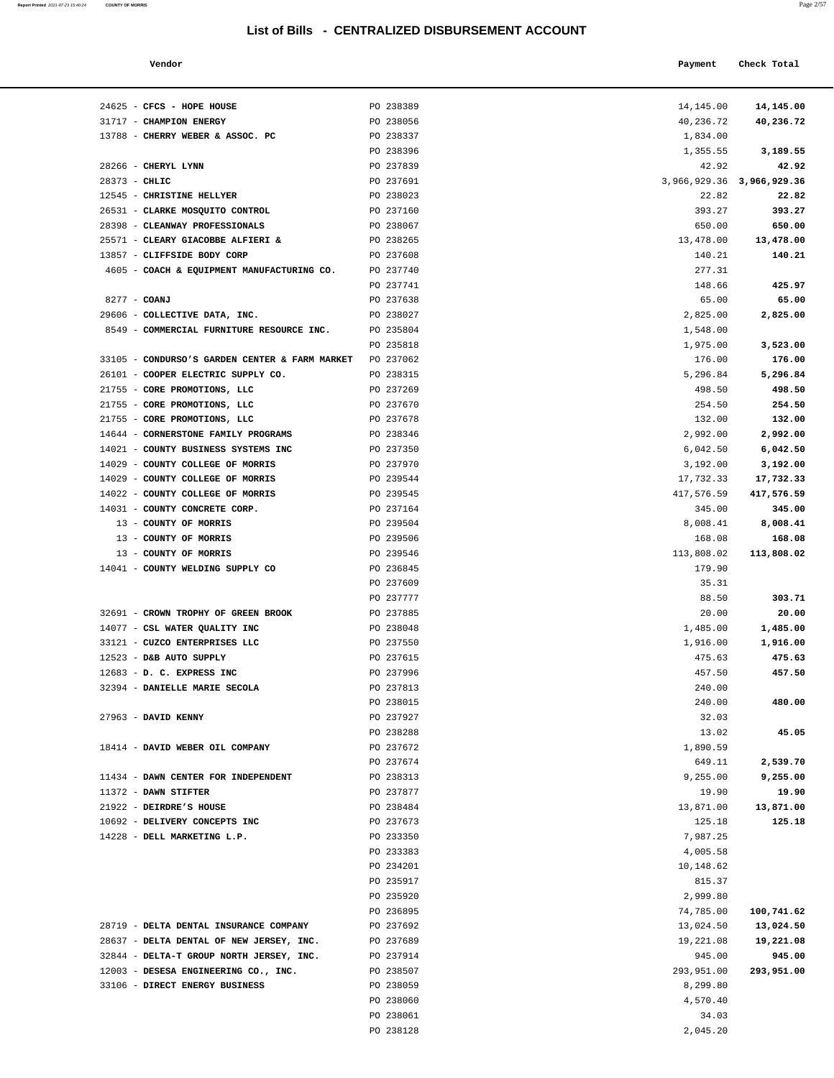**Report Printed 2021-07-23 15:40:24 COUNTY OF MORRIS** 

| <b>COUNTY OF MORRIS</b>                        |           |                                                  | Page 2/5    |
|------------------------------------------------|-----------|--------------------------------------------------|-------------|
|                                                |           | List of Bills - CENTRALIZED DISBURSEMENT ACCOUNT |             |
| Vendor                                         |           | Payment                                          | Check Total |
|                                                |           |                                                  |             |
| 24625 - CFCS - HOPE HOUSE                      | PO 238389 | 14,145.00                                        | 14,145.00   |
| 31717 - CHAMPION ENERGY                        | PO 238056 | 40,236.72                                        | 40,236.72   |
| 13788 - CHERRY WEBER & ASSOC. PC               | PO 238337 | 1,834.00                                         |             |
|                                                | PO 238396 | 1,355.55                                         | 3,189.55    |
| 28266 - CHERYL LYNN                            | PO 237839 | 42.92                                            | 42.92       |
| 28373 - CHLIC                                  | PO 237691 | 3,966,929.36 3,966,929.36                        |             |
| 12545 - CHRISTINE HELLYER                      | PO 238023 | 22.82                                            | 22.82       |
| 26531 - CLARKE MOSQUITO CONTROL                | PO 237160 | 393.27                                           | 393.27      |
| 28398 - CLEANWAY PROFESSIONALS                 | PO 238067 | 650.00                                           | 650.00      |
| 25571 - CLEARY GIACOBBE ALFIERI &              | PO 238265 | 13,478.00                                        | 13,478.00   |
| 13857 - CLIFFSIDE BODY CORP                    | PO 237608 | 140.21                                           | 140.21      |
| 4605 - COACH & EQUIPMENT MANUFACTURING CO.     | PO 237740 | 277.31                                           |             |
|                                                | PO 237741 | 148.66                                           | 425.97      |
| 8277 - COANJ                                   | PO 237638 | 65.00                                            | 65.00       |
| 29606 - COLLECTIVE DATA, INC.                  | PO 238027 | 2,825.00                                         | 2,825.00    |
| 8549 - COMMERCIAL FURNITURE RESOURCE INC.      | PO 235804 | 1,548.00                                         |             |
|                                                | PO 235818 | 1,975.00                                         | 3,523.00    |
| 33105 - CONDURSO'S GARDEN CENTER & FARM MARKET | PO 237062 | 176.00                                           | 176.00      |
| 26101 - COOPER ELECTRIC SUPPLY CO.             | PO 238315 | 5,296.84                                         | 5,296.84    |
| 21755 - CORE PROMOTIONS, LLC                   | PO 237269 | 498.50                                           | 498.50      |
| 21755 - CORE PROMOTIONS, LLC                   | PO 237670 | 254.50                                           | 254.50      |
| 21755 - CORE PROMOTIONS, LLC                   | PO 237678 | 132.00                                           | 132.00      |
| 14644 - CORNERSTONE FAMILY PROGRAMS            | PO 238346 | 2,992.00                                         | 2,992.00    |
| 14021 - COUNTY BUSINESS SYSTEMS INC            | PO 237350 | 6,042.50                                         | 6,042.50    |
| 14029 - COUNTY COLLEGE OF MORRIS               | PO 237970 | 3,192.00                                         | 3,192.00    |
| 14029 - COUNTY COLLEGE OF MORRIS               | PO 239544 | 17,732.33                                        | 17,732.33   |
| 14022 - COUNTY COLLEGE OF MORRIS               | PO 239545 | 417,576.59                                       | 417,576.59  |
| 14031 - COUNTY CONCRETE CORP.                  | PO 237164 | 345.00                                           | 345.00      |
| 13 - COUNTY OF MORRIS                          | PO 239504 | 8,008.41                                         | 8,008.41    |
| 13 - COUNTY OF MORRIS                          | PO 239506 | 168.08                                           | 168.08      |
| 13 - COUNTY OF MORRIS                          | PO 239546 | 113,808.02                                       | 113,808.02  |
| 14041 - COUNTY WELDING SUPPLY CO               | PO 236845 | 179.90                                           |             |
|                                                | PO 237609 | 35.31                                            |             |
|                                                | PO 237777 | 88.50                                            | 303.71      |
| 32691 - CROWN TROPHY OF GREEN BROOK            | PO 237885 | 20.00                                            | 20.00       |
| 14077 - CSL WATER QUALITY INC                  | PO 238048 | 1,485.00                                         | 1,485.00    |
| 33121 - CUZCO ENTERPRISES LLC                  | PO 237550 | 1,916.00                                         | 1,916.00    |
| 12523 - D&B AUTO SUPPLY                        | PO 237615 | 475.63                                           | 475.63      |
| 12683 - D. C. EXPRESS INC                      | PO 237996 | 457.50                                           | 457.50      |
| 32394 - DANIELLE MARIE SECOLA                  | PO 237813 | 240.00                                           |             |
|                                                | PO 238015 | 240.00                                           | 480.00      |

| 12545 - CHRISTINE HELLYER                                    | PO 238023              | 22.82                  | 22.82                   |
|--------------------------------------------------------------|------------------------|------------------------|-------------------------|
| 26531 - CLARKE MOSQUITO CONTROL                              | PO 237160              | 393.27                 | 393.27                  |
| 28398 - CLEANWAY PROFESSIONALS                               | PO 238067              | 650.00                 | 650.00                  |
| 25571 - CLEARY GIACOBBE ALFIERI &                            | PO 238265              | 13,478.00              | 13,478.00               |
| 13857 - CLIFFSIDE BODY CORP                                  | PO 237608              | 140.21                 | 140.21                  |
| 4605 - COACH & EQUIPMENT MANUFACTURING CO.                   | PO 237740              | 277.31                 |                         |
|                                                              | PO 237741              | 148.66                 | 425.97                  |
| 8277 - COANJ                                                 | PO 237638              | 65.00                  | 65.00                   |
| 29606 - COLLECTIVE DATA, INC.                                | PO 238027              | 2,825.00               | 2,825.00                |
| 8549 - COMMERCIAL FURNITURE RESOURCE INC.                    | PO 235804              | 1,548.00               |                         |
|                                                              | PO 235818              | 1,975.00               | 3,523.00                |
| 33105 - CONDURSO'S GARDEN CENTER & FARM MARKET PO 237062     |                        | 176.00                 | 176.00                  |
| 26101 - COOPER ELECTRIC SUPPLY CO.                           | PO 238315              | 5,296.84               | 5,296.84                |
| 21755 - CORE PROMOTIONS, LLC                                 | PO 237269              | 498.50                 | 498.50                  |
| 21755 - CORE PROMOTIONS, LLC                                 | PO 237670              | 254.50                 | 254.50                  |
| 21755 - CORE PROMOTIONS, LLC                                 | PO 237678              | 132.00                 | 132.00                  |
| 14644 - CORNERSTONE FAMILY PROGRAMS                          | PO 238346              | 2,992.00               | 2,992.00                |
| 14021 - COUNTY BUSINESS SYSTEMS INC                          | PO 237350              | 6,042.50               | 6,042.50                |
| 14029 - COUNTY COLLEGE OF MORRIS                             | PO 237970              | 3,192.00               | 3,192.00                |
| 14029 - COUNTY COLLEGE OF MORRIS                             | PO 239544              | 17,732.33              | 17,732.33               |
| 14022 - COUNTY COLLEGE OF MORRIS                             | PO 239545              | 417,576.59             | 417,576.59              |
| 14031 - COUNTY CONCRETE CORP.                                | PO 237164              | 345.00                 | 345.00                  |
| 13 - COUNTY OF MORRIS                                        | PO 239504              | 8,008.41               | 8,008.41                |
| 13 - COUNTY OF MORRIS                                        | PO 239506              | 168.08                 | 168.08                  |
| 13 - COUNTY OF MORRIS                                        | PO 239546              | 113,808.02             | 113,808.02              |
| 14041 - COUNTY WELDING SUPPLY CO                             | PO 236845              | 179.90                 |                         |
|                                                              | PO 237609              | 35.31                  |                         |
|                                                              | PO 237777              | 88.50                  | 303.71                  |
| 32691 - CROWN TROPHY OF GREEN BROOK                          | PO 237885              | 20.00                  | 20.00                   |
| 14077 - CSL WATER QUALITY INC                                | PO 238048              | 1,485.00               | 1,485.00                |
| 33121 - CUZCO ENTERPRISES LLC                                | PO 237550              | 1,916.00               | 1,916.00                |
| 12523 - D&B AUTO SUPPLY                                      | PO 237615              | 475.63                 | 475.63                  |
| 12683 - D. C. EXPRESS INC                                    | PO 237996              | 457.50                 | 457.50                  |
| 32394 - DANIELLE MARIE SECOLA                                | PO 237813              | 240.00                 |                         |
|                                                              | PO 238015              | 240.00                 | 480.00                  |
| 27963 - DAVID KENNY                                          | PO 237927              | 32.03                  |                         |
|                                                              | PO 238288              | 13.02                  | 45.05                   |
| 18414 - DAVID WEBER OIL COMPANY                              | PO 237672              | 1,890.59               |                         |
|                                                              | PO 237674              | 649.11                 | 2,539.70                |
| 11434 - DAWN CENTER FOR INDEPENDENT                          | PO 238313              | 9,255.00               | 9,255.00                |
| $11372$ - DAWN STIFTER                                       | PO 237877              | 19.90                  | 19.90                   |
| 21922 - DEIRDRE'S HOUSE                                      | PO 238484              | 13,871.00              | 13,871.00               |
| 10692 - DELIVERY CONCEPTS INC<br>14228 - DELL MARKETING L.P. | PO 237673<br>PO 233350 | 125.18                 | 125.18                  |
|                                                              |                        | 7,987.25               |                         |
|                                                              | PO 233383              | 4,005.58               |                         |
|                                                              | PO 234201              | 10,148.62              |                         |
|                                                              | PO 235917              | 815.37                 |                         |
|                                                              | PO 235920              | 2,999.80               |                         |
| 28719 - DELTA DENTAL INSURANCE COMPANY                       | PO 236895<br>PO 237692 | 74,785.00<br>13,024.50 | 100,741.62<br>13,024.50 |
| 28637 - DELTA DENTAL OF NEW JERSEY, INC.                     | PO 237689              | 19,221.08              | 19,221.08               |
| 32844 - DELTA-T GROUP NORTH JERSEY, INC.                     | PO 237914              | 945.00                 | 945.00                  |
| 12003 - DESESA ENGINEERING CO., INC.                         | PO 238507              | 293,951.00             | 293,951.00              |
| 33106 - DIRECT ENERGY BUSINESS                               | PO 238059              | 8,299.80               |                         |
|                                                              | PO 238060              | 4,570.40               |                         |
|                                                              | PO 238061              | 34.03                  |                         |
|                                                              | PO 238128              | 2,045.20               |                         |
|                                                              |                        |                        |                         |
|                                                              |                        |                        |                         |
|                                                              |                        |                        |                         |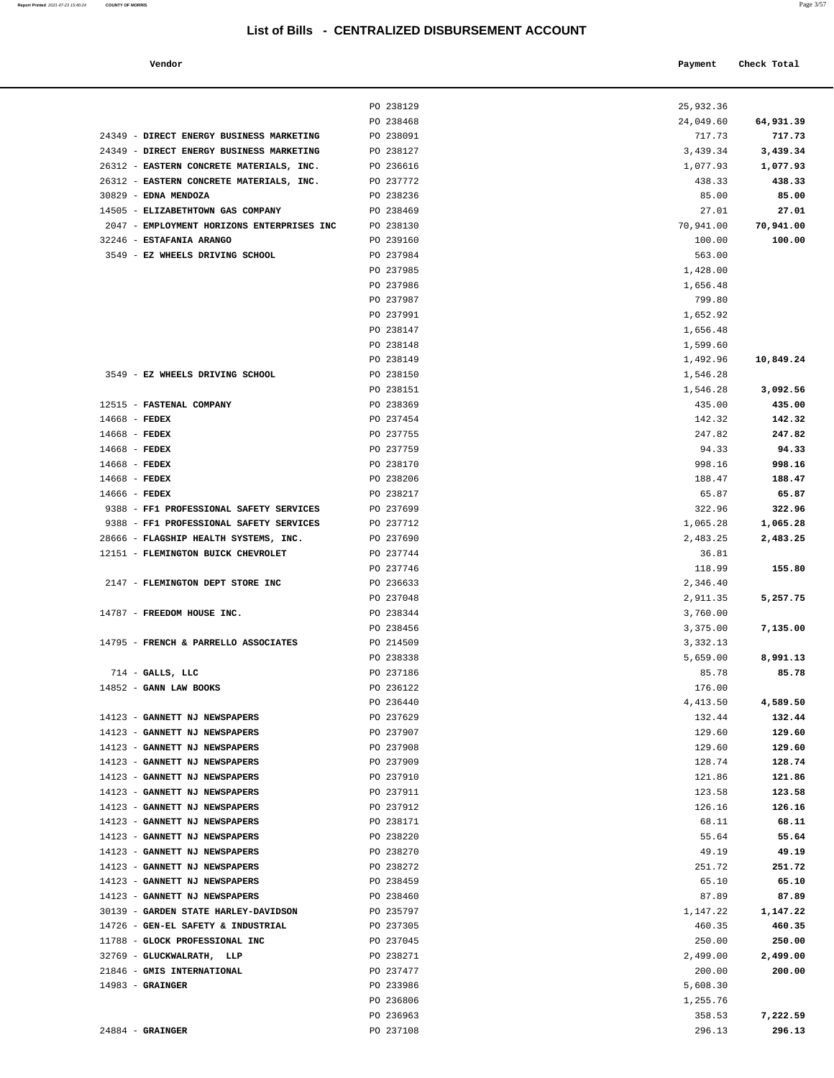#### **Vendor Payment** Check Total **Payment** Check Total **Payment**

| Report Printed 2021-07-23 15:40:24 COUNTY OF MORRIS<br>the contract of the contract of the contract of the contract of the contract of the contract of the contract of | Page 3/57 |  |
|------------------------------------------------------------------------------------------------------------------------------------------------------------------------|-----------|--|
|                                                                                                                                                                        |           |  |

|                                                                                 | PO 238129              | 25,932.36          |                    |
|---------------------------------------------------------------------------------|------------------------|--------------------|--------------------|
|                                                                                 | PO 238468              | 24,049.60          | 64,931.39          |
| 24349 - DIRECT ENERGY BUSINESS MARKETING                                        | PO 238091              | 717.73             | 717.73             |
| 24349 - DIRECT ENERGY BUSINESS MARKETING                                        | PO 238127              | 3,439.34           | 3,439.34           |
| 26312 - EASTERN CONCRETE MATERIALS, INC.                                        | PO 236616              | 1,077.93           | 1,077.93           |
| 26312 - EASTERN CONCRETE MATERIALS, INC.                                        | PO 237772              | 438.33             | 438.33             |
| 30829 - EDNA MENDOZA                                                            | PO 238236              | 85.00              | 85.00              |
| 14505 - ELIZABETHTOWN GAS COMPANY<br>2047 - EMPLOYMENT HORIZONS ENTERPRISES INC | PO 238469<br>PO 238130 | 27.01<br>70,941.00 | 27.01<br>70,941.00 |
| 32246 - ESTAFANIA ARANGO                                                        | PO 239160              | 100.00             | 100.00             |
| 3549 - EZ WHEELS DRIVING SCHOOL                                                 | PO 237984              | 563.00             |                    |
|                                                                                 | PO 237985              | 1,428.00           |                    |
|                                                                                 | PO 237986              | 1,656.48           |                    |
|                                                                                 | PO 237987              | 799.80             |                    |
|                                                                                 | PO 237991              | 1,652.92           |                    |
|                                                                                 | PO 238147              | 1,656.48           |                    |
|                                                                                 | PO 238148              | 1,599.60           |                    |
|                                                                                 | PO 238149              | 1,492.96           | 10,849.24          |
| 3549 - EZ WHEELS DRIVING SCHOOL                                                 | PO 238150              | 1,546.28           |                    |
|                                                                                 | PO 238151              | 1,546.28           | 3,092.56           |
| 12515 - FASTENAL COMPANY                                                        | PO 238369              | 435.00             | 435.00             |
| $14668$ - FEDEX                                                                 | PO 237454              | 142.32             | 142.32             |
| $14668$ - FEDEX                                                                 | PO 237755              | 247.82             | 247.82             |
| $14668$ - FEDEX                                                                 | PO 237759              | 94.33              | 94.33              |
| $14668$ - FEDEX<br>14668 - FEDEX                                                | PO 238170<br>PO 238206 | 998.16<br>188.47   | 998.16<br>188.47   |
| $14666$ - FEDEX                                                                 | PO 238217              | 65.87              | 65.87              |
| 9388 - FF1 PROFESSIONAL SAFETY SERVICES                                         | PO 237699              | 322.96             | 322.96             |
| 9388 - FF1 PROFESSIONAL SAFETY SERVICES                                         | PO 237712              | 1,065.28           | 1,065.28           |
| 28666 - FLAGSHIP HEALTH SYSTEMS, INC.                                           | PO 237690              | 2,483.25           | 2,483.25           |
| 12151 - FLEMINGTON BUICK CHEVROLET                                              | PO 237744              | 36.81              |                    |
|                                                                                 | PO 237746              | 118.99             | 155.80             |
| 2147 - FLEMINGTON DEPT STORE INC                                                | PO 236633              | 2,346.40           |                    |
|                                                                                 | PO 237048              | 2,911.35           | 5,257.75           |
| 14787 - FREEDOM HOUSE INC.                                                      | PO 238344              | 3,760.00           |                    |
|                                                                                 | PO 238456              | 3,375.00           | 7,135.00           |
| 14795 - FRENCH & PARRELLO ASSOCIATES                                            | PO 214509              | 3,332.13           |                    |
|                                                                                 | PO 238338              | 5,659.00           | 8,991.13           |
| $714$ - GALLS, LLC                                                              | PO 237186              | 85.78              | 85.78              |
| 14852 - GANN LAW BOOKS                                                          | PO 236122              | 176.00             |                    |
|                                                                                 | PO 236440<br>PO 237629 | 4,413.50<br>132.44 | 4,589.50           |
| 14123 - GANNETT NJ NEWSPAPERS<br>14123 - GANNETT NJ NEWSPAPERS                  | PO 237907              | 129.60             | 132.44<br>129.60   |
| 14123 - GANNETT NJ NEWSPAPERS                                                   | PO 237908              | 129.60             | 129.60             |
| 14123 - GANNETT NJ NEWSPAPERS                                                   | PO 237909              | 128.74             | 128.74             |
| 14123 - GANNETT NJ NEWSPAPERS                                                   | PO 237910              | 121.86             | 121.86             |
| 14123 - GANNETT NJ NEWSPAPERS                                                   | PO 237911              | 123.58             | 123.58             |
| 14123 - GANNETT NJ NEWSPAPERS                                                   | PO 237912              | 126.16             | 126.16             |
| 14123 - GANNETT NJ NEWSPAPERS                                                   | PO 238171              | 68.11              | 68.11              |
| 14123 - GANNETT NJ NEWSPAPERS                                                   | PO 238220              | 55.64              | 55.64              |
| 14123 - GANNETT NJ NEWSPAPERS                                                   | PO 238270              | 49.19              | 49.19              |
| 14123 - GANNETT NJ NEWSPAPERS                                                   | PO 238272              | 251.72             | 251.72             |
| 14123 - GANNETT NJ NEWSPAPERS                                                   | PO 238459              | 65.10              | 65.10              |
| 14123 - GANNETT NJ NEWSPAPERS                                                   | PO 238460              | 87.89              | 87.89              |
| 30139 - GARDEN STATE HARLEY-DAVIDSON                                            | PO 235797              | 1,147.22           | 1,147.22           |
| 14726 - GEN-EL SAFETY & INDUSTRIAL                                              | PO 237305              | 460.35             | 460.35             |
| 11788 - GLOCK PROFESSIONAL INC                                                  | PO 237045              | 250.00             | 250.00             |
| 32769 - GLUCKWALRATH, LLP<br>21846 - GMIS INTERNATIONAL                         | PO 238271<br>PO 237477 | 2,499.00<br>200.00 | 2,499.00<br>200.00 |
| $14983 -$ GRAINGER                                                              | PO 233986              | 5,608.30           |                    |
|                                                                                 | PO 236806              | 1,255.76           |                    |
|                                                                                 | PO 236963              | 358.53             | 7,222.59           |
| $24884$ - GRAINGER                                                              | PO 237108              | 296.13             | 296.13             |
|                                                                                 |                        |                    |                    |

| 24884 | <b>GRAINGE</b> |
|-------|----------------|
|-------|----------------|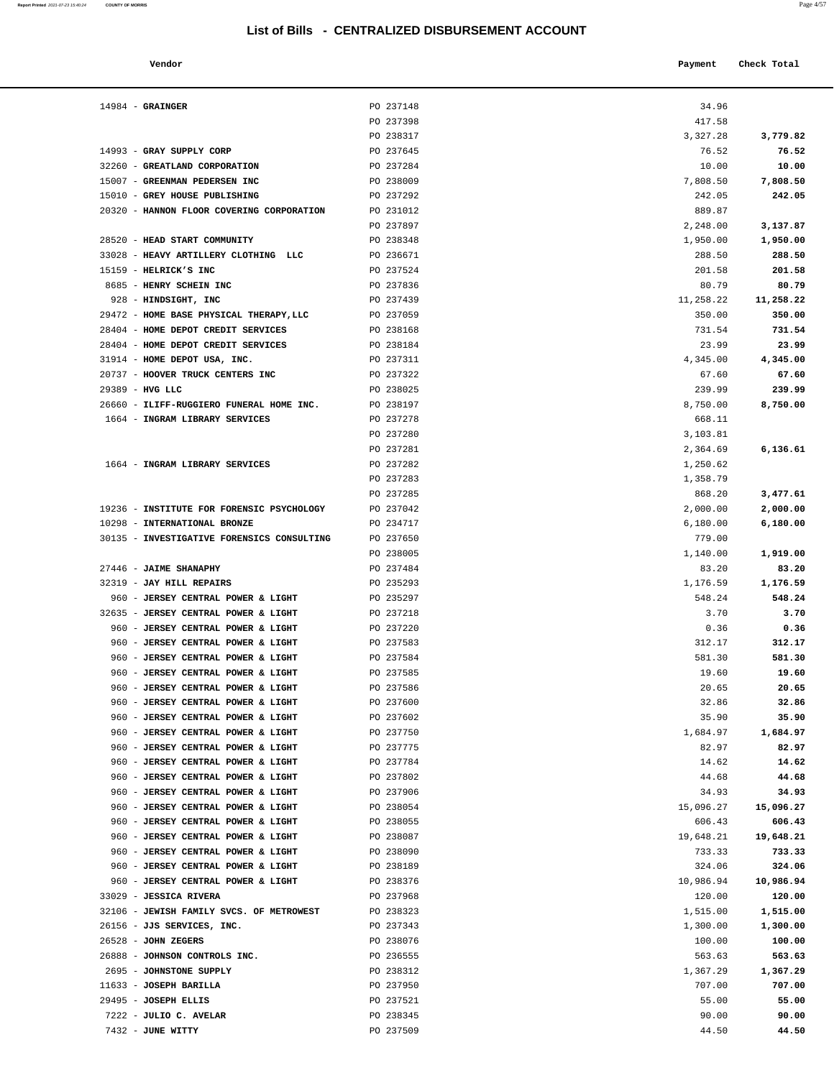| Report Printed 2021-07-23 15:40:24 COUNTY OF MORRIS |  | $\lambda$<br>Page 4/57 |
|-----------------------------------------------------|--|------------------------|
|                                                     |  |                        |

| Vendor                |           | Check Total<br>Payment |          |
|-----------------------|-----------|------------------------|----------|
| <b>GRAINGER</b>       | PO 237148 | 34.96                  |          |
|                       | PO 237398 | 417.58                 |          |
|                       | PO 238317 | 3,327.28               | 3,779.82 |
| GRAY SUPPLY CORP      | PO 237645 | 76.52                  | 76.52    |
| GREATLAND CORPORATION | PO 237284 | 10.00                  | 10.00    |
|                       |           |                        |          |

| $14984$ - GRAINGER                                             | PO 237148              | 34.96              |                    |
|----------------------------------------------------------------|------------------------|--------------------|--------------------|
|                                                                | PO 237398              | 417.58             |                    |
|                                                                | PO 238317              | 3,327.28           | 3,779.82           |
| 14993 - GRAY SUPPLY CORP                                       | PO 237645              | 76.52              | 76.52              |
| 32260 - GREATLAND CORPORATION                                  | PO 237284              | 10.00              | 10.00              |
| 15007 - GREENMAN PEDERSEN INC                                  | PO 238009              | 7,808.50           | 7,808.50           |
| 15010 - GREY HOUSE PUBLISHING                                  | PO 237292              | 242.05             | 242.05             |
| 20320 - HANNON FLOOR COVERING CORPORATION                      | PO 231012              | 889.87             |                    |
|                                                                | PO 237897              | 2,248.00           | 3,137.87           |
| 28520 - HEAD START COMMUNITY                                   | PO 238348              | 1,950.00           | 1,950.00           |
| 33028 - HEAVY ARTILLERY CLOTHING LLC                           | PO 236671              | 288.50             | 288.50             |
| 15159 - HELRICK'S INC                                          | PO 237524              | 201.58             | 201.58             |
| 8685 - HENRY SCHEIN INC                                        | PO 237836              | 80.79              | 80.79              |
| 928 - HINDSIGHT, INC                                           | PO 237439              | 11,258.22          | 11,258.22          |
| 29472 - HOME BASE PHYSICAL THERAPY, LLC                        | PO 237059              | 350.00             | 350.00             |
| 28404 - HOME DEPOT CREDIT SERVICES                             | PO 238168              | 731.54             | 731.54             |
| 28404 - HOME DEPOT CREDIT SERVICES                             | PO 238184              | 23.99              | 23.99              |
| 31914 - HOME DEPOT USA, INC.                                   | PO 237311              | 4,345.00           | 4,345.00           |
| 20737 - HOOVER TRUCK CENTERS INC                               | PO 237322              | 67.60              | 67.60              |
| 29389 - HVG LLC                                                | PO 238025              | 239.99             | 239.99             |
| 26660 - ILIFF-RUGGIERO FUNERAL HOME INC.                       | PO 238197              | 8,750.00           | 8,750.00           |
| 1664 - INGRAM LIBRARY SERVICES                                 | PO 237278              | 668.11             |                    |
|                                                                | PO 237280              | 3,103.81           |                    |
|                                                                | PO 237281              | 2,364.69           | 6,136.61           |
| 1664 - INGRAM LIBRARY SERVICES                                 | PO 237282              | 1,250.62           |                    |
|                                                                | PO 237283              | 1,358.79           |                    |
|                                                                | PO 237285              | 868.20             | 3,477.61           |
| 19236 - INSTITUTE FOR FORENSIC PSYCHOLOGY                      | PO 237042              | 2,000.00           | 2,000.00           |
| 10298 - INTERNATIONAL BRONZE                                   | PO 234717              | 6,180.00           | 6,180.00           |
| 30135 - INVESTIGATIVE FORENSICS CONSULTING                     | PO 237650              | 779.00             |                    |
|                                                                | PO 238005              | 1,140.00           | 1,919.00           |
| 27446 - JAIME SHANAPHY                                         | PO 237484              | 83.20              | 83.20              |
| 32319 - JAY HILL REPAIRS<br>960 - JERSEY CENTRAL POWER & LIGHT | PO 235293<br>PO 235297 | 1,176.59<br>548.24 | 1,176.59<br>548.24 |
| 32635 - JERSEY CENTRAL POWER & LIGHT                           | PO 237218              | 3.70               | 3.70               |
| 960 - JERSEY CENTRAL POWER & LIGHT                             | PO 237220              | 0.36               | 0.36               |
| 960 - JERSEY CENTRAL POWER & LIGHT                             | PO 237583              | 312.17             | 312.17             |
| 960 - JERSEY CENTRAL POWER & LIGHT                             | PO 237584              | 581.30             | 581.30             |
| 960 - JERSEY CENTRAL POWER & LIGHT                             | PO 237585              | 19.60              | 19.60              |
| 960 - JERSEY CENTRAL POWER & LIGHT                             | PO 237586              | 20.65              | 20.65              |
| 960 - JERSEY CENTRAL POWER & LIGHT                             | PO 237600              | 32.86              | 32.86              |
| 960 - JERSEY CENTRAL POWER & LIGHT                             | PO 237602              | 35.90              | 35.90              |
| 960 - JERSEY CENTRAL POWER & LIGHT                             | PO 237750              | 1,684.97           | 1,684.97           |
| 960 - JERSEY CENTRAL POWER & LIGHT                             | PO 237775              | 82.97              | 82.97              |
| 960 - JERSEY CENTRAL POWER & LIGHT                             | PO 237784              | 14.62              | 14.62              |
| 960 - JERSEY CENTRAL POWER & LIGHT                             | PO 237802              | 44.68              | 44.68              |
| 960 - JERSEY CENTRAL POWER & LIGHT                             | PO 237906              | 34.93              | 34.93              |
| 960 - JERSEY CENTRAL POWER & LIGHT                             | PO 238054              | 15,096.27          | 15,096.27          |
| 960 - JERSEY CENTRAL POWER & LIGHT                             | PO 238055              | 606.43             | 606.43             |
| 960 - JERSEY CENTRAL POWER & LIGHT                             | PO 238087              | 19,648.21          | 19,648.21          |
| 960 - JERSEY CENTRAL POWER & LIGHT                             | PO 238090              | 733.33             | 733.33             |
| 960 - JERSEY CENTRAL POWER & LIGHT                             | PO 238189              | 324.06             | 324.06             |
| 960 - JERSEY CENTRAL POWER & LIGHT                             | PO 238376              | 10,986.94          | 10,986.94          |
| 33029 - JESSICA RIVERA                                         | PO 237968              | 120.00             | 120.00             |
| 32106 - JEWISH FAMILY SVCS. OF METROWEST                       | PO 238323              | 1,515.00           | 1,515.00           |
| 26156 - JJS SERVICES, INC.                                     | PO 237343              | 1,300.00           | 1,300.00           |
| $26528$ - JOHN ZEGERS                                          | PO 238076              | 100.00             | 100.00             |
| 26888 - JOHNSON CONTROLS INC.                                  | PO 236555              | 563.63             | 563.63             |
| 2695 - JOHNSTONE SUPPLY                                        | PO 238312              | 1,367.29           | 1,367.29           |
| 11633 - JOSEPH BARILLA                                         | PO 237950              | 707.00             | 707.00             |
| 29495 - JOSEPH ELLIS                                           | PO 237521              | 55.00              | 55.00              |
| 7222 - JULIO C. AVELAR                                         | PO 238345              | 90.00              | 90.00              |
| 7432 - JUNE WITTY                                              | PO 237509              | 44.50              | 44.50              |
|                                                                |                        |                    |                    |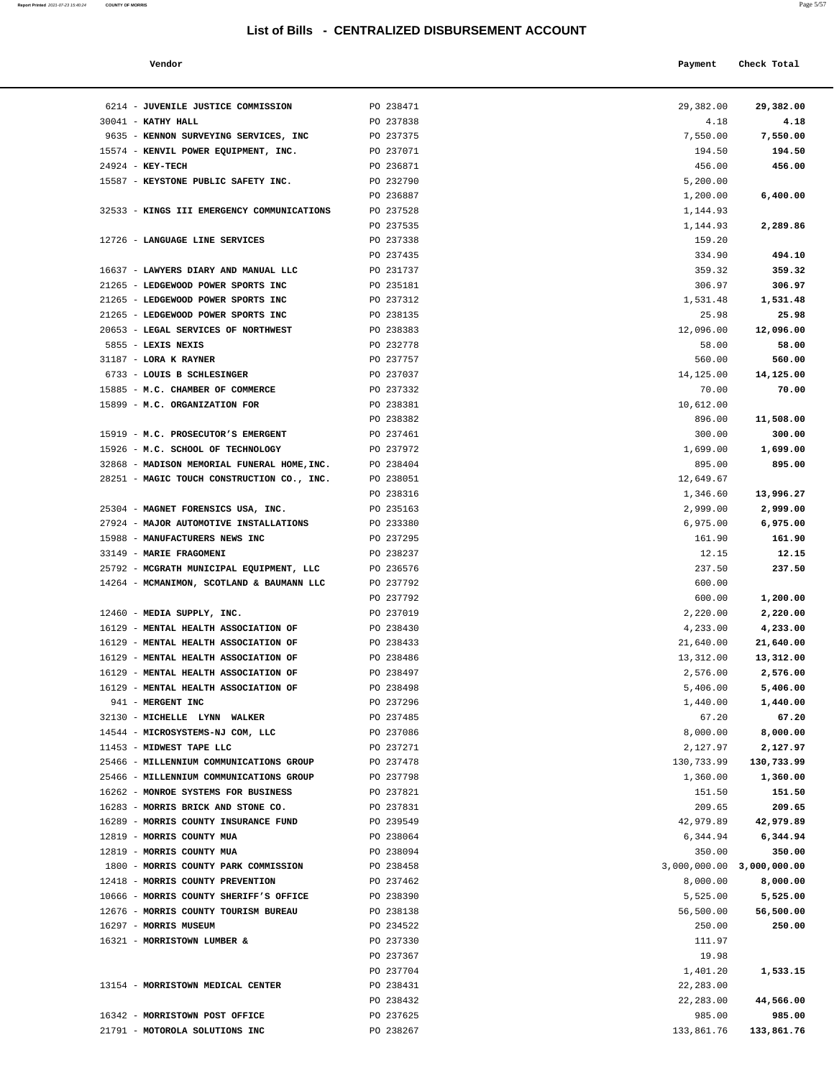6214 - **JUVENILE JUSTICE COMMISSION PO 238471** 30041 - **KATHY HALL** PO 237838 9635 - **KENNON SURVEYING SERVICES, INC** PO 237375 15574 - **KENVIL POWER EQUIPMENT, INC.** PO 237071 24924 - **KEY-TECH** PO 236871 15587 - **KEYSTONE PUBLIC SAFETY INC.** PO 232790

| Report Printed 2021-07-23 15:40:24                                                                              | <b>COUNTY OF MORRIS</b> | $-100$    |
|-----------------------------------------------------------------------------------------------------------------|-------------------------|-----------|
| the contract of the contract of the contract of the contract of the contract of the contract of the contract of |                         | Page 5/57 |
|                                                                                                                 |                         |           |

|                                     | List of Bills - CENTRALIZED DISBURSEMENT ACCOUNT |            |             |
|-------------------------------------|--------------------------------------------------|------------|-------------|
| Vendor                              |                                                  | Payment    | Check Total |
| <b>JUVENILE JUSTICE COMMISSION</b>  | PO 238471                                        | 29,382.00  | 29,382.00   |
| KATHY HALL                          | PO 237838                                        | 4.18       | 4.18        |
| KENNON SURVEYING SERVICES, INC      | PO 237375                                        | 7,550.00   | 7,550.00    |
| KENVIL POWER EQUIPMENT, INC.        | PO 237071                                        | 194.50     | 194.50      |
| <b>KEY-TECH</b>                     | PO 236871                                        | 456.00     | 456.00      |
| KEYSTONE PUBLIC SAFETY INC.         | PO 232790                                        | 5,200.00   |             |
|                                     | PO 236887                                        | 1,200.00   | 6,400.00    |
| KINGS III EMERGENCY COMMUNICATIONS  | PO 237528                                        | 1,144.93   |             |
|                                     | PO 237535                                        | 1,144.93   | 2,289.86    |
| LANGUAGE LINE SERVICES              | PO 237338                                        | 159.20     |             |
|                                     | PO 237435                                        | 334.90     | 494.10      |
| LAWYERS DIARY AND MANUAL LLC        | PO 231737                                        | 359.32     | 359.32      |
| LEDGEWOOD POWER SPORTS INC          | PO 235181                                        | 306.97     | 306.97      |
| LEDGEWOOD POWER SPORTS INC          | PO 237312                                        | 1,531.48   | 1,531.48    |
| LEDGEWOOD POWER SPORTS INC          | PO 238135                                        | 25.98      | 25.98       |
| <b>LEGAL SERVICES OF NORTHWEST</b>  | PO 238383                                        | 12,096.00  | 12,096.00   |
| LEXIS NEXIS                         | PO 232778                                        | 58.00      | 58.00       |
| <b>LORA K RAYNER</b>                | PO 237757                                        | 560.00     | 560.00      |
| LOUIS B SCHLESINGER                 | PO 237037                                        | 14,125.00  | 14,125.00   |
| M.C. CHAMBER OF COMMERCE            | PO 237332                                        | 70.00      | 70.00       |
| M.C. ORGANIZATION FOR               | PO 238381                                        | 10,612.00  |             |
|                                     | PO 238382                                        | 896.00     | 11,508.00   |
| M.C. PROSECUTOR'S EMERGENT          | PO 237461                                        | 300.00     | 300.00      |
| M.C. SCHOOL OF TECHNOLOGY           | PO 237972                                        | 1,699.00   | 1,699.00    |
| MADISON MEMORIAL FUNERAL HOME, INC. | PO 238404                                        | 895.00     | 895.00      |
| MAGIC TOUCH CONSTRUCTION CO., INC.  | PO 238051                                        | 12,649.67  |             |
|                                     | PO 238316                                        | 1,346.60   | 13,996.27   |
| MAGNET FORENSICS USA, INC.          | PO 235163                                        | 2,999.00   | 2,999.00    |
| MAJOR AUTOMOTIVE INSTALLATIONS      | PO 233380                                        | 6,975.00   |             |
|                                     |                                                  |            | 6,975.00    |
| <b>MANUFACTURERS NEWS INC</b>       | PO 237295                                        | 161.90     | 161.90      |
| <b>MARIE FRAGOMENI</b>              | PO 238237                                        | 12.15      | 12.15       |
| MCGRATH MUNICIPAL EQUIPMENT, LLC    | PO 236576                                        | 237.50     | 237.50      |
| MCMANIMON, SCOTLAND & BAUMANN LLC   | PO 237792                                        | 600.00     |             |
|                                     | PO 237792                                        | 600.00     | 1,200.00    |
| MEDIA SUPPLY, INC.                  | PO 237019                                        | 2,220.00   | 2,220.00    |
| <b>MENTAL HEALTH ASSOCIATION OF</b> | PO 238430                                        | 4,233.00   | 4,233.00    |
| <b>MENTAL HEALTH ASSOCIATION OF</b> | PO 238433                                        | 21,640.00  | 21,640.00   |
| MENTAL HEALTH ASSOCIATION OF        | PO 238486                                        | 13,312.00  | 13,312.00   |
| MENTAL HEALTH ASSOCIATION OF        | PO 238497                                        | 2,576.00   | 2,576.00    |
| MENTAL HEALTH ASSOCIATION OF        | PO 238498                                        | 5,406.00   | 5,406.00    |
| <b>MERGENT INC</b>                  | PO 237296                                        | 1,440.00   | 1,440.00    |
| MICHELLE LYNN WALKER                | PO 237485                                        | 67.20      | 67.20       |
| MICROSYSTEMS-NJ COM, LLC            | PO 237086                                        | 8,000.00   | 8,000.00    |
| MIDWEST TAPE LLC                    | PO 237271                                        | 2,127.97   | 2,127.97    |
| MILLENNIUM COMMUNICATIONS GROUP     | PO 237478                                        | 130,733.99 | 130,733.99  |
| MILLENNIUM COMMUNICATIONS GROUP     | PO 237798                                        | 1,360.00   | 1,360.00    |
| MONROE SYSTEMS FOR BUSINESS         | PO 237821                                        | 151.50     | 151.50      |
| MORRIS BRICK AND STONE CO.          | PO 237831                                        | 209.65     | 209.65      |
| MORRIS COUNTY INSURANCE FUND        | PO 239549                                        | 42,979.89  | 42,979.89   |

| PO 237535<br>1,144.93<br>12726 - LANGUAGE LINE SERVICES<br>PO 237338<br>159.20<br>PO 237435<br>334.90<br>16637 - LAWYERS DIARY AND MANUAL LLC<br>PO 231737<br>359.32<br>21265 - LEDGEWOOD POWER SPORTS INC<br>PO 235181<br>306.97<br>21265 - LEDGEWOOD POWER SPORTS INC<br>PO 237312<br>1,531.48<br>21265 - LEDGEWOOD POWER SPORTS INC<br>PO 238135<br>25.98<br>20653 - LEGAL SERVICES OF NORTHWEST<br>PO 238383<br>12,096.00<br>5855 - LEXIS NEXIS<br>PO 232778<br>58.00<br>31187 - LORA K RAYNER<br>PO 237757<br>560.00<br>6733 - LOUIS B SCHLESINGER<br>PO 237037<br>14,125.00<br>15885 - M.C. CHAMBER OF COMMERCE<br>70.00<br>PO 237332<br>15899 - M.C. ORGANIZATION FOR<br>PO 238381<br>10,612.00<br>PO 238382<br>896.00<br>15919 - M.C. PROSECUTOR'S EMERGENT<br>PO 237461<br>300.00<br>15926 - M.C. SCHOOL OF TECHNOLOGY<br>PO 237972<br>1,699.00<br>32868 - MADISON MEMORIAL FUNERAL HOME, INC. PO 238404<br>895.00<br>28251 - MAGIC TOUCH CONSTRUCTION CO., INC.<br>PO 238051<br>12,649.67<br>PO 238316<br>1,346.60<br>25304 - MAGNET FORENSICS USA, INC.<br>PO 235163<br>2,999.00<br>27924 - MAJOR AUTOMOTIVE INSTALLATIONS<br>PO 233380<br>6,975.00<br>15988 - MANUFACTURERS NEWS INC<br>PO 237295<br>161.90<br>33149 - MARIE FRAGOMENI<br>PO 238237<br>12.15<br>25792 - MCGRATH MUNICIPAL EQUIPMENT, LLC<br>PO 236576<br>237.50<br>14264 - MCMANIMON, SCOTLAND & BAUMANN LLC<br>PO 237792<br>600.00<br>PO 237792<br>600.00<br>12460 - MEDIA SUPPLY, INC.<br>PO 237019<br>2,220.00<br>16129 - MENTAL HEALTH ASSOCIATION OF<br>PO 238430<br>4,233.00<br>16129 - MENTAL HEALTH ASSOCIATION OF<br>PO 238433<br>21,640.00<br>16129 - MENTAL HEALTH ASSOCIATION OF<br>PO 238486<br>13,312.00<br>16129 - MENTAL HEALTH ASSOCIATION OF<br>PO 238497<br>2,576.00<br>16129 - MENTAL HEALTH ASSOCIATION OF<br>PO 238498<br>5,406.00<br>941 - MERGENT INC<br>PO 237296<br>1,440.00<br>32130 - MICHELLE LYNN WALKER<br>PO 237485<br>67.20<br>14544 - MICROSYSTEMS-NJ COM, LLC<br>PO 237086<br>8,000.00<br>8,000.00<br>11453 - MIDWEST TAPE LLC<br>PO 237271<br>2,127.97<br>2,127.97<br>25466 - MILLENNIUM COMMUNICATIONS GROUP<br>PO 237478<br>130,733.99<br>130,733.99<br>25466 - MILLENNIUM COMMUNICATIONS GROUP PO 237798<br>1,360.00<br>1,360.00<br>16262 - MONROE SYSTEMS FOR BUSINESS<br>PO 237821<br>151.50<br>151.50<br>16283 - MORRIS BRICK AND STONE CO.<br>PO 237831<br>209.65<br>PO 239549<br>42,979.89<br>42,979.89<br>16289 - MORRIS COUNTY INSURANCE FUND<br>12819 - MORRIS COUNTY MUA<br>PO 238064<br>6,344.94<br>12819 - MORRIS COUNTY MUA<br>PO 238094<br>350.00<br>3,000,000.00 3,000,000.00<br>1800 - MORRIS COUNTY PARK COMMISSION<br>PO 238458<br>12418 - MORRIS COUNTY PREVENTION<br>PO 237462<br>8,000.00<br>10666 - MORRIS COUNTY SHERIFF'S OFFICE<br>PO 238390<br>5,525.00<br>12676 - MORRIS COUNTY TOURISM BUREAU<br>PO 238138<br>56,500.00<br>16297 - MORRIS MUSEUM<br>PO 234522<br>250.00<br>16321 - MORRISTOWN LUMBER &<br>PO 237330<br>111.97<br>PO 237367<br>19.98<br>PO 237704<br>1,401.20<br>PO 238431<br>22,283.00<br>13154 - MORRISTOWN MEDICAL CENTER<br>PO 238432<br>22,283.00<br>16342 - MORRISTOWN POST OFFICE<br>PO 237625<br>985.00<br>133,861.76<br>21791 - MOTOROLA SOLUTIONS INC<br>PO 238267 | 32533 - KINGS III EMERGENCY COMMUNICATIONS | PO 237528 | 1,144.93 |            |
|-------------------------------------------------------------------------------------------------------------------------------------------------------------------------------------------------------------------------------------------------------------------------------------------------------------------------------------------------------------------------------------------------------------------------------------------------------------------------------------------------------------------------------------------------------------------------------------------------------------------------------------------------------------------------------------------------------------------------------------------------------------------------------------------------------------------------------------------------------------------------------------------------------------------------------------------------------------------------------------------------------------------------------------------------------------------------------------------------------------------------------------------------------------------------------------------------------------------------------------------------------------------------------------------------------------------------------------------------------------------------------------------------------------------------------------------------------------------------------------------------------------------------------------------------------------------------------------------------------------------------------------------------------------------------------------------------------------------------------------------------------------------------------------------------------------------------------------------------------------------------------------------------------------------------------------------------------------------------------------------------------------------------------------------------------------------------------------------------------------------------------------------------------------------------------------------------------------------------------------------------------------------------------------------------------------------------------------------------------------------------------------------------------------------------------------------------------------------------------------------------------------------------------------------------------------------------------------------------------------------------------------------------------------------------------------------------------------------------------------------------------------------------------------------------------------------------------------------------------------------------------------------------------------------------------------------------------------------------------------------------------------------------------------------------------------------------------------------------------------------------------------------------------------------------------------------------------------------------------------------|--------------------------------------------|-----------|----------|------------|
|                                                                                                                                                                                                                                                                                                                                                                                                                                                                                                                                                                                                                                                                                                                                                                                                                                                                                                                                                                                                                                                                                                                                                                                                                                                                                                                                                                                                                                                                                                                                                                                                                                                                                                                                                                                                                                                                                                                                                                                                                                                                                                                                                                                                                                                                                                                                                                                                                                                                                                                                                                                                                                                                                                                                                                                                                                                                                                                                                                                                                                                                                                                                                                                                                                           |                                            |           |          | 2,289.86   |
|                                                                                                                                                                                                                                                                                                                                                                                                                                                                                                                                                                                                                                                                                                                                                                                                                                                                                                                                                                                                                                                                                                                                                                                                                                                                                                                                                                                                                                                                                                                                                                                                                                                                                                                                                                                                                                                                                                                                                                                                                                                                                                                                                                                                                                                                                                                                                                                                                                                                                                                                                                                                                                                                                                                                                                                                                                                                                                                                                                                                                                                                                                                                                                                                                                           |                                            |           |          |            |
|                                                                                                                                                                                                                                                                                                                                                                                                                                                                                                                                                                                                                                                                                                                                                                                                                                                                                                                                                                                                                                                                                                                                                                                                                                                                                                                                                                                                                                                                                                                                                                                                                                                                                                                                                                                                                                                                                                                                                                                                                                                                                                                                                                                                                                                                                                                                                                                                                                                                                                                                                                                                                                                                                                                                                                                                                                                                                                                                                                                                                                                                                                                                                                                                                                           |                                            |           |          | 494.10     |
|                                                                                                                                                                                                                                                                                                                                                                                                                                                                                                                                                                                                                                                                                                                                                                                                                                                                                                                                                                                                                                                                                                                                                                                                                                                                                                                                                                                                                                                                                                                                                                                                                                                                                                                                                                                                                                                                                                                                                                                                                                                                                                                                                                                                                                                                                                                                                                                                                                                                                                                                                                                                                                                                                                                                                                                                                                                                                                                                                                                                                                                                                                                                                                                                                                           |                                            |           |          | 359.32     |
|                                                                                                                                                                                                                                                                                                                                                                                                                                                                                                                                                                                                                                                                                                                                                                                                                                                                                                                                                                                                                                                                                                                                                                                                                                                                                                                                                                                                                                                                                                                                                                                                                                                                                                                                                                                                                                                                                                                                                                                                                                                                                                                                                                                                                                                                                                                                                                                                                                                                                                                                                                                                                                                                                                                                                                                                                                                                                                                                                                                                                                                                                                                                                                                                                                           |                                            |           |          | 306.97     |
|                                                                                                                                                                                                                                                                                                                                                                                                                                                                                                                                                                                                                                                                                                                                                                                                                                                                                                                                                                                                                                                                                                                                                                                                                                                                                                                                                                                                                                                                                                                                                                                                                                                                                                                                                                                                                                                                                                                                                                                                                                                                                                                                                                                                                                                                                                                                                                                                                                                                                                                                                                                                                                                                                                                                                                                                                                                                                                                                                                                                                                                                                                                                                                                                                                           |                                            |           |          | 1,531.48   |
|                                                                                                                                                                                                                                                                                                                                                                                                                                                                                                                                                                                                                                                                                                                                                                                                                                                                                                                                                                                                                                                                                                                                                                                                                                                                                                                                                                                                                                                                                                                                                                                                                                                                                                                                                                                                                                                                                                                                                                                                                                                                                                                                                                                                                                                                                                                                                                                                                                                                                                                                                                                                                                                                                                                                                                                                                                                                                                                                                                                                                                                                                                                                                                                                                                           |                                            |           |          | 25.98      |
|                                                                                                                                                                                                                                                                                                                                                                                                                                                                                                                                                                                                                                                                                                                                                                                                                                                                                                                                                                                                                                                                                                                                                                                                                                                                                                                                                                                                                                                                                                                                                                                                                                                                                                                                                                                                                                                                                                                                                                                                                                                                                                                                                                                                                                                                                                                                                                                                                                                                                                                                                                                                                                                                                                                                                                                                                                                                                                                                                                                                                                                                                                                                                                                                                                           |                                            |           |          | 12,096.00  |
|                                                                                                                                                                                                                                                                                                                                                                                                                                                                                                                                                                                                                                                                                                                                                                                                                                                                                                                                                                                                                                                                                                                                                                                                                                                                                                                                                                                                                                                                                                                                                                                                                                                                                                                                                                                                                                                                                                                                                                                                                                                                                                                                                                                                                                                                                                                                                                                                                                                                                                                                                                                                                                                                                                                                                                                                                                                                                                                                                                                                                                                                                                                                                                                                                                           |                                            |           |          | 58.00      |
|                                                                                                                                                                                                                                                                                                                                                                                                                                                                                                                                                                                                                                                                                                                                                                                                                                                                                                                                                                                                                                                                                                                                                                                                                                                                                                                                                                                                                                                                                                                                                                                                                                                                                                                                                                                                                                                                                                                                                                                                                                                                                                                                                                                                                                                                                                                                                                                                                                                                                                                                                                                                                                                                                                                                                                                                                                                                                                                                                                                                                                                                                                                                                                                                                                           |                                            |           |          | 560.00     |
|                                                                                                                                                                                                                                                                                                                                                                                                                                                                                                                                                                                                                                                                                                                                                                                                                                                                                                                                                                                                                                                                                                                                                                                                                                                                                                                                                                                                                                                                                                                                                                                                                                                                                                                                                                                                                                                                                                                                                                                                                                                                                                                                                                                                                                                                                                                                                                                                                                                                                                                                                                                                                                                                                                                                                                                                                                                                                                                                                                                                                                                                                                                                                                                                                                           |                                            |           |          | 14,125.00  |
|                                                                                                                                                                                                                                                                                                                                                                                                                                                                                                                                                                                                                                                                                                                                                                                                                                                                                                                                                                                                                                                                                                                                                                                                                                                                                                                                                                                                                                                                                                                                                                                                                                                                                                                                                                                                                                                                                                                                                                                                                                                                                                                                                                                                                                                                                                                                                                                                                                                                                                                                                                                                                                                                                                                                                                                                                                                                                                                                                                                                                                                                                                                                                                                                                                           |                                            |           |          | 70.00      |
|                                                                                                                                                                                                                                                                                                                                                                                                                                                                                                                                                                                                                                                                                                                                                                                                                                                                                                                                                                                                                                                                                                                                                                                                                                                                                                                                                                                                                                                                                                                                                                                                                                                                                                                                                                                                                                                                                                                                                                                                                                                                                                                                                                                                                                                                                                                                                                                                                                                                                                                                                                                                                                                                                                                                                                                                                                                                                                                                                                                                                                                                                                                                                                                                                                           |                                            |           |          |            |
|                                                                                                                                                                                                                                                                                                                                                                                                                                                                                                                                                                                                                                                                                                                                                                                                                                                                                                                                                                                                                                                                                                                                                                                                                                                                                                                                                                                                                                                                                                                                                                                                                                                                                                                                                                                                                                                                                                                                                                                                                                                                                                                                                                                                                                                                                                                                                                                                                                                                                                                                                                                                                                                                                                                                                                                                                                                                                                                                                                                                                                                                                                                                                                                                                                           |                                            |           |          | 11,508.00  |
|                                                                                                                                                                                                                                                                                                                                                                                                                                                                                                                                                                                                                                                                                                                                                                                                                                                                                                                                                                                                                                                                                                                                                                                                                                                                                                                                                                                                                                                                                                                                                                                                                                                                                                                                                                                                                                                                                                                                                                                                                                                                                                                                                                                                                                                                                                                                                                                                                                                                                                                                                                                                                                                                                                                                                                                                                                                                                                                                                                                                                                                                                                                                                                                                                                           |                                            |           |          | 300.00     |
|                                                                                                                                                                                                                                                                                                                                                                                                                                                                                                                                                                                                                                                                                                                                                                                                                                                                                                                                                                                                                                                                                                                                                                                                                                                                                                                                                                                                                                                                                                                                                                                                                                                                                                                                                                                                                                                                                                                                                                                                                                                                                                                                                                                                                                                                                                                                                                                                                                                                                                                                                                                                                                                                                                                                                                                                                                                                                                                                                                                                                                                                                                                                                                                                                                           |                                            |           |          | 1,699.00   |
|                                                                                                                                                                                                                                                                                                                                                                                                                                                                                                                                                                                                                                                                                                                                                                                                                                                                                                                                                                                                                                                                                                                                                                                                                                                                                                                                                                                                                                                                                                                                                                                                                                                                                                                                                                                                                                                                                                                                                                                                                                                                                                                                                                                                                                                                                                                                                                                                                                                                                                                                                                                                                                                                                                                                                                                                                                                                                                                                                                                                                                                                                                                                                                                                                                           |                                            |           |          | 895.00     |
|                                                                                                                                                                                                                                                                                                                                                                                                                                                                                                                                                                                                                                                                                                                                                                                                                                                                                                                                                                                                                                                                                                                                                                                                                                                                                                                                                                                                                                                                                                                                                                                                                                                                                                                                                                                                                                                                                                                                                                                                                                                                                                                                                                                                                                                                                                                                                                                                                                                                                                                                                                                                                                                                                                                                                                                                                                                                                                                                                                                                                                                                                                                                                                                                                                           |                                            |           |          |            |
|                                                                                                                                                                                                                                                                                                                                                                                                                                                                                                                                                                                                                                                                                                                                                                                                                                                                                                                                                                                                                                                                                                                                                                                                                                                                                                                                                                                                                                                                                                                                                                                                                                                                                                                                                                                                                                                                                                                                                                                                                                                                                                                                                                                                                                                                                                                                                                                                                                                                                                                                                                                                                                                                                                                                                                                                                                                                                                                                                                                                                                                                                                                                                                                                                                           |                                            |           |          | 13,996.27  |
|                                                                                                                                                                                                                                                                                                                                                                                                                                                                                                                                                                                                                                                                                                                                                                                                                                                                                                                                                                                                                                                                                                                                                                                                                                                                                                                                                                                                                                                                                                                                                                                                                                                                                                                                                                                                                                                                                                                                                                                                                                                                                                                                                                                                                                                                                                                                                                                                                                                                                                                                                                                                                                                                                                                                                                                                                                                                                                                                                                                                                                                                                                                                                                                                                                           |                                            |           |          | 2,999.00   |
|                                                                                                                                                                                                                                                                                                                                                                                                                                                                                                                                                                                                                                                                                                                                                                                                                                                                                                                                                                                                                                                                                                                                                                                                                                                                                                                                                                                                                                                                                                                                                                                                                                                                                                                                                                                                                                                                                                                                                                                                                                                                                                                                                                                                                                                                                                                                                                                                                                                                                                                                                                                                                                                                                                                                                                                                                                                                                                                                                                                                                                                                                                                                                                                                                                           |                                            |           |          | 6,975.00   |
|                                                                                                                                                                                                                                                                                                                                                                                                                                                                                                                                                                                                                                                                                                                                                                                                                                                                                                                                                                                                                                                                                                                                                                                                                                                                                                                                                                                                                                                                                                                                                                                                                                                                                                                                                                                                                                                                                                                                                                                                                                                                                                                                                                                                                                                                                                                                                                                                                                                                                                                                                                                                                                                                                                                                                                                                                                                                                                                                                                                                                                                                                                                                                                                                                                           |                                            |           |          | 161.90     |
|                                                                                                                                                                                                                                                                                                                                                                                                                                                                                                                                                                                                                                                                                                                                                                                                                                                                                                                                                                                                                                                                                                                                                                                                                                                                                                                                                                                                                                                                                                                                                                                                                                                                                                                                                                                                                                                                                                                                                                                                                                                                                                                                                                                                                                                                                                                                                                                                                                                                                                                                                                                                                                                                                                                                                                                                                                                                                                                                                                                                                                                                                                                                                                                                                                           |                                            |           |          | 12.15      |
|                                                                                                                                                                                                                                                                                                                                                                                                                                                                                                                                                                                                                                                                                                                                                                                                                                                                                                                                                                                                                                                                                                                                                                                                                                                                                                                                                                                                                                                                                                                                                                                                                                                                                                                                                                                                                                                                                                                                                                                                                                                                                                                                                                                                                                                                                                                                                                                                                                                                                                                                                                                                                                                                                                                                                                                                                                                                                                                                                                                                                                                                                                                                                                                                                                           |                                            |           |          | 237.50     |
|                                                                                                                                                                                                                                                                                                                                                                                                                                                                                                                                                                                                                                                                                                                                                                                                                                                                                                                                                                                                                                                                                                                                                                                                                                                                                                                                                                                                                                                                                                                                                                                                                                                                                                                                                                                                                                                                                                                                                                                                                                                                                                                                                                                                                                                                                                                                                                                                                                                                                                                                                                                                                                                                                                                                                                                                                                                                                                                                                                                                                                                                                                                                                                                                                                           |                                            |           |          |            |
|                                                                                                                                                                                                                                                                                                                                                                                                                                                                                                                                                                                                                                                                                                                                                                                                                                                                                                                                                                                                                                                                                                                                                                                                                                                                                                                                                                                                                                                                                                                                                                                                                                                                                                                                                                                                                                                                                                                                                                                                                                                                                                                                                                                                                                                                                                                                                                                                                                                                                                                                                                                                                                                                                                                                                                                                                                                                                                                                                                                                                                                                                                                                                                                                                                           |                                            |           |          | 1,200.00   |
|                                                                                                                                                                                                                                                                                                                                                                                                                                                                                                                                                                                                                                                                                                                                                                                                                                                                                                                                                                                                                                                                                                                                                                                                                                                                                                                                                                                                                                                                                                                                                                                                                                                                                                                                                                                                                                                                                                                                                                                                                                                                                                                                                                                                                                                                                                                                                                                                                                                                                                                                                                                                                                                                                                                                                                                                                                                                                                                                                                                                                                                                                                                                                                                                                                           |                                            |           |          | 2,220.00   |
|                                                                                                                                                                                                                                                                                                                                                                                                                                                                                                                                                                                                                                                                                                                                                                                                                                                                                                                                                                                                                                                                                                                                                                                                                                                                                                                                                                                                                                                                                                                                                                                                                                                                                                                                                                                                                                                                                                                                                                                                                                                                                                                                                                                                                                                                                                                                                                                                                                                                                                                                                                                                                                                                                                                                                                                                                                                                                                                                                                                                                                                                                                                                                                                                                                           |                                            |           |          | 4,233.00   |
|                                                                                                                                                                                                                                                                                                                                                                                                                                                                                                                                                                                                                                                                                                                                                                                                                                                                                                                                                                                                                                                                                                                                                                                                                                                                                                                                                                                                                                                                                                                                                                                                                                                                                                                                                                                                                                                                                                                                                                                                                                                                                                                                                                                                                                                                                                                                                                                                                                                                                                                                                                                                                                                                                                                                                                                                                                                                                                                                                                                                                                                                                                                                                                                                                                           |                                            |           |          | 21,640.00  |
|                                                                                                                                                                                                                                                                                                                                                                                                                                                                                                                                                                                                                                                                                                                                                                                                                                                                                                                                                                                                                                                                                                                                                                                                                                                                                                                                                                                                                                                                                                                                                                                                                                                                                                                                                                                                                                                                                                                                                                                                                                                                                                                                                                                                                                                                                                                                                                                                                                                                                                                                                                                                                                                                                                                                                                                                                                                                                                                                                                                                                                                                                                                                                                                                                                           |                                            |           |          | 13,312.00  |
|                                                                                                                                                                                                                                                                                                                                                                                                                                                                                                                                                                                                                                                                                                                                                                                                                                                                                                                                                                                                                                                                                                                                                                                                                                                                                                                                                                                                                                                                                                                                                                                                                                                                                                                                                                                                                                                                                                                                                                                                                                                                                                                                                                                                                                                                                                                                                                                                                                                                                                                                                                                                                                                                                                                                                                                                                                                                                                                                                                                                                                                                                                                                                                                                                                           |                                            |           |          | 2,576.00   |
|                                                                                                                                                                                                                                                                                                                                                                                                                                                                                                                                                                                                                                                                                                                                                                                                                                                                                                                                                                                                                                                                                                                                                                                                                                                                                                                                                                                                                                                                                                                                                                                                                                                                                                                                                                                                                                                                                                                                                                                                                                                                                                                                                                                                                                                                                                                                                                                                                                                                                                                                                                                                                                                                                                                                                                                                                                                                                                                                                                                                                                                                                                                                                                                                                                           |                                            |           |          | 5,406.00   |
|                                                                                                                                                                                                                                                                                                                                                                                                                                                                                                                                                                                                                                                                                                                                                                                                                                                                                                                                                                                                                                                                                                                                                                                                                                                                                                                                                                                                                                                                                                                                                                                                                                                                                                                                                                                                                                                                                                                                                                                                                                                                                                                                                                                                                                                                                                                                                                                                                                                                                                                                                                                                                                                                                                                                                                                                                                                                                                                                                                                                                                                                                                                                                                                                                                           |                                            |           |          | 1,440.00   |
|                                                                                                                                                                                                                                                                                                                                                                                                                                                                                                                                                                                                                                                                                                                                                                                                                                                                                                                                                                                                                                                                                                                                                                                                                                                                                                                                                                                                                                                                                                                                                                                                                                                                                                                                                                                                                                                                                                                                                                                                                                                                                                                                                                                                                                                                                                                                                                                                                                                                                                                                                                                                                                                                                                                                                                                                                                                                                                                                                                                                                                                                                                                                                                                                                                           |                                            |           |          | 67.20      |
|                                                                                                                                                                                                                                                                                                                                                                                                                                                                                                                                                                                                                                                                                                                                                                                                                                                                                                                                                                                                                                                                                                                                                                                                                                                                                                                                                                                                                                                                                                                                                                                                                                                                                                                                                                                                                                                                                                                                                                                                                                                                                                                                                                                                                                                                                                                                                                                                                                                                                                                                                                                                                                                                                                                                                                                                                                                                                                                                                                                                                                                                                                                                                                                                                                           |                                            |           |          |            |
|                                                                                                                                                                                                                                                                                                                                                                                                                                                                                                                                                                                                                                                                                                                                                                                                                                                                                                                                                                                                                                                                                                                                                                                                                                                                                                                                                                                                                                                                                                                                                                                                                                                                                                                                                                                                                                                                                                                                                                                                                                                                                                                                                                                                                                                                                                                                                                                                                                                                                                                                                                                                                                                                                                                                                                                                                                                                                                                                                                                                                                                                                                                                                                                                                                           |                                            |           |          |            |
|                                                                                                                                                                                                                                                                                                                                                                                                                                                                                                                                                                                                                                                                                                                                                                                                                                                                                                                                                                                                                                                                                                                                                                                                                                                                                                                                                                                                                                                                                                                                                                                                                                                                                                                                                                                                                                                                                                                                                                                                                                                                                                                                                                                                                                                                                                                                                                                                                                                                                                                                                                                                                                                                                                                                                                                                                                                                                                                                                                                                                                                                                                                                                                                                                                           |                                            |           |          |            |
|                                                                                                                                                                                                                                                                                                                                                                                                                                                                                                                                                                                                                                                                                                                                                                                                                                                                                                                                                                                                                                                                                                                                                                                                                                                                                                                                                                                                                                                                                                                                                                                                                                                                                                                                                                                                                                                                                                                                                                                                                                                                                                                                                                                                                                                                                                                                                                                                                                                                                                                                                                                                                                                                                                                                                                                                                                                                                                                                                                                                                                                                                                                                                                                                                                           |                                            |           |          |            |
|                                                                                                                                                                                                                                                                                                                                                                                                                                                                                                                                                                                                                                                                                                                                                                                                                                                                                                                                                                                                                                                                                                                                                                                                                                                                                                                                                                                                                                                                                                                                                                                                                                                                                                                                                                                                                                                                                                                                                                                                                                                                                                                                                                                                                                                                                                                                                                                                                                                                                                                                                                                                                                                                                                                                                                                                                                                                                                                                                                                                                                                                                                                                                                                                                                           |                                            |           |          | 209.65     |
|                                                                                                                                                                                                                                                                                                                                                                                                                                                                                                                                                                                                                                                                                                                                                                                                                                                                                                                                                                                                                                                                                                                                                                                                                                                                                                                                                                                                                                                                                                                                                                                                                                                                                                                                                                                                                                                                                                                                                                                                                                                                                                                                                                                                                                                                                                                                                                                                                                                                                                                                                                                                                                                                                                                                                                                                                                                                                                                                                                                                                                                                                                                                                                                                                                           |                                            |           |          |            |
|                                                                                                                                                                                                                                                                                                                                                                                                                                                                                                                                                                                                                                                                                                                                                                                                                                                                                                                                                                                                                                                                                                                                                                                                                                                                                                                                                                                                                                                                                                                                                                                                                                                                                                                                                                                                                                                                                                                                                                                                                                                                                                                                                                                                                                                                                                                                                                                                                                                                                                                                                                                                                                                                                                                                                                                                                                                                                                                                                                                                                                                                                                                                                                                                                                           |                                            |           |          | 6,344.94   |
|                                                                                                                                                                                                                                                                                                                                                                                                                                                                                                                                                                                                                                                                                                                                                                                                                                                                                                                                                                                                                                                                                                                                                                                                                                                                                                                                                                                                                                                                                                                                                                                                                                                                                                                                                                                                                                                                                                                                                                                                                                                                                                                                                                                                                                                                                                                                                                                                                                                                                                                                                                                                                                                                                                                                                                                                                                                                                                                                                                                                                                                                                                                                                                                                                                           |                                            |           |          | 350.00     |
|                                                                                                                                                                                                                                                                                                                                                                                                                                                                                                                                                                                                                                                                                                                                                                                                                                                                                                                                                                                                                                                                                                                                                                                                                                                                                                                                                                                                                                                                                                                                                                                                                                                                                                                                                                                                                                                                                                                                                                                                                                                                                                                                                                                                                                                                                                                                                                                                                                                                                                                                                                                                                                                                                                                                                                                                                                                                                                                                                                                                                                                                                                                                                                                                                                           |                                            |           |          |            |
|                                                                                                                                                                                                                                                                                                                                                                                                                                                                                                                                                                                                                                                                                                                                                                                                                                                                                                                                                                                                                                                                                                                                                                                                                                                                                                                                                                                                                                                                                                                                                                                                                                                                                                                                                                                                                                                                                                                                                                                                                                                                                                                                                                                                                                                                                                                                                                                                                                                                                                                                                                                                                                                                                                                                                                                                                                                                                                                                                                                                                                                                                                                                                                                                                                           |                                            |           |          | 8,000.00   |
|                                                                                                                                                                                                                                                                                                                                                                                                                                                                                                                                                                                                                                                                                                                                                                                                                                                                                                                                                                                                                                                                                                                                                                                                                                                                                                                                                                                                                                                                                                                                                                                                                                                                                                                                                                                                                                                                                                                                                                                                                                                                                                                                                                                                                                                                                                                                                                                                                                                                                                                                                                                                                                                                                                                                                                                                                                                                                                                                                                                                                                                                                                                                                                                                                                           |                                            |           |          | 5,525.00   |
|                                                                                                                                                                                                                                                                                                                                                                                                                                                                                                                                                                                                                                                                                                                                                                                                                                                                                                                                                                                                                                                                                                                                                                                                                                                                                                                                                                                                                                                                                                                                                                                                                                                                                                                                                                                                                                                                                                                                                                                                                                                                                                                                                                                                                                                                                                                                                                                                                                                                                                                                                                                                                                                                                                                                                                                                                                                                                                                                                                                                                                                                                                                                                                                                                                           |                                            |           |          | 56,500.00  |
|                                                                                                                                                                                                                                                                                                                                                                                                                                                                                                                                                                                                                                                                                                                                                                                                                                                                                                                                                                                                                                                                                                                                                                                                                                                                                                                                                                                                                                                                                                                                                                                                                                                                                                                                                                                                                                                                                                                                                                                                                                                                                                                                                                                                                                                                                                                                                                                                                                                                                                                                                                                                                                                                                                                                                                                                                                                                                                                                                                                                                                                                                                                                                                                                                                           |                                            |           |          | 250.00     |
|                                                                                                                                                                                                                                                                                                                                                                                                                                                                                                                                                                                                                                                                                                                                                                                                                                                                                                                                                                                                                                                                                                                                                                                                                                                                                                                                                                                                                                                                                                                                                                                                                                                                                                                                                                                                                                                                                                                                                                                                                                                                                                                                                                                                                                                                                                                                                                                                                                                                                                                                                                                                                                                                                                                                                                                                                                                                                                                                                                                                                                                                                                                                                                                                                                           |                                            |           |          |            |
|                                                                                                                                                                                                                                                                                                                                                                                                                                                                                                                                                                                                                                                                                                                                                                                                                                                                                                                                                                                                                                                                                                                                                                                                                                                                                                                                                                                                                                                                                                                                                                                                                                                                                                                                                                                                                                                                                                                                                                                                                                                                                                                                                                                                                                                                                                                                                                                                                                                                                                                                                                                                                                                                                                                                                                                                                                                                                                                                                                                                                                                                                                                                                                                                                                           |                                            |           |          |            |
|                                                                                                                                                                                                                                                                                                                                                                                                                                                                                                                                                                                                                                                                                                                                                                                                                                                                                                                                                                                                                                                                                                                                                                                                                                                                                                                                                                                                                                                                                                                                                                                                                                                                                                                                                                                                                                                                                                                                                                                                                                                                                                                                                                                                                                                                                                                                                                                                                                                                                                                                                                                                                                                                                                                                                                                                                                                                                                                                                                                                                                                                                                                                                                                                                                           |                                            |           |          | 1,533.15   |
|                                                                                                                                                                                                                                                                                                                                                                                                                                                                                                                                                                                                                                                                                                                                                                                                                                                                                                                                                                                                                                                                                                                                                                                                                                                                                                                                                                                                                                                                                                                                                                                                                                                                                                                                                                                                                                                                                                                                                                                                                                                                                                                                                                                                                                                                                                                                                                                                                                                                                                                                                                                                                                                                                                                                                                                                                                                                                                                                                                                                                                                                                                                                                                                                                                           |                                            |           |          |            |
|                                                                                                                                                                                                                                                                                                                                                                                                                                                                                                                                                                                                                                                                                                                                                                                                                                                                                                                                                                                                                                                                                                                                                                                                                                                                                                                                                                                                                                                                                                                                                                                                                                                                                                                                                                                                                                                                                                                                                                                                                                                                                                                                                                                                                                                                                                                                                                                                                                                                                                                                                                                                                                                                                                                                                                                                                                                                                                                                                                                                                                                                                                                                                                                                                                           |                                            |           |          | 44,566.00  |
|                                                                                                                                                                                                                                                                                                                                                                                                                                                                                                                                                                                                                                                                                                                                                                                                                                                                                                                                                                                                                                                                                                                                                                                                                                                                                                                                                                                                                                                                                                                                                                                                                                                                                                                                                                                                                                                                                                                                                                                                                                                                                                                                                                                                                                                                                                                                                                                                                                                                                                                                                                                                                                                                                                                                                                                                                                                                                                                                                                                                                                                                                                                                                                                                                                           |                                            |           |          | 985.00     |
|                                                                                                                                                                                                                                                                                                                                                                                                                                                                                                                                                                                                                                                                                                                                                                                                                                                                                                                                                                                                                                                                                                                                                                                                                                                                                                                                                                                                                                                                                                                                                                                                                                                                                                                                                                                                                                                                                                                                                                                                                                                                                                                                                                                                                                                                                                                                                                                                                                                                                                                                                                                                                                                                                                                                                                                                                                                                                                                                                                                                                                                                                                                                                                                                                                           |                                            |           |          | 133,861.76 |
|                                                                                                                                                                                                                                                                                                                                                                                                                                                                                                                                                                                                                                                                                                                                                                                                                                                                                                                                                                                                                                                                                                                                                                                                                                                                                                                                                                                                                                                                                                                                                                                                                                                                                                                                                                                                                                                                                                                                                                                                                                                                                                                                                                                                                                                                                                                                                                                                                                                                                                                                                                                                                                                                                                                                                                                                                                                                                                                                                                                                                                                                                                                                                                                                                                           |                                            |           |          |            |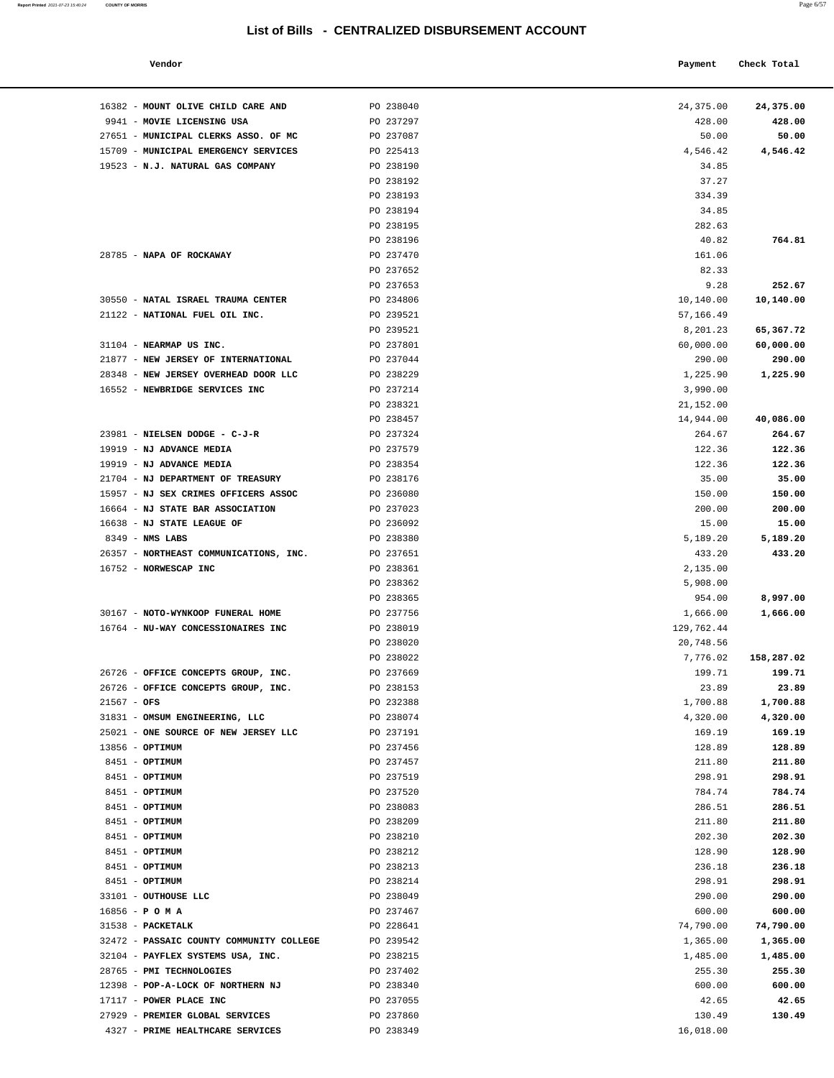| Vendor                       |           | Payment   | Check Total |
|------------------------------|-----------|-----------|-------------|
| MOUNT OLIVE CHILD CARE AND   | PO 238040 | 24,375.00 | 24,375.00   |
| MOVIE LICENSING USA          | PO 237297 | 428.00    | 428.00      |
| MUNICIPAL CLERKS ASSO. OF MC | PO 237087 | 50.00     | 50.00       |

| 16382 - MOUNT OLIVE CHILD CARE AND                                       | PO 238040              | 24,375.00           | 24,375.00             |
|--------------------------------------------------------------------------|------------------------|---------------------|-----------------------|
| 9941 - MOVIE LICENSING USA<br>27651 - MUNICIPAL CLERKS ASSO. OF MC       | PO 237297<br>PO 237087 | 428.00<br>50.00     | 428.00<br>50.00       |
| 15709 - MUNICIPAL EMERGENCY SERVICES                                     | PO 225413              | 4,546.42            | 4,546.42              |
| 19523 - N.J. NATURAL GAS COMPANY                                         | PO 238190              | 34.85               |                       |
|                                                                          | PO 238192              | 37.27               |                       |
|                                                                          | PO 238193              | 334.39              |                       |
|                                                                          | PO 238194              | 34.85               |                       |
|                                                                          | PO 238195              | 282.63              |                       |
|                                                                          | PO 238196              | 40.82               | 764.81                |
| 28785 - NAPA OF ROCKAWAY                                                 | PO 237470              | 161.06              |                       |
|                                                                          | PO 237652              | 82.33               |                       |
|                                                                          | PO 237653              | 9.28                | 252.67                |
| 30550 - NATAL ISRAEL TRAUMA CENTER                                       | PO 234806              | 10,140.00           | 10,140.00             |
| 21122 - NATIONAL FUEL OIL INC.                                           | PO 239521              | 57,166.49           |                       |
|                                                                          | PO 239521              | 8,201.23            | 65,367.72             |
| 31104 - NEARMAP US INC.                                                  | PO 237801              | 60,000.00           | 60,000.00             |
| 21877 - NEW JERSEY OF INTERNATIONAL                                      | PO 237044              | 290.00              | 290.00                |
| 28348 - NEW JERSEY OVERHEAD DOOR LLC                                     | PO 238229              | 1,225.90            | 1,225.90              |
| 16552 - NEWBRIDGE SERVICES INC                                           | PO 237214              | 3,990.00            |                       |
|                                                                          | PO 238321              | 21,152.00           |                       |
|                                                                          | PO 238457              | 14,944.00           | 40,086.00             |
| 23981 - NIELSEN DODGE - C-J-R                                            | PO 237324              | 264.67              | 264.67                |
| 19919 - NJ ADVANCE MEDIA                                                 | PO 237579              | 122.36              | 122.36                |
| 19919 - NJ ADVANCE MEDIA                                                 | PO 238354              | 122.36              | 122.36                |
| 21704 - NJ DEPARTMENT OF TREASURY                                        | PO 238176              | 35.00               | 35.00                 |
| 15957 - NJ SEX CRIMES OFFICERS ASSOC<br>16664 - NJ STATE BAR ASSOCIATION | PO 236080<br>PO 237023 | 150.00<br>200.00    | 150.00<br>200.00      |
| 16638 - NJ STATE LEAGUE OF                                               | PO 236092              | 15.00               | 15.00                 |
| $8349$ - NMS LABS                                                        | PO 238380              | 5,189.20            | 5,189.20              |
| 26357 - NORTHEAST COMMUNICATIONS, INC.                                   | PO 237651              | 433.20              | 433.20                |
| 16752 - NORWESCAP INC                                                    | PO 238361              | 2,135.00            |                       |
|                                                                          | PO 238362              | 5,908.00            |                       |
|                                                                          | PO 238365              | 954.00              | 8,997.00              |
| 30167 - NOTO-WYNKOOP FUNERAL HOME                                        | PO 237756              | 1,666.00            | 1,666.00              |
| 16764 - NU-WAY CONCESSIONAIRES INC                                       | PO 238019              | 129,762.44          |                       |
|                                                                          | PO 238020              | 20,748.56           |                       |
|                                                                          | PO 238022              | 7,776.02            | 158,287.02            |
| 26726 - OFFICE CONCEPTS GROUP, INC.                                      | PO 237669              | 199.71              | 199.71                |
| 26726 - OFFICE CONCEPTS GROUP, INC.                                      | PO 238153              | 23.89               | 23.89                 |
| $21567 - OFS$                                                            | PO 232388              | 1,700.88            | 1,700.88              |
| 31831 - OMSUM ENGINEERING, LLC                                           | PO 238074              | 4,320.00            | 4,320.00              |
| 25021 - ONE SOURCE OF NEW JERSEY LLC                                     | PO 237191              | 169.19              | 169.19                |
| 13856 - OPTIMUM                                                          | PO 237456              | 128.89              | 128.89                |
| 8451 - OPTIMUM                                                           | PO 237457              | 211.80              | 211.80                |
| 8451 - OPTIMUM                                                           | PO 237519              | 298.91              | 298.91                |
| 8451 - OPTIMUM                                                           | PO 237520              | 784.74              | 784.74                |
| 8451 - OPTIMUM                                                           | PO 238083              | 286.51              | 286.51                |
| 8451 - OPTIMUM                                                           | PO 238209              | 211.80              | 211.80                |
| 8451 - OPTIMUM                                                           | PO 238210              | 202.30              | 202.30                |
| 8451 - OPTIMUM                                                           | PO 238212              | 128.90              | 128.90                |
| 8451 - OPTIMUM                                                           | PO 238213              | 236.18              | 236.18                |
| 8451 - OPTIMUM                                                           | PO 238214              | 298.91              | 298.91                |
| 33101 - OUTHOUSE LLC                                                     | PO 238049              | 290.00              | 290.00                |
| $16856 - P$ O M A<br>31538 - PACKETALK                                   | PO 237467              | 600.00<br>74,790.00 | 600.00                |
| 32472 - PASSAIC COUNTY COMMUNITY COLLEGE                                 | PO 228641<br>PO 239542 | 1,365.00            | 74,790.00<br>1,365.00 |
| 32104 - PAYFLEX SYSTEMS USA, INC.                                        | PO 238215              | 1,485.00            | 1,485.00              |
| 28765 - PMI TECHNOLOGIES                                                 | PO 237402              | 255.30              | 255.30                |
| 12398 - POP-A-LOCK OF NORTHERN NJ                                        | PO 238340              | 600.00              | 600.00                |
| 17117 - POWER PLACE INC                                                  | PO 237055              | 42.65               | 42.65                 |
| 27929 - PREMIER GLOBAL SERVICES                                          | PO 237860              | 130.49              | 130.49                |
|                                                                          |                        |                     |                       |

4327 - **PRIME HEALTHCARE SERVICES PO 238349 PO 238349 16,018.00**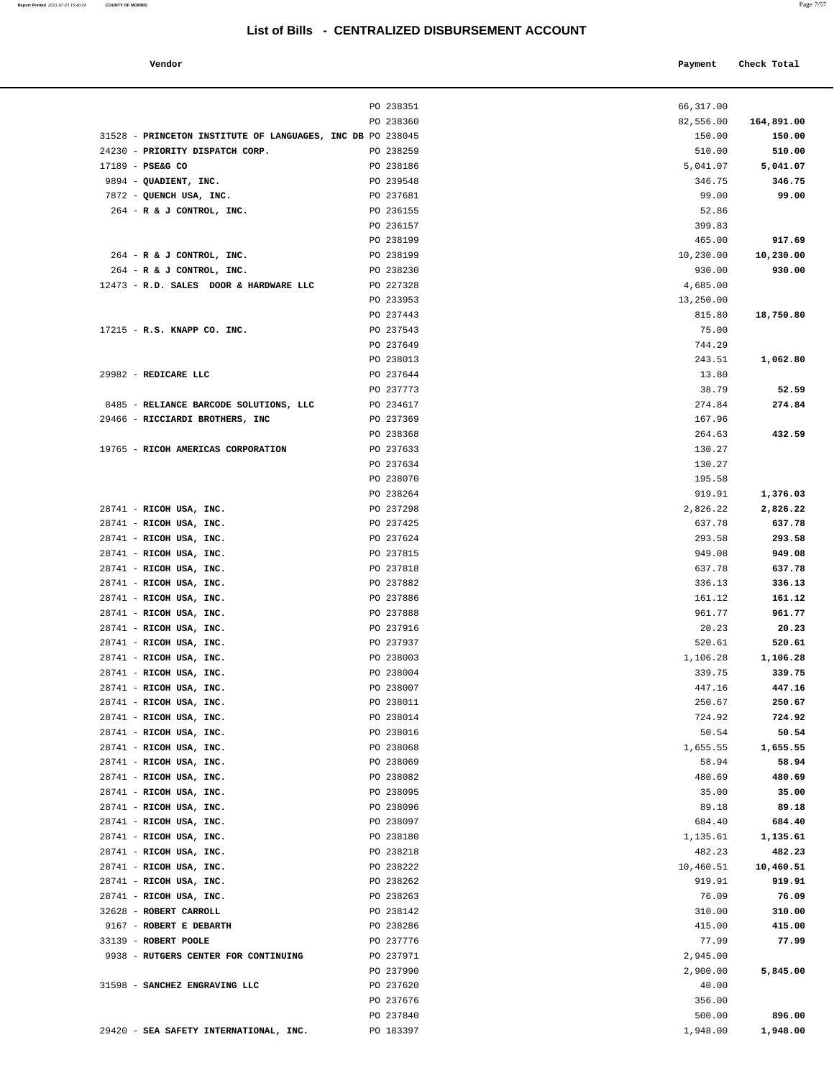#### **Vendor Check Total Payment Check Total**

|                                                            | PO 238351 | 66,317.00 |            |
|------------------------------------------------------------|-----------|-----------|------------|
|                                                            | PO 238360 | 82,556.00 | 164,891.00 |
| 31528 - PRINCETON INSTITUTE OF LANGUAGES, INC DB PO 238045 |           | 150.00    | 150.00     |
| 24230 - PRIORITY DISPATCH CORP.                            | PO 238259 | 510.00    | 510.00     |
| $17189$ - PSE&G CO                                         | PO 238186 | 5,041.07  | 5,041.07   |
| 9894 - QUADIENT, INC.                                      | PO 239548 | 346.75    | 346.75     |
| 7872 - QUENCH USA, INC.                                    | PO 237681 | 99.00     | 99.00      |
|                                                            |           | 52.86     |            |
| $264$ - R & J CONTROL, INC.                                | PO 236155 |           |            |
|                                                            | PO 236157 | 399.83    |            |
|                                                            | PO 238199 | 465.00    | 917.69     |
| 264 - R & J CONTROL, INC.                                  | PO 238199 | 10,230.00 | 10,230.00  |
| 264 - R & J CONTROL, INC.                                  | PO 238230 | 930.00    | 930.00     |
| 12473 - R.D. SALES DOOR & HARDWARE LLC                     | PO 227328 | 4,685.00  |            |
|                                                            | PO 233953 | 13,250.00 |            |
|                                                            | PO 237443 | 815.80    | 18,750.80  |
| 17215 - R.S. KNAPP CO. INC.                                | PO 237543 | 75.00     |            |
|                                                            | PO 237649 | 744.29    |            |
|                                                            | PO 238013 | 243.51    | 1,062.80   |
| 29982 - REDICARE LLC                                       | PO 237644 | 13.80     |            |
|                                                            | PO 237773 | 38.79     | 52.59      |
| 8485 - RELIANCE BARCODE SOLUTIONS, LLC                     | PO 234617 | 274.84    | 274.84     |
| 29466 - RICCIARDI BROTHERS, INC                            | PO 237369 | 167.96    |            |
|                                                            | PO 238368 | 264.63    | 432.59     |
| 19765 - RICOH AMERICAS CORPORATION                         | PO 237633 | 130.27    |            |
|                                                            |           |           |            |
|                                                            | PO 237634 | 130.27    |            |
|                                                            | PO 238070 | 195.58    |            |
|                                                            | PO 238264 | 919.91    | 1,376.03   |
| 28741 - RICOH USA, INC.                                    | PO 237298 | 2,826.22  | 2,826.22   |
| 28741 - RICOH USA, INC.                                    | PO 237425 | 637.78    | 637.78     |
| 28741 - RICOH USA, INC.                                    | PO 237624 | 293.58    | 293.58     |
| 28741 - RICOH USA, INC.                                    | PO 237815 | 949.08    | 949.08     |
| 28741 - RICOH USA, INC.                                    | PO 237818 | 637.78    | 637.78     |
| 28741 - RICOH USA, INC.                                    | PO 237882 | 336.13    | 336.13     |
| 28741 - RICOH USA, INC.                                    | PO 237886 | 161.12    | 161.12     |
| 28741 - RICOH USA, INC.                                    | PO 237888 | 961.77    | 961.77     |
| 28741 - RICOH USA, INC.                                    | PO 237916 | 20.23     | 20.23      |
| 28741 - RICOH USA, INC.                                    | PO 237937 | 520.61    | 520.61     |
| 28741 - RICOH USA, INC.                                    | PO 238003 | 1,106.28  | 1,106.28   |
| 28741 - RICOH USA, INC.                                    | PO 238004 | 339.75    | 339.75     |
| 28741 - RICOH USA, INC.                                    | PO 238007 | 447.16    | 447.16     |
| 28741 - RICOH USA, INC.                                    | PO 238011 | 250.67    | 250.67     |
| 28741 - RICOH USA, INC.                                    | PO 238014 | 724.92    | 724.92     |
| 28741 - RICOH USA, INC.                                    | PO 238016 | 50.54     | 50.54      |
| 28741 - RICOH USA, INC.                                    |           |           |            |
|                                                            | PO 238068 | 1,655.55  | 1,655.55   |
| 28741 - RICOH USA, INC.                                    | PO 238069 | 58.94     | 58.94      |
| 28741 - RICOH USA, INC.                                    | PO 238082 | 480.69    | 480.69     |
| 28741 - RICOH USA, INC.                                    | PO 238095 | 35.00     | 35.00      |
| 28741 - RICOH USA, INC.                                    | PO 238096 | 89.18     | 89.18      |
| 28741 - RICOH USA, INC.                                    | PO 238097 | 684.40    | 684.40     |
| 28741 - RICOH USA, INC.                                    | PO 238180 | 1,135.61  | 1,135.61   |
| 28741 - RICOH USA, INC.                                    | PO 238218 | 482.23    | 482.23     |
| 28741 - RICOH USA, INC.                                    | PO 238222 | 10,460.51 | 10,460.51  |
| 28741 - RICOH USA, INC.                                    | PO 238262 | 919.91    | 919.91     |
| 28741 - RICOH USA, INC.                                    | PO 238263 | 76.09     | 76.09      |
| 32628 - ROBERT CARROLL                                     | PO 238142 | 310.00    | 310.00     |
| 9167 - ROBERT E DEBARTH                                    | PO 238286 | 415.00    | 415.00     |
| 33139 - ROBERT POOLE                                       | PO 237776 | 77.99     | 77.99      |
| 9938 - RUTGERS CENTER FOR CONTINUING                       | PO 237971 | 2,945.00  |            |
|                                                            | PO 237990 | 2,900.00  | 5,845.00   |
| 31598 - SANCHEZ ENGRAVING LLC                              | PO 237620 | 40.00     |            |
|                                                            | PO 237676 | 356.00    |            |
|                                                            | PO 237840 | 500.00    | 896.00     |
|                                                            |           |           |            |

29420 - **SEA SAFETY INTERNATIONAL, INC.** PO 183397 1,948.00 **1,948.00**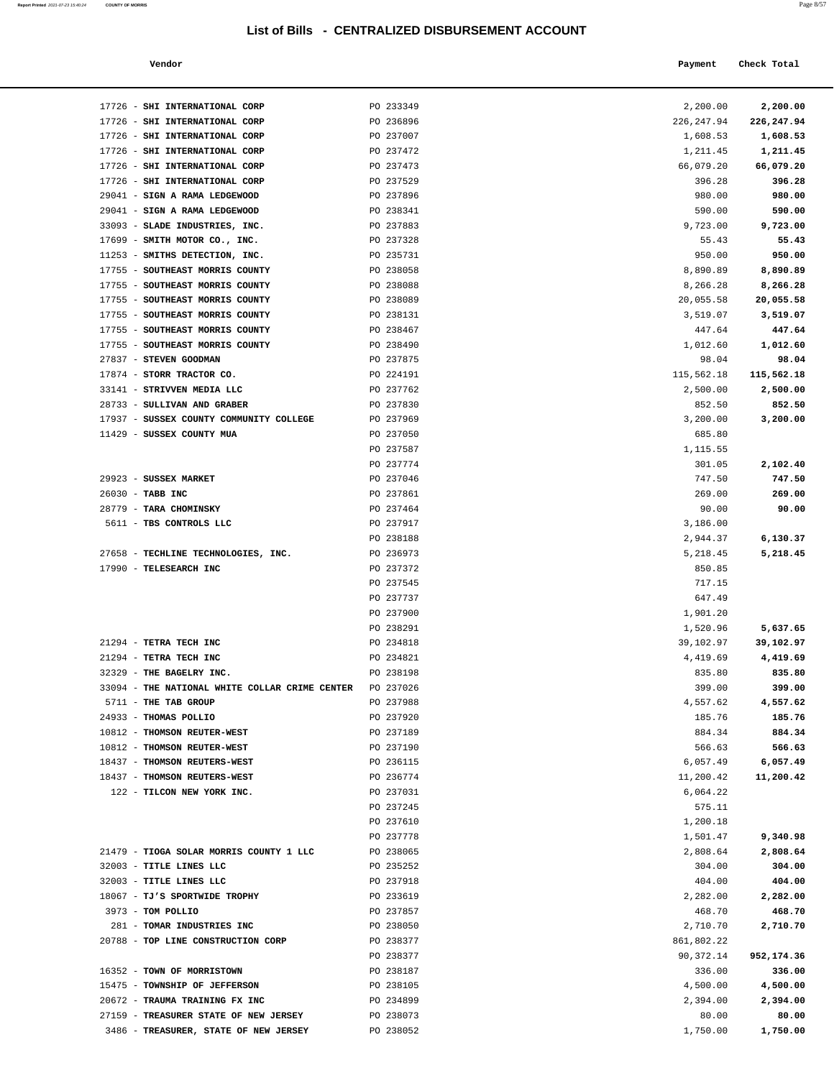| Report Printed 2021-07-23 15:40:24 COUNTY OF MORRIS | Page 8/57 |
|-----------------------------------------------------|-----------|
|                                                     |           |

| Vendor | Payment Check Total |
|--------|---------------------|
|        |                     |

| 17726 - SHI INTERNATIONAL CORP                 | PO 233349 | 2,200.00    | 2,200.00   |
|------------------------------------------------|-----------|-------------|------------|
| 17726 - SHI INTERNATIONAL CORP                 | PO 236896 | 226, 247.94 | 226,247.94 |
| 17726 - SHI INTERNATIONAL CORP                 | PO 237007 | 1,608.53    | 1,608.53   |
| 17726 - SHI INTERNATIONAL CORP                 | PO 237472 | 1,211.45    | 1,211.45   |
| 17726 - SHI INTERNATIONAL CORP                 | PO 237473 | 66,079.20   | 66,079.20  |
| 17726 - SHI INTERNATIONAL CORP                 | PO 237529 | 396.28      | 396.28     |
| 29041 - SIGN A RAMA LEDGEWOOD                  | PO 237896 | 980.00      | 980.00     |
| 29041 - SIGN A RAMA LEDGEWOOD                  | PO 238341 | 590.00      | 590.00     |
| 33093 - SLADE INDUSTRIES, INC.                 | PO 237883 | 9,723.00    | 9,723.00   |
| 17699 - SMITH MOTOR CO., INC.                  | PO 237328 | 55.43       | 55.43      |
| 11253 - SMITHS DETECTION, INC.                 | PO 235731 | 950.00      | 950.00     |
| 17755 - SOUTHEAST MORRIS COUNTY                | PO 238058 | 8,890.89    | 8,890.89   |
| 17755 - SOUTHEAST MORRIS COUNTY                | PO 238088 | 8,266.28    | 8,266.28   |
| 17755 - SOUTHEAST MORRIS COUNTY                | PO 238089 | 20,055.58   | 20,055.58  |
| 17755 - SOUTHEAST MORRIS COUNTY                | PO 238131 | 3,519.07    | 3,519.07   |
| 17755 - SOUTHEAST MORRIS COUNTY                | PO 238467 | 447.64      | 447.64     |
| 17755 - SOUTHEAST MORRIS COUNTY                | PO 238490 | 1,012.60    | 1,012.60   |
| 27837 - STEVEN GOODMAN                         | PO 237875 | 98.04       | 98.04      |
| 17874 - STORR TRACTOR CO.                      | PO 224191 | 115,562.18  | 115,562.18 |
| 33141 - STRIVVEN MEDIA LLC                     | PO 237762 | 2,500.00    | 2,500.00   |
| 28733 - SULLIVAN AND GRABER                    | PO 237830 | 852.50      | 852.50     |
| 17937 - SUSSEX COUNTY COMMUNITY COLLEGE        | PO 237969 | 3,200.00    | 3,200.00   |
| 11429 - SUSSEX COUNTY MUA                      | PO 237050 | 685.80      |            |
|                                                | PO 237587 | 1,115.55    |            |
|                                                | PO 237774 | 301.05      | 2,102.40   |
| 29923 - SUSSEX MARKET                          | PO 237046 | 747.50      | 747.50     |
| 26030 - TABB INC                               | PO 237861 | 269.00      | 269.00     |
| 28779 - TARA CHOMINSKY                         | PO 237464 | 90.00       | 90.00      |
| 5611 - TBS CONTROLS LLC                        | PO 237917 | 3,186.00    |            |
|                                                | PO 238188 | 2,944.37    | 6,130.37   |
| 27658 - TECHLINE TECHNOLOGIES, INC.            | PO 236973 | 5,218.45    | 5,218.45   |
| 17990 - TELESEARCH INC                         | PO 237372 | 850.85      |            |
|                                                | PO 237545 | 717.15      |            |
|                                                | PO 237737 | 647.49      |            |
|                                                | PO 237900 | 1,901.20    |            |
|                                                | PO 238291 | 1,520.96    | 5,637.65   |
| 21294 - TETRA TECH INC                         | PO 234818 | 39,102.97   | 39,102.97  |
| 21294 - TETRA TECH INC                         | PO 234821 | 4,419.69    | 4,419.69   |
| 32329 - THE BAGELRY INC.                       | PO 238198 | 835.80      | 835.80     |
| 33094 - THE NATIONAL WHITE COLLAR CRIME CENTER | PO 237026 | 399.00      | 399.00     |
| 5711 - THE TAB GROUP                           | PO 237988 | 4,557.62    | 4,557.62   |
| 24933 - THOMAS POLLIO                          | PO 237920 | 185.76      | 185.76     |
| 10812 - THOMSON REUTER-WEST                    | PO 237189 | 884.34      | 884.34     |
| 10812 - THOMSON REUTER-WEST                    | PO 237190 | 566.63      | 566.63     |
| 18437 - THOMSON REUTERS-WEST                   | PO 236115 | 6,057.49    | 6,057.49   |
| 18437 - THOMSON REUTERS-WEST                   | PO 236774 | 11,200.42   | 11,200.42  |
| 122 - TILCON NEW YORK INC.                     | PO 237031 | 6,064.22    |            |
|                                                | PO 237245 | 575.11      |            |
|                                                | PO 237610 | 1,200.18    |            |
|                                                | PO 237778 | 1,501.47    | 9,340.98   |
| 21479 - TIOGA SOLAR MORRIS COUNTY 1 LLC        | PO 238065 | 2,808.64    | 2,808.64   |
| 32003 - TITLE LINES LLC                        | PO 235252 | 304.00      | 304.00     |
| 32003 - TITLE LINES LLC                        | PO 237918 | 404.00      | 404.00     |
| 18067 - TJ'S SPORTWIDE TROPHY                  | PO 233619 | 2,282.00    | 2,282.00   |
| 3973 - TOM POLLIO                              | PO 237857 | 468.70      | 468.70     |
| 281 - TOMAR INDUSTRIES INC                     | PO 238050 | 2,710.70    | 2,710.70   |
| 20788 - TOP LINE CONSTRUCTION CORP             | PO 238377 | 861,802.22  |            |
|                                                | PO 238377 | 90,372.14   | 952,174.36 |
| 16352 - TOWN OF MORRISTOWN                     | PO 238187 | 336.00      | 336.00     |
| 15475 - TOWNSHIP OF JEFFERSON                  | PO 238105 | 4,500.00    | 4,500.00   |
| 20672 - TRAUMA TRAINING FX INC                 | PO 234899 | 2,394.00    | 2,394.00   |
| 27159 - TREASURER STATE OF NEW JERSEY          | PO 238073 | 80.00       | 80.00      |

3486 - **TREASURER, STATE OF NEW JERSEY PO 238052 1,750.00 1,750.00 1,750.00**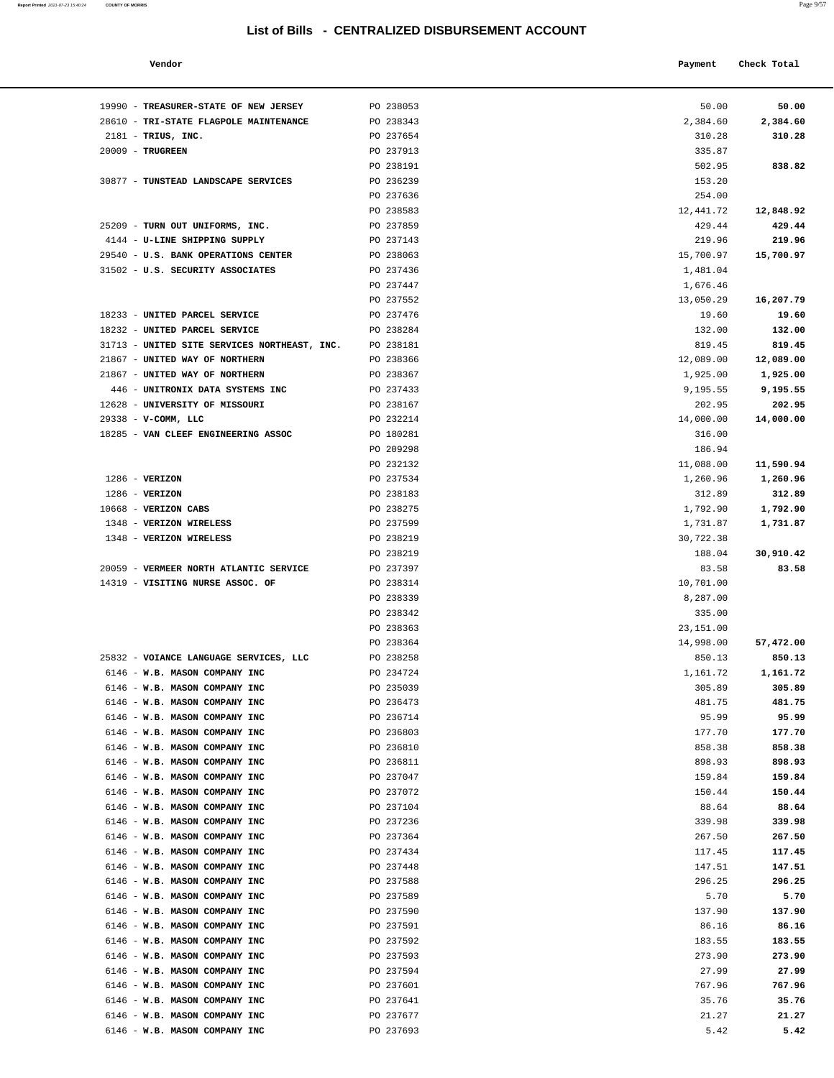| Report Printed 2021-07-23 15:40:24 | <b>COUNTY OF MORRIS</b> | Page 9/57 |
|------------------------------------|-------------------------|-----------|
|                                    |                         |           |

| Vendor | Payment Check Total |
|--------|---------------------|
|--------|---------------------|

| 19990 - TREASURER-STATE OF NEW JERSEY                          | PO 238053              | 50.00               | 50.00               |
|----------------------------------------------------------------|------------------------|---------------------|---------------------|
| 28610 - TRI-STATE FLAGPOLE MAINTENANCE                         | PO 238343              | 2,384.60            | 2,384.60            |
| $2181$ - TRIUS, INC.                                           | PO 237654              | 310.28              | 310.28              |
| 20009 - TRUGREEN                                               | PO 237913              | 335.87              |                     |
|                                                                | PO 238191              | 502.95              | 838.82              |
| 30877 - TUNSTEAD LANDSCAPE SERVICES                            | PO 236239              | 153.20              |                     |
|                                                                | PO 237636              | 254.00              |                     |
| 25209 - TURN OUT UNIFORMS, INC.                                | PO 238583<br>PO 237859 | 12,441.72           | 12,848.92           |
| 4144 - U-LINE SHIPPING SUPPLY                                  | PO 237143              | 429.44<br>219.96    | 429.44<br>219.96    |
| 29540 - U.S. BANK OPERATIONS CENTER                            | PO 238063              | 15,700.97           | 15,700.97           |
| 31502 - U.S. SECURITY ASSOCIATES                               | PO 237436              | 1,481.04            |                     |
|                                                                | PO 237447              | 1,676.46            |                     |
|                                                                | PO 237552              | 13,050.29           | 16,207.79           |
| 18233 - UNITED PARCEL SERVICE                                  | PO 237476              | 19.60               | 19.60               |
| 18232 - UNITED PARCEL SERVICE                                  | PO 238284              | 132.00              | 132.00              |
| 31713 - UNITED SITE SERVICES NORTHEAST, INC.                   | PO 238181              | 819.45              | 819.45              |
| 21867 - UNITED WAY OF NORTHERN                                 | PO 238366              | 12,089.00           | 12,089.00           |
| 21867 - UNITED WAY OF NORTHERN                                 | PO 238367              | 1,925.00            | 1,925.00            |
| 446 - UNITRONIX DATA SYSTEMS INC                               | PO 237433              | 9,195.55            | 9,195.55            |
| 12628 - UNIVERSITY OF MISSOURI                                 | PO 238167              | 202.95              | 202.95              |
| 29338 - V-COMM, LLC                                            | PO 232214              | 14,000.00           | 14,000.00           |
| 18285 - VAN CLEEF ENGINEERING ASSOC                            | PO 180281<br>PO 209298 | 316.00<br>186.94    |                     |
|                                                                | PO 232132              | 11,088.00           | 11,590.94           |
| $1286$ - VERIZON                                               | PO 237534              | 1,260.96            | 1,260.96            |
| $1286$ - VERIZON                                               | PO 238183              | 312.89              | 312.89              |
| 10668 - VERIZON CABS                                           | PO 238275              | 1,792.90            | 1,792.90            |
| 1348 - VERIZON WIRELESS                                        | PO 237599              | 1,731.87            | 1,731.87            |
| 1348 - VERIZON WIRELESS                                        | PO 238219              | 30,722.38           |                     |
|                                                                | PO 238219              | 188.04              | 30,910.42           |
| 20059 - VERMEER NORTH ATLANTIC SERVICE                         | PO 237397              | 83.58               | 83.58               |
| 14319 - VISITING NURSE ASSOC. OF                               | PO 238314              | 10,701.00           |                     |
|                                                                | PO 238339              | 8,287.00            |                     |
|                                                                | PO 238342              | 335.00              |                     |
|                                                                | PO 238363              | 23,151.00           |                     |
| 25832 - VOIANCE LANGUAGE SERVICES, LLC                         | PO 238364<br>PO 238258 | 14,998.00<br>850.13 | 57,472.00<br>850.13 |
| 6146 - W.B. MASON COMPANY INC                                  | PO 234724              | 1,161.72            | 1,161.72            |
| 6146 - W.B. MASON COMPANY INC                                  | PO 235039              | 305.89              | 305.89              |
| 6146 - W.B. MASON COMPANY INC                                  | PO 236473              | 481.75              | 481.75              |
| 6146 - W.B. MASON COMPANY INC                                  | PO 236714              | 95.99               | 95.99               |
| 6146 - W.B. MASON COMPANY INC                                  | PO 236803              | 177.70              | 177.70              |
| 6146 - W.B. MASON COMPANY INC                                  | PO 236810              | 858.38              | 858.38              |
| 6146 - W.B. MASON COMPANY INC                                  | PO 236811              | 898.93              | 898.93              |
| 6146 - W.B. MASON COMPANY INC                                  | PO 237047              | 159.84              | 159.84              |
| 6146 - W.B. MASON COMPANY INC                                  | PO 237072              | 150.44              | 150.44              |
| 6146 - W.B. MASON COMPANY INC                                  | PO 237104              | 88.64               | 88.64               |
| 6146 - W.B. MASON COMPANY INC                                  | PO 237236              | 339.98              | 339.98              |
| 6146 - W.B. MASON COMPANY INC                                  | PO 237364<br>PO 237434 | 267.50              | 267.50              |
| 6146 - W.B. MASON COMPANY INC<br>6146 - W.B. MASON COMPANY INC | PO 237448              | 117.45              | 117.45<br>147.51    |
| 6146 - W.B. MASON COMPANY INC                                  | PO 237588              | 147.51<br>296.25    | 296.25              |
| 6146 - W.B. MASON COMPANY INC                                  | PO 237589              | 5.70                | 5.70                |
| 6146 - W.B. MASON COMPANY INC                                  | PO 237590              | 137.90              | 137.90              |
| 6146 - W.B. MASON COMPANY INC                                  | PO 237591              | 86.16               | 86.16               |
| 6146 - W.B. MASON COMPANY INC                                  | PO 237592              | 183.55              | 183.55              |
| 6146 - W.B. MASON COMPANY INC                                  | PO 237593              | 273.90              | 273.90              |
| 6146 - W.B. MASON COMPANY INC                                  | PO 237594              | 27.99               | 27.99               |
| 6146 - W.B. MASON COMPANY INC                                  | PO 237601              | 767.96              | 767.96              |
| 6146 - W.B. MASON COMPANY INC                                  | PO 237641              | 35.76               | 35.76               |
| 6146 - W.B. MASON COMPANY INC                                  | PO 237677              | 21.27               | 21.27               |
| 6146 - W.B. MASON COMPANY INC                                  | PO 237693              | 5.42                | 5.42                |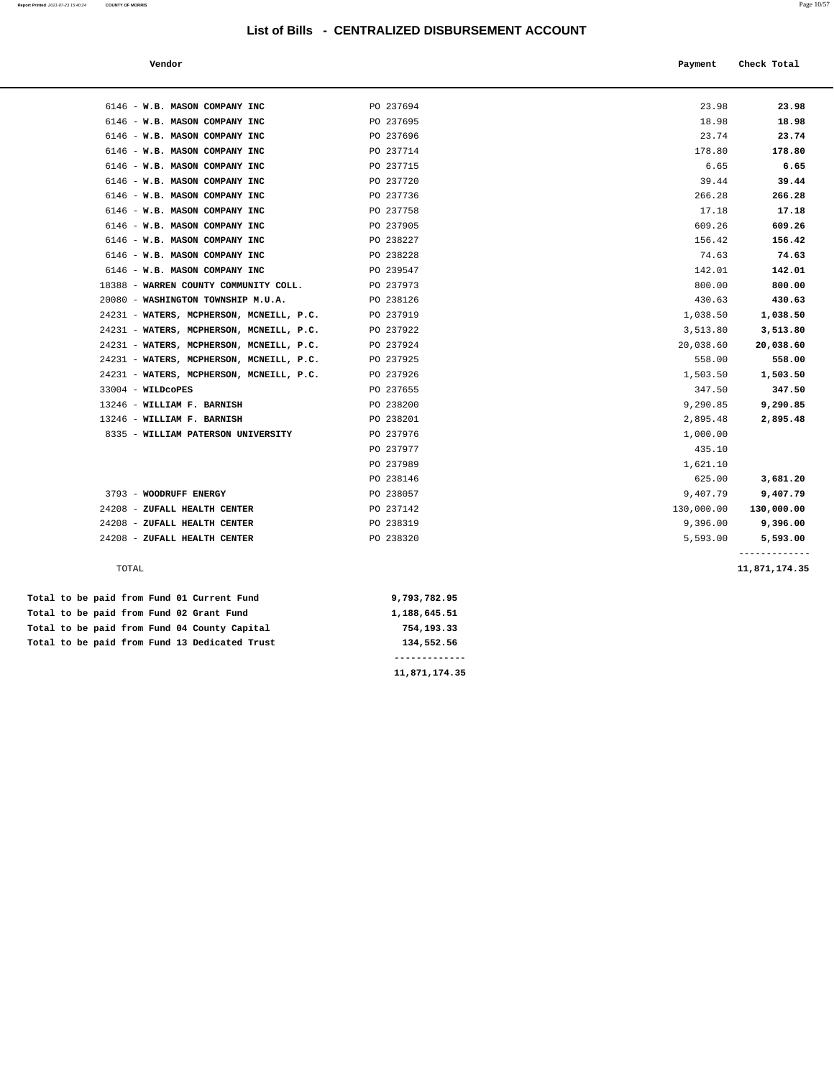**Report Printed** 2021-07-23 15:40:24 **COUNTY OF MORRIS** Page 10/57

Total to be paid from Fund 13 Dedicated Trust 134,552.56

 **Vendor Check Total Payment** Check Total **Payment** 

| 6146 - W.B. MASON COMPANY INC                | PO 237694    | 23.98      | 23.98                     |
|----------------------------------------------|--------------|------------|---------------------------|
| 6146 - W.B. MASON COMPANY INC                | PO 237695    | 18.98      | 18.98                     |
| 6146 - W.B. MASON COMPANY INC                | PO 237696    | 23.74      | 23.74                     |
| 6146 - W.B. MASON COMPANY INC                | PO 237714    | 178.80     | 178.80                    |
| 6146 - W.B. MASON COMPANY INC                | PO 237715    | 6.65       | 6.65                      |
| 6146 - W.B. MASON COMPANY INC                | PO 237720    | 39.44      | 39.44                     |
| 6146 - W.B. MASON COMPANY INC                | PO 237736    | 266.28     | 266.28                    |
| 6146 - W.B. MASON COMPANY INC                | PO 237758    | 17.18      | 17.18                     |
| 6146 - W.B. MASON COMPANY INC                | PO 237905    | 609.26     | 609.26                    |
| 6146 - W.B. MASON COMPANY INC                | PO 238227    | 156.42     | 156.42                    |
| 6146 - W.B. MASON COMPANY INC                | PO 238228    | 74.63      | 74.63                     |
| 6146 - W.B. MASON COMPANY INC                | PO 239547    | 142.01     | 142.01                    |
| 18388 - WARREN COUNTY COMMUNITY COLL.        | PO 237973    | 800.00     | 800.00                    |
| 20080 - WASHINGTON TOWNSHIP M.U.A.           | PO 238126    | 430.63     | 430.63                    |
| 24231 - WATERS, MCPHERSON, MCNEILL, P.C.     | PO 237919    | 1,038.50   | 1,038.50                  |
| 24231 - WATERS, MCPHERSON, MCNEILL, P.C.     | PO 237922    | 3,513.80   | 3,513.80                  |
| 24231 - WATERS, MCPHERSON, MCNEILL, P.C.     | PO 237924    | 20,038.60  | 20,038.60                 |
| 24231 - WATERS, MCPHERSON, MCNEILL, P.C.     | PO 237925    | 558.00     | 558.00                    |
| 24231 - WATERS, MCPHERSON, MCNEILL, P.C.     | PO 237926    | 1,503.50   | 1,503.50                  |
| 33004 - WILDCOPES                            | PO 237655    | 347.50     | 347.50                    |
| 13246 - WILLIAM F. BARNISH                   | PO 238200    | 9,290.85   | 9,290.85                  |
| 13246 - WILLIAM F. BARNISH                   | PO 238201    | 2,895.48   | 2,895.48                  |
| 8335 - WILLIAM PATERSON UNIVERSITY           | PO 237976    | 1,000.00   |                           |
|                                              | PO 237977    | 435.10     |                           |
|                                              | PO 237989    | 1,621.10   |                           |
|                                              | PO 238146    | 625.00     | 3,681.20                  |
| 3793 - WOODRUFF ENERGY                       | PO 238057    | 9,407.79   | 9,407.79                  |
| 24208 - ZUFALL HEALTH CENTER                 | PO 237142    | 130,000.00 | 130,000.00                |
| 24208 - ZUFALL HEALTH CENTER                 | PO 238319    | 9,396.00   | 9,396.00                  |
| 24208 - ZUFALL HEALTH CENTER                 | PO 238320    | 5,593.00   | 5,593.00<br>------------- |
| TOTAL                                        |              |            | 11,871,174.35             |
| Total to be paid from Fund 01 Current Fund   | 9,793,782.95 |            |                           |
| Total to be paid from Fund 02 Grant Fund     | 1,188,645.51 |            |                           |
| Total to be paid from Fund 04 County Capital | 754,193.33   |            |                           |

 **------------- 11,871,174.35**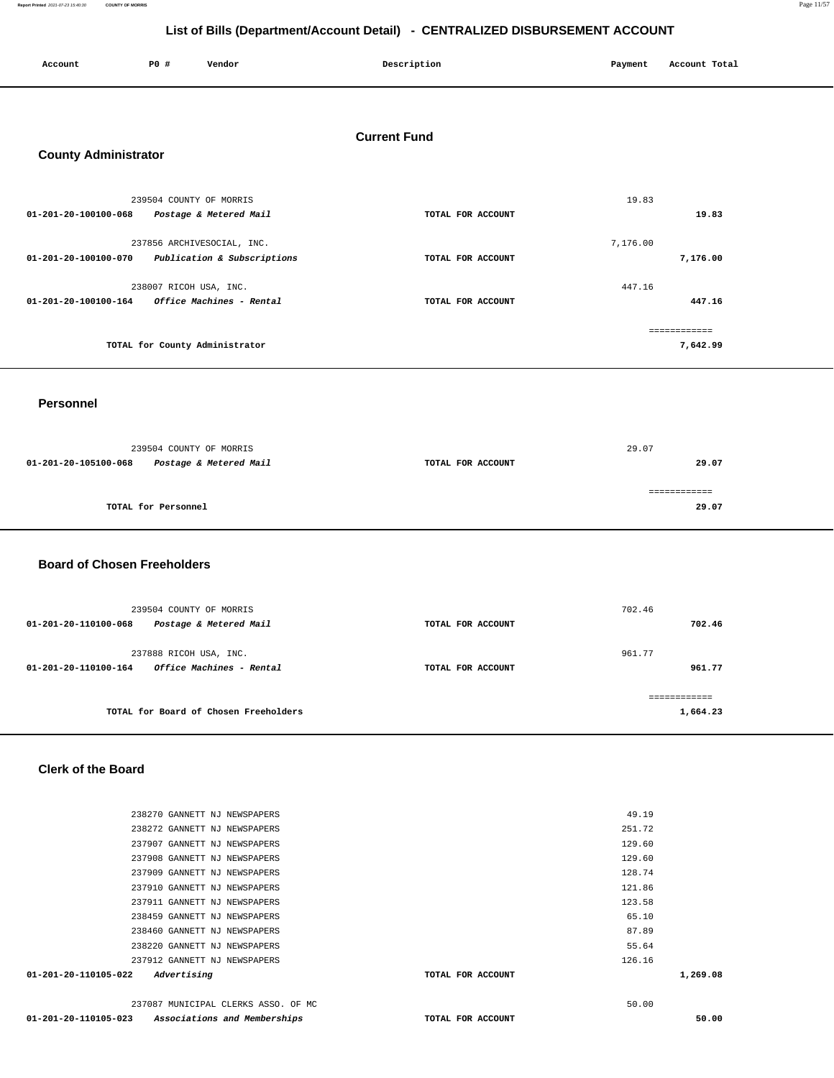**Report Printed** 2021-07-23 15:40:30 **COUNTY OF MORRIS** Page 11/57

## **List of Bills (Department/Account Detail) - CENTRALIZED DISBURSEMENT ACCOUNT**

| Account                                            | P0 #                    | Vendor                                                    | Description       | Payment  | Account Total            |  |  |  |
|----------------------------------------------------|-------------------------|-----------------------------------------------------------|-------------------|----------|--------------------------|--|--|--|
| <b>Current Fund</b><br><b>County Administrator</b> |                         |                                                           |                   |          |                          |  |  |  |
|                                                    | 239504 COUNTY OF MORRIS |                                                           |                   | 19.83    |                          |  |  |  |
| 01-201-20-100100-068                               |                         | Postage & Metered Mail                                    | TOTAL FOR ACCOUNT |          | 19.83                    |  |  |  |
| 01-201-20-100100-070                               |                         | 237856 ARCHIVESOCIAL, INC.<br>Publication & Subscriptions | TOTAL FOR ACCOUNT | 7,176.00 | 7,176.00                 |  |  |  |
|                                                    | 238007 RICOH USA, INC.  |                                                           |                   | 447.16   |                          |  |  |  |
| 01-201-20-100100-164                               |                         | Office Machines - Rental                                  | TOTAL FOR ACCOUNT |          | 447.16                   |  |  |  |
|                                                    |                         | TOTAL for County Administrator                            |                   |          | ============<br>7,642.99 |  |  |  |
| <b>Personnel</b>                                   |                         |                                                           |                   |          |                          |  |  |  |
|                                                    | 239504 COUNTY OF MORRIS |                                                           |                   | 29.07    |                          |  |  |  |
| 01-201-20-105100-068                               |                         | Postage & Metered Mail                                    | TOTAL FOR ACCOUNT |          | 29.07                    |  |  |  |
|                                                    | TOTAL for Personnel     |                                                           |                   |          | ============<br>29.07    |  |  |  |
| <b>Board of Chosen Freeholders</b>                 |                         |                                                           |                   |          |                          |  |  |  |

| 239504 COUNTY OF MORRIS<br>Postage & Metered Mail<br>$01 - 201 - 20 - 110100 - 068$      | TOTAL FOR ACCOUNT | 702.46<br>702.46 |
|------------------------------------------------------------------------------------------|-------------------|------------------|
| 237888 RICOH USA, INC.<br><i><b>Office Machines - Rental</b></i><br>01-201-20-110100-164 | TOTAL FOR ACCOUNT | 961.77<br>961.77 |
| TOTAL for Board of Chosen Freeholders                                                    |                   | 1,664.23         |

#### **Clerk of the Board**

| 01-201-20-110105-023           | Associations and Memberships        | TOTAL FOR ACCOUNT | 50.00    |
|--------------------------------|-------------------------------------|-------------------|----------|
|                                | 237087 MUNICIPAL CLERKS ASSO. OF MC |                   | 50.00    |
| $01 - 201 - 20 - 110105 - 022$ | Advertising                         | TOTAL FOR ACCOUNT | 1,269.08 |
|                                | 237912 GANNETT NJ NEWSPAPERS        |                   | 126.16   |
|                                | 238220 GANNETT NJ NEWSPAPERS        |                   | 55.64    |
|                                | 238460 GANNETT NJ NEWSPAPERS        |                   | 87.89    |
|                                | 238459 GANNETT NJ NEWSPAPERS        |                   | 65.10    |
|                                | 237911 GANNETT NJ NEWSPAPERS        |                   | 123.58   |
|                                | 237910 GANNETT NJ NEWSPAPERS        |                   | 121.86   |
|                                | 237909 GANNETT NJ NEWSPAPERS        |                   | 128.74   |
|                                | 237908 GANNETT NJ NEWSPAPERS        |                   | 129.60   |
|                                | 237907 GANNETT NJ NEWSPAPERS        |                   | 129.60   |
|                                | 238272 GANNETT NJ NEWSPAPERS        |                   | 251.72   |
|                                | 238270 GANNETT NJ NEWSPAPERS        |                   | 49.19    |
|                                |                                     |                   |          |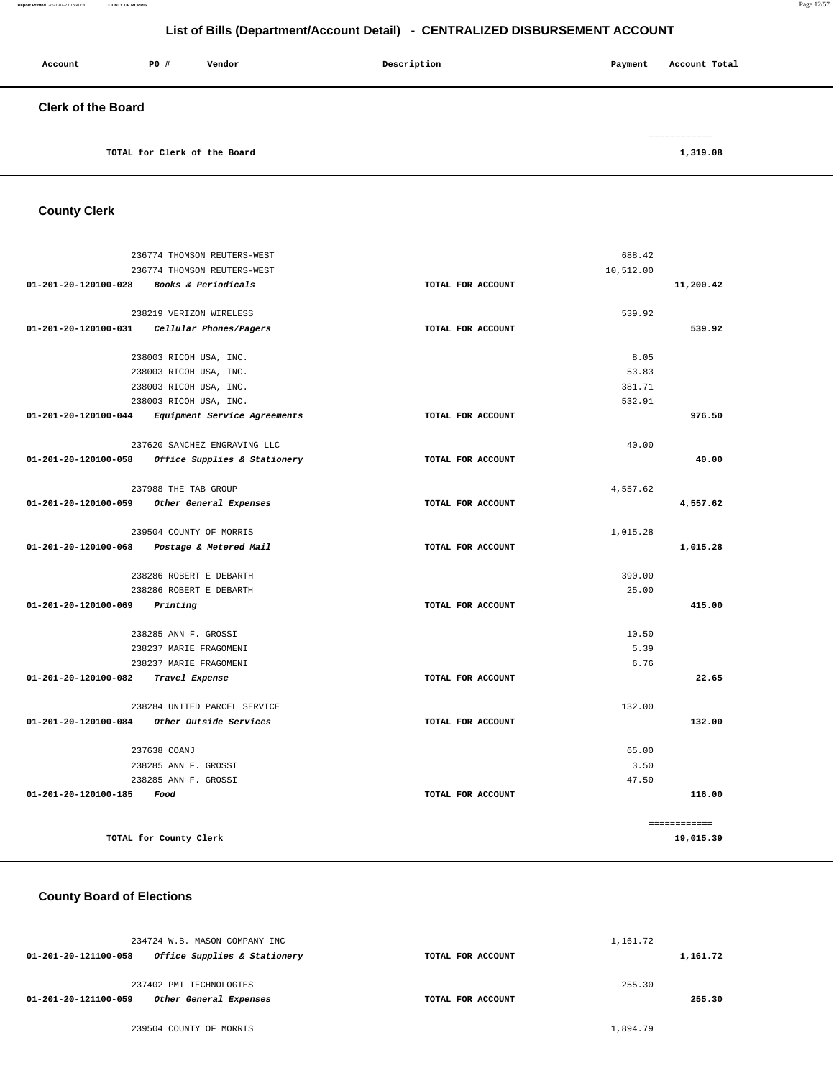#### **Report Printed** 2021-07-23 15:40:30 **COUNTY OF MORRIS** Page 12/57

## **List of Bills (Department/Account Detail) - CENTRALIZED DISBURSEMENT ACCOUNT**

| Account                   | P0 # | Vendor                       | Description | Payment | Account Total |
|---------------------------|------|------------------------------|-------------|---------|---------------|
| <b>Clerk of the Board</b> |      |                              |             |         |               |
|                           |      |                              |             |         | ============  |
|                           |      | TOTAL for Clerk of the Board |             |         | 1,319.08      |

## **County Clerk**

|                           | 236774 THOMSON REUTERS-WEST                    | 688.42            |              |
|---------------------------|------------------------------------------------|-------------------|--------------|
|                           | 236774 THOMSON REUTERS-WEST                    | 10,512.00         |              |
| 01-201-20-120100-028      | Books & Periodicals                            | TOTAL FOR ACCOUNT | 11,200.42    |
|                           | 238219 VERIZON WIRELESS                        | 539.92            |              |
|                           | 01-201-20-120100-031    Cellular Phones/Pagers | TOTAL FOR ACCOUNT | 539.92       |
|                           |                                                |                   |              |
|                           | 238003 RICOH USA, INC.                         | 8.05              |              |
|                           | 238003 RICOH USA, INC.                         | 53.83             |              |
|                           | 238003 RICOH USA, INC.                         | 381.71            |              |
|                           | 238003 RICOH USA, INC.                         | 532.91            |              |
| 01-201-20-120100-044      | Equipment Service Agreements                   | TOTAL FOR ACCOUNT | 976.50       |
|                           | 237620 SANCHEZ ENGRAVING LLC                   | 40.00             |              |
| 01-201-20-120100-058      | Office Supplies & Stationery                   | TOTAL FOR ACCOUNT | 40.00        |
|                           | 237988 THE TAB GROUP                           | 4,557.62          |              |
| 01-201-20-120100-059      | Other General Expenses                         | TOTAL FOR ACCOUNT | 4,557.62     |
|                           |                                                |                   |              |
|                           | 239504 COUNTY OF MORRIS                        | 1,015.28          |              |
| 01-201-20-120100-068      | Postage & Metered Mail                         | TOTAL FOR ACCOUNT | 1,015.28     |
|                           | 238286 ROBERT E DEBARTH                        | 390.00            |              |
|                           | 238286 ROBERT E DEBARTH                        | 25.00             |              |
| 01-201-20-120100-069      | Printing                                       | TOTAL FOR ACCOUNT | 415.00       |
|                           | 238285 ANN F. GROSSI                           | 10.50             |              |
|                           | 238237 MARIE FRAGOMENI                         | 5.39              |              |
|                           | 238237 MARIE FRAGOMENI                         | 6.76              |              |
| 01-201-20-120100-082      | Travel Expense                                 | TOTAL FOR ACCOUNT | 22.65        |
|                           |                                                |                   |              |
|                           | 238284 UNITED PARCEL SERVICE                   | 132.00            |              |
|                           | 01-201-20-120100-084 Other Outside Services    | TOTAL FOR ACCOUNT | 132.00       |
|                           | 237638 COANJ                                   | 65.00             |              |
|                           | 238285 ANN F. GROSSI                           | 3.50              |              |
|                           | 238285 ANN F. GROSSI                           | 47.50             |              |
| 01-201-20-120100-185 Food |                                                | TOTAL FOR ACCOUNT | 116.00       |
|                           |                                                |                   | ============ |
|                           | TOTAL for County Clerk                         |                   | 19,015.39    |

### **County Board of Elections**

| 234724 W.B. MASON COMPANY INC                        |                   | 1,161.72 |
|------------------------------------------------------|-------------------|----------|
| Office Supplies & Stationery<br>01-201-20-121100-058 | TOTAL FOR ACCOUNT | 1,161.72 |
| 237402 PMI TECHNOLOGIES                              |                   | 255.30   |
| 01-201-20-121100-059<br>Other General Expenses       | TOTAL FOR ACCOUNT | 255.30   |
| 239504 COUNTY OF MORRIS                              |                   | 1,894.79 |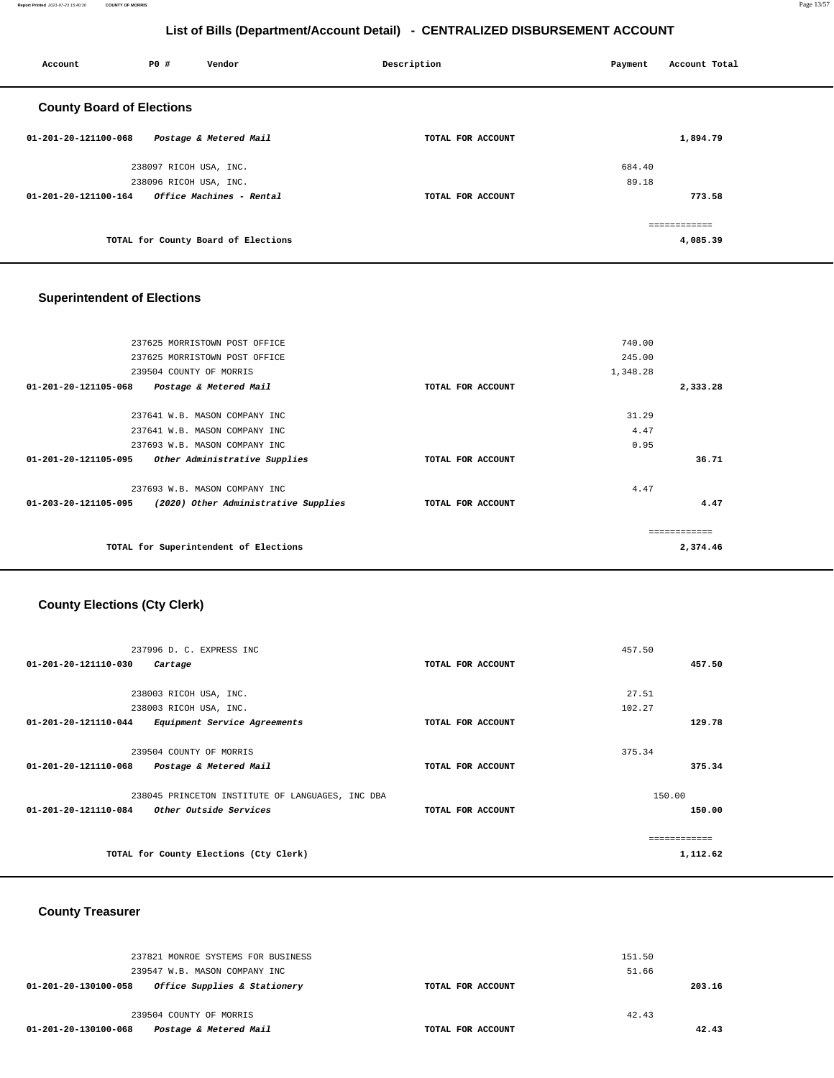**Report Printed** 2021-07-23 15:40:30 **COUNTY OF MORRIS** Page 13/57

## **List of Bills (Department/Account Detail) - CENTRALIZED DISBURSEMENT ACCOUNT**

| Account                          | <b>PO #</b>            | Vendor                              | Description       | Payment | Account Total |
|----------------------------------|------------------------|-------------------------------------|-------------------|---------|---------------|
| <b>County Board of Elections</b> |                        |                                     |                   |         |               |
| 01-201-20-121100-068             |                        | Postage & Metered Mail              | TOTAL FOR ACCOUNT |         | 1,894.79      |
|                                  | 238097 RICOH USA, INC. |                                     |                   | 684.40  |               |
|                                  | 238096 RICOH USA, INC. |                                     |                   | 89.18   |               |
| 01-201-20-121100-164             |                        | Office Machines - Rental            | TOTAL FOR ACCOUNT |         | 773.58        |
|                                  |                        |                                     |                   |         | ------------- |
|                                  |                        | TOTAL for County Board of Elections |                   |         | 4,085.39      |

## **Superintendent of Elections**

|          | 740.00   |                   | 237625 MORRISTOWN POST OFFICE         |                                |
|----------|----------|-------------------|---------------------------------------|--------------------------------|
|          | 245.00   |                   | 237625 MORRISTOWN POST OFFICE         |                                |
|          | 1,348.28 |                   |                                       | 239504 COUNTY OF MORRIS        |
| 2,333.28 |          | TOTAL FOR ACCOUNT | Postage & Metered Mail                | $01 - 201 - 20 - 121105 - 068$ |
|          | 31.29    |                   | 237641 W.B. MASON COMPANY INC         |                                |
|          | 4.47     |                   | 237641 W.B. MASON COMPANY INC         |                                |
|          | 0.95     |                   | 237693 W.B. MASON COMPANY INC         |                                |
| 36.71    |          | TOTAL FOR ACCOUNT | Other Administrative Supplies         | $01 - 201 - 20 - 121105 - 095$ |
|          | 4.47     |                   | 237693 W.B. MASON COMPANY INC         |                                |
| 4.47     |          | TOTAL FOR ACCOUNT | (2020) Other Administrative Supplies  | $01 - 203 - 20 - 121105 - 095$ |
|          |          |                   |                                       |                                |
| 2,374.46 |          |                   | TOTAL for Superintendent of Elections |                                |
|          |          |                   |                                       |                                |

## **County Elections (Cty Clerk)**

| 237996 D. C. EXPRESS INC                             |                   | 457.50   |
|------------------------------------------------------|-------------------|----------|
| 01-201-20-121110-030<br>Cartage                      | TOTAL FOR ACCOUNT | 457.50   |
|                                                      |                   |          |
| 238003 RICOH USA, INC.                               |                   | 27.51    |
| 238003 RICOH USA, INC.                               |                   | 102.27   |
| 01-201-20-121110-044<br>Equipment Service Agreements | TOTAL FOR ACCOUNT | 129.78   |
|                                                      |                   |          |
| 239504 COUNTY OF MORRIS                              |                   | 375.34   |
| 01-201-20-121110-068<br>Postage & Metered Mail       | TOTAL FOR ACCOUNT | 375.34   |
|                                                      |                   |          |
| 238045 PRINCETON INSTITUTE OF LANGUAGES, INC DBA     |                   | 150.00   |
| 01-201-20-121110-084<br>Other Outside Services       | TOTAL FOR ACCOUNT | 150.00   |
|                                                      |                   |          |
|                                                      |                   |          |
| TOTAL for County Elections (Cty Clerk)               |                   | 1,112.62 |
|                                                      |                   |          |

### **County Treasurer**

| 237821 MONROE SYSTEMS FOR BUSINESS<br>239547 W.B. MASON COMPANY INC | 151.50<br>51.66   |        |
|---------------------------------------------------------------------|-------------------|--------|
| Office Supplies & Stationery<br>01-201-20-130100-058                | TOTAL FOR ACCOUNT | 203.16 |
| 239504 COUNTY OF MORRIS                                             | 42.43             |        |
| Postage & Metered Mail<br>01-201-20-130100-068                      | TOTAL FOR ACCOUNT | 42.43  |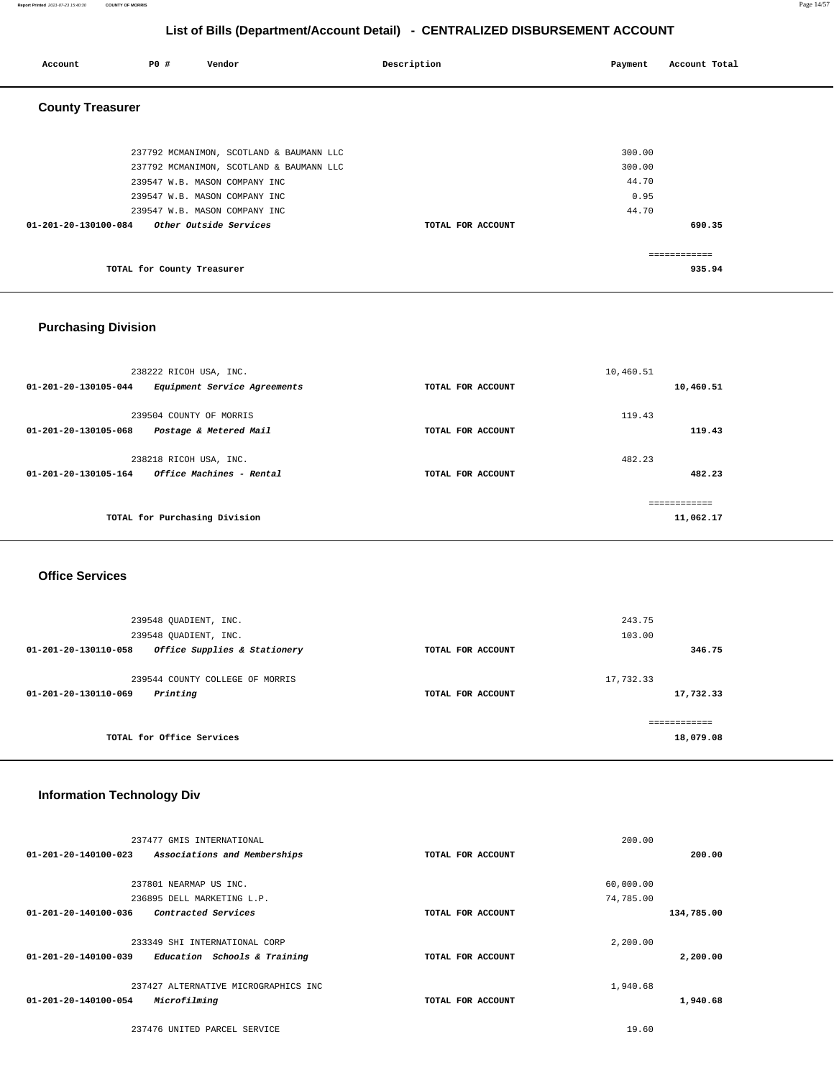**Report Printed** 2021-07-23 15:40:30 **COUNTY OF MORRIS** Page 14/57

## **List of Bills (Department/Account Detail) - CENTRALIZED DISBURSEMENT ACCOUNT**

| Account                 | PO#                        | Vendor                                   | Description       | Payment | Account Total |
|-------------------------|----------------------------|------------------------------------------|-------------------|---------|---------------|
| <b>County Treasurer</b> |                            |                                          |                   |         |               |
|                         |                            | 237792 MCMANIMON, SCOTLAND & BAUMANN LLC |                   | 300.00  |               |
|                         |                            | 237792 MCMANIMON, SCOTLAND & BAUMANN LLC |                   | 300.00  |               |
|                         |                            | 239547 W.B. MASON COMPANY INC            |                   | 44.70   |               |
|                         |                            | 239547 W.B. MASON COMPANY INC            |                   | 0.95    |               |
|                         |                            | 239547 W.B. MASON COMPANY INC            |                   | 44.70   |               |
| 01-201-20-130100-084    |                            | Other Outside Services                   | TOTAL FOR ACCOUNT |         | 690.35        |
|                         |                            |                                          |                   |         | ------------  |
|                         | TOTAL for County Treasurer |                                          |                   |         | 935.94        |

### **Purchasing Division**

| 238222 RICOH USA, INC.                                                    |                   | 10,460.51                 |
|---------------------------------------------------------------------------|-------------------|---------------------------|
| 01-201-20-130105-044<br>Equipment Service Agreements                      | TOTAL FOR ACCOUNT | 10,460.51                 |
| 239504 COUNTY OF MORRIS<br>01-201-20-130105-068<br>Postage & Metered Mail | TOTAL FOR ACCOUNT | 119.43<br>119.43          |
| 238218 RICOH USA, INC.                                                    |                   | 482.23                    |
| Office Machines - Rental<br>01-201-20-130105-164                          | TOTAL FOR ACCOUNT | 482.23                    |
| TOTAL for Purchasing Division                                             |                   | ------------<br>11,062.17 |

#### **Office Services**

| 239548 OUADIENT, INC.                                          |                   | 243.75                     |
|----------------------------------------------------------------|-------------------|----------------------------|
| 239548 OUADIENT, INC.                                          |                   | 103.00                     |
| Office Supplies & Stationery<br>$01 - 201 - 20 - 130110 - 058$ | TOTAL FOR ACCOUNT | 346.75                     |
| 239544 COUNTY COLLEGE OF MORRIS                                |                   | 17,732.33                  |
| Printing<br>01-201-20-130110-069                               | TOTAL FOR ACCOUNT | 17,732.33                  |
| TOTAL for Office Services                                      |                   | -------------<br>18,079.08 |

### **Information Technology Div**

| 237477 GMIS INTERNATIONAL                             |                   | 200.00     |
|-------------------------------------------------------|-------------------|------------|
| 01-201-20-140100-023<br>Associations and Memberships  | TOTAL FOR ACCOUNT | 200.00     |
|                                                       |                   |            |
| 237801 NEARMAP US INC.                                |                   | 60,000.00  |
| 236895 DELL MARKETING L.P.                            |                   | 74,785.00  |
| $01 - 201 - 20 - 140100 - 036$<br>Contracted Services | TOTAL FOR ACCOUNT | 134,785.00 |
| 233349 SHI INTERNATIONAL CORP                         |                   | 2,200.00   |
| 01-201-20-140100-039<br>Education Schools & Training  | TOTAL FOR ACCOUNT | 2,200.00   |
| 237427 ALTERNATIVE MICROGRAPHICS INC                  |                   | 1,940.68   |
| $01 - 201 - 20 - 140100 - 054$<br>Microfilming        | TOTAL FOR ACCOUNT | 1,940.68   |
| 237476 UNITED PARCEL SERVICE                          |                   | 19.60      |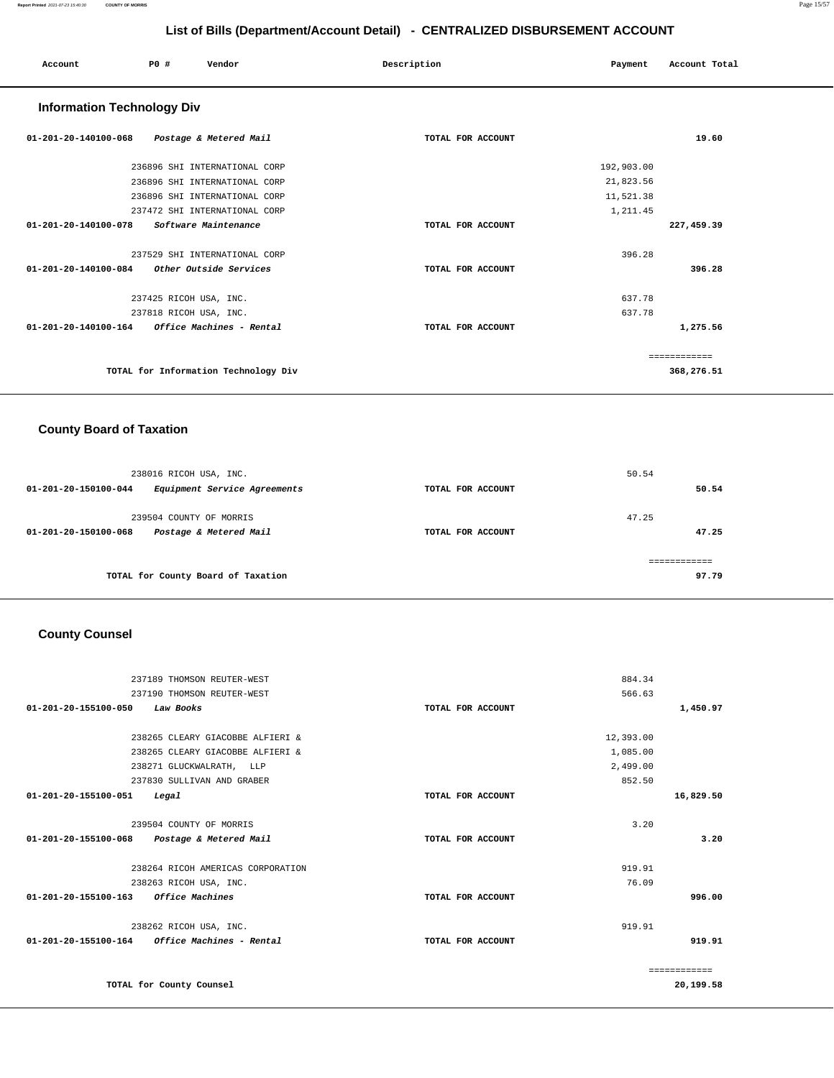| Account                           | P0 #                   | Vendor                               | Description       | Payment    | Account Total |
|-----------------------------------|------------------------|--------------------------------------|-------------------|------------|---------------|
| <b>Information Technology Div</b> |                        |                                      |                   |            |               |
| 01-201-20-140100-068              |                        | Postage & Metered Mail               | TOTAL FOR ACCOUNT |            | 19.60         |
|                                   |                        | 236896 SHI INTERNATIONAL CORP        |                   | 192,903.00 |               |
|                                   |                        | 236896 SHI INTERNATIONAL CORP        |                   | 21,823.56  |               |
|                                   |                        | 236896 SHI INTERNATIONAL CORP        |                   | 11,521.38  |               |
|                                   |                        | 237472 SHI INTERNATIONAL CORP        |                   | 1,211.45   |               |
| 01-201-20-140100-078              |                        | Software Maintenance                 | TOTAL FOR ACCOUNT |            | 227,459.39    |
|                                   |                        | 237529 SHI INTERNATIONAL CORP        |                   | 396.28     |               |
| 01-201-20-140100-084              |                        | Other Outside Services               | TOTAL FOR ACCOUNT |            | 396.28        |
|                                   | 237425 RICOH USA, INC. |                                      |                   | 637.78     |               |
|                                   | 237818 RICOH USA, INC. |                                      |                   | 637.78     |               |
| 01-201-20-140100-164              |                        | Office Machines - Rental             | TOTAL FOR ACCOUNT |            | 1,275.56      |
|                                   |                        |                                      |                   |            | ============  |
|                                   |                        | TOTAL for Information Technology Div |                   |            | 368,276.51    |
|                                   |                        |                                      |                   |            |               |

### **County Board of Taxation**

| 238016 RICOH USA, INC.                               |                   | 50.54 |
|------------------------------------------------------|-------------------|-------|
| Equipment Service Agreements<br>01-201-20-150100-044 | TOTAL FOR ACCOUNT | 50.54 |
| 239504 COUNTY OF MORRIS                              |                   | 47.25 |
|                                                      |                   |       |
| Postage & Metered Mail<br>01-201-20-150100-068       | TOTAL FOR ACCOUNT | 47.25 |
|                                                      |                   |       |
|                                                      |                   |       |
| TOTAL for County Board of Taxation                   |                   | 97.79 |

## **County Counsel**

| 237189 THOMSON REUTER-WEST                      |                   | 884.34    |              |
|-------------------------------------------------|-------------------|-----------|--------------|
| 237190 THOMSON REUTER-WEST                      |                   | 566.63    |              |
| 01-201-20-155100-050<br>Law Books               | TOTAL FOR ACCOUNT |           | 1,450.97     |
|                                                 |                   |           |              |
| 238265 CLEARY GIACOBBE ALFIERI &                |                   | 12,393.00 |              |
| 238265 CLEARY GIACOBBE ALFIERI &                |                   | 1,085.00  |              |
| 238271 GLUCKWALRATH, LLP                        |                   | 2,499.00  |              |
| 237830 SULLIVAN AND GRABER                      |                   | 852.50    |              |
| 01-201-20-155100-051<br>Legal                   | TOTAL FOR ACCOUNT |           | 16,829.50    |
|                                                 |                   |           |              |
| 239504 COUNTY OF MORRIS                         |                   | 3.20      |              |
| 01-201-20-155100-068 Postage & Metered Mail     | TOTAL FOR ACCOUNT |           | 3.20         |
|                                                 |                   |           |              |
| 238264 RICOH AMERICAS CORPORATION               |                   | 919.91    |              |
| 238263 RICOH USA, INC.                          |                   | 76.09     |              |
| 01-201-20-155100-163 Office Machines            | TOTAL FOR ACCOUNT |           | 996.00       |
|                                                 |                   |           |              |
| 238262 RICOH USA, INC.                          |                   | 919.91    |              |
| $01-201-20-155100-164$ Office Machines - Rental | TOTAL FOR ACCOUNT |           | 919.91       |
|                                                 |                   |           |              |
|                                                 |                   |           | ============ |
| TOTAL for County Counsel                        |                   |           | 20,199.58    |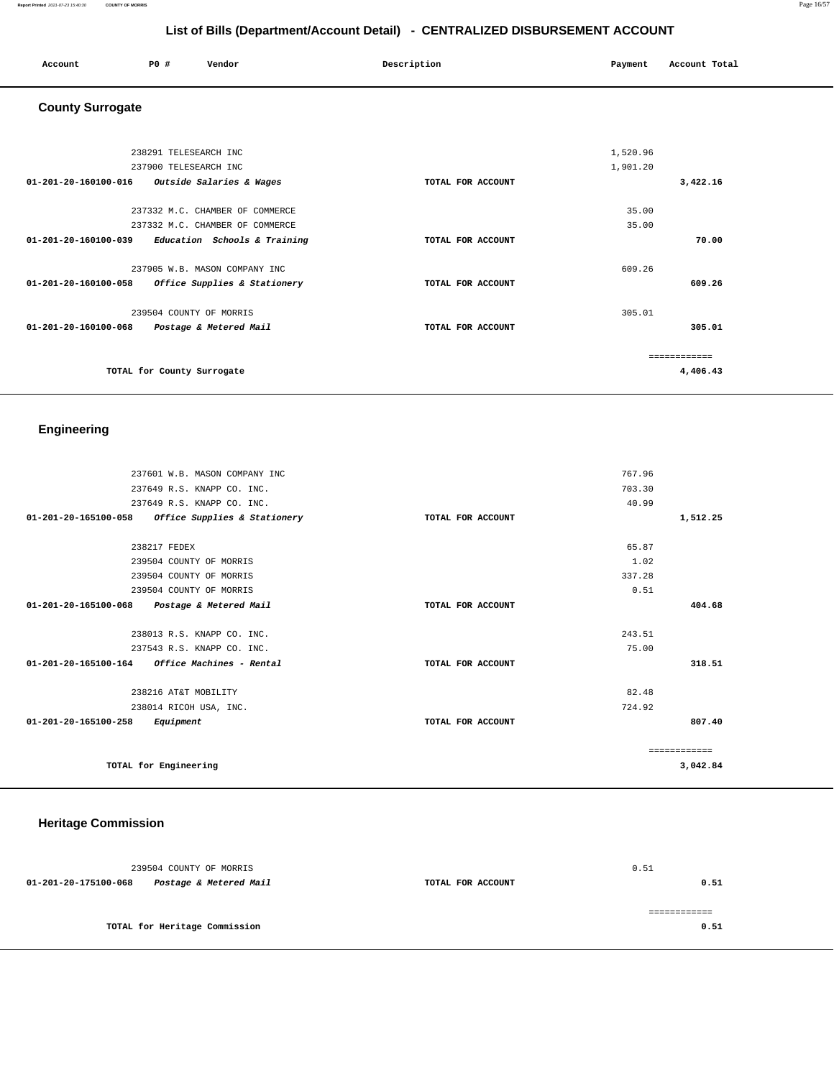#### **Report Printed** 2021-07-23 15:40:30 **COUNTY OF MORRIS** Page 16/57

# **List of Bills (Department/Account Detail) - CENTRALIZED DISBURSEMENT ACCOUNT**

| P0 #<br>Account Total<br>Description<br>Vendor<br>Account<br>Payment |  |  |  |  |
|----------------------------------------------------------------------|--|--|--|--|
|----------------------------------------------------------------------|--|--|--|--|

# **County Surrogate**

| 238291 TELESEARCH INC                                |                   | 1,520.96     |
|------------------------------------------------------|-------------------|--------------|
| 237900 TELESEARCH INC                                |                   | 1,901.20     |
| 01-201-20-160100-016<br>Outside Salaries & Wages     | TOTAL FOR ACCOUNT | 3,422.16     |
| 237332 M.C. CHAMBER OF COMMERCE                      |                   | 35.00        |
| 237332 M.C. CHAMBER OF COMMERCE                      |                   | 35.00        |
| Education Schools & Training<br>01-201-20-160100-039 | TOTAL FOR ACCOUNT | 70.00        |
| 237905 W.B. MASON COMPANY INC                        |                   | 609.26       |
| 01-201-20-160100-058<br>Office Supplies & Stationery | TOTAL FOR ACCOUNT | 609.26       |
| 239504 COUNTY OF MORRIS                              |                   | 305.01       |
| 01-201-20-160100-068<br>Postage & Metered Mail       | TOTAL FOR ACCOUNT | 305.01       |
|                                                      |                   | ------------ |
| TOTAL for County Surrogate                           |                   | 4,406.43     |

# **Engineering**

| 237601 W.B. MASON COMPANY INC                           |                   | 767.96       |
|---------------------------------------------------------|-------------------|--------------|
| 237649 R.S. KNAPP CO. INC.                              |                   | 703.30       |
| 237649 R.S. KNAPP CO. INC.                              |                   | 40.99        |
| 01-201-20-165100-058<br>Office Supplies & Stationery    | TOTAL FOR ACCOUNT | 1,512.25     |
| 238217 FEDEX                                            |                   | 65.87        |
| 239504 COUNTY OF MORRIS                                 |                   | 1.02         |
| 239504 COUNTY OF MORRIS                                 |                   | 337.28       |
| 239504 COUNTY OF MORRIS                                 |                   | 0.51         |
| 01-201-20-165100-068<br>Postage & Metered Mail          | TOTAL FOR ACCOUNT | 404.68       |
|                                                         |                   |              |
| 238013 R.S. KNAPP CO. INC.                              |                   | 243.51       |
| 237543 R.S. KNAPP CO. INC.                              |                   | 75.00        |
| $01 - 201 - 20 - 165100 - 164$ Office Machines - Rental | TOTAL FOR ACCOUNT | 318.51       |
| 238216 AT&T MOBILITY                                    |                   | 82.48        |
| 238014 RICOH USA, INC.                                  |                   | 724.92       |
| 01-201-20-165100-258<br>Equipment                       | TOTAL FOR ACCOUNT | 807.40       |
|                                                         |                   | ============ |
| TOTAL for Engineering                                   |                   | 3,042.84     |
|                                                         |                   |              |

## **Heritage Commission**

| 239504 COUNTY OF MORRIS                        |                   | 0.51 |
|------------------------------------------------|-------------------|------|
| Postage & Metered Mail<br>01-201-20-175100-068 | TOTAL FOR ACCOUNT | 0.51 |
|                                                |                   |      |
|                                                |                   |      |
| TOTAL for Heritage Commission                  |                   | 0.51 |
|                                                |                   |      |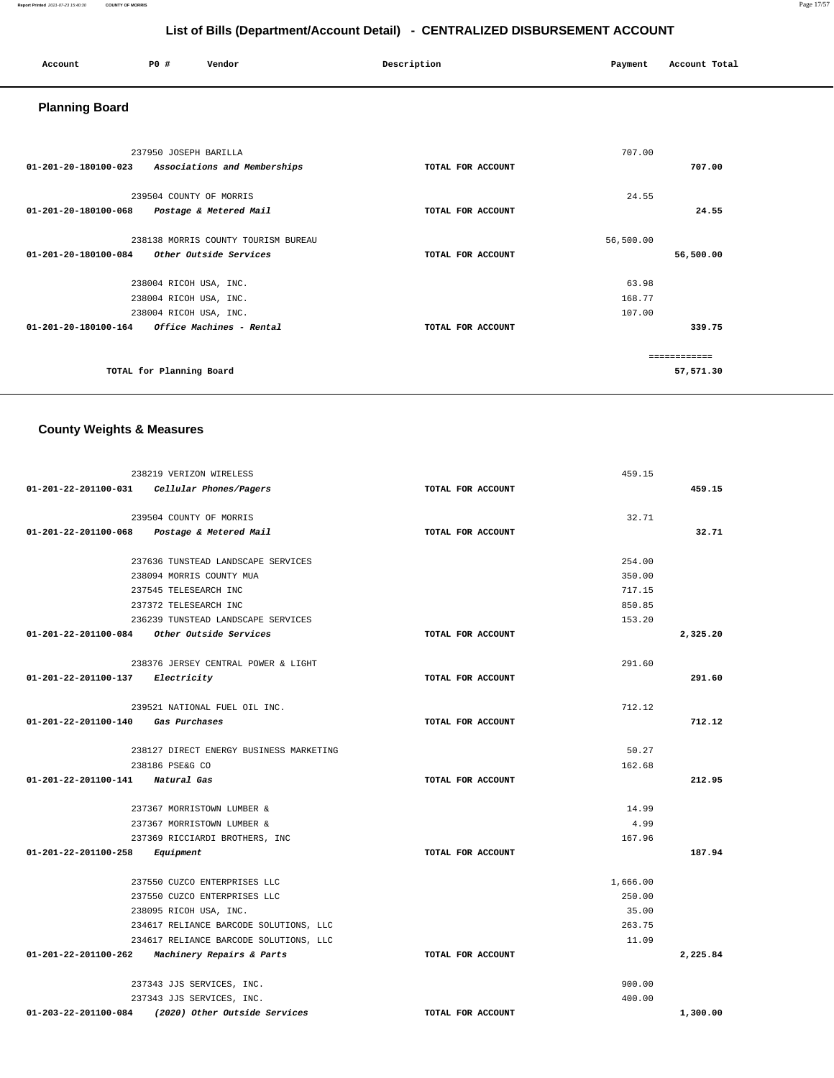| Account<br>. | <b>PO #</b> | Vendor | Description | Payment | Account Total |
|--------------|-------------|--------|-------------|---------|---------------|
|              |             |        |             |         |               |

# **Planning Board**

| 237950 JOSEPH BARILLA<br>01-201-20-180100-023<br>Associations and Memberships | TOTAL FOR ACCOUNT | 707.00    | 707.00    |
|-------------------------------------------------------------------------------|-------------------|-----------|-----------|
|                                                                               |                   |           |           |
| 239504 COUNTY OF MORRIS                                                       |                   | 24.55     |           |
| 01-201-20-180100-068<br>Postage & Metered Mail                                | TOTAL FOR ACCOUNT |           | 24.55     |
|                                                                               |                   |           |           |
| 238138 MORRIS COUNTY TOURISM BUREAU                                           |                   | 56,500.00 |           |
| 01-201-20-180100-084<br>Other Outside Services                                | TOTAL FOR ACCOUNT |           | 56,500.00 |
|                                                                               |                   |           |           |
| 238004 RICOH USA, INC.                                                        |                   | 63.98     |           |
| 238004 RICOH USA, INC.                                                        |                   | 168.77    |           |
| 238004 RICOH USA, INC.                                                        |                   | 107.00    |           |
| $01 - 201 - 20 - 180100 - 164$<br>Office Machines - Rental                    | TOTAL FOR ACCOUNT |           | 339.75    |
|                                                                               |                   |           |           |
|                                                                               |                   |           |           |
| TOTAL for Planning Board                                                      |                   |           | 57,571.30 |

## **County Weights & Measures**

|                                  | 238219 VERIZON WIRELESS                            |                   | 459.15   |          |
|----------------------------------|----------------------------------------------------|-------------------|----------|----------|
|                                  | 01-201-22-201100-031    Cellular Phones/Pagers     | TOTAL FOR ACCOUNT |          | 459.15   |
|                                  | 239504 COUNTY OF MORRIS                            |                   | 32.71    |          |
| 01-201-22-201100-068             | Postage & Metered Mail                             | TOTAL FOR ACCOUNT |          | 32.71    |
|                                  | 237636 TUNSTEAD LANDSCAPE SERVICES                 |                   | 254.00   |          |
|                                  | 238094 MORRIS COUNTY MUA                           |                   | 350.00   |          |
|                                  | 237545 TELESEARCH INC                              |                   | 717.15   |          |
|                                  | 237372 TELESEARCH INC                              |                   | 850.85   |          |
|                                  | 236239 TUNSTEAD LANDSCAPE SERVICES                 |                   | 153.20   |          |
|                                  | 01-201-22-201100-084 Other Outside Services        | TOTAL FOR ACCOUNT |          | 2,325.20 |
|                                  | 238376 JERSEY CENTRAL POWER & LIGHT                |                   | 291.60   |          |
| 01-201-22-201100-137 Electricity |                                                    | TOTAL FOR ACCOUNT |          | 291.60   |
|                                  | 239521 NATIONAL FUEL OIL INC.                      |                   | 712.12   |          |
| 01-201-22-201100-140             | Gas Purchases                                      | TOTAL FOR ACCOUNT |          | 712.12   |
|                                  | 238127 DIRECT ENERGY BUSINESS MARKETING            |                   | 50.27    |          |
|                                  | 238186 PSE&G CO                                    |                   | 162.68   |          |
| 01-201-22-201100-141 Natural Gas |                                                    | TOTAL FOR ACCOUNT |          | 212.95   |
|                                  | 237367 MORRISTOWN LUMBER &                         |                   | 14.99    |          |
|                                  | 237367 MORRISTOWN LUMBER &                         |                   | 4.99     |          |
|                                  | 237369 RICCIARDI BROTHERS, INC                     |                   | 167.96   |          |
| 01-201-22-201100-258             | Equipment                                          | TOTAL FOR ACCOUNT |          | 187.94   |
|                                  | 237550 CUZCO ENTERPRISES LLC                       |                   | 1,666.00 |          |
|                                  | 237550 CUZCO ENTERPRISES LLC                       |                   | 250.00   |          |
|                                  | 238095 RICOH USA, INC.                             |                   | 35.00    |          |
|                                  | 234617 RELIANCE BARCODE SOLUTIONS, LLC             |                   | 263.75   |          |
|                                  | 234617 RELIANCE BARCODE SOLUTIONS, LLC             |                   | 11.09    |          |
| 01-201-22-201100-262             | Machinery Repairs & Parts                          | TOTAL FOR ACCOUNT |          | 2,225.84 |
|                                  | 237343 JJS SERVICES, INC.                          |                   | 900.00   |          |
|                                  | 237343 JJS SERVICES, INC.                          |                   | 400.00   |          |
|                                  | 01-203-22-201100-084 (2020) Other Outside Services | TOTAL FOR ACCOUNT |          | 1,300.00 |

**Report Printed** 2021-07-23 15:40:30 **COUNTY OF MORRIS** Page 17/57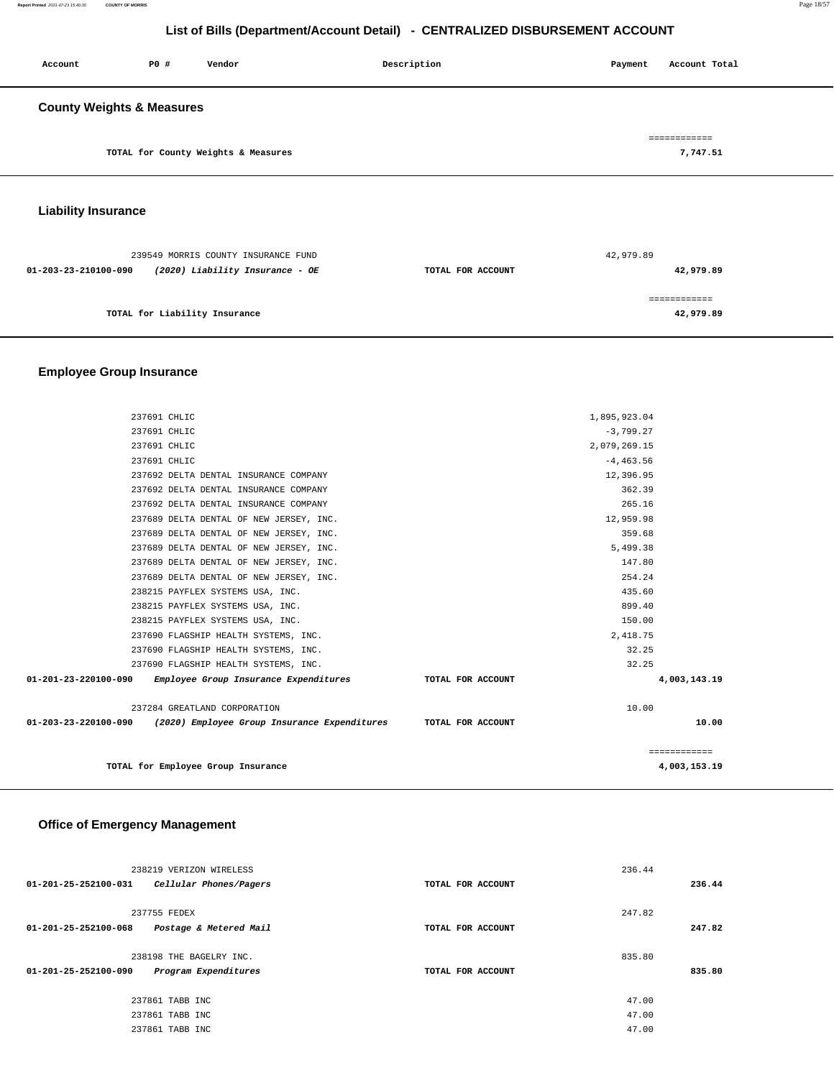| Account                              | P0 # | Vendor | Description | Account Total<br>Payment |  |  |
|--------------------------------------|------|--------|-------------|--------------------------|--|--|
| <b>County Weights &amp; Measures</b> |      |        |             |                          |  |  |
| TOTAL for County Weights & Measures  |      |        |             | ============<br>7,747.51 |  |  |
| iahility Incurance                   |      |        |             |                          |  |  |

#### **Liability Insurance**

| 239549 MORRIS COUNTY INSURANCE FUND                     |                   | 42,979.89 |
|---------------------------------------------------------|-------------------|-----------|
| (2020) Liability Insurance - OE<br>01-203-23-210100-090 | TOTAL FOR ACCOUNT | 42,979.89 |
| TOTAL for Liability Insurance                           |                   | 42,979.89 |
|                                                         |                   |           |

## **Employee Group Insurance**

| TOTAL for Employee Group Insurance                                                  |                   | ============<br>4,003,153.19 |
|-------------------------------------------------------------------------------------|-------------------|------------------------------|
| 01-203-23-220100-090 (2020) Employee Group Insurance Expenditures TOTAL FOR ACCOUNT |                   | 10.00                        |
| 237284 GREATLAND CORPORATION                                                        | 10.00             |                              |
| 01-201-23-220100-090 Employee Group Insurance Expenditures                          | TOTAL FOR ACCOUNT | 4,003,143.19                 |
| 237690 FLAGSHIP HEALTH SYSTEMS, INC.                                                | 32.25             |                              |
| 237690 FLAGSHIP HEALTH SYSTEMS, INC.                                                | 32.25             |                              |
| 237690 FLAGSHIP HEALTH SYSTEMS, INC.                                                | 2,418.75          |                              |
| 238215 PAYFLEX SYSTEMS USA, INC.                                                    | 150.00            |                              |
| 238215 PAYFLEX SYSTEMS USA, INC.                                                    | 899.40            |                              |
| 238215 PAYFLEX SYSTEMS USA, INC.                                                    | 435.60            |                              |
| 237689 DELTA DENTAL OF NEW JERSEY, INC.                                             | 254.24            |                              |
| 237689 DELTA DENTAL OF NEW JERSEY, INC.                                             | 147.80            |                              |
| 237689 DELTA DENTAL OF NEW JERSEY, INC.                                             | 5,499.38          |                              |
| 237689 DELTA DENTAL OF NEW JERSEY, INC.                                             | 359.68            |                              |
| 237689 DELTA DENTAL OF NEW JERSEY, INC.                                             | 12,959.98         |                              |
| 237692 DELTA DENTAL INSURANCE COMPANY                                               | 265.16            |                              |
| 237692 DELTA DENTAL INSURANCE COMPANY                                               | 362.39            |                              |
| 237692 DELTA DENTAL INSURANCE COMPANY                                               | 12,396.95         |                              |
| 237691 CHLIC                                                                        | $-4, 463.56$      |                              |
| 237691 CHLIC                                                                        | 2,079,269.15      |                              |
| 237691 CHLIC                                                                        | $-3,799.27$       |                              |
| 237691 CHLIC                                                                        | 1,895,923.04      |                              |

### **Office of Emergency Management**

| 238219 VERIZON WIRELESS                        | 236.44            |        |
|------------------------------------------------|-------------------|--------|
| 01-201-25-252100-031<br>Cellular Phones/Pagers | TOTAL FOR ACCOUNT | 236.44 |
|                                                |                   |        |
| 237755 FEDEX                                   | 247.82            |        |
| 01-201-25-252100-068<br>Postage & Metered Mail | TOTAL FOR ACCOUNT | 247.82 |
|                                                |                   |        |
| 238198 THE BAGELRY INC.                        | 835.80            |        |
| Program Expenditures<br>01-201-25-252100-090   | TOTAL FOR ACCOUNT | 835.80 |
|                                                |                   |        |
| 237861 TABB INC                                | 47.00             |        |
| 237861 TABB INC                                | 47.00             |        |
| 237861 TABB INC                                | 47.00             |        |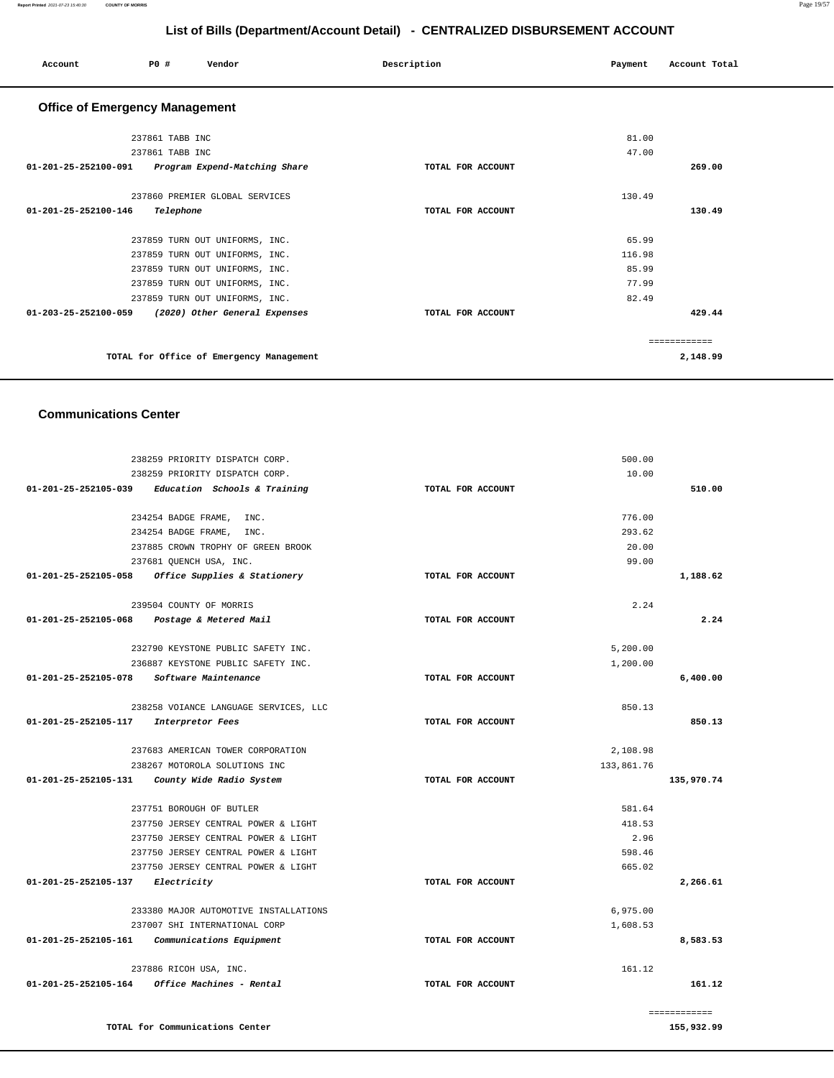| Account                                            | P0 #            | Vendor                                   | Description       | Payment | Account Total |  |
|----------------------------------------------------|-----------------|------------------------------------------|-------------------|---------|---------------|--|
| <b>Office of Emergency Management</b>              |                 |                                          |                   |         |               |  |
|                                                    | 237861 TABB INC |                                          |                   | 81.00   |               |  |
|                                                    | 237861 TABB INC |                                          |                   | 47.00   |               |  |
| 01-201-25-252100-091 Program Expend-Matching Share |                 |                                          | TOTAL FOR ACCOUNT |         | 269.00        |  |
|                                                    |                 | 237860 PREMIER GLOBAL SERVICES           |                   | 130.49  |               |  |
| 01-201-25-252100-146                               | Telephone       |                                          | TOTAL FOR ACCOUNT |         | 130.49        |  |
|                                                    |                 | 237859 TURN OUT UNIFORMS, INC.           |                   | 65.99   |               |  |
|                                                    |                 | 237859 TURN OUT UNIFORMS, INC.           |                   | 116.98  |               |  |
|                                                    |                 | 237859 TURN OUT UNIFORMS, INC.           |                   | 85.99   |               |  |
|                                                    |                 | 237859 TURN OUT UNIFORMS, INC.           |                   | 77.99   |               |  |
|                                                    |                 | 237859 TURN OUT UNIFORMS, INC.           |                   | 82.49   |               |  |
| 01-203-25-252100-059 (2020) Other General Expenses |                 |                                          | TOTAL FOR ACCOUNT |         | 429.44        |  |
|                                                    |                 |                                          |                   |         | ============  |  |
|                                                    |                 | TOTAL for Office of Emergency Management |                   |         | 2,148.99      |  |
|                                                    |                 |                                          |                   |         |               |  |

#### **Communications Center**

|                      | 238259 PRIORITY DISPATCH CORP.            |                   | 500.00     |              |
|----------------------|-------------------------------------------|-------------------|------------|--------------|
|                      | 238259 PRIORITY DISPATCH CORP.            |                   | 10.00      |              |
| 01-201-25-252105-039 | Education Schools & Training              | TOTAL FOR ACCOUNT |            | 510.00       |
|                      | 234254 BADGE FRAME, INC.                  |                   | 776.00     |              |
|                      | 234254 BADGE FRAME,<br>INC.               |                   | 293.62     |              |
|                      | 237885 CROWN TROPHY OF GREEN BROOK        |                   | 20.00      |              |
|                      | 237681 QUENCH USA, INC.                   |                   | 99.00      |              |
| 01-201-25-252105-058 | Office Supplies & Stationery              | TOTAL FOR ACCOUNT |            | 1,188.62     |
|                      | 239504 COUNTY OF MORRIS                   |                   | 2.24       |              |
| 01-201-25-252105-068 | Postage & Metered Mail                    | TOTAL FOR ACCOUNT |            | 2.24         |
|                      | 232790 KEYSTONE PUBLIC SAFETY INC.        |                   | 5,200.00   |              |
|                      | 236887 KEYSTONE PUBLIC SAFETY INC.        |                   | 1,200.00   |              |
|                      | 01-201-25-252105-078 Software Maintenance | TOTAL FOR ACCOUNT |            | 6,400.00     |
|                      | 238258 VOIANCE LANGUAGE SERVICES, LLC     |                   | 850.13     |              |
| 01-201-25-252105-117 | Interpretor Fees                          | TOTAL FOR ACCOUNT |            | 850.13       |
|                      | 237683 AMERICAN TOWER CORPORATION         |                   | 2,108.98   |              |
|                      | 238267 MOTOROLA SOLUTIONS INC             |                   | 133,861.76 |              |
| 01-201-25-252105-131 | County Wide Radio System                  | TOTAL FOR ACCOUNT |            | 135,970.74   |
|                      | 237751 BOROUGH OF BUTLER                  |                   | 581.64     |              |
|                      | 237750 JERSEY CENTRAL POWER & LIGHT       |                   | 418.53     |              |
|                      | 237750 JERSEY CENTRAL POWER & LIGHT       |                   | 2.96       |              |
|                      | 237750 JERSEY CENTRAL POWER & LIGHT       |                   | 598.46     |              |
|                      | 237750 JERSEY CENTRAL POWER & LIGHT       |                   | 665.02     |              |
| 01-201-25-252105-137 | Electricity                               | TOTAL FOR ACCOUNT |            | 2,266.61     |
|                      | 233380 MAJOR AUTOMOTIVE INSTALLATIONS     |                   | 6,975.00   |              |
|                      | 237007 SHI INTERNATIONAL CORP             |                   | 1,608.53   |              |
| 01-201-25-252105-161 | Communications Equipment                  | TOTAL FOR ACCOUNT |            | 8,583.53     |
|                      | 237886 RICOH USA, INC.                    |                   | 161.12     |              |
| 01-201-25-252105-164 | Office Machines - Rental                  | TOTAL FOR ACCOUNT |            | 161.12       |
|                      |                                           |                   |            | ============ |
|                      | TOTAL for Communications Center           |                   |            | 155,932.99   |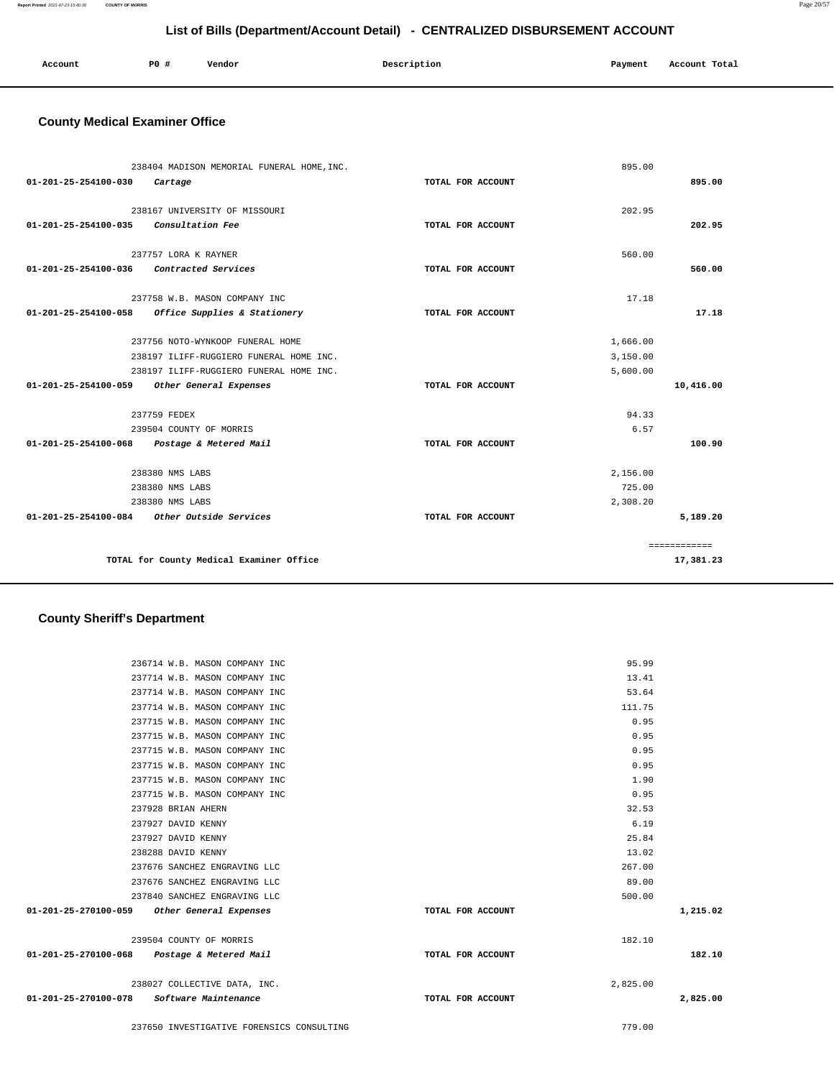**Report Printed** 2021-07-23 15:40:30 **COUNTY OF MORRIS** Page 20/57

## **List of Bills (Department/Account Detail) - CENTRALIZED DISBURSEMENT ACCOUNT**

| Account | <b>PO #</b> | Vendor<br>. | Description | Payment | Account Total<br>. |
|---------|-------------|-------------|-------------|---------|--------------------|
|         |             |             |             |         |                    |

### **County Medical Examiner Office**

| 01-201-25-254100-030                     | 238404 MADISON MEMORIAL FUNERAL HOME, INC.<br>Cartage                                                                  | TOTAL FOR ACCOUNT | 895.00                           | 895.00       |
|------------------------------------------|------------------------------------------------------------------------------------------------------------------------|-------------------|----------------------------------|--------------|
| $01 - 201 - 25 - 254100 - 035$           | 238167 UNIVERSITY OF MISSOURI<br>Consultation Fee                                                                      | TOTAL FOR ACCOUNT | 202.95                           | 202.95       |
| $01 - 201 - 25 - 254100 - 036$           | 237757 LORA K RAYNER<br>Contracted Services                                                                            | TOTAL FOR ACCOUNT | 560.00                           | 560.00       |
| 01-201-25-254100-058                     | 237758 W.B. MASON COMPANY INC<br>Office Supplies & Stationery                                                          | TOTAL FOR ACCOUNT | 17.18                            | 17.18        |
|                                          | 237756 NOTO-WYNKOOP FUNERAL HOME<br>238197 ILIFF-RUGGIERO FUNERAL HOME INC.<br>238197 ILIFF-RUGGIERO FUNERAL HOME INC. |                   | 1,666.00<br>3,150.00<br>5,600.00 |              |
| $01 - 201 - 25 - 254100 - 059$           | Other General Expenses<br>237759 FEDEX                                                                                 | TOTAL FOR ACCOUNT | 94.33                            | 10,416.00    |
|                                          | 239504 COUNTY OF MORRIS<br>01-201-25-254100-068 Postage & Metered Mail                                                 | TOTAL FOR ACCOUNT | 6.57                             | 100.90       |
|                                          | 238380 NMS LABS                                                                                                        |                   | 2,156.00                         |              |
|                                          | 238380 NMS LABS                                                                                                        |                   | 725.00                           |              |
|                                          | 238380 NMS LABS                                                                                                        |                   | 2,308.20                         |              |
|                                          | 01-201-25-254100-084 Other Outside Services                                                                            | TOTAL FOR ACCOUNT |                                  | 5,189.20     |
|                                          |                                                                                                                        |                   |                                  | ============ |
| TOTAL for County Medical Examiner Office |                                                                                                                        |                   |                                  | 17,381.23    |

### **County Sheriff's Department**

| 236714 W.B. MASON COMPANY INC               |                   | 95.99    |          |
|---------------------------------------------|-------------------|----------|----------|
| 237714 W.B. MASON COMPANY INC               |                   | 13.41    |          |
| 237714 W.B. MASON COMPANY INC               |                   | 53.64    |          |
| 237714 W.B. MASON COMPANY INC               |                   | 111.75   |          |
| 237715 W.B. MASON COMPANY INC               |                   | 0.95     |          |
| 237715 W.B. MASON COMPANY INC               |                   | 0.95     |          |
| 237715 W.B. MASON COMPANY INC               |                   | 0.95     |          |
| 237715 W.B. MASON COMPANY INC               |                   | 0.95     |          |
| 237715 W.B. MASON COMPANY INC               |                   | 1.90     |          |
| 237715 W.B. MASON COMPANY INC               |                   | 0.95     |          |
| 237928 BRIAN AHERN                          |                   | 32.53    |          |
| 237927 DAVID KENNY                          |                   | 6.19     |          |
| 237927 DAVID KENNY                          |                   | 25.84    |          |
| 238288 DAVID KENNY                          |                   | 13.02    |          |
| 237676 SANCHEZ ENGRAVING LLC                |                   | 267.00   |          |
| 237676 SANCHEZ ENGRAVING LLC                |                   | 89.00    |          |
| 237840 SANCHEZ ENGRAVING LLC                |                   | 500.00   |          |
| 01-201-25-270100-059 Other General Expenses | TOTAL FOR ACCOUNT |          | 1,215.02 |
| 239504 COUNTY OF MORRIS                     |                   | 182.10   |          |
| 01-201-25-270100-068 Postage & Metered Mail | TOTAL FOR ACCOUNT |          | 182.10   |
| 238027 COLLECTIVE DATA, INC.                |                   | 2,825.00 |          |
| 01-201-25-270100-078 Software Maintenance   | TOTAL FOR ACCOUNT |          | 2,825.00 |
| 237650 INVESTIGATIVE FORENSICS CONSULTING   |                   | 779.00   |          |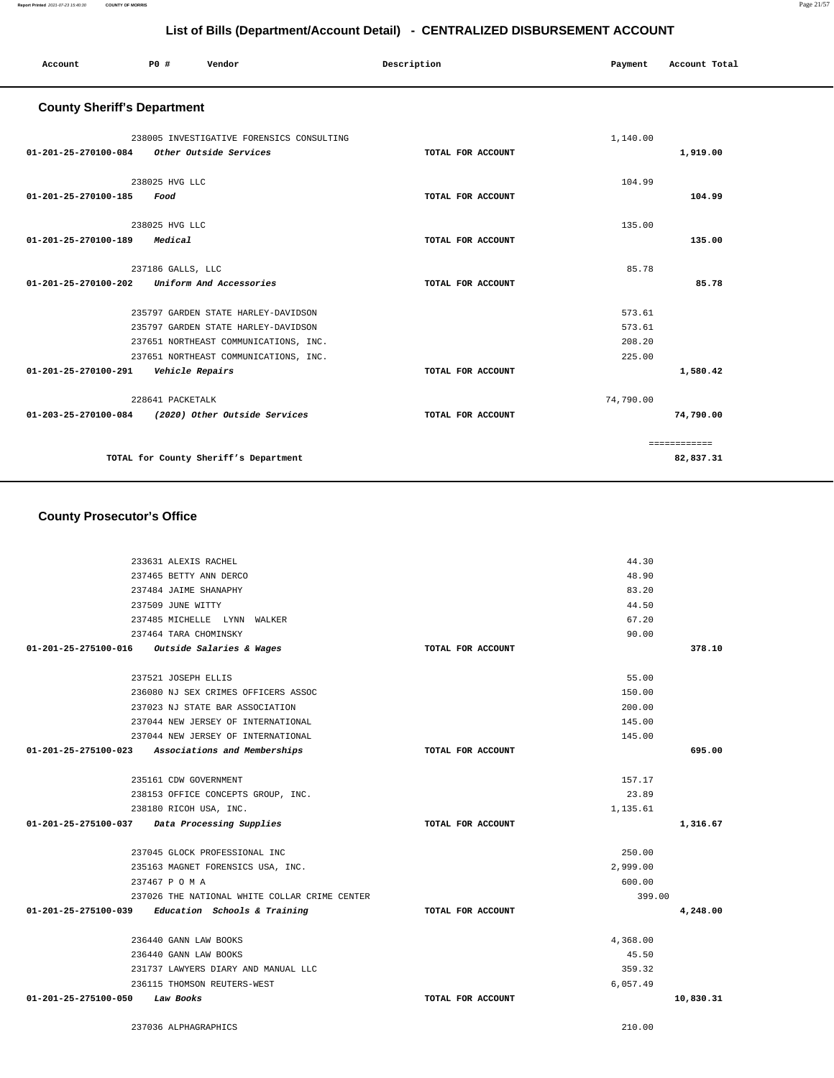#### **County Prosecutor's Office** 233631 ALEXIS RACHEL 237465 BETTY ANN DERCO 237484 JAIME SHANAPHY 237509 JUNE WITTY 237485 MICHELLE LYNN WALKER 237464 TARA CHOMINSKY **01-201-25-275100-016 Outside Salaries & Wages TOTAL FOR ACCOUNT**  44.30 48.90 83.20 44.50 67.20 90.00 **378.10** 237521 JOSEPH ELLIS 236080 NJ SEX CRIMES OFFICERS ASSOC 237023 NJ STATE BAR ASSOCIATION 237044 NEW JERSEY OF INTERNATIONAL 237044 NEW JERSEY OF INTERNATIONAL **01-201-25-275100-023 Associations and Memberships TOTAL FOR ACCOUNT**  55.00 150.00 200.00 145.00 145.00 **695.00** 235161 CDW GOVERNMENT 238153 OFFICE CONCEPTS GROUP, INC. 238180 RICOH USA, INC. **01-201-25-275100-037 Data Processing Supplies TOTAL FOR ACCOUNT**  157.17 23.89 1,135.61 **1,316.67** 237045 GLOCK PROFESSIONAL INC 235163 MAGNET FORENSICS USA, INC. 237467 P O M A 237026 THE NATIONAL WHITE COLLAR CRIME CENTER **01-201-25-275100-039 Education Schools & Training TOTAL FOR ACCOUNT**  250.00 2,999.00 600.00 399.00 **4,248.00** 236440 GANN LAW BOOKS 236440 GANN LAW BOOKS 231737 LAWYERS DIARY AND MANUAL LLC 236115 THOMSON REUTERS-WEST **01-201-25-275100-050 Law Books TOTAL FOR ACCOUNT**  4,368.00 45.50 359.32 6,057.49 **10,830.31** 237036 ALPHAGRAPHICS 210.00

| $01 - 201 - 25 - 270100 - 084$ | 238005 INVESTIGATIVE FORENSICS CONSULTING<br>Other Outside Services                                                                                          | TOTAL FOR ACCOUNT | 1,140.00                             | 1,919.00     |
|--------------------------------|--------------------------------------------------------------------------------------------------------------------------------------------------------------|-------------------|--------------------------------------|--------------|
| 01-201-25-270100-185           | 238025 HVG LLC<br>Food                                                                                                                                       | TOTAL FOR ACCOUNT | 104.99                               | 104.99       |
| $01 - 201 - 25 - 270100 - 189$ | 238025 HVG LLC<br>Medical                                                                                                                                    | TOTAL FOR ACCOUNT | 135.00                               | 135.00       |
| $01 - 201 - 25 - 270100 - 202$ | 237186 GALLS, LLC<br>Uniform And Accessories                                                                                                                 | TOTAL FOR ACCOUNT | 85.78                                | 85.78        |
|                                | 235797 GARDEN STATE HARLEY-DAVIDSON<br>235797 GARDEN STATE HARLEY-DAVIDSON<br>237651 NORTHEAST COMMUNICATIONS, INC.<br>237651 NORTHEAST COMMUNICATIONS, INC. |                   | 573.61<br>573.61<br>208.20<br>225.00 |              |
| 01-201-25-270100-291           | Vehicle Repairs                                                                                                                                              | TOTAL FOR ACCOUNT |                                      | 1,580.42     |
| 01-203-25-270100-084           | 228641 PACKETALK<br>(2020) Other Outside Services                                                                                                            | TOTAL FOR ACCOUNT | 74,790.00                            | 74,790.00    |
|                                |                                                                                                                                                              |                   |                                      | ============ |
|                                | TOTAL for County Sheriff's Department                                                                                                                        |                   |                                      | 82,837.31    |

**List of Bills (Department/Account Detail) - CENTRALIZED DISBURSEMENT ACCOUNT**

 **Account P0 # Vendor Description Payment Account Total**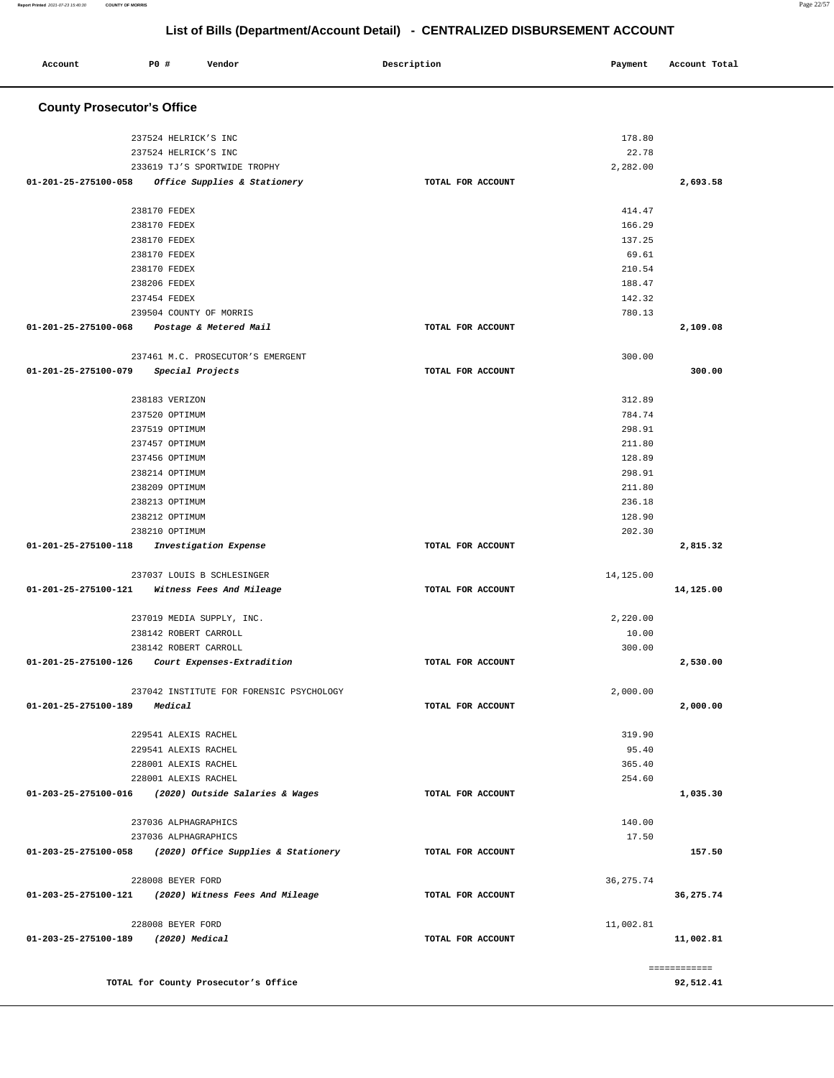| Account                                              | <b>PO #</b>                  | Vendor                                   | Description       | Payment          | Account Total |
|------------------------------------------------------|------------------------------|------------------------------------------|-------------------|------------------|---------------|
| <b>County Prosecutor's Office</b>                    |                              |                                          |                   |                  |               |
|                                                      | 237524 HELRICK'S INC         |                                          |                   | 178.80           |               |
|                                                      | 237524 HELRICK'S INC         |                                          |                   | 22.78            |               |
|                                                      |                              | 233619 TJ'S SPORTWIDE TROPHY             |                   | 2,282.00         |               |
| 01-201-25-275100-058                                 |                              | Office Supplies & Stationery             | TOTAL FOR ACCOUNT |                  | 2,693.58      |
|                                                      |                              |                                          |                   |                  |               |
|                                                      | 238170 FEDEX                 |                                          |                   | 414.47           |               |
|                                                      | 238170 FEDEX                 |                                          |                   | 166.29           |               |
|                                                      | 238170 FEDEX                 |                                          |                   | 137.25           |               |
|                                                      | 238170 FEDEX                 |                                          |                   | 69.61            |               |
|                                                      | 238170 FEDEX<br>238206 FEDEX |                                          |                   | 210.54<br>188.47 |               |
|                                                      | 237454 FEDEX                 |                                          |                   | 142.32           |               |
|                                                      |                              | 239504 COUNTY OF MORRIS                  |                   | 780.13           |               |
| $01 - 201 - 25 - 275100 - 068$                       |                              | Postage & Metered Mail                   | TOTAL FOR ACCOUNT |                  | 2,109.08      |
|                                                      |                              |                                          |                   |                  |               |
|                                                      |                              | 237461 M.C. PROSECUTOR'S EMERGENT        |                   | 300.00           |               |
| 01-201-25-275100-079                                 |                              | Special Projects                         | TOTAL FOR ACCOUNT |                  | 300.00        |
|                                                      | 238183 VERIZON               |                                          |                   | 312.89           |               |
|                                                      | 237520 OPTIMUM               |                                          |                   | 784.74           |               |
|                                                      | 237519 OPTIMUM               |                                          |                   | 298.91           |               |
|                                                      | 237457 OPTIMUM               |                                          |                   | 211.80           |               |
|                                                      | 237456 OPTIMUM               |                                          |                   | 128.89           |               |
|                                                      | 238214 OPTIMUM               |                                          |                   | 298.91           |               |
|                                                      | 238209 OPTIMUM               |                                          |                   | 211.80           |               |
|                                                      | 238213 OPTIMUM               |                                          |                   | 236.18           |               |
|                                                      | 238212 OPTIMUM               |                                          |                   | 128.90           |               |
|                                                      | 238210 OPTIMUM               |                                          |                   | 202.30           |               |
| 01-201-25-275100-118                                 |                              | Investigation Expense                    | TOTAL FOR ACCOUNT |                  | 2,815.32      |
|                                                      |                              | 237037 LOUIS B SCHLESINGER               |                   | 14,125.00        |               |
| 01-201-25-275100-121                                 |                              | Witness Fees And Mileage                 | TOTAL FOR ACCOUNT |                  | 14,125.00     |
|                                                      |                              | 237019 MEDIA SUPPLY, INC.                |                   | 2,220.00         |               |
|                                                      | 238142 ROBERT CARROLL        |                                          |                   | 10.00            |               |
|                                                      | 238142 ROBERT CARROLL        |                                          |                   | 300.00           |               |
| 01-201-25-275100-126                                 |                              | Court Expenses-Extradition               | TOTAL FOR ACCOUNT |                  | 2,530.00      |
|                                                      |                              | 237042 INSTITUTE FOR FORENSIC PSYCHOLOGY |                   | 2,000.00         |               |
| 01-201-25-275100-189                                 | Medical                      |                                          | TOTAL FOR ACCOUNT |                  | 2,000.00      |
|                                                      |                              |                                          |                   |                  |               |
|                                                      | 229541 ALEXIS RACHEL         |                                          |                   | 319.90           |               |
|                                                      | 229541 ALEXIS RACHEL         |                                          |                   | 95.40            |               |
|                                                      | 228001 ALEXIS RACHEL         |                                          |                   | 365.40           |               |
|                                                      | 228001 ALEXIS RACHEL         |                                          |                   | 254.60           |               |
| 01-203-25-275100-016                                 |                              | (2020) Outside Salaries & Wages          | TOTAL FOR ACCOUNT |                  | 1,035.30      |
|                                                      | 237036 ALPHAGRAPHICS         |                                          |                   | 140.00           |               |
|                                                      | 237036 ALPHAGRAPHICS         |                                          |                   | 17.50            |               |
| 01-203-25-275100-058                                 |                              | (2020) Office Supplies & Stationery      | TOTAL FOR ACCOUNT |                  | 157.50        |
|                                                      | 228008 BEYER FORD            |                                          |                   | 36, 275.74       |               |
| 01-203-25-275100-121 (2020) Witness Fees And Mileage |                              |                                          | TOTAL FOR ACCOUNT |                  | 36,275.74     |
|                                                      |                              |                                          |                   |                  |               |
|                                                      | 228008 BEYER FORD            |                                          |                   | 11,002.81        |               |
| 01-203-25-275100-189 (2020) Medical                  |                              |                                          | TOTAL FOR ACCOUNT |                  | 11,002.81     |
|                                                      |                              |                                          |                   |                  |               |
|                                                      |                              |                                          |                   |                  | ============  |
|                                                      |                              | TOTAL for County Prosecutor's Office     |                   |                  | 92,512.41     |

**Report Printed** 2021-07-23 15:40:30 **COUNTY OF MORRIS** Page 22/57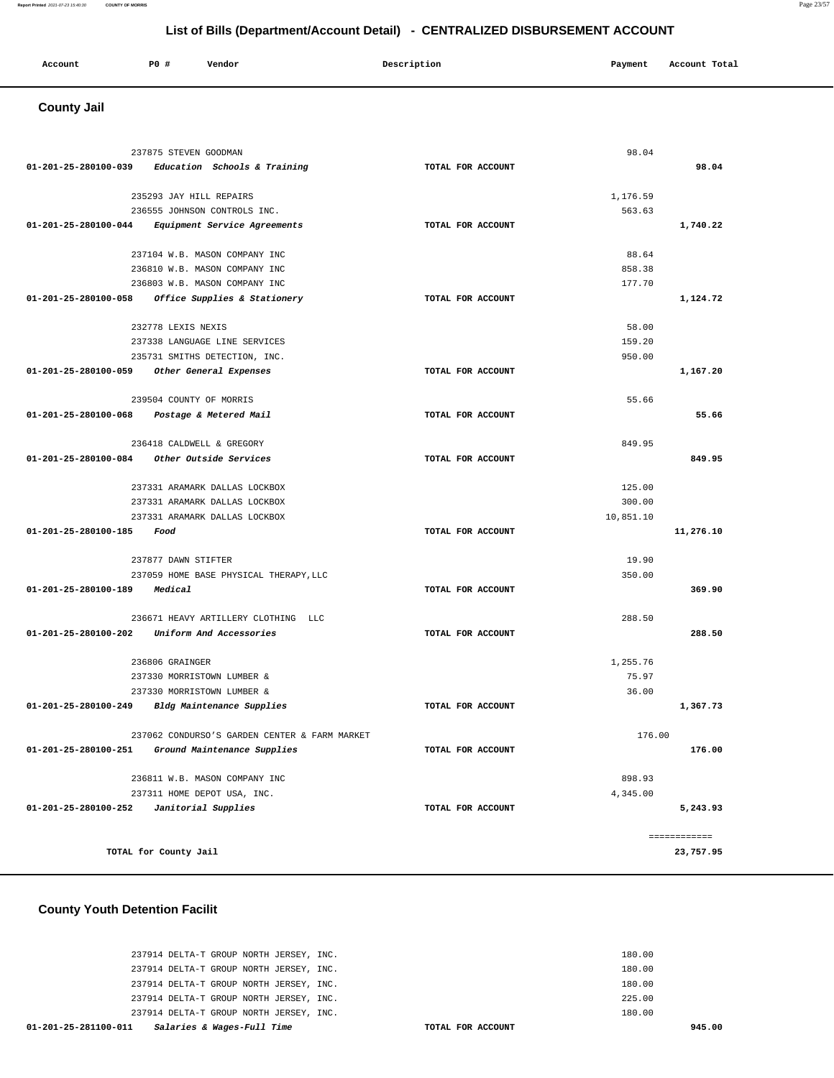| Account<br>. | <b>PO #</b> | Vendor | Description | Payment | Account Total<br>.<br>. |
|--------------|-------------|--------|-------------|---------|-------------------------|
|              |             |        |             |         |                         |

# **County Jail**

|                           | 237875 STEVEN GOODMAN                             |                   | 98.04     |              |
|---------------------------|---------------------------------------------------|-------------------|-----------|--------------|
|                           | 01-201-25-280100-039 Education Schools & Training | TOTAL FOR ACCOUNT |           | 98.04        |
|                           |                                                   |                   |           |              |
|                           | 235293 JAY HILL REPAIRS                           |                   | 1,176.59  |              |
|                           | 236555 JOHNSON CONTROLS INC.                      |                   | 563.63    |              |
| 01-201-25-280100-044      | Equipment Service Agreements                      | TOTAL FOR ACCOUNT |           | 1,740.22     |
|                           | 237104 W.B. MASON COMPANY INC                     |                   | 88.64     |              |
|                           | 236810 W.B. MASON COMPANY INC                     |                   | 858.38    |              |
|                           | 236803 W.B. MASON COMPANY INC                     |                   | 177.70    |              |
|                           | 01-201-25-280100-058 Office Supplies & Stationery | TOTAL FOR ACCOUNT |           | 1,124.72     |
|                           |                                                   |                   |           |              |
|                           | 232778 LEXIS NEXIS                                |                   | 58.00     |              |
|                           | 237338 LANGUAGE LINE SERVICES                     |                   | 159.20    |              |
|                           | 235731 SMITHS DETECTION, INC.                     |                   | 950.00    |              |
|                           | 01-201-25-280100-059 Other General Expenses       | TOTAL FOR ACCOUNT |           | 1,167.20     |
|                           | 239504 COUNTY OF MORRIS                           |                   | 55.66     |              |
|                           | 01-201-25-280100-068 Postage & Metered Mail       | TOTAL FOR ACCOUNT |           | 55.66        |
|                           |                                                   |                   |           |              |
|                           | 236418 CALDWELL & GREGORY                         |                   | 849.95    |              |
|                           | 01-201-25-280100-084 Other Outside Services       | TOTAL FOR ACCOUNT |           | 849.95       |
|                           |                                                   |                   |           |              |
|                           | 237331 ARAMARK DALLAS LOCKBOX                     |                   | 125.00    |              |
|                           | 237331 ARAMARK DALLAS LOCKBOX                     |                   | 300.00    |              |
|                           | 237331 ARAMARK DALLAS LOCKBOX                     |                   | 10,851.10 |              |
| 01-201-25-280100-185 Food |                                                   | TOTAL FOR ACCOUNT |           | 11,276.10    |
|                           | 237877 DAWN STIFTER                               |                   | 19.90     |              |
|                           | 237059 HOME BASE PHYSICAL THERAPY, LLC            |                   | 350.00    |              |
| 01-201-25-280100-189      | Medical                                           | TOTAL FOR ACCOUNT |           | 369.90       |
|                           |                                                   |                   |           |              |
|                           | 236671 HEAVY ARTILLERY CLOTHING LLC               |                   | 288.50    |              |
|                           | 01-201-25-280100-202 Uniform And Accessories      | TOTAL FOR ACCOUNT |           | 288.50       |
|                           | 236806 GRAINGER                                   |                   | 1,255.76  |              |
|                           | 237330 MORRISTOWN LUMBER &                        |                   | 75.97     |              |
|                           | 237330 MORRISTOWN LUMBER &                        |                   | 36.00     |              |
|                           | 01-201-25-280100-249 Bldg Maintenance Supplies    | TOTAL FOR ACCOUNT |           | 1,367.73     |
|                           |                                                   |                   |           |              |
|                           | 237062 CONDURSO'S GARDEN CENTER & FARM MARKET     |                   | 176.00    |              |
| 01-201-25-280100-251      | Ground Maintenance Supplies                       | TOTAL FOR ACCOUNT |           | 176.00       |
|                           | 236811 W.B. MASON COMPANY INC                     |                   | 898.93    |              |
|                           | 237311 HOME DEPOT USA, INC.                       |                   | 4,345.00  |              |
| 01-201-25-280100-252      | Janitorial Supplies                               | TOTAL FOR ACCOUNT |           | 5,243.93     |
|                           |                                                   |                   |           |              |
|                           |                                                   |                   |           | ============ |
|                           | TOTAL for County Jail                             |                   |           | 23,757.95    |
|                           |                                                   |                   |           |              |

 **County Youth Detention Facilit**

| 01-201-25-281100-011<br>Salaries & Wages-Full Time | TOTAL FOR ACCOUNT | 945.00 |
|----------------------------------------------------|-------------------|--------|
| 237914 DELTA-T GROUP NORTH JERSEY, INC.            |                   | 180.00 |
| 237914 DELTA-T GROUP NORTH JERSEY, INC.            |                   | 225.00 |
| 237914 DELTA-T GROUP NORTH JERSEY, INC.            |                   | 180.00 |
| 237914 DELTA-T GROUP NORTH JERSEY, INC.            |                   | 180.00 |
| 237914 DELTA-T GROUP NORTH JERSEY, INC.            |                   | 180.00 |
|                                                    |                   |        |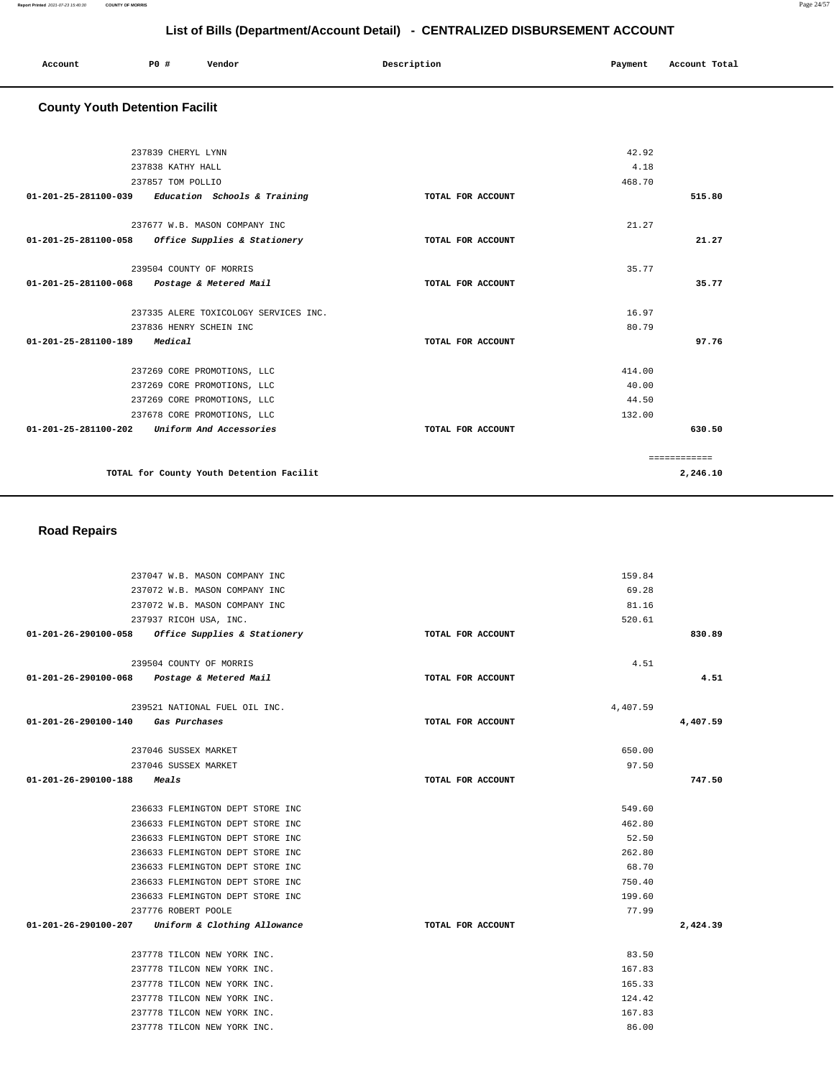| Account<br>. | <b>PO #</b> | Vendor | Description<br>. | Payment<br>. | Account Total |
|--------------|-------------|--------|------------------|--------------|---------------|
|              |             |        |                  |              |               |

## **County Youth Detention Facilit**

| 237839 CHERYL LYNN                                   |                   | 42.92        |          |
|------------------------------------------------------|-------------------|--------------|----------|
| 237838 KATHY HALL                                    |                   | 4.18         |          |
| 237857 TOM POLLIO                                    |                   | 468.70       |          |
| $01-201-25-281100-039$ Education Schools & Training  | TOTAL FOR ACCOUNT |              | 515.80   |
| 237677 W.B. MASON COMPANY INC                        |                   | 21.27        |          |
| 01-201-25-281100-058<br>Office Supplies & Stationery | TOTAL FOR ACCOUNT |              | 21.27    |
| 239504 COUNTY OF MORRIS                              |                   | 35.77        |          |
| 01-201-25-281100-068 Postage & Metered Mail          | TOTAL FOR ACCOUNT |              | 35.77    |
| 237335 ALERE TOXICOLOGY SERVICES INC.                |                   | 16.97        |          |
| 237836 HENRY SCHEIN INC                              |                   | 80.79        |          |
| 01-201-25-281100-189 Medical                         | TOTAL FOR ACCOUNT |              | 97.76    |
| 237269 CORE PROMOTIONS, LLC                          |                   | 414.00       |          |
| 237269 CORE PROMOTIONS, LLC                          |                   | 40.00        |          |
| 237269 CORE PROMOTIONS, LLC                          |                   | 44.50        |          |
| 237678 CORE PROMOTIONS, LLC                          |                   | 132.00       |          |
| $01-201-25-281100-202$ Uniform And Accessories       | TOTAL FOR ACCOUNT |              | 630.50   |
|                                                      |                   | ============ |          |
| TOTAL for County Youth Detention Facilit             |                   |              | 2,246.10 |

## **Road Repairs**

|                                             | 237047 W.B. MASON COMPANY INC                       | 159.84            |          |
|---------------------------------------------|-----------------------------------------------------|-------------------|----------|
|                                             | 237072 W.B. MASON COMPANY INC                       | 69.28             |          |
|                                             | 237072 W.B. MASON COMPANY INC                       | 81.16             |          |
|                                             | 237937 RICOH USA, INC.                              | 520.61            |          |
|                                             | $01-201-26-290100-058$ Office Supplies & Stationery | TOTAL FOR ACCOUNT | 830.89   |
|                                             | 239504 COUNTY OF MORRIS                             | 4.51              |          |
|                                             |                                                     |                   | 4.51     |
| 01-201-26-290100-068 Postage & Metered Mail |                                                     | TOTAL FOR ACCOUNT |          |
|                                             | 239521 NATIONAL FUEL OIL INC.                       | 4,407.59          |          |
| 01-201-26-290100-140 Gas Purchases          |                                                     | TOTAL FOR ACCOUNT | 4,407.59 |
|                                             |                                                     |                   |          |
|                                             | 237046 SUSSEX MARKET                                | 650.00            |          |
|                                             | 237046 SUSSEX MARKET                                | 97.50             |          |
| 01-201-26-290100-188                        | <i>Meals</i>                                        | TOTAL FOR ACCOUNT | 747.50   |
|                                             |                                                     |                   |          |
|                                             | 236633 FLEMINGTON DEPT STORE INC                    | 549.60            |          |
|                                             | 236633 FLEMINGTON DEPT STORE INC                    | 462.80            |          |
|                                             | 236633 FLEMINGTON DEPT STORE INC                    | 52.50             |          |
|                                             | 236633 FLEMINGTON DEPT STORE INC                    | 262.80            |          |
|                                             | 236633 FLEMINGTON DEPT STORE INC                    | 68.70             |          |
|                                             | 236633 FLEMINGTON DEPT STORE INC                    | 750.40            |          |
|                                             | 236633 FLEMINGTON DEPT STORE INC                    | 199.60            |          |
|                                             | 237776 ROBERT POOLE                                 | 77.99             |          |
|                                             | 01-201-26-290100-207 Uniform & Clothing Allowance   | TOTAL FOR ACCOUNT | 2,424.39 |
|                                             | 237778 TILCON NEW YORK INC.                         | 83.50             |          |
|                                             |                                                     |                   |          |
|                                             | 237778 TILCON NEW YORK INC.                         | 167.83<br>165.33  |          |
|                                             | 237778 TILCON NEW YORK INC.                         |                   |          |
|                                             | 237778 TILCON NEW YORK INC.                         | 124.42            |          |
|                                             | 237778 TILCON NEW YORK INC.                         | 167.83            |          |
|                                             | 237778 TILCON NEW YORK INC.                         | 86.00             |          |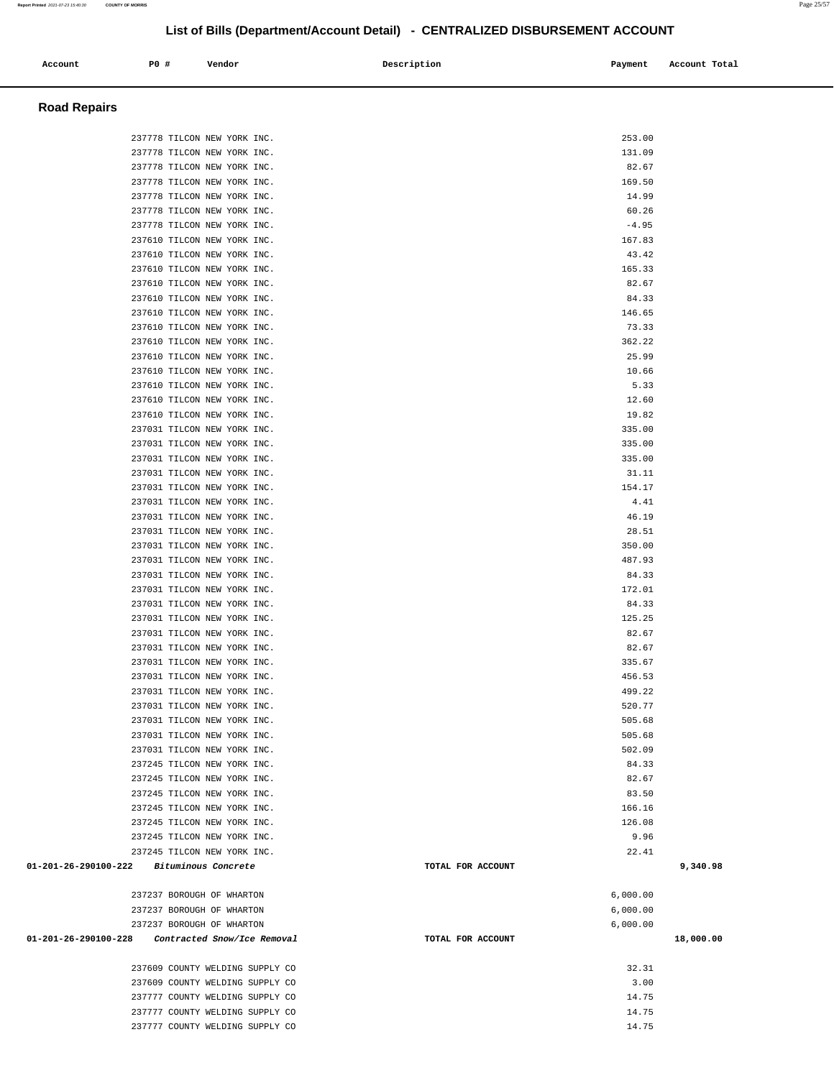| Account              | P0 #                      | Vendor                                                     | Description       | Payment          | Account Total |
|----------------------|---------------------------|------------------------------------------------------------|-------------------|------------------|---------------|
|                      |                           |                                                            |                   |                  |               |
|                      |                           |                                                            |                   |                  |               |
| <b>Road Repairs</b>  |                           |                                                            |                   |                  |               |
|                      |                           |                                                            |                   |                  |               |
|                      |                           | 237778 TILCON NEW YORK INC.                                |                   | 253.00           |               |
|                      |                           | 237778 TILCON NEW YORK INC.                                |                   | 131.09           |               |
|                      |                           | 237778 TILCON NEW YORK INC.                                |                   | 82.67            |               |
|                      |                           | 237778 TILCON NEW YORK INC.<br>237778 TILCON NEW YORK INC. |                   | 169.50<br>14.99  |               |
|                      |                           |                                                            |                   |                  |               |
|                      |                           | 237778 TILCON NEW YORK INC.<br>237778 TILCON NEW YORK INC. |                   | 60.26<br>$-4.95$ |               |
|                      |                           | 237610 TILCON NEW YORK INC.                                |                   | 167.83           |               |
|                      |                           | 237610 TILCON NEW YORK INC.                                |                   | 43.42            |               |
|                      |                           | 237610 TILCON NEW YORK INC.                                |                   | 165.33           |               |
|                      |                           | 237610 TILCON NEW YORK INC.                                |                   | 82.67            |               |
|                      |                           | 237610 TILCON NEW YORK INC.                                |                   | 84.33            |               |
|                      |                           | 237610 TILCON NEW YORK INC.                                |                   | 146.65           |               |
|                      |                           | 237610 TILCON NEW YORK INC.                                |                   | 73.33            |               |
|                      |                           | 237610 TILCON NEW YORK INC.                                |                   | 362.22           |               |
|                      |                           | 237610 TILCON NEW YORK INC.                                |                   | 25.99            |               |
|                      |                           | 237610 TILCON NEW YORK INC.                                |                   | 10.66            |               |
|                      |                           | 237610 TILCON NEW YORK INC.                                |                   | 5.33             |               |
|                      |                           | 237610 TILCON NEW YORK INC.                                |                   | 12.60            |               |
|                      |                           | 237610 TILCON NEW YORK INC.                                |                   | 19.82            |               |
|                      |                           | 237031 TILCON NEW YORK INC.                                |                   | 335.00           |               |
|                      |                           | 237031 TILCON NEW YORK INC.                                |                   | 335.00           |               |
|                      |                           | 237031 TILCON NEW YORK INC.                                |                   | 335.00           |               |
|                      |                           | 237031 TILCON NEW YORK INC.                                |                   | 31.11            |               |
|                      |                           | 237031 TILCON NEW YORK INC.                                |                   | 154.17           |               |
|                      |                           | 237031 TILCON NEW YORK INC.                                |                   | 4.41             |               |
|                      |                           | 237031 TILCON NEW YORK INC.                                |                   | 46.19            |               |
|                      |                           | 237031 TILCON NEW YORK INC.                                |                   | 28.51            |               |
|                      |                           | 237031 TILCON NEW YORK INC.                                |                   | 350.00           |               |
|                      |                           | 237031 TILCON NEW YORK INC.                                |                   | 487.93           |               |
|                      |                           | 237031 TILCON NEW YORK INC.                                |                   | 84.33            |               |
|                      |                           | 237031 TILCON NEW YORK INC.                                |                   | 172.01           |               |
|                      |                           | 237031 TILCON NEW YORK INC.                                |                   | 84.33            |               |
|                      |                           | 237031 TILCON NEW YORK INC.                                |                   | 125.25           |               |
|                      |                           | 237031 TILCON NEW YORK INC.                                |                   | 82.67            |               |
|                      |                           | 237031 TILCON NEW YORK INC.                                |                   | 82.67            |               |
|                      |                           | 237031 TILCON NEW YORK INC.                                |                   | 335.67           |               |
|                      |                           | 237031 TILCON NEW YORK INC.                                |                   | 456.53           |               |
|                      |                           | 237031 TILCON NEW YORK INC.                                |                   | 499.22           |               |
|                      |                           | 237031 TILCON NEW YORK INC.                                |                   | 520.77           |               |
|                      |                           | 237031 TILCON NEW YORK INC.                                |                   | 505.68           |               |
|                      |                           | 237031 TILCON NEW YORK INC.                                |                   | 505.68           |               |
|                      |                           | 237031 TILCON NEW YORK INC.                                |                   | 502.09           |               |
|                      |                           | 237245 TILCON NEW YORK INC.                                |                   | 84.33            |               |
|                      |                           | 237245 TILCON NEW YORK INC.                                |                   | 82.67            |               |
|                      |                           | 237245 TILCON NEW YORK INC.                                |                   | 83.50            |               |
|                      |                           | 237245 TILCON NEW YORK INC.                                |                   | 166.16           |               |
|                      |                           | 237245 TILCON NEW YORK INC.                                |                   | 126.08           |               |
|                      |                           | 237245 TILCON NEW YORK INC.                                |                   | 9.96             |               |
|                      |                           | 237245 TILCON NEW YORK INC.                                |                   | 22.41            |               |
| 01-201-26-290100-222 |                           | Bituminous Concrete                                        | TOTAL FOR ACCOUNT |                  | 9,340.98      |
|                      |                           |                                                            |                   |                  |               |
|                      | 237237 BOROUGH OF WHARTON |                                                            |                   | 6,000.00         |               |
|                      | 237237 BOROUGH OF WHARTON |                                                            |                   | 6,000.00         |               |
|                      | 237237 BOROUGH OF WHARTON |                                                            |                   | 6,000.00         |               |
| 01-201-26-290100-228 |                           | Contracted Snow/Ice Removal                                | TOTAL FOR ACCOUNT |                  | 18,000.00     |
|                      |                           | 237609 COUNTY WELDING SUPPLY CO                            |                   | 32.31            |               |
|                      |                           | 237609 COUNTY WELDING SUPPLY CO                            |                   | 3.00             |               |
|                      |                           | 237777 COUNTY WELDING SUPPLY CO                            |                   | 14.75            |               |
|                      |                           | 237777 COUNTY WELDING SUPPLY CO                            |                   | 14.75            |               |
|                      |                           | 237777 COUNTY WELDING SUPPLY CO                            |                   | 14.75            |               |
|                      |                           |                                                            |                   |                  |               |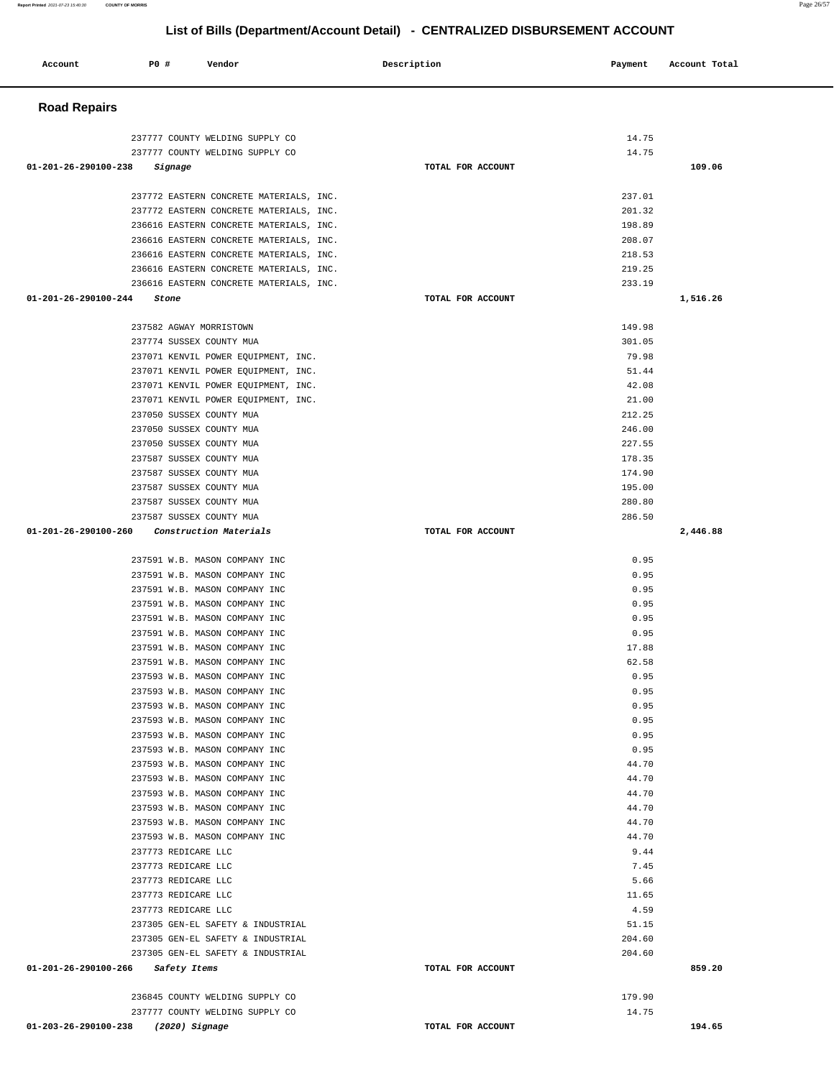| Account              | P0 #<br>Vendor                                                                     | Description       | Payment          | Account Total |
|----------------------|------------------------------------------------------------------------------------|-------------------|------------------|---------------|
| <b>Road Repairs</b>  |                                                                                    |                   |                  |               |
|                      | 237777 COUNTY WELDING SUPPLY CO                                                    |                   | 14.75            |               |
|                      | 237777 COUNTY WELDING SUPPLY CO                                                    |                   | 14.75            |               |
| 01-201-26-290100-238 | Signage                                                                            | TOTAL FOR ACCOUNT |                  | 109.06        |
|                      |                                                                                    |                   |                  |               |
|                      | 237772 EASTERN CONCRETE MATERIALS, INC.                                            |                   | 237.01           |               |
|                      | 237772 EASTERN CONCRETE MATERIALS, INC.<br>236616 EASTERN CONCRETE MATERIALS, INC. |                   | 201.32<br>198.89 |               |
|                      | 236616 EASTERN CONCRETE MATERIALS, INC.                                            |                   | 208.07           |               |
|                      | 236616 EASTERN CONCRETE MATERIALS, INC.                                            |                   | 218.53           |               |
|                      | 236616 EASTERN CONCRETE MATERIALS, INC.                                            |                   | 219.25           |               |
|                      | 236616 EASTERN CONCRETE MATERIALS, INC.                                            |                   | 233.19           |               |
| 01-201-26-290100-244 | Stone                                                                              | TOTAL FOR ACCOUNT |                  | 1,516.26      |
|                      | 237582 AGWAY MORRISTOWN                                                            |                   | 149.98           |               |
|                      | 237774 SUSSEX COUNTY MUA                                                           |                   | 301.05           |               |
|                      | 237071 KENVIL POWER EQUIPMENT, INC.                                                |                   | 79.98            |               |
|                      | 237071 KENVIL POWER EQUIPMENT, INC.                                                |                   | 51.44            |               |
|                      | 237071 KENVIL POWER EQUIPMENT, INC.                                                |                   | 42.08            |               |
|                      | 237071 KENVIL POWER EQUIPMENT, INC.                                                |                   | 21.00            |               |
|                      | 237050 SUSSEX COUNTY MUA                                                           |                   | 212.25           |               |
|                      | 237050 SUSSEX COUNTY MUA                                                           |                   | 246.00           |               |
|                      | 237050 SUSSEX COUNTY MUA                                                           |                   | 227.55           |               |
|                      | 237587 SUSSEX COUNTY MUA                                                           |                   | 178.35           |               |
|                      | 237587 SUSSEX COUNTY MUA                                                           |                   | 174.90           |               |
|                      | 237587 SUSSEX COUNTY MUA<br>237587 SUSSEX COUNTY MUA                               |                   | 195.00<br>280.80 |               |
|                      | 237587 SUSSEX COUNTY MUA                                                           |                   | 286.50           |               |
| 01-201-26-290100-260 | Construction Materials                                                             | TOTAL FOR ACCOUNT |                  | 2,446.88      |
|                      |                                                                                    |                   |                  |               |
|                      | 237591 W.B. MASON COMPANY INC                                                      |                   | 0.95             |               |
|                      | 237591 W.B. MASON COMPANY INC                                                      |                   | 0.95             |               |
|                      | 237591 W.B. MASON COMPANY INC<br>237591 W.B. MASON COMPANY INC                     |                   | 0.95<br>0.95     |               |
|                      | 237591 W.B. MASON COMPANY INC                                                      |                   | 0.95             |               |
|                      | 237591 W.B. MASON COMPANY INC                                                      |                   | 0.95             |               |
|                      | 237591 W.B. MASON COMPANY INC                                                      |                   | 17.88            |               |
|                      | 237591 W.B. MASON COMPANY INC                                                      |                   | 62.58            |               |
|                      | 237593 W.B. MASON COMPANY INC                                                      |                   | 0.95             |               |
|                      | 237593 W.B. MASON COMPANY INC                                                      |                   | 0.95             |               |
|                      | 237593 W.B. MASON COMPANY INC                                                      |                   | 0.95             |               |
|                      | 237593 W.B. MASON COMPANY INC                                                      |                   | 0.95             |               |
|                      | 237593 W.B. MASON COMPANY INC                                                      |                   | 0.95             |               |
|                      | 237593 W.B. MASON COMPANY INC                                                      |                   | 0.95             |               |
|                      | 237593 W.B. MASON COMPANY INC<br>237593 W.B. MASON COMPANY INC                     |                   | 44.70<br>44.70   |               |
|                      | 237593 W.B. MASON COMPANY INC                                                      |                   | 44.70            |               |
|                      | 237593 W.B. MASON COMPANY INC                                                      |                   | 44.70            |               |
|                      | 237593 W.B. MASON COMPANY INC                                                      |                   | 44.70            |               |
|                      | 237593 W.B. MASON COMPANY INC                                                      |                   | 44.70            |               |
|                      | 237773 REDICARE LLC                                                                |                   | 9.44             |               |
|                      | 237773 REDICARE LLC                                                                |                   | 7.45             |               |
|                      | 237773 REDICARE LLC                                                                |                   | 5.66             |               |
|                      | 237773 REDICARE LLC                                                                |                   | 11.65            |               |
|                      | 237773 REDICARE LLC                                                                |                   | 4.59             |               |
|                      | 237305 GEN-EL SAFETY & INDUSTRIAL                                                  |                   | 51.15            |               |
|                      | 237305 GEN-EL SAFETY & INDUSTRIAL<br>237305 GEN-EL SAFETY & INDUSTRIAL             |                   | 204.60<br>204.60 |               |
|                      | 01-201-26-290100-266 Safety Items                                                  | TOTAL FOR ACCOUNT |                  | 859.20        |
|                      |                                                                                    |                   |                  |               |
|                      | 236845 COUNTY WELDING SUPPLY CO                                                    |                   | 179.90           |               |
|                      | 237777 COUNTY WELDING SUPPLY CO                                                    |                   | 14.75            |               |

**01-203-26-290100-238 (2020) Signage TOTAL FOR ACCOUNT 194.65** 

## **List of Bills (Department/Account Detail) - CENTRALIZED DISBURSEMENT ACCOUNT**

**Report Printed** 2021-07-23 15:40:30 **COUNTY OF MORRIS** Page 26/57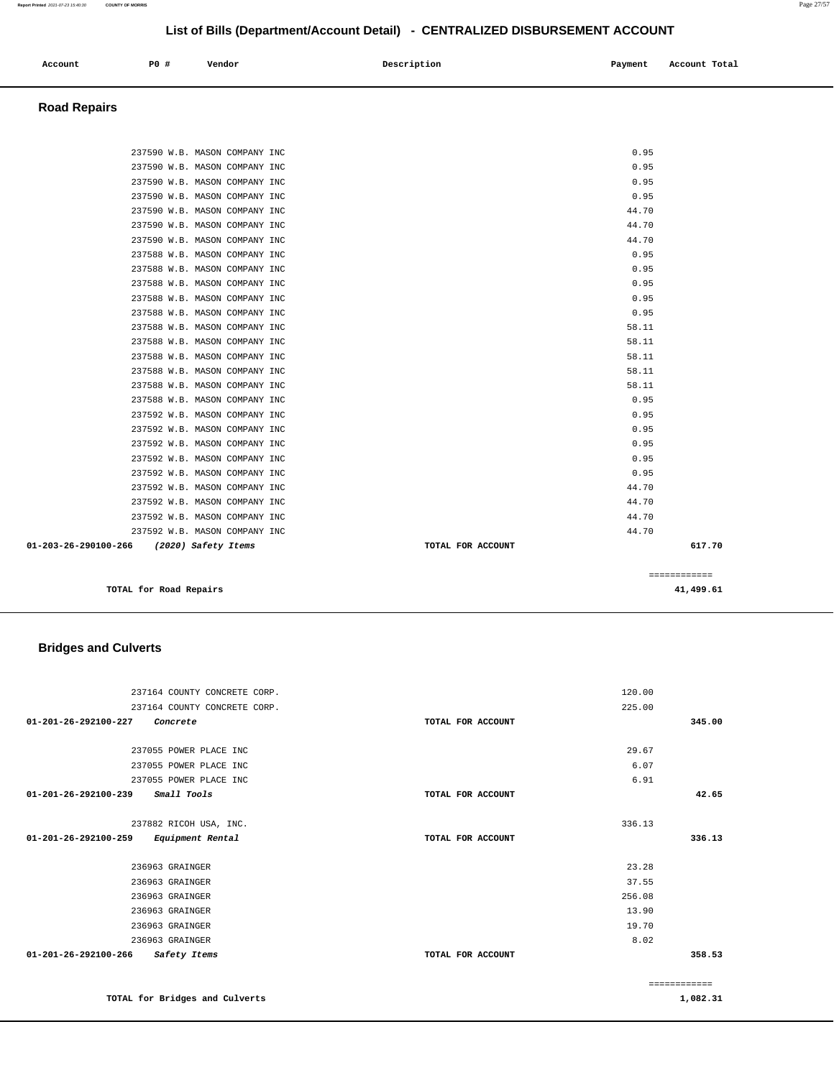| Account<br>. | P0 # | Vendor | Description<br>$\sim$ $\sim$ | Payment<br>$\sim$ $\sim$ | Account Total |
|--------------|------|--------|------------------------------|--------------------------|---------------|
|              |      |        |                              |                          |               |
|              |      |        |                              |                          |               |

#### **Road Repairs**

| TOTAL for Road Repairs                                                    |                   | 41,499.61      |  |
|---------------------------------------------------------------------------|-------------------|----------------|--|
|                                                                           |                   | ============   |  |
|                                                                           |                   |                |  |
| 237592 W.B. MASON COMPANY INC<br>01-203-26-290100-266 (2020) Safety Items | TOTAL FOR ACCOUNT | 617.70         |  |
| 237592 W.B. MASON COMPANY INC                                             |                   | 44.70<br>44.70 |  |
| 237592 W.B. MASON COMPANY INC                                             |                   | 44.70          |  |
| 237592 W.B. MASON COMPANY INC                                             |                   | 44.70          |  |
| 237592 W.B. MASON COMPANY INC                                             |                   | 0.95           |  |
| 237592 W.B. MASON COMPANY INC                                             |                   | 0.95           |  |
| 237592 W.B. MASON COMPANY INC                                             |                   | 0.95           |  |
| 237592 W.B. MASON COMPANY INC                                             |                   | 0.95           |  |
| 237592 W.B. MASON COMPANY INC                                             |                   | 0.95           |  |
| 237588 W.B. MASON COMPANY INC                                             |                   | 0.95           |  |
| 237588 W.B. MASON COMPANY INC                                             |                   | 58.11          |  |
| 237588 W.B. MASON COMPANY INC                                             |                   | 58.11          |  |
| 237588 W.B. MASON COMPANY INC                                             |                   | 58.11          |  |
| 237588 W.B. MASON COMPANY INC                                             |                   | 58.11          |  |
| 237588 W.B. MASON COMPANY INC                                             |                   | 58.11          |  |
| 237588 W.B. MASON COMPANY INC                                             |                   | 0.95           |  |
| 237588 W.B. MASON COMPANY INC                                             |                   | 0.95           |  |
| 237588 W.B. MASON COMPANY INC                                             |                   | 0.95           |  |
| 237588 W.B. MASON COMPANY INC                                             |                   | 0.95           |  |
| 237588 W.B. MASON COMPANY INC                                             |                   | 0.95           |  |
| 237590 W.B. MASON COMPANY INC                                             |                   | 44.70          |  |
| 237590 W.B. MASON COMPANY INC                                             |                   | 44.70          |  |
| 237590 W.B. MASON COMPANY INC                                             |                   | 44.70          |  |
| 237590 W.B. MASON COMPANY INC                                             |                   | 0.95           |  |
| 237590 W.B. MASON COMPANY INC                                             |                   | 0.95           |  |
| 237590 W.B. MASON COMPANY INC                                             |                   | 0.95           |  |
| 237590 W.B. MASON COMPANY INC                                             |                   | 0.95           |  |
|                                                                           |                   |                |  |

## **Bridges and Culverts**

| 237164 COUNTY CONCRETE CORP.             |                   | 120.00       |
|------------------------------------------|-------------------|--------------|
| 237164 COUNTY CONCRETE CORP.             |                   | 225.00       |
| 01-201-26-292100-227<br>Concrete         | TOTAL FOR ACCOUNT | 345.00       |
|                                          |                   |              |
| 237055 POWER PLACE INC                   |                   | 29.67        |
| 237055 POWER PLACE INC                   |                   | 6.07         |
| 237055 POWER PLACE INC                   |                   | 6.91         |
| Small Tools<br>01-201-26-292100-239      | TOTAL FOR ACCOUNT | 42.65        |
|                                          |                   |              |
| 237882 RICOH USA, INC.                   |                   | 336.13       |
| 01-201-26-292100-259<br>Equipment Rental | TOTAL FOR ACCOUNT | 336.13       |
|                                          |                   |              |
| 236963 GRAINGER                          |                   | 23.28        |
| 236963 GRAINGER                          |                   | 37.55        |
| 236963 GRAINGER                          |                   | 256.08       |
| 236963 GRAINGER                          |                   | 13.90        |
| 236963 GRAINGER                          |                   | 19.70        |
| 236963 GRAINGER                          |                   | 8.02         |
| 01-201-26-292100-266<br>Safety Items     | TOTAL FOR ACCOUNT | 358.53       |
|                                          |                   |              |
|                                          |                   | ============ |
| TOTAL for Bridges and Culverts           |                   | 1,082.31     |

**1,082.31**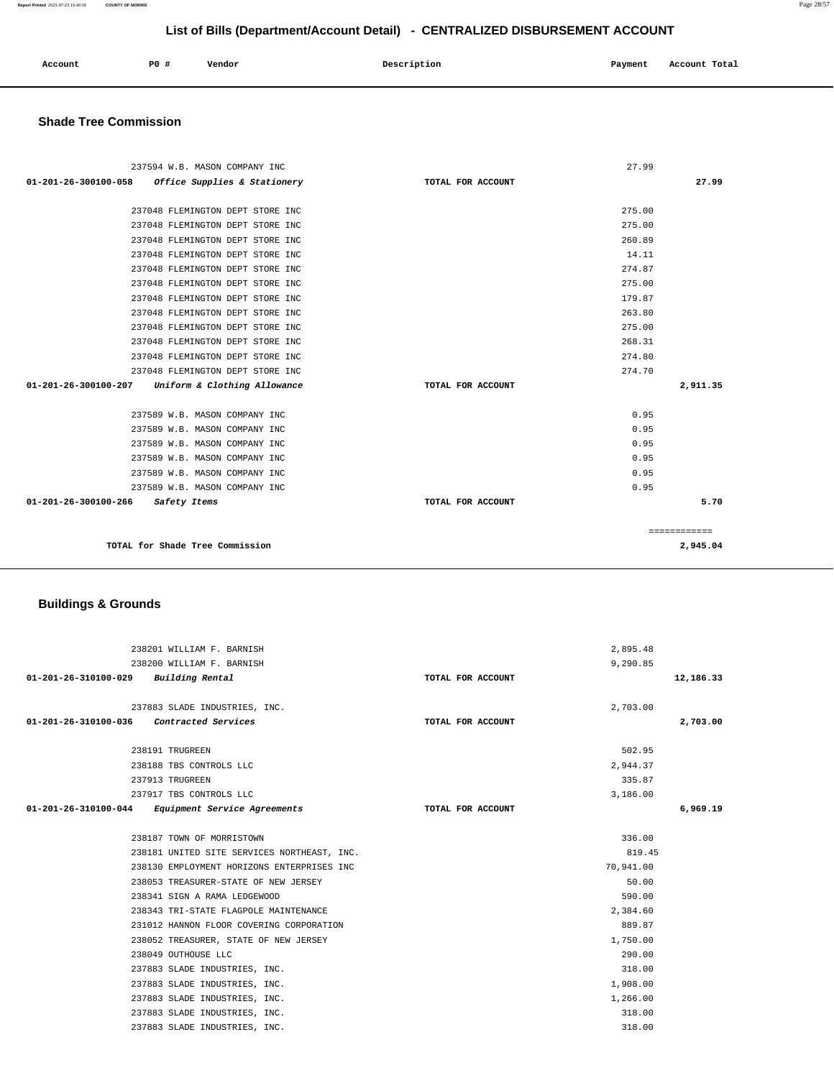| Account<br>. | <b>PO</b> # | Vendor | Description | Payment | Account Total<br>.<br>. |
|--------------|-------------|--------|-------------|---------|-------------------------|
|              |             |        |             |         |                         |

## **Shade Tree Commission**

| 237594 W.B. MASON COMPANY INC                        |                   | 27.99        |
|------------------------------------------------------|-------------------|--------------|
| Office Supplies & Stationery<br>01-201-26-300100-058 | TOTAL FOR ACCOUNT | 27.99        |
|                                                      |                   |              |
| 237048 FLEMINGTON DEPT STORE INC                     |                   | 275.00       |
| 237048 FLEMINGTON DEPT STORE INC                     |                   | 275.00       |
| 237048 FLEMINGTON DEPT STORE INC                     |                   | 260.89       |
| 237048 FLEMINGTON DEPT STORE INC                     |                   | 14.11        |
| 237048 FLEMINGTON DEPT STORE INC                     |                   | 274.87       |
| 237048 FLEMINGTON DEPT STORE INC                     |                   | 275.00       |
| 237048 FLEMINGTON DEPT STORE INC                     |                   | 179.87       |
| 237048 FLEMINGTON DEPT STORE INC                     |                   | 263.80       |
| 237048 FLEMINGTON DEPT STORE INC                     |                   | 275.00       |
| 237048 FLEMINGTON DEPT STORE INC                     |                   | 268.31       |
| 237048 FLEMINGTON DEPT STORE INC                     |                   | 274.80       |
| 237048 FLEMINGTON DEPT STORE INC                     |                   | 274.70       |
| 01-201-26-300100-207<br>Uniform & Clothing Allowance | TOTAL FOR ACCOUNT | 2,911.35     |
|                                                      |                   |              |
| 237589 W.B. MASON COMPANY INC                        |                   | 0.95         |
| 237589 W.B. MASON COMPANY INC                        |                   | 0.95         |
| 237589 W.B. MASON COMPANY INC                        |                   | 0.95         |
| 237589 W.B. MASON COMPANY INC                        |                   | 0.95         |
| 237589 W.B. MASON COMPANY INC                        |                   | 0.95         |
| 237589 W.B. MASON COMPANY INC                        |                   | 0.95         |
| 01-201-26-300100-266<br>Safety Items                 | TOTAL FOR ACCOUNT | 5.70         |
|                                                      |                   |              |
|                                                      |                   | ============ |
| TOTAL for Shade Tree Commission                      |                   | 2,945.04     |

## **Buildings & Grounds**

| 238201 WILLIAM F. BARNISH                         |                   | 2,895.48  |
|---------------------------------------------------|-------------------|-----------|
| 238200 WILLIAM F. BARNISH                         |                   | 9,290.85  |
| 01-201-26-310100-029 Building Rental              | TOTAL FOR ACCOUNT | 12,186.33 |
|                                                   |                   |           |
| 237883 SLADE INDUSTRIES, INC.                     |                   | 2,703.00  |
| 01-201-26-310100-036 Contracted Services          | TOTAL FOR ACCOUNT | 2,703.00  |
|                                                   |                   |           |
| 238191 TRUGREEN                                   |                   | 502.95    |
| 238188 TBS CONTROLS LLC                           |                   | 2,944.37  |
| 237913 TRUGREEN                                   |                   | 335.87    |
| 237917 TBS CONTROLS LLC                           |                   | 3,186.00  |
| 01-201-26-310100-044 Equipment Service Agreements | TOTAL FOR ACCOUNT | 6,969.19  |
|                                                   |                   |           |
| 238187 TOWN OF MORRISTOWN                         |                   | 336.00    |
| 238181 UNITED SITE SERVICES NORTHEAST, INC.       |                   | 819.45    |
| 238130 EMPLOYMENT HORIZONS ENTERPRISES INC        |                   | 70,941.00 |
| 238053 TREASURER-STATE OF NEW JERSEY              |                   | 50.00     |
| 238341 SIGN A RAMA LEDGEWOOD                      |                   | 590.00    |
| 238343 TRI-STATE FLAGPOLE MAINTENANCE             |                   | 2,384.60  |
| 231012 HANNON FLOOR COVERING CORPORATION          |                   | 889.87    |
| 238052 TREASURER, STATE OF NEW JERSEY             |                   | 1,750.00  |
| 238049 OUTHOUSE LLC                               |                   | 290.00    |
| 237883 SLADE INDUSTRIES, INC.                     |                   | 318.00    |
| 237883 SLADE INDUSTRIES, INC.                     |                   | 1,908.00  |
| 237883 SLADE INDUSTRIES, INC.                     |                   | 1,266.00  |
| 237883 SLADE INDUSTRIES, INC.                     |                   | 318.00    |
| 237883 SLADE INDUSTRIES, INC.                     |                   | 318.00    |
|                                                   |                   |           |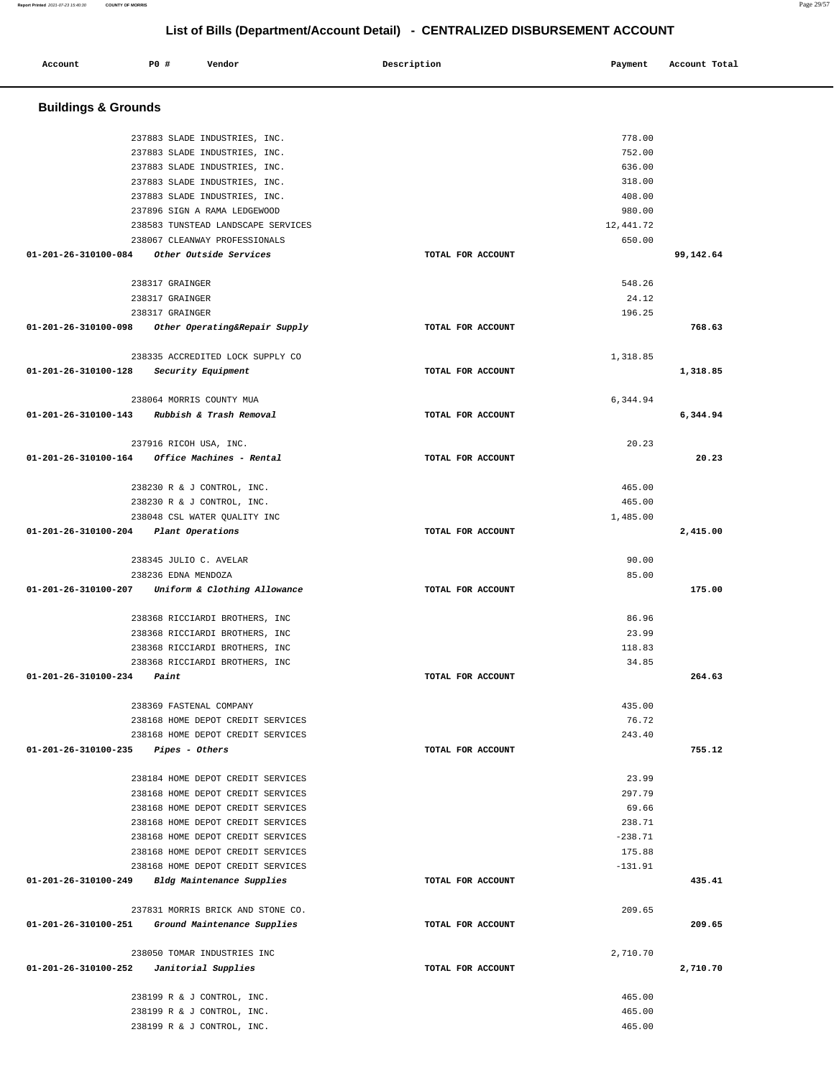| Account                                      | <b>PO #</b>           | Vendor                                                           | Description       | Payment          | Account Total |
|----------------------------------------------|-----------------------|------------------------------------------------------------------|-------------------|------------------|---------------|
| <b>Buildings &amp; Grounds</b>               |                       |                                                                  |                   |                  |               |
|                                              |                       |                                                                  |                   |                  |               |
|                                              |                       | 237883 SLADE INDUSTRIES, INC.                                    |                   | 778.00           |               |
|                                              |                       | 237883 SLADE INDUSTRIES, INC.                                    |                   | 752.00           |               |
|                                              |                       | 237883 SLADE INDUSTRIES, INC.                                    |                   | 636.00           |               |
|                                              |                       | 237883 SLADE INDUSTRIES, INC.<br>237883 SLADE INDUSTRIES, INC.   |                   | 318.00<br>408.00 |               |
|                                              |                       | 237896 SIGN A RAMA LEDGEWOOD                                     |                   | 980.00           |               |
|                                              |                       | 238583 TUNSTEAD LANDSCAPE SERVICES                               |                   | 12,441.72        |               |
|                                              |                       | 238067 CLEANWAY PROFESSIONALS                                    |                   | 650.00           |               |
| 01-201-26-310100-084                         |                       | Other Outside Services                                           | TOTAL FOR ACCOUNT |                  | 99,142.64     |
|                                              |                       |                                                                  |                   |                  |               |
|                                              | 238317 GRAINGER       |                                                                  |                   | 548.26           |               |
|                                              | 238317 GRAINGER       |                                                                  |                   | 24.12            |               |
|                                              | 238317 GRAINGER       |                                                                  |                   | 196.25           |               |
| 01-201-26-310100-098                         |                       | Other Operating&Repair Supply                                    | TOTAL FOR ACCOUNT |                  | 768.63        |
|                                              |                       | 238335 ACCREDITED LOCK SUPPLY CO                                 |                   | 1,318.85         |               |
| 01-201-26-310100-128                         |                       | Security Equipment                                               | TOTAL FOR ACCOUNT |                  | 1,318.85      |
|                                              |                       |                                                                  |                   |                  |               |
|                                              |                       | 238064 MORRIS COUNTY MUA                                         |                   | 6,344.94         |               |
| 01-201-26-310100-143 Rubbish & Trash Removal |                       |                                                                  | TOTAL FOR ACCOUNT |                  | 6,344.94      |
|                                              |                       | 237916 RICOH USA, INC.                                           |                   | 20.23            |               |
| 01-201-26-310100-164                         |                       | Office Machines - Rental                                         | TOTAL FOR ACCOUNT |                  | 20.23         |
|                                              |                       |                                                                  |                   |                  |               |
|                                              |                       | 238230 R & J CONTROL, INC.                                       |                   | 465.00           |               |
|                                              |                       | 238230 R & J CONTROL, INC.                                       |                   | 465.00           |               |
|                                              |                       | 238048 CSL WATER QUALITY INC                                     |                   | 1,485.00         |               |
| 01-201-26-310100-204                         |                       | Plant Operations                                                 | TOTAL FOR ACCOUNT |                  | 2,415.00      |
|                                              |                       | 238345 JULIO C. AVELAR                                           |                   | 90.00            |               |
|                                              | 238236 EDNA MENDOZA   |                                                                  |                   | 85.00            |               |
| 01-201-26-310100-207                         |                       | Uniform & Clothing Allowance                                     | TOTAL FOR ACCOUNT |                  | 175.00        |
|                                              |                       | 238368 RICCIARDI BROTHERS, INC                                   |                   | 86.96            |               |
|                                              |                       | 238368 RICCIARDI BROTHERS, INC                                   |                   | 23.99            |               |
|                                              |                       | 238368 RICCIARDI BROTHERS, INC                                   |                   | 118.83           |               |
|                                              |                       | 238368 RICCIARDI BROTHERS, INC                                   |                   | 34.85            |               |
| 01-201-26-310100-234                         | Paint                 |                                                                  | TOTAL FOR ACCOUNT |                  | 264.63        |
|                                              |                       |                                                                  |                   |                  |               |
|                                              |                       | 238369 FASTENAL COMPANY                                          |                   | 435.00           |               |
|                                              |                       | 238168 HOME DEPOT CREDIT SERVICES                                |                   | 76.72            |               |
|                                              |                       | 238168 HOME DEPOT CREDIT SERVICES                                |                   | 243.40           |               |
| 01-201-26-310100-235                         | <i>Pipes - Others</i> |                                                                  | TOTAL FOR ACCOUNT |                  | 755.12        |
|                                              |                       | 238184 HOME DEPOT CREDIT SERVICES                                |                   | 23.99            |               |
|                                              |                       | 238168 HOME DEPOT CREDIT SERVICES                                |                   | 297.79           |               |
|                                              |                       | 238168 HOME DEPOT CREDIT SERVICES                                |                   | 69.66            |               |
|                                              |                       | 238168 HOME DEPOT CREDIT SERVICES                                |                   | 238.71           |               |
|                                              |                       | 238168 HOME DEPOT CREDIT SERVICES                                |                   | $-238.71$        |               |
|                                              |                       | 238168 HOME DEPOT CREDIT SERVICES                                |                   | 175.88           |               |
|                                              |                       | 238168 HOME DEPOT CREDIT SERVICES                                |                   | $-131.91$        |               |
|                                              |                       | 01-201-26-310100-249 Bldg Maintenance Supplies                   | TOTAL FOR ACCOUNT |                  | 435.41        |
|                                              |                       |                                                                  |                   |                  |               |
| 01-201-26-310100-251                         |                       | 237831 MORRIS BRICK AND STONE CO.<br>Ground Maintenance Supplies | TOTAL FOR ACCOUNT | 209.65           | 209.65        |
|                                              |                       |                                                                  |                   |                  |               |
|                                              |                       | 238050 TOMAR INDUSTRIES INC                                      |                   | 2,710.70         |               |
| 01-201-26-310100-252                         |                       | Janitorial Supplies                                              | TOTAL FOR ACCOUNT |                  | 2,710.70      |
|                                              |                       | 238199 R & J CONTROL, INC.                                       |                   | 465.00           |               |
|                                              |                       | 238199 R & J CONTROL, INC.                                       |                   | 465.00           |               |
|                                              |                       | 238199 R & J CONTROL, INC.                                       |                   | 465.00           |               |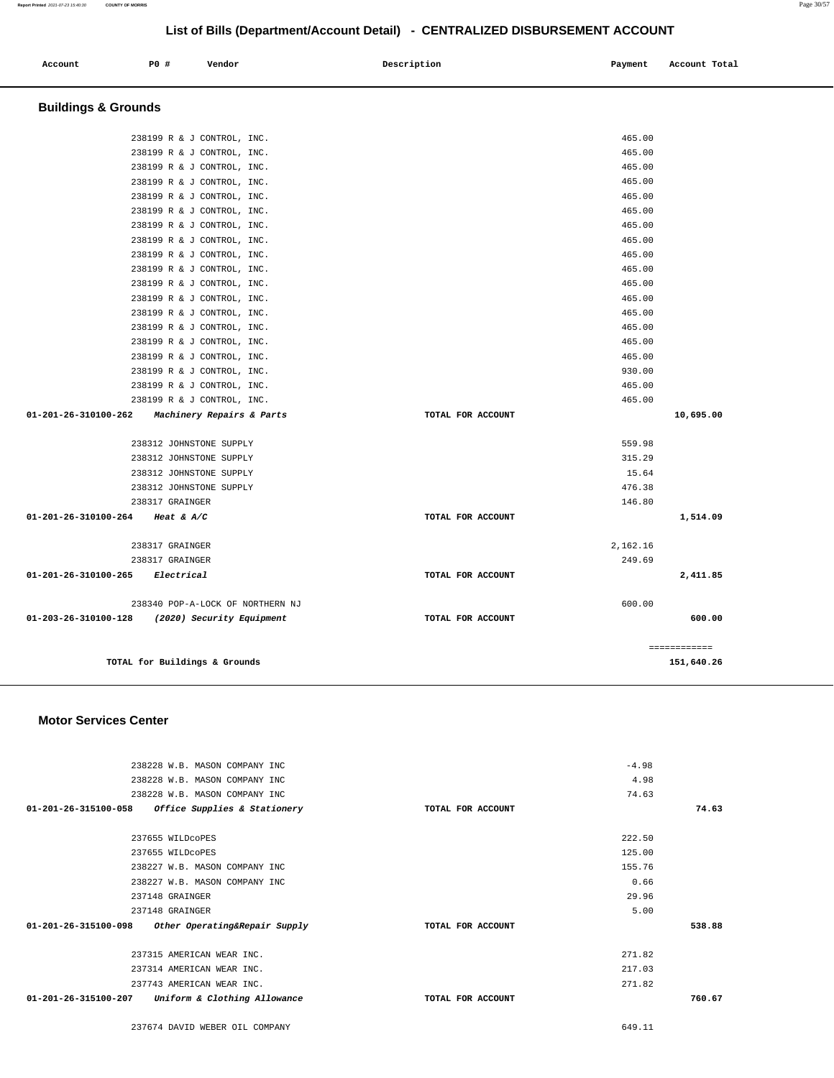| Account<br>. | <b>PO #</b> | Vendor | Description | Payment | Account Total |
|--------------|-------------|--------|-------------|---------|---------------|
|              |             |        |             |         |               |

## **Buildings & Grounds**

| 238317 GRAINGER            |                                                                                                                                                                                                                                                                                                                                                                                                               | 249.69 |                                                                                                    |
|----------------------------|---------------------------------------------------------------------------------------------------------------------------------------------------------------------------------------------------------------------------------------------------------------------------------------------------------------------------------------------------------------------------------------------------------------|--------|----------------------------------------------------------------------------------------------------|
|                            |                                                                                                                                                                                                                                                                                                                                                                                                               |        |                                                                                                    |
|                            | TOTAL FOR ACCOUNT                                                                                                                                                                                                                                                                                                                                                                                             |        | 1,514.09                                                                                           |
| 238317 GRAINGER            |                                                                                                                                                                                                                                                                                                                                                                                                               | 146.80 |                                                                                                    |
| 238312 JOHNSTONE SUPPLY    |                                                                                                                                                                                                                                                                                                                                                                                                               | 476.38 |                                                                                                    |
| 238312 JOHNSTONE SUPPLY    |                                                                                                                                                                                                                                                                                                                                                                                                               | 15.64  |                                                                                                    |
| 238312 JOHNSTONE SUPPLY    |                                                                                                                                                                                                                                                                                                                                                                                                               | 315.29 |                                                                                                    |
|                            |                                                                                                                                                                                                                                                                                                                                                                                                               |        |                                                                                                    |
|                            | TOTAL FOR ACCOUNT                                                                                                                                                                                                                                                                                                                                                                                             |        | 10,695.00                                                                                          |
| 238199 R & J CONTROL, INC. |                                                                                                                                                                                                                                                                                                                                                                                                               | 465.00 |                                                                                                    |
| 238199 R & J CONTROL, INC. |                                                                                                                                                                                                                                                                                                                                                                                                               | 465.00 |                                                                                                    |
| 238199 R & J CONTROL, INC. |                                                                                                                                                                                                                                                                                                                                                                                                               | 930.00 |                                                                                                    |
| 238199 R & J CONTROL, INC. |                                                                                                                                                                                                                                                                                                                                                                                                               | 465.00 |                                                                                                    |
|                            |                                                                                                                                                                                                                                                                                                                                                                                                               | 465.00 |                                                                                                    |
|                            |                                                                                                                                                                                                                                                                                                                                                                                                               |        |                                                                                                    |
|                            |                                                                                                                                                                                                                                                                                                                                                                                                               |        |                                                                                                    |
|                            |                                                                                                                                                                                                                                                                                                                                                                                                               |        |                                                                                                    |
|                            |                                                                                                                                                                                                                                                                                                                                                                                                               |        |                                                                                                    |
|                            |                                                                                                                                                                                                                                                                                                                                                                                                               |        |                                                                                                    |
|                            |                                                                                                                                                                                                                                                                                                                                                                                                               |        |                                                                                                    |
|                            |                                                                                                                                                                                                                                                                                                                                                                                                               |        |                                                                                                    |
| 238199 R & J CONTROL, INC. |                                                                                                                                                                                                                                                                                                                                                                                                               | 465.00 |                                                                                                    |
| 238199 R & J CONTROL, INC. |                                                                                                                                                                                                                                                                                                                                                                                                               | 465.00 |                                                                                                    |
| 238199 R & J CONTROL, INC. |                                                                                                                                                                                                                                                                                                                                                                                                               | 465.00 |                                                                                                    |
| 238199 R & J CONTROL, INC. |                                                                                                                                                                                                                                                                                                                                                                                                               | 465.00 |                                                                                                    |
| 238199 R & J CONTROL, INC. |                                                                                                                                                                                                                                                                                                                                                                                                               | 465.00 |                                                                                                    |
|                            | 238199 R & J CONTROL, INC.<br>238199 R & J CONTROL, INC.<br>238199 R & J CONTROL, INC.<br>238199 R & J CONTROL, INC.<br>238199 R & J CONTROL, INC.<br>238199 R & J CONTROL, INC.<br>238199 R & J CONTROL, INC.<br>238199 R & J CONTROL, INC.<br>238199 R & J CONTROL, INC.<br>01-201-26-310100-262 Machinery Repairs & Parts<br>238312 JOHNSTONE SUPPLY<br>01-201-26-310100-264 Heat & A/C<br>238317 GRAINGER |        | 465.00<br>465.00<br>465.00<br>465.00<br>465.00<br>465.00<br>465.00<br>465.00<br>559.98<br>2,162.16 |

#### **Motor Services Center**

| 238228 W.B. MASON COMPANY INC                                   |                   | $-4.98$ |        |
|-----------------------------------------------------------------|-------------------|---------|--------|
| 238228 W.B. MASON COMPANY INC                                   |                   | 4.98    |        |
| 238228 W.B. MASON COMPANY INC                                   |                   | 74.63   |        |
| 01-201-26-315100-058 Office Supplies & Stationery               | TOTAL FOR ACCOUNT |         | 74.63  |
| 237655 WILDCOPES                                                |                   | 222.50  |        |
| 237655 WILDCOPES                                                |                   | 125.00  |        |
| 238227 W.B. MASON COMPANY INC                                   |                   | 155.76  |        |
| 238227 W.B. MASON COMPANY INC                                   |                   | 0.66    |        |
| 237148 GRAINGER                                                 |                   | 29.96   |        |
| 237148 GRAINGER                                                 |                   | 5.00    |        |
| $01 - 201 - 26 - 315100 - 098$<br>Other Operating&Repair Supply | TOTAL FOR ACCOUNT |         | 538.88 |
| 237315 AMERICAN WEAR INC.                                       |                   | 271.82  |        |
| 237314 AMERICAN WEAR INC.                                       |                   | 217.03  |        |
| 237743 AMERICAN WEAR INC.                                       |                   | 271.82  |        |
| $01 - 201 - 26 - 315100 - 207$<br>Uniform & Clothing Allowance  | TOTAL FOR ACCOUNT |         | 760.67 |
|                                                                 |                   |         |        |
|                                                                 |                   |         |        |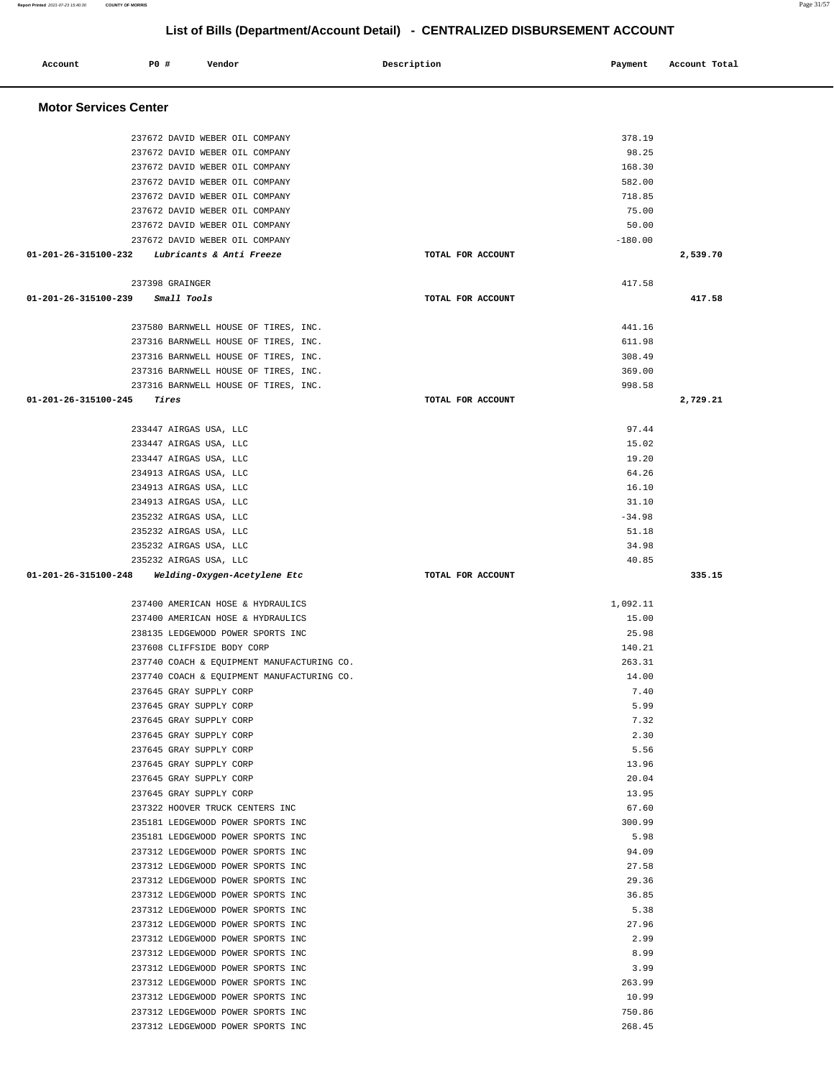| Account                        | <b>PO #</b><br>Vendor                                                | Description       | Payment         | Account Total |
|--------------------------------|----------------------------------------------------------------------|-------------------|-----------------|---------------|
| <b>Motor Services Center</b>   |                                                                      |                   |                 |               |
|                                | 237672 DAVID WEBER OIL COMPANY                                       |                   | 378.19          |               |
|                                | 237672 DAVID WEBER OIL COMPANY                                       |                   | 98.25           |               |
|                                | 237672 DAVID WEBER OIL COMPANY                                       |                   | 168.30          |               |
|                                | 237672 DAVID WEBER OIL COMPANY                                       |                   | 582.00          |               |
|                                | 237672 DAVID WEBER OIL COMPANY                                       |                   | 718.85          |               |
|                                | 237672 DAVID WEBER OIL COMPANY                                       |                   | 75.00           |               |
|                                | 237672 DAVID WEBER OIL COMPANY                                       |                   | 50.00           |               |
|                                | 237672 DAVID WEBER OIL COMPANY                                       |                   | $-180.00$       |               |
| 01-201-26-315100-232           | Lubricants & Anti Freeze                                             | TOTAL FOR ACCOUNT |                 | 2,539.70      |
| 01-201-26-315100-239           | 237398 GRAINGER<br>Small Tools                                       | TOTAL FOR ACCOUNT | 417.58          | 417.58        |
|                                |                                                                      |                   |                 |               |
|                                | 237580 BARNWELL HOUSE OF TIRES, INC.                                 |                   | 441.16          |               |
|                                | 237316 BARNWELL HOUSE OF TIRES, INC.                                 |                   | 611.98          |               |
|                                | 237316 BARNWELL HOUSE OF TIRES, INC.                                 |                   | 308.49          |               |
|                                | 237316 BARNWELL HOUSE OF TIRES, INC.                                 |                   | 369.00          |               |
|                                | 237316 BARNWELL HOUSE OF TIRES, INC.                                 |                   | 998.58          |               |
| $01 - 201 - 26 - 315100 - 245$ | Tires                                                                | TOTAL FOR ACCOUNT |                 | 2,729.21      |
|                                | 233447 AIRGAS USA, LLC                                               |                   | 97.44           |               |
|                                | 233447 AIRGAS USA, LLC                                               |                   | 15.02           |               |
|                                | 233447 AIRGAS USA, LLC                                               |                   | 19.20           |               |
|                                | 234913 AIRGAS USA, LLC                                               |                   | 64.26           |               |
|                                | 234913 AIRGAS USA, LLC                                               |                   | 16.10           |               |
|                                | 234913 AIRGAS USA, LLC                                               |                   | 31.10           |               |
|                                | 235232 AIRGAS USA, LLC                                               |                   | $-34.98$        |               |
|                                | 235232 AIRGAS USA, LLC                                               |                   | 51.18           |               |
|                                | 235232 AIRGAS USA, LLC                                               |                   | 34.98           |               |
|                                | 235232 AIRGAS USA, LLC                                               |                   | 40.85           |               |
| 01-201-26-315100-248           | Welding-Oxygen-Acetylene Etc                                         | TOTAL FOR ACCOUNT |                 | 335.15        |
|                                | 237400 AMERICAN HOSE & HYDRAULICS                                    |                   | 1,092.11        |               |
|                                | 237400 AMERICAN HOSE & HYDRAULICS                                    |                   | 15.00           |               |
|                                | 238135 LEDGEWOOD POWER SPORTS INC                                    |                   | 25.98           |               |
|                                | 237608 CLIFFSIDE BODY CORP                                           |                   | 140.21          |               |
|                                | 237740 COACH & EQUIPMENT MANUFACTURING CO.                           |                   | 263.31          |               |
|                                | 237740 COACH & EQUIPMENT MANUFACTURING CO.                           |                   | 14.00           |               |
|                                | 237645 GRAY SUPPLY CORP                                              |                   | 7.40            |               |
|                                | 237645 GRAY SUPPLY CORP                                              |                   | 5.99            |               |
|                                | 237645 GRAY SUPPLY CORP                                              |                   | 7.32            |               |
|                                | 237645 GRAY SUPPLY CORP                                              |                   | 2.30            |               |
|                                | 237645 GRAY SUPPLY CORP                                              |                   | 5.56            |               |
|                                | 237645 GRAY SUPPLY CORP                                              |                   | 13.96           |               |
|                                | 237645 GRAY SUPPLY CORP                                              |                   | 20.04           |               |
|                                | 237645 GRAY SUPPLY CORP                                              |                   | 13.95           |               |
|                                | 237322 HOOVER TRUCK CENTERS INC<br>235181 LEDGEWOOD POWER SPORTS INC |                   | 67.60<br>300.99 |               |
|                                | 235181 LEDGEWOOD POWER SPORTS INC                                    |                   | 5.98            |               |
|                                | 237312 LEDGEWOOD POWER SPORTS INC                                    |                   | 94.09           |               |
|                                | 237312 LEDGEWOOD POWER SPORTS INC                                    |                   | 27.58           |               |
|                                | 237312 LEDGEWOOD POWER SPORTS INC                                    |                   | 29.36           |               |
|                                | 237312 LEDGEWOOD POWER SPORTS INC                                    |                   | 36.85           |               |
|                                | 237312 LEDGEWOOD POWER SPORTS INC                                    |                   | 5.38            |               |
|                                | 237312 LEDGEWOOD POWER SPORTS INC                                    |                   | 27.96           |               |
|                                | 237312 LEDGEWOOD POWER SPORTS INC                                    |                   | 2.99            |               |
|                                | 237312 LEDGEWOOD POWER SPORTS INC                                    |                   | 8.99            |               |
|                                | 237312 LEDGEWOOD POWER SPORTS INC                                    |                   | 3.99            |               |
|                                | 237312 LEDGEWOOD POWER SPORTS INC                                    |                   | 263.99          |               |
|                                | 237312 LEDGEWOOD POWER SPORTS INC                                    |                   | 10.99           |               |
|                                | 237312 LEDGEWOOD POWER SPORTS INC                                    |                   | 750.86          |               |
|                                | 237312 LEDGEWOOD POWER SPORTS INC                                    |                   | 268.45          |               |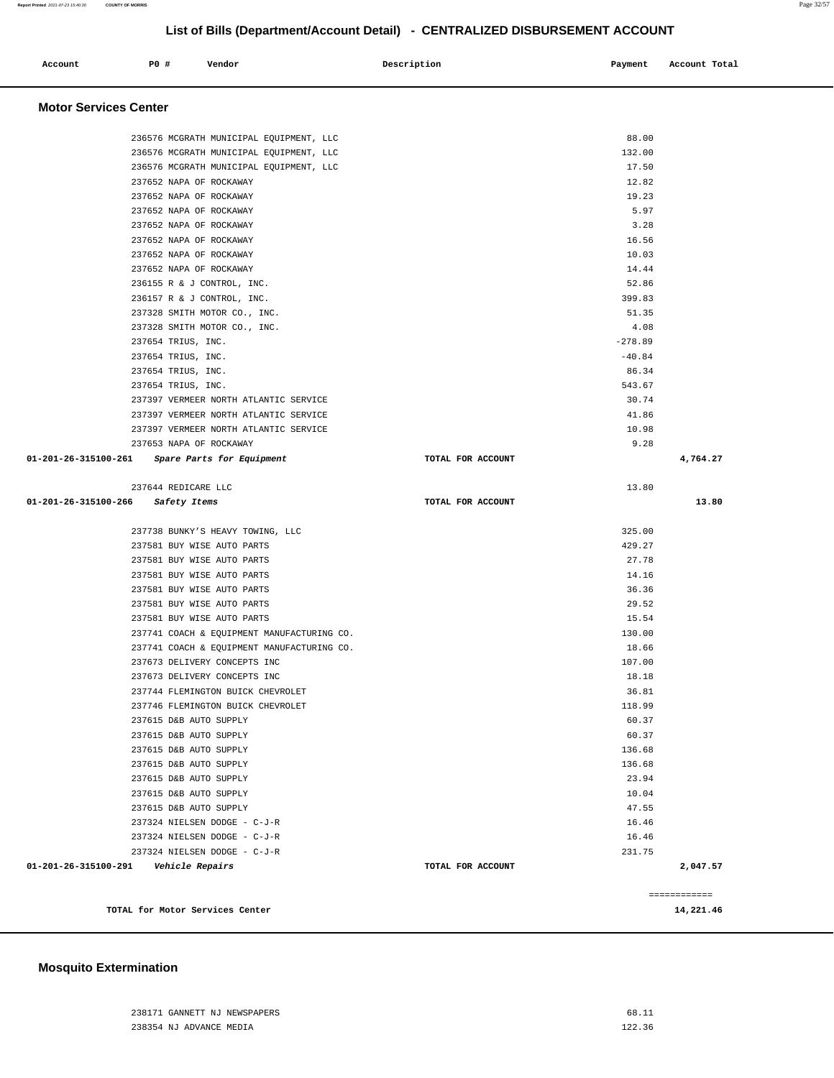#### 238171 GANNETT NJ NEWSPAPERS 68.11 238354 NJ ADVANCE MEDIA 122.36

### **Mosquito Extermination**

| <b>Motor Services Center</b>                   |                   |           |              |
|------------------------------------------------|-------------------|-----------|--------------|
| 236576 MCGRATH MUNICIPAL EQUIPMENT, LLC        |                   | 88.00     |              |
| 236576 MCGRATH MUNICIPAL EQUIPMENT, LLC        |                   | 132.00    |              |
| 236576 MCGRATH MUNICIPAL EQUIPMENT, LLC        |                   | 17.50     |              |
| 237652 NAPA OF ROCKAWAY                        |                   | 12.82     |              |
| 237652 NAPA OF ROCKAWAY                        |                   | 19.23     |              |
| 237652 NAPA OF ROCKAWAY                        |                   | 5.97      |              |
| 237652 NAPA OF ROCKAWAY                        |                   | 3.28      |              |
| 237652 NAPA OF ROCKAWAY                        |                   | 16.56     |              |
| 237652 NAPA OF ROCKAWAY                        |                   | 10.03     |              |
| 237652 NAPA OF ROCKAWAY                        |                   | 14.44     |              |
| 236155 R & J CONTROL, INC.                     |                   | 52.86     |              |
| 236157 R & J CONTROL, INC.                     |                   | 399.83    |              |
| 237328 SMITH MOTOR CO., INC.                   |                   | 51.35     |              |
| 237328 SMITH MOTOR CO., INC.                   |                   | 4.08      |              |
| 237654 TRIUS, INC.                             |                   | $-278.89$ |              |
| 237654 TRIUS, INC.                             |                   | $-40.84$  |              |
| 237654 TRIUS, INC.                             |                   | 86.34     |              |
| 237654 TRIUS, INC.                             |                   | 543.67    |              |
| 237397 VERMEER NORTH ATLANTIC SERVICE          |                   | 30.74     |              |
| 237397 VERMEER NORTH ATLANTIC SERVICE          |                   | 41.86     |              |
| 237397 VERMEER NORTH ATLANTIC SERVICE          |                   | 10.98     |              |
| 237653 NAPA OF ROCKAWAY                        |                   | 9.28      |              |
| 01-201-26-315100-261 Spare Parts for Equipment | TOTAL FOR ACCOUNT |           | 4,764.27     |
| 237644 REDICARE LLC                            |                   | 13.80     |              |
| 01-201-26-315100-266 Safety Items              | TOTAL FOR ACCOUNT |           | 13.80        |
| 237738 BUNKY'S HEAVY TOWING, LLC               |                   | 325.00    |              |
| 237581 BUY WISE AUTO PARTS                     |                   | 429.27    |              |
| 237581 BUY WISE AUTO PARTS                     |                   | 27.78     |              |
| 237581 BUY WISE AUTO PARTS                     |                   | 14.16     |              |
| 237581 BUY WISE AUTO PARTS                     |                   | 36.36     |              |
| 237581 BUY WISE AUTO PARTS                     |                   | 29.52     |              |
| 237581 BUY WISE AUTO PARTS                     |                   | 15.54     |              |
| 237741 COACH & EQUIPMENT MANUFACTURING CO.     |                   | 130.00    |              |
| 237741 COACH & EQUIPMENT MANUFACTURING CO.     |                   | 18.66     |              |
| 237673 DELIVERY CONCEPTS INC                   |                   | 107.00    |              |
| 237673 DELIVERY CONCEPTS INC                   |                   | 18.18     |              |
| 237744 FLEMINGTON BUICK CHEVROLET              |                   | 36.81     |              |
| 237746 FLEMINGTON BUICK CHEVROLET              |                   | 118.99    |              |
| 237615 D&B AUTO SUPPLY                         |                   | 60.37     |              |
| 237615 D&B AUTO SUPPLY                         |                   | 60.37     |              |
| 237615 D&B AUTO SUPPLY                         |                   | 136.68    |              |
| 237615 D&B AUTO SUPPLY                         |                   | 136.68    |              |
| 237615 D&B AUTO SUPPLY                         |                   | 23.94     |              |
| 237615 D&B AUTO SUPPLY                         |                   | 10.04     |              |
| 237615 D&B AUTO SUPPLY                         |                   | 47.55     |              |
| 237324 NIELSEN DODGE - C-J-R                   |                   | 16.46     |              |
| 237324 NIELSEN DODGE - C-J-R                   |                   | 16.46     |              |
| 237324 NIELSEN DODGE - C-J-R                   |                   | 231.75    |              |
| 01-201-26-315100-291    Vehicle Repairs        | TOTAL FOR ACCOUNT |           | 2,047.57     |
|                                                |                   |           | ============ |
| TOTAL for Motor Services Center                |                   |           | 14,221.46    |

# **List of Bills (Department/Account Detail) - CENTRALIZED DISBURSEMENT ACCOUNT**

 **Account** 20 **P P**  $\uparrow$  **Payment** Payment Account Total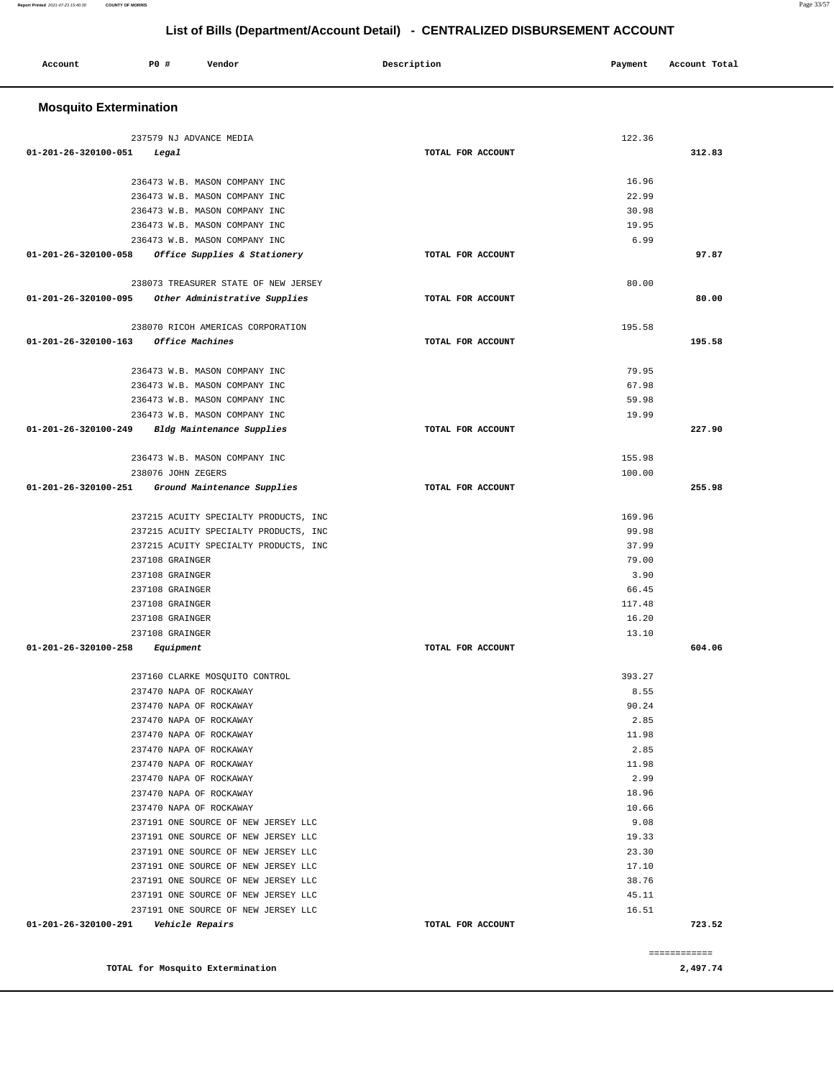#### **TOTAL for Mosquito Extermination 2,497.74**

============

| 236473 W.B. MASON COMPANY INC                                   |                   | 16.96  |        |
|-----------------------------------------------------------------|-------------------|--------|--------|
| 236473 W.B. MASON COMPANY INC                                   |                   | 22.99  |        |
| 236473 W.B. MASON COMPANY INC                                   |                   | 30.98  |        |
| 236473 W.B. MASON COMPANY INC                                   |                   | 19.95  |        |
| 236473 W.B. MASON COMPANY INC                                   |                   | 6.99   |        |
| 01-201-26-320100-058<br><i>Office Supplies &amp; Stationery</i> | TOTAL FOR ACCOUNT |        | 97.87  |
|                                                                 |                   |        |        |
| 238073 TREASURER STATE OF NEW JERSEY                            |                   | 80.00  |        |
| 01-201-26-320100-095<br>Other Administrative Supplies           | TOTAL FOR ACCOUNT |        | 80.00  |
|                                                                 |                   |        |        |
| 238070 RICOH AMERICAS CORPORATION                               |                   | 195.58 |        |
| 01-201-26-320100-163 Office Machines                            | TOTAL FOR ACCOUNT |        | 195.58 |
|                                                                 |                   |        |        |
| 236473 W.B. MASON COMPANY INC                                   |                   | 79.95  |        |
| 236473 W.B. MASON COMPANY INC                                   |                   | 67.98  |        |
| 236473 W.B. MASON COMPANY INC                                   |                   | 59.98  |        |
| 236473 W.B. MASON COMPANY INC                                   |                   | 19.99  |        |
| 01-201-26-320100-249<br>Bldg Maintenance Supplies               | TOTAL FOR ACCOUNT |        | 227.90 |
|                                                                 |                   |        |        |
| 236473 W.B. MASON COMPANY INC                                   |                   | 155.98 |        |
| 238076 JOHN ZEGERS                                              |                   | 100.00 |        |
| $01 - 201 - 26 - 320100 - 251$<br>Ground Maintenance Supplies   | TOTAL FOR ACCOUNT |        | 255.98 |
|                                                                 |                   |        |        |
| 237215 ACUITY SPECIALTY PRODUCTS, INC                           |                   | 169.96 |        |
| 237215 ACUITY SPECIALTY PRODUCTS, INC                           |                   | 99.98  |        |
| 237215 ACUITY SPECIALTY PRODUCTS, INC                           |                   | 37.99  |        |
| 237108 GRAINGER                                                 |                   | 79.00  |        |
| 237108 GRAINGER                                                 |                   | 3.90   |        |
| 237108 GRAINGER                                                 |                   | 66.45  |        |
| 237108 GRAINGER                                                 |                   | 117.48 |        |
| 237108 GRAINGER                                                 |                   | 16.20  |        |
| 237108 GRAINGER                                                 |                   | 13.10  |        |
| 01-201-26-320100-258<br>Equipment                               | TOTAL FOR ACCOUNT |        | 604.06 |
| 237160 CLARKE MOSQUITO CONTROL                                  |                   | 393.27 |        |
| 237470 NAPA OF ROCKAWAY                                         |                   | 8.55   |        |
| 237470 NAPA OF ROCKAWAY                                         |                   | 90.24  |        |
| 237470 NAPA OF ROCKAWAY                                         |                   | 2.85   |        |
| 237470 NAPA OF ROCKAWAY                                         |                   | 11.98  |        |
| 237470 NAPA OF ROCKAWAY                                         |                   | 2.85   |        |
| 237470 NAPA OF ROCKAWAY                                         |                   | 11.98  |        |
| 237470 NAPA OF ROCKAWAY                                         |                   | 2.99   |        |
| 237470 NAPA OF ROCKAWAY                                         |                   | 18.96  |        |
| 237470 NAPA OF ROCKAWAY                                         |                   | 10.66  |        |
| 237191 ONE SOURCE OF NEW JERSEY LLC                             |                   | 9.08   |        |
| 237191 ONE SOURCE OF NEW JERSEY LLC                             |                   | 19.33  |        |
| 237191 ONE SOURCE OF NEW JERSEY LLC                             |                   | 23.30  |        |
| 237191 ONE SOURCE OF NEW JERSEY LLC                             |                   | 17.10  |        |
| 237191 ONE SOURCE OF NEW JERSEY LLC                             |                   | 38.76  |        |
| 237191 ONE SOURCE OF NEW JERSEY LLC                             |                   | 45.11  |        |
| 237191 ONE SOURCE OF NEW JERSEY LLC                             |                   | 16.51  |        |
| 01-201-26-320100-291<br><i><b>Vehicle Repairs</b></i>           | TOTAL FOR ACCOUNT |        | 723.52 |

 **Account** 20 **P P**  $\uparrow$  **Payment** Payment Account Total

 **Mosquito Extermination** 

237579 NJ ADVANCE MEDIA

**01-201-26-320100-051 Legal TOTAL FOR ACCOUNT** 

122.36

**312.83**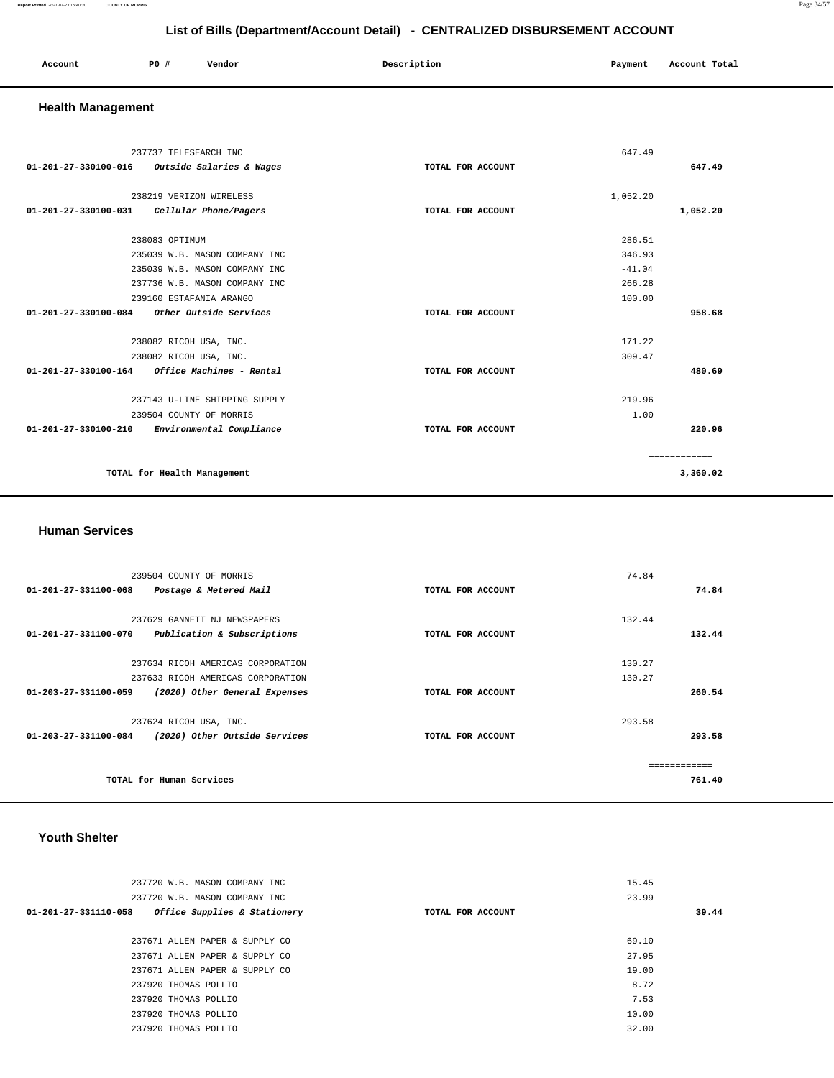#### **Report Printed** 2021-07-23 15:40:30 **COUNTY OF MORRIS** Page 34/57

## **List of Bills (Department/Account Detail) - CENTRALIZED DISBURSEMENT ACCOUNT**

| Account<br>. | P <sub>0</sub> | Vendor | Description | Payment | Account Total |
|--------------|----------------|--------|-------------|---------|---------------|
|              |                |        |             |         |               |

### **Health Management**

| 237737 TELESEARCH INC                                      |                   | 647.49   |              |
|------------------------------------------------------------|-------------------|----------|--------------|
| 01-201-27-330100-016<br>Outside Salaries & Wages           | TOTAL FOR ACCOUNT |          | 647.49       |
| 238219 VERIZON WIRELESS                                    |                   | 1,052.20 |              |
| Cellular Phone/Pagers<br>01-201-27-330100-031              | TOTAL FOR ACCOUNT |          | 1,052.20     |
|                                                            |                   |          |              |
| 238083 OPTIMUM                                             |                   | 286.51   |              |
| 235039 W.B. MASON COMPANY INC                              |                   | 346.93   |              |
| 235039 W.B. MASON COMPANY INC                              |                   | $-41.04$ |              |
| 237736 W.B. MASON COMPANY INC                              |                   | 266.28   |              |
| 239160 ESTAFANIA ARANGO                                    |                   | 100.00   |              |
| 01-201-27-330100-084<br>Other Outside Services             | TOTAL FOR ACCOUNT |          | 958.68       |
|                                                            |                   |          |              |
| 238082 RICOH USA, INC.                                     |                   | 171.22   |              |
| 238082 RICOH USA, INC.                                     |                   | 309.47   |              |
| Office Machines - Rental<br>01-201-27-330100-164           | TOTAL FOR ACCOUNT |          | 480.69       |
| 237143 U-LINE SHIPPING SUPPLY                              |                   | 219.96   |              |
| 239504 COUNTY OF MORRIS                                    |                   | 1.00     |              |
| $01 - 201 - 27 - 330100 - 210$<br>Environmental Compliance | TOTAL FOR ACCOUNT |          | 220.96       |
|                                                            |                   |          |              |
|                                                            |                   |          | ============ |
| TOTAL for Health Management                                |                   |          | 3,360.02     |
|                                                            |                   |          |              |

#### **Human Services**

| 239504 COUNTY OF MORRIS                                         |                   | 74.84         |
|-----------------------------------------------------------------|-------------------|---------------|
| $01 - 201 - 27 - 331100 - 068$<br>Postage & Metered Mail        | TOTAL FOR ACCOUNT | 74.84         |
|                                                                 |                   |               |
| 237629 GANNETT NJ NEWSPAPERS                                    |                   | 132.44        |
| 01-201-27-331100-070<br>Publication & Subscriptions             | TOTAL FOR ACCOUNT | 132.44        |
|                                                                 |                   |               |
| 237634 RICOH AMERICAS CORPORATION                               |                   | 130.27        |
| 237633 RICOH AMERICAS CORPORATION                               |                   | 130.27        |
| $01 - 203 - 27 - 331100 - 059$<br>(2020) Other General Expenses | TOTAL FOR ACCOUNT | 260.54        |
| 237624 RICOH USA, INC.                                          |                   | 293.58        |
| 01-203-27-331100-084<br>(2020) Other Outside Services           | TOTAL FOR ACCOUNT | 293.58        |
|                                                                 |                   | ------------- |
| TOTAL for Human Services                                        |                   | 761.40        |

## **Youth Shelter**

| 15.45 |       |
|-------|-------|
| 23.99 |       |
|       | 39.44 |
|       |       |
| 69.10 |       |
| 27.95 |       |
| 19.00 |       |
| 8.72  |       |
| 7.53  |       |
| 10.00 |       |
| 32.00 |       |
|       |       |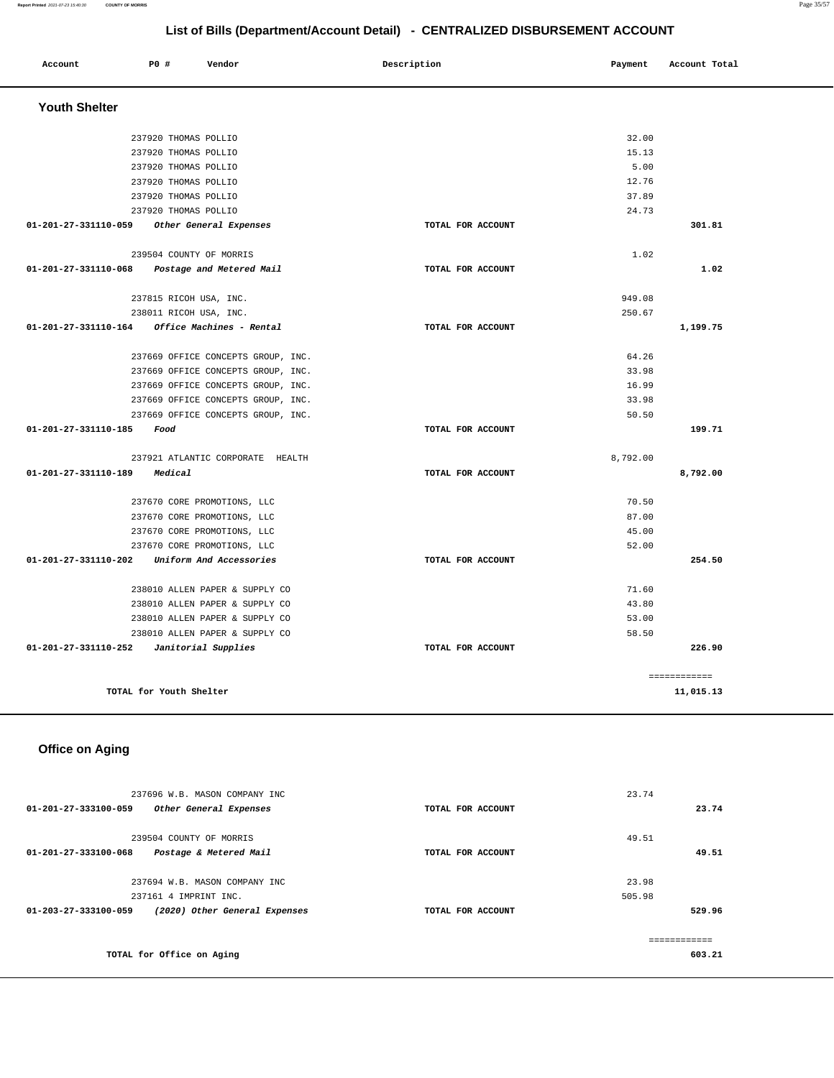#### **Report Printed** 2021-07-23 15:40:30 **COUNTY OF MORRIS** Page 35/57

**List of Bills (Department/Account Detail) - CENTRALIZED DISBURSEMENT ACCOUNT**

| Account                        | P0 #                    | Vendor                             | Description       | Payment  | Account Total             |
|--------------------------------|-------------------------|------------------------------------|-------------------|----------|---------------------------|
| <b>Youth Shelter</b>           |                         |                                    |                   |          |                           |
|                                | 237920 THOMAS POLLIO    |                                    |                   | 32.00    |                           |
|                                | 237920 THOMAS POLLIO    |                                    |                   | 15.13    |                           |
|                                | 237920 THOMAS POLLIO    |                                    |                   | 5.00     |                           |
|                                | 237920 THOMAS POLLIO    |                                    |                   | 12.76    |                           |
|                                | 237920 THOMAS POLLIO    |                                    |                   | 37.89    |                           |
|                                | 237920 THOMAS POLLIO    |                                    |                   | 24.73    |                           |
| 01-201-27-331110-059           |                         | Other General Expenses             | TOTAL FOR ACCOUNT |          | 301.81                    |
|                                |                         |                                    |                   |          |                           |
|                                | 239504 COUNTY OF MORRIS |                                    |                   | 1.02     |                           |
| $01 - 201 - 27 - 331110 - 068$ |                         | Postage and Metered Mail           | TOTAL FOR ACCOUNT |          | 1.02                      |
|                                | 237815 RICOH USA, INC.  |                                    |                   | 949.08   |                           |
|                                | 238011 RICOH USA, INC.  |                                    |                   | 250.67   |                           |
| 01-201-27-331110-164           |                         | Office Machines - Rental           | TOTAL FOR ACCOUNT |          | 1,199.75                  |
|                                |                         | 237669 OFFICE CONCEPTS GROUP, INC. |                   | 64.26    |                           |
|                                |                         | 237669 OFFICE CONCEPTS GROUP, INC. |                   | 33.98    |                           |
|                                |                         | 237669 OFFICE CONCEPTS GROUP, INC. |                   | 16.99    |                           |
|                                |                         | 237669 OFFICE CONCEPTS GROUP, INC. |                   | 33.98    |                           |
|                                |                         | 237669 OFFICE CONCEPTS GROUP, INC. |                   | 50.50    |                           |
| 01-201-27-331110-185           | Food                    |                                    | TOTAL FOR ACCOUNT |          | 199.71                    |
|                                |                         | 237921 ATLANTIC CORPORATE HEALTH   |                   | 8,792.00 |                           |
| $01 - 201 - 27 - 331110 - 189$ | Medical                 |                                    | TOTAL FOR ACCOUNT |          | 8,792.00                  |
|                                |                         | 237670 CORE PROMOTIONS, LLC        |                   | 70.50    |                           |
|                                |                         | 237670 CORE PROMOTIONS, LLC        |                   | 87.00    |                           |
|                                |                         | 237670 CORE PROMOTIONS, LLC        |                   | 45.00    |                           |
|                                |                         | 237670 CORE PROMOTIONS, LLC        |                   | 52.00    |                           |
| 01-201-27-331110-202           |                         | Uniform And Accessories            | TOTAL FOR ACCOUNT |          | 254.50                    |
|                                |                         | 238010 ALLEN PAPER & SUPPLY CO     |                   | 71.60    |                           |
|                                |                         | 238010 ALLEN PAPER & SUPPLY CO     |                   | 43.80    |                           |
|                                |                         | 238010 ALLEN PAPER & SUPPLY CO     |                   | 53.00    |                           |
|                                |                         | 238010 ALLEN PAPER & SUPPLY CO     |                   | 58.50    |                           |
| 01-201-27-331110-252           | Janitorial Supplies     |                                    | TOTAL FOR ACCOUNT |          | 226.90                    |
|                                |                         |                                    |                   |          |                           |
|                                | TOTAL for Youth Shelter |                                    |                   |          | ============<br>11,015.13 |
|                                |                         |                                    |                   |          |                           |
|                                |                         |                                    |                   |          |                           |

## **Office on Aging**

| 237696 W.B. MASON COMPANY INC                         |                   | 23.74         |
|-------------------------------------------------------|-------------------|---------------|
| 01-201-27-333100-059<br>Other General Expenses        | TOTAL FOR ACCOUNT | 23.74         |
| 239504 COUNTY OF MORRIS                               |                   | 49.51         |
| 01-201-27-333100-068<br>Postage & Metered Mail        | TOTAL FOR ACCOUNT | 49.51         |
| 237694 W.B. MASON COMPANY INC                         |                   | 23.98         |
| 237161 4 IMPRINT INC.                                 |                   | 505.98        |
| 01-203-27-333100-059<br>(2020) Other General Expenses | TOTAL FOR ACCOUNT | 529.96        |
|                                                       |                   | ------------- |
| TOTAL for Office on Aging                             |                   | 603.21        |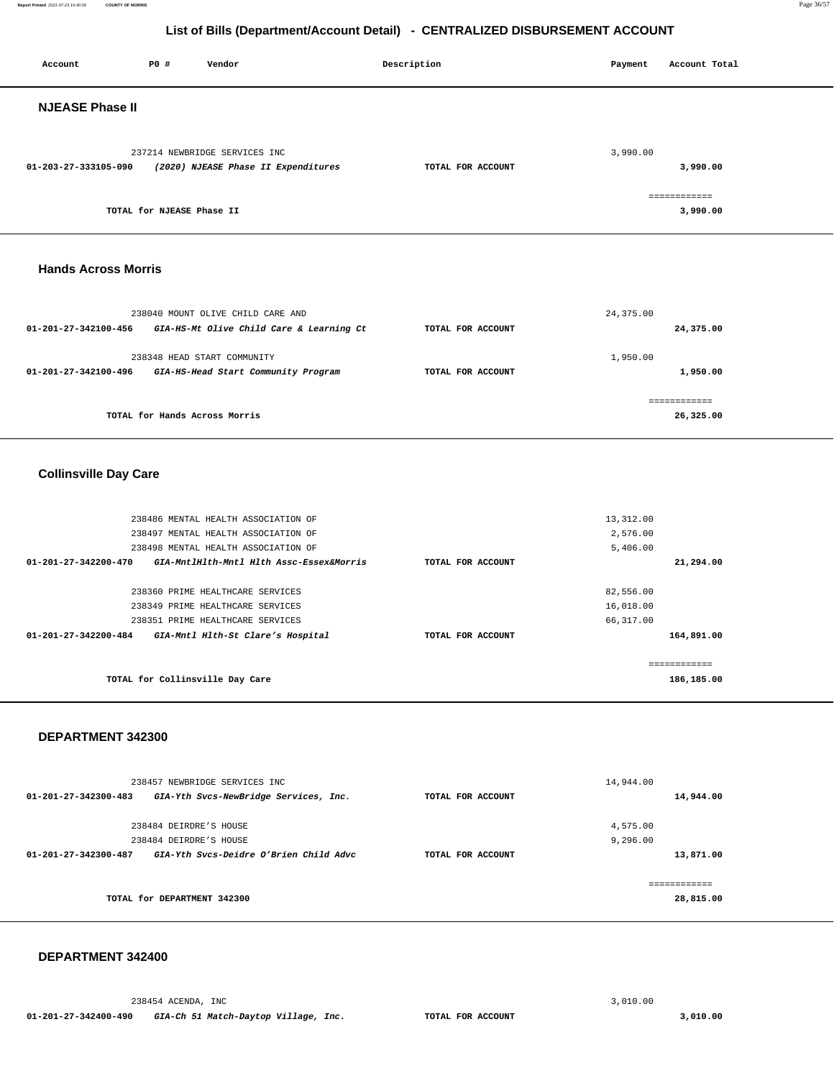#### **Report Printed** 2021-07-23 15:40:30 **COUNTY OF MORRIS** Page 36/57

# **List of Bills (Department/Account Detail) - CENTRALIZED DISBURSEMENT ACCOUNT**

| Account                      | P0 #                                             | Vendor                                                                                                                                        | Description       | Payment                              | Account Total              |  |
|------------------------------|--------------------------------------------------|-----------------------------------------------------------------------------------------------------------------------------------------------|-------------------|--------------------------------------|----------------------------|--|
| <b>NJEASE Phase II</b>       |                                                  |                                                                                                                                               |                   |                                      |                            |  |
| 01-203-27-333105-090         |                                                  | 237214 NEWBRIDGE SERVICES INC<br>(2020) NJEASE Phase II Expenditures                                                                          | TOTAL FOR ACCOUNT | 3,990.00                             | 3,990.00                   |  |
|                              | TOTAL for NJEASE Phase II                        |                                                                                                                                               |                   |                                      | ============<br>3,990.00   |  |
| <b>Hands Across Morris</b>   |                                                  |                                                                                                                                               |                   |                                      |                            |  |
| 01-201-27-342100-456         |                                                  | 238040 MOUNT OLIVE CHILD CARE AND<br>GIA-HS-Mt Olive Child Care & Learning Ct                                                                 | TOTAL FOR ACCOUNT | 24, 375.00                           | 24,375.00                  |  |
| 01-201-27-342100-496         |                                                  | 238348 HEAD START COMMUNITY<br>GIA-HS-Head Start Community Program                                                                            | TOTAL FOR ACCOUNT | 1,950.00                             | 1,950.00                   |  |
|                              | TOTAL for Hands Across Morris                    |                                                                                                                                               |                   |                                      | ============<br>26,325.00  |  |
| <b>Collinsville Day Care</b> |                                                  |                                                                                                                                               |                   |                                      |                            |  |
|                              |                                                  | 238486 MENTAL HEALTH ASSOCIATION OF<br>238497 MENTAL HEALTH ASSOCIATION OF<br>238498 MENTAL HEALTH ASSOCIATION OF                             |                   | 13, 312.00<br>2,576.00<br>5,406.00   |                            |  |
| 01-201-27-342200-470         |                                                  | GIA-MntlHlth-Mntl Hlth Assc-Essex&Morris                                                                                                      | TOTAL FOR ACCOUNT |                                      | 21,294.00                  |  |
| 01-201-27-342200-484         |                                                  | 238360 PRIME HEALTHCARE SERVICES<br>238349 PRIME HEALTHCARE SERVICES<br>238351 PRIME HEALTHCARE SERVICES<br>GIA-Mntl Hlth-St Clare's Hospital | TOTAL FOR ACCOUNT | 82,556.00<br>16,018.00<br>66, 317.00 | 164,891.00                 |  |
|                              |                                                  | TOTAL for Collinsville Day Care                                                                                                               |                   |                                      | ============<br>186,185.00 |  |
| DEPARTMENT 342300            |                                                  |                                                                                                                                               |                   |                                      |                            |  |
| 01-201-27-342300-483         |                                                  | 238457 NEWBRIDGE SERVICES INC<br>GIA-Yth Svcs-NewBridge Services, Inc.                                                                        | TOTAL FOR ACCOUNT | 14,944.00                            | 14,944.00                  |  |
|                              | 238484 DEIRDRE'S HOUSE<br>238484 DEIRDRE'S HOUSE | 01-201-27-342300-487 GIA-Yth Svcs-Deidre O'Brien Child Advc                                                                                   | TOTAL FOR ACCOUNT | 4,575.00<br>9,296.00                 | 13,871.00                  |  |
|                              | TOTAL for DEPARTMENT 342300                      |                                                                                                                                               |                   |                                      | ============<br>28,815.00  |  |

#### **DEPARTMENT 342400**

238454 ACENDA, INC [3,010.00](https://3,010.00)  **01-201-27-342400-490 GIA-Ch 51 Match-Daytop Village, Inc. TOTAL FOR ACCOUNT [3,010.00](https://3,010.00)**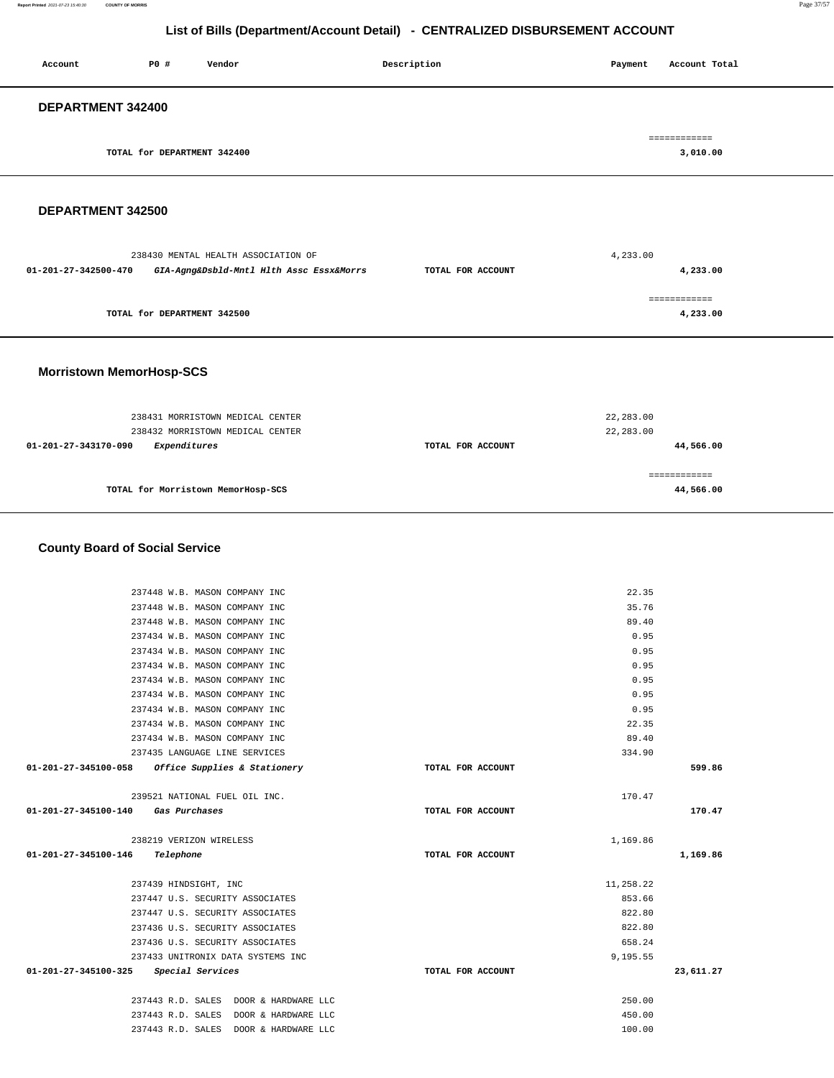**Report Printed** 2021-07-23 15:40:30 **COUNTY OF MORRIS** Page 37/57

## **List of Bills (Department/Account Detail) - CENTRALIZED DISBURSEMENT ACCOUNT**

| Account           | P0 #                        | Vendor | Description | Account Total<br>Payment |
|-------------------|-----------------------------|--------|-------------|--------------------------|
| DEPARTMENT 342400 |                             |        |             |                          |
|                   | TOTAL for DEPARTMENT 342400 |        |             | ============<br>3,010.00 |
|                   |                             |        |             |                          |

#### **DEPARTMENT 342500**

|                             | 238430 MENTAL HEALTH ASSOCIATION OF      |                   | 4,233.00     |  |
|-----------------------------|------------------------------------------|-------------------|--------------|--|
| 01-201-27-342500-470        | GIA-Agng&Dsbld-Mntl Hlth Assc Essx&Morrs | TOTAL FOR ACCOUNT | 4,233.00     |  |
|                             |                                          |                   | ============ |  |
| TOTAL for DEPARTMENT 342500 |                                          |                   | 4,233.00     |  |
|                             |                                          |                   |              |  |

#### **Morristown MemorHosp-SCS**

| 238431 MORRISTOWN MEDICAL CENTER<br>238432 MORRISTOWN MEDICAL CENTER | 22,283.00<br>22,283.00 |           |
|----------------------------------------------------------------------|------------------------|-----------|
| Expenditures<br>01-201-27-343170-090                                 | TOTAL FOR ACCOUNT      | 44,566.00 |
| TOTAL for Morristown MemorHosp-SCS                                   |                        | 44,566.00 |

### **County Board of Social Service**

|                      | 237448 W.B. MASON COMPANY INC                     | 22.35             |           |
|----------------------|---------------------------------------------------|-------------------|-----------|
|                      | 237448 W.B. MASON COMPANY INC                     | 35.76             |           |
|                      | 237448 W.B. MASON COMPANY INC                     | 89.40             |           |
|                      | 237434 W.B. MASON COMPANY INC                     | 0.95              |           |
|                      | 237434 W.B. MASON COMPANY INC                     | 0.95              |           |
|                      | 237434 W.B. MASON COMPANY INC                     | 0.95              |           |
|                      | 237434 W.B. MASON COMPANY INC                     | 0.95              |           |
|                      | 237434 W.B. MASON COMPANY INC                     | 0.95              |           |
|                      | 237434 W.B. MASON COMPANY INC                     | 0.95              |           |
|                      | 237434 W.B. MASON COMPANY INC                     | 22.35             |           |
|                      | 237434 W.B. MASON COMPANY INC                     | 89.40             |           |
|                      | 237435 LANGUAGE LINE SERVICES                     | 334.90            |           |
|                      | 01-201-27-345100-058 Office Supplies & Stationery | TOTAL FOR ACCOUNT | 599.86    |
|                      | 239521 NATIONAL FUEL OIL INC.                     | 170.47            |           |
| 01-201-27-345100-140 | Gas Purchases                                     | TOTAL FOR ACCOUNT | 170.47    |
|                      | 238219 VERIZON WIRELESS                           | 1,169.86          |           |
| 01-201-27-345100-146 | Telephone                                         | TOTAL FOR ACCOUNT | 1,169.86  |
|                      | 237439 HINDSIGHT, INC                             | 11,258.22         |           |
|                      | 237447 U.S. SECURITY ASSOCIATES                   | 853.66            |           |
|                      | 237447 U.S. SECURITY ASSOCIATES                   | 822.80            |           |
|                      | 237436 U.S. SECURITY ASSOCIATES                   | 822.80            |           |
|                      | 237436 U.S. SECURITY ASSOCIATES                   | 658.24            |           |
|                      | 237433 UNITRONIX DATA SYSTEMS INC                 | 9,195.55          |           |
| 01-201-27-345100-325 | Special Services                                  | TOTAL FOR ACCOUNT | 23,611.27 |
|                      | 237443 R.D. SALES DOOR & HARDWARE LLC             | 250.00            |           |
|                      | 237443 R.D. SALES DOOR & HARDWARE LLC             | 450.00            |           |
|                      | 237443 R.D. SALES DOOR & HARDWARE LLC             | 100.00            |           |
|                      |                                                   |                   |           |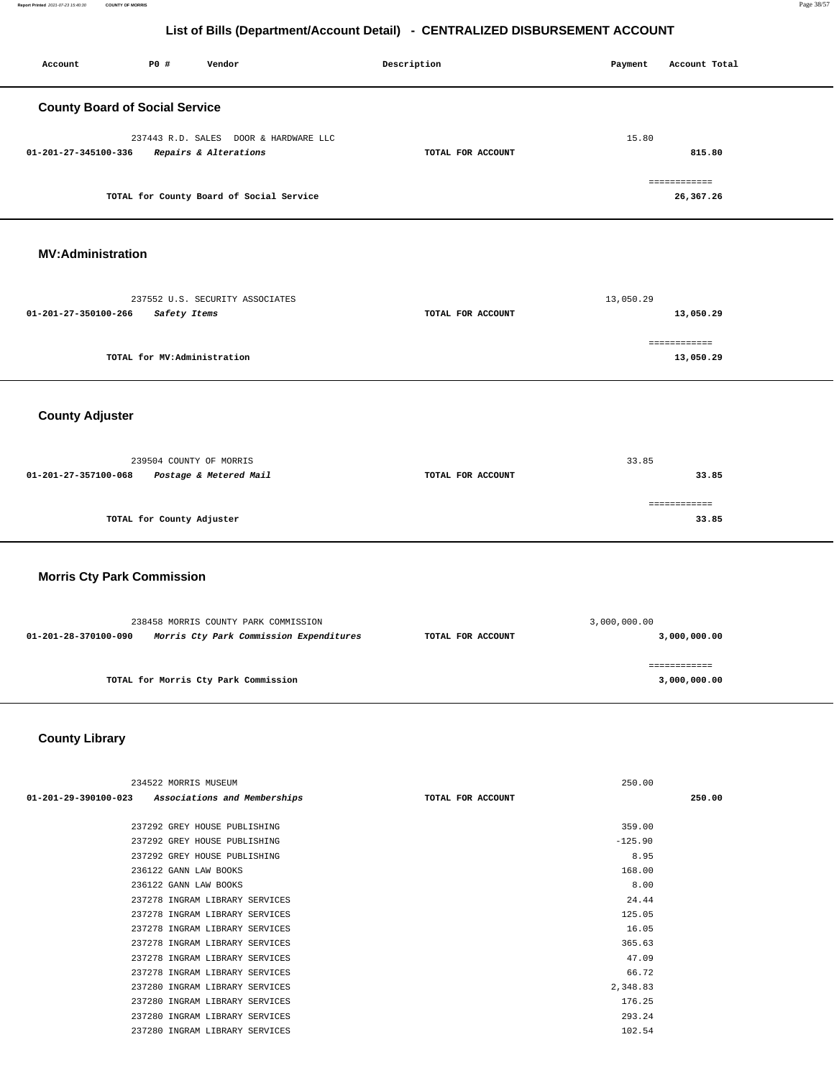**Report Printed** 2021-07-23 15:40:30 **COUNTY OF MORRIS** Page 38/57

## **List of Bills (Department/Account Detail) - CENTRALIZED DISBURSEMENT ACCOUNT**

| Account                               | P0 #                        | Vendor                                                                          | Description |                   | Payment        | Account Total                |
|---------------------------------------|-----------------------------|---------------------------------------------------------------------------------|-------------|-------------------|----------------|------------------------------|
| <b>County Board of Social Service</b> |                             |                                                                                 |             |                   |                |                              |
| 01-201-27-345100-336                  |                             | 237443 R.D. SALES DOOR & HARDWARE LLC<br>Repairs & Alterations                  |             | TOTAL FOR ACCOUNT | 15.80          | 815.80                       |
|                                       |                             | TOTAL for County Board of Social Service                                        |             |                   |                | ============<br>26,367.26    |
| <b>MV:Administration</b>              |                             |                                                                                 |             |                   |                |                              |
| 01-201-27-350100-266                  | Safety Items                | 237552 U.S. SECURITY ASSOCIATES                                                 |             | TOTAL FOR ACCOUNT | 13,050.29      | 13,050.29                    |
|                                       | TOTAL for MV:Administration |                                                                                 |             |                   |                | ============<br>13,050.29    |
| <b>County Adjuster</b>                |                             |                                                                                 |             |                   |                |                              |
| 01-201-27-357100-068                  | 239504 COUNTY OF MORRIS     | Postage & Metered Mail                                                          |             | TOTAL FOR ACCOUNT | 33.85          | 33.85                        |
|                                       | TOTAL for County Adjuster   |                                                                                 |             |                   |                | ============<br>33.85        |
| <b>Morris Cty Park Commission</b>     |                             |                                                                                 |             |                   |                |                              |
| 01-201-28-370100-090                  |                             | 238458 MORRIS COUNTY PARK COMMISSION<br>Morris Cty Park Commission Expenditures |             | TOTAL FOR ACCOUNT | 3,000,000.00   | 3,000,000.00                 |
|                                       |                             | TOTAL for Morris Cty Park Commission                                            |             |                   |                | ============<br>3,000,000.00 |
| <b>County Library</b>                 |                             |                                                                                 |             |                   |                |                              |
|                                       | 234522 MORRIS MUSEUM        |                                                                                 |             |                   | 250.00         |                              |
| $01 - 201 - 29 - 390100 - 023$        |                             | Associations and Memberships                                                    |             | TOTAL FOR ACCOUNT |                | 250.00                       |
|                                       |                             | 237292 GREY HOUSE PUBLISHING                                                    |             |                   | 359.00         |                              |
|                                       |                             | 237292 GREY HOUSE PUBLISHING                                                    |             |                   | $-125.90$      |                              |
|                                       | 236122 GANN LAW BOOKS       | 237292 GREY HOUSE PUBLISHING                                                    |             |                   | 8.95<br>168.00 |                              |
|                                       | 236122 GANN LAW BOOKS       |                                                                                 |             |                   | 8.00           |                              |
|                                       |                             | 237278 INGRAM LIBRARY SERVICES                                                  |             |                   | 24.44          |                              |
|                                       |                             | 237278 INGRAM LIBRARY SERVICES                                                  |             |                   | 125.05         |                              |
|                                       |                             | 237278 INGRAM LIBRARY SERVICES                                                  |             |                   | 16.05          |                              |

237278 INGRAM LIBRARY SERVICES 365.63 237278 INGRAM LIBRARY SERVICES 47.09 237278 INGRAM LIBRARY SERVICES 66.72 237280 INGRAM LIBRARY SERVICES 2,348.83 237280 INGRAM LIBRARY SERVICES 176.25 237280 INGRAM LIBRARY SERVICES 293.24 237280 INGRAM LIBRARY SERVICES 102.54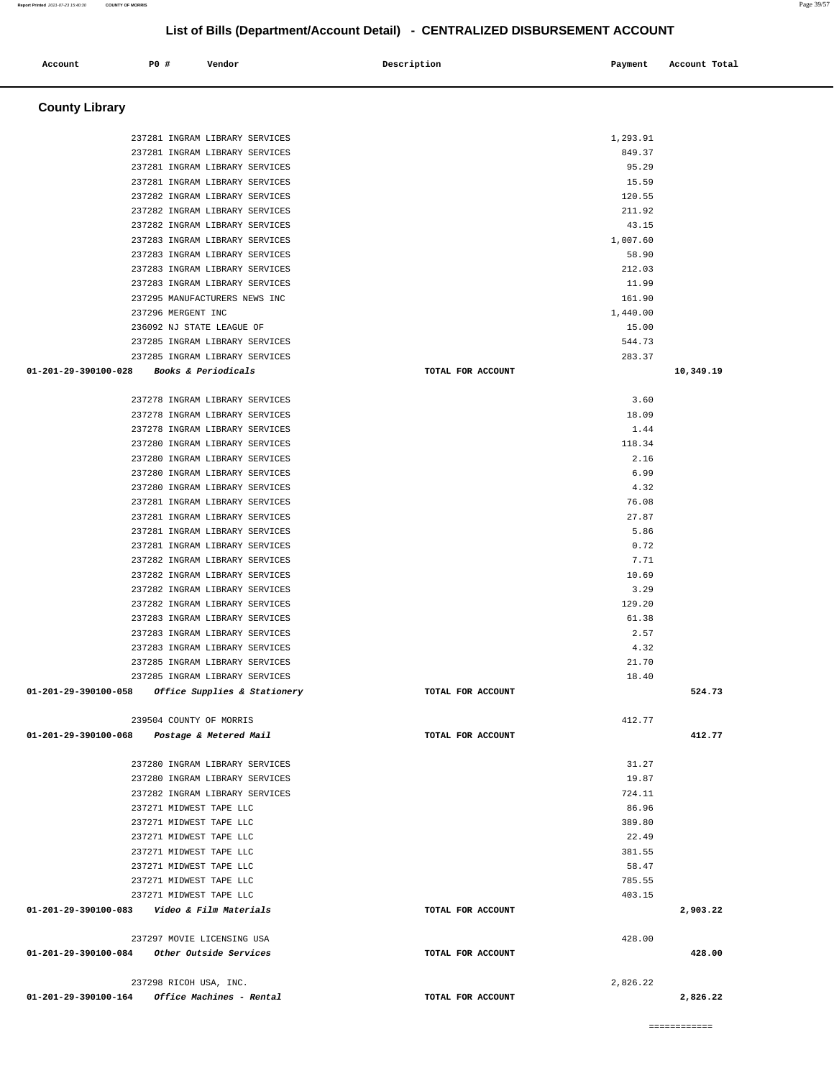| 237285 INGRAM LIBRARY SERVICES                                            |                   | 283.37             |
|---------------------------------------------------------------------------|-------------------|--------------------|
| 01-201-29-390100-028 Books & Periodicals                                  | TOTAL FOR ACCOUNT | 10,349.19          |
|                                                                           |                   |                    |
| 237278 INGRAM LIBRARY SERVICES                                            |                   | 3.60               |
| 237278 INGRAM LIBRARY SERVICES                                            |                   | 18.09              |
| 237278 INGRAM LIBRARY SERVICES                                            |                   | 1.44               |
| 237280 INGRAM LIBRARY SERVICES                                            |                   | 118.34             |
| 237280 INGRAM LIBRARY SERVICES                                            |                   | 2.16               |
| 237280 INGRAM LIBRARY SERVICES                                            |                   | 6.99               |
| 237280 INGRAM LIBRARY SERVICES                                            |                   | 4.32               |
| 237281 INGRAM LIBRARY SERVICES                                            |                   | 76.08              |
| 237281 INGRAM LIBRARY SERVICES                                            |                   | 27.87              |
| 237281 INGRAM LIBRARY SERVICES                                            |                   | 5.86               |
| 237281 INGRAM LIBRARY SERVICES                                            |                   | 0.72               |
| 237282 INGRAM LIBRARY SERVICES                                            |                   | 7.71               |
| 237282 INGRAM LIBRARY SERVICES                                            |                   | 10.69              |
| 237282 INGRAM LIBRARY SERVICES                                            |                   | 3.29               |
| 237282 INGRAM LIBRARY SERVICES                                            |                   | 129.20             |
| 237283 INGRAM LIBRARY SERVICES                                            |                   | 61.38              |
| 237283 INGRAM LIBRARY SERVICES                                            |                   | 2.57               |
| 237283 INGRAM LIBRARY SERVICES                                            |                   | 4.32               |
| 237285 INGRAM LIBRARY SERVICES                                            |                   | 21.70              |
| 237285 INGRAM LIBRARY SERVICES                                            |                   | 18.40              |
|                                                                           |                   |                    |
| 01-201-29-390100-058 Office Supplies & Stationery                         | TOTAL FOR ACCOUNT | 524.73             |
|                                                                           |                   |                    |
| 239504 COUNTY OF MORRIS                                                   |                   | 412.77             |
| 01-201-29-390100-068 Postage & Metered Mail                               | TOTAL FOR ACCOUNT | 412.77             |
| 237280 INGRAM LIBRARY SERVICES                                            |                   | 31.27              |
| 237280 INGRAM LIBRARY SERVICES                                            |                   | 19.87              |
| 237282 INGRAM LIBRARY SERVICES                                            |                   | 724.11             |
| 237271 MIDWEST TAPE LLC                                                   |                   | 86.96              |
| 237271 MIDWEST TAPE LLC                                                   |                   | 389.80             |
| 237271 MIDWEST TAPE LLC                                                   |                   | 22.49              |
| 237271 MIDWEST TAPE LLC                                                   |                   | 381.55             |
| 237271 MIDWEST TAPE LLC                                                   |                   | 58.47              |
| 237271 MIDWEST TAPE LLC                                                   |                   | 785.55             |
|                                                                           |                   |                    |
| 237271 MIDWEST TAPE LLC<br>01-201-29-390100-083    Video & Film Materials | TOTAL FOR ACCOUNT | 403.15<br>2,903.22 |
|                                                                           |                   |                    |
| 237297 MOVIE LICENSING USA                                                |                   | 428.00             |
| 01-201-29-390100-084 Other Outside Services                               | TOTAL FOR ACCOUNT | 428.00             |
|                                                                           |                   |                    |
| 237298 RICOH USA, INC.                                                    |                   | 2.826.22           |
| $01-201-29-390100-164$ Office Machines - Rental                           | TOTAL FOR ACCOUNT | 2,826.22           |

| Account                                           | P0 # |                    | Vendor                                             |                                                                  | Description |                   | Payment         | Account Total |
|---------------------------------------------------|------|--------------------|----------------------------------------------------|------------------------------------------------------------------|-------------|-------------------|-----------------|---------------|
|                                                   |      |                    |                                                    |                                                                  |             |                   |                 |               |
|                                                   |      |                    |                                                    |                                                                  |             |                   |                 |               |
| <b>County Library</b>                             |      |                    |                                                    |                                                                  |             |                   |                 |               |
|                                                   |      |                    |                                                    | 237281 INGRAM LIBRARY SERVICES                                   |             |                   | 1,293.91        |               |
|                                                   |      |                    |                                                    | 237281 INGRAM LIBRARY SERVICES                                   |             |                   | 849.37          |               |
|                                                   |      |                    |                                                    | 237281 INGRAM LIBRARY SERVICES                                   |             |                   | 95.29           |               |
|                                                   |      |                    |                                                    | 237281 INGRAM LIBRARY SERVICES                                   |             |                   | 15.59           |               |
|                                                   |      |                    |                                                    | 237282 INGRAM LIBRARY SERVICES                                   |             |                   | 120.55          |               |
|                                                   |      |                    |                                                    | 237282 INGRAM LIBRARY SERVICES                                   |             |                   | 211.92          |               |
|                                                   |      |                    |                                                    | 237282 INGRAM LIBRARY SERVICES                                   |             |                   | 43.15           |               |
|                                                   |      |                    |                                                    | 237283 INGRAM LIBRARY SERVICES                                   |             |                   | 1,007.60        |               |
|                                                   |      |                    |                                                    | 237283 INGRAM LIBRARY SERVICES                                   |             |                   | 58.90           |               |
|                                                   |      |                    |                                                    | 237283 INGRAM LIBRARY SERVICES                                   |             |                   | 212.03          |               |
|                                                   |      |                    |                                                    | 237283 INGRAM LIBRARY SERVICES                                   |             |                   | 11.99           |               |
|                                                   |      |                    | 237295 MANUFACTURERS NEWS INC                      |                                                                  |             |                   | 161.90          |               |
|                                                   |      | 237296 MERGENT INC |                                                    |                                                                  |             |                   | 1,440.00        |               |
|                                                   |      |                    | 236092 NJ STATE LEAGUE OF                          | 237285 INGRAM LIBRARY SERVICES                                   |             |                   | 15.00<br>544.73 |               |
|                                                   |      |                    |                                                    | 237285 INGRAM LIBRARY SERVICES                                   |             |                   | 283.37          |               |
| $01 - 201 - 29 - 390100 - 028$                    |      |                    | Books & Periodicals                                |                                                                  |             | TOTAL FOR ACCOUNT |                 | 10,349.19     |
|                                                   |      |                    |                                                    |                                                                  |             |                   |                 |               |
|                                                   |      |                    |                                                    | 237278 INGRAM LIBRARY SERVICES                                   |             |                   | 3.60            |               |
|                                                   |      |                    |                                                    | 237278 INGRAM LIBRARY SERVICES                                   |             |                   | 18.09           |               |
|                                                   |      |                    |                                                    | 237278 INGRAM LIBRARY SERVICES                                   |             |                   | 1.44            |               |
|                                                   |      |                    |                                                    | 237280 INGRAM LIBRARY SERVICES                                   |             |                   | 118.34          |               |
|                                                   |      |                    |                                                    | 237280 INGRAM LIBRARY SERVICES                                   |             |                   | 2.16            |               |
|                                                   |      |                    |                                                    | 237280 INGRAM LIBRARY SERVICES                                   |             |                   | 6.99            |               |
|                                                   |      |                    |                                                    | 237280 INGRAM LIBRARY SERVICES                                   |             |                   | 4.32            |               |
|                                                   |      |                    |                                                    | 237281 INGRAM LIBRARY SERVICES                                   |             |                   | 76.08           |               |
|                                                   |      |                    |                                                    | 237281 INGRAM LIBRARY SERVICES                                   |             |                   | 27.87           |               |
|                                                   |      |                    |                                                    | 237281 INGRAM LIBRARY SERVICES                                   |             |                   | 5.86            |               |
|                                                   |      |                    |                                                    | 237281 INGRAM LIBRARY SERVICES                                   |             |                   | 0.72            |               |
|                                                   |      |                    |                                                    | 237282 INGRAM LIBRARY SERVICES                                   |             |                   | 7.71            |               |
|                                                   |      |                    |                                                    | 237282 INGRAM LIBRARY SERVICES                                   |             |                   | 10.69           |               |
|                                                   |      |                    |                                                    | 237282 INGRAM LIBRARY SERVICES<br>237282 INGRAM LIBRARY SERVICES |             |                   | 3.29<br>129.20  |               |
|                                                   |      |                    |                                                    | 237283 INGRAM LIBRARY SERVICES                                   |             |                   | 61.38           |               |
|                                                   |      |                    |                                                    | 237283 INGRAM LIBRARY SERVICES                                   |             |                   | 2.57            |               |
|                                                   |      |                    |                                                    | 237283 INGRAM LIBRARY SERVICES                                   |             |                   | 4.32            |               |
|                                                   |      |                    |                                                    | 237285 INGRAM LIBRARY SERVICES                                   |             |                   | 21.70           |               |
|                                                   |      |                    |                                                    | 237285 INGRAM LIBRARY SERVICES                                   |             |                   | 18.40           |               |
| 01-201-29-390100-058 Office Supplies & Stationery |      |                    |                                                    |                                                                  |             | TOTAL FOR ACCOUNT |                 | 524.73        |
|                                                   |      |                    |                                                    |                                                                  |             |                   |                 |               |
|                                                   |      |                    | 239504 COUNTY OF MORRIS                            |                                                                  |             |                   | 412.77          |               |
| 01-201-29-390100-068                              |      |                    | Postage & Metered Mail                             |                                                                  |             | TOTAL FOR ACCOUNT |                 | 412.77        |
|                                                   |      |                    |                                                    |                                                                  |             |                   |                 |               |
|                                                   |      |                    |                                                    | 237280 INGRAM LIBRARY SERVICES                                   |             |                   | 31.27           |               |
|                                                   |      |                    |                                                    | 237280 INGRAM LIBRARY SERVICES                                   |             |                   | 19.87           |               |
|                                                   |      |                    |                                                    | 237282 INGRAM LIBRARY SERVICES                                   |             |                   | 724.11          |               |
|                                                   |      |                    | 237271 MIDWEST TAPE LLC                            |                                                                  |             |                   | 86.96           |               |
|                                                   |      |                    | 237271 MIDWEST TAPE LLC                            |                                                                  |             |                   | 389.80          |               |
|                                                   |      |                    | 237271 MIDWEST TAPE LLC                            |                                                                  |             |                   | 22.49           |               |
|                                                   |      |                    | 237271 MIDWEST TAPE LLC<br>237271 MIDWEST TAPE LLC |                                                                  |             |                   | 381.55<br>58.47 |               |
|                                                   |      |                    | 237271 MIDWEST TAPE LLC                            |                                                                  |             |                   | 785.55          |               |
|                                                   |      |                    | 237271 MIDWEST TAPE LLC                            |                                                                  |             |                   | 403.15          |               |
| 01-201-29-390100-083                              |      |                    | Video & Film Materials                             |                                                                  |             | TOTAL FOR ACCOUNT |                 | 2,903.22      |
|                                                   |      |                    |                                                    |                                                                  |             |                   |                 |               |
|                                                   |      |                    | $0.25000$ $1.01177$ $1.7071707170$                 |                                                                  |             |                   | $\sim$          |               |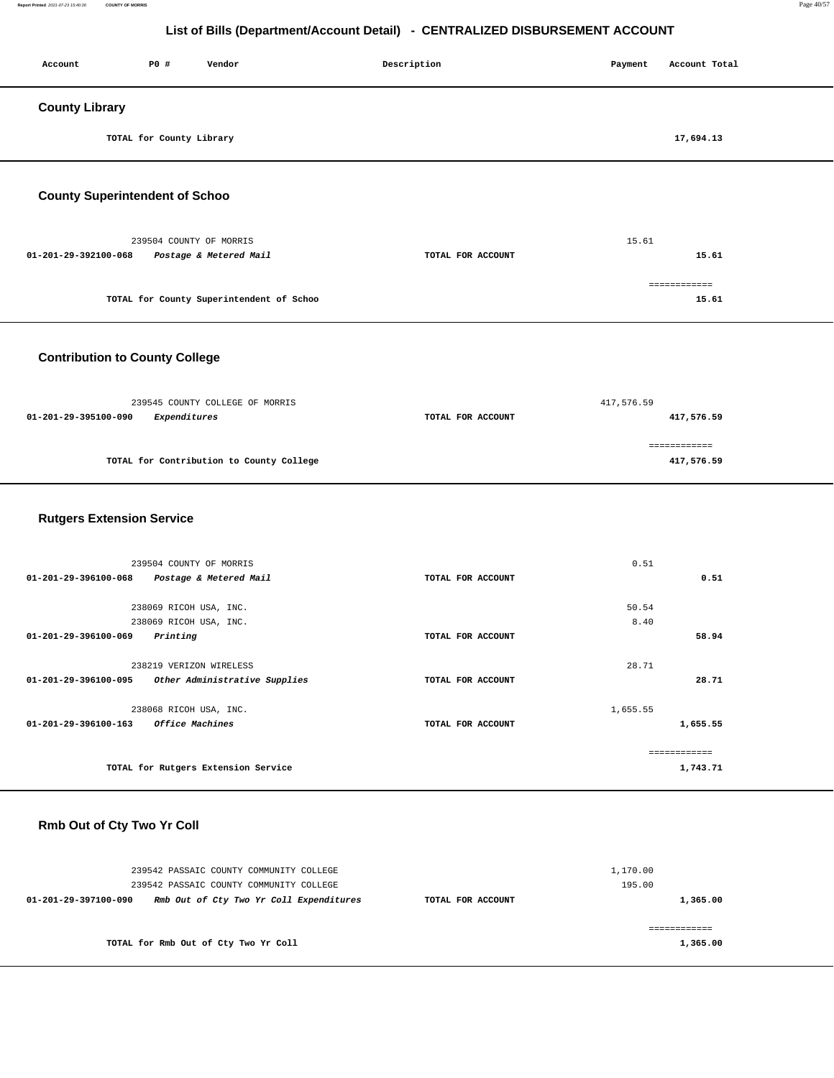#### **Report Printed** 2021-07-23 15:40:30 **COUNTY OF MORRIS** Page 40/57

# **List of Bills (Department/Account Detail) - CENTRALIZED DISBURSEMENT ACCOUNT**

| Account                               | P0 #                     | Vendor                                   | Description       | Payment    | Account Total         |
|---------------------------------------|--------------------------|------------------------------------------|-------------------|------------|-----------------------|
| <b>County Library</b>                 |                          |                                          |                   |            |                       |
|                                       | TOTAL for County Library |                                          |                   |            | 17,694.13             |
| <b>County Superintendent of Schoo</b> |                          |                                          |                   |            |                       |
|                                       | 239504 COUNTY OF MORRIS  |                                          |                   | 15.61      |                       |
| 01-201-29-392100-068                  |                          | Postage & Metered Mail                   | TOTAL FOR ACCOUNT |            | 15.61                 |
|                                       |                          | TOTAL for County Superintendent of Schoo |                   |            | ============<br>15.61 |
| <b>Contribution to County College</b> |                          |                                          |                   |            |                       |
|                                       |                          | 239545 COUNTY COLLEGE OF MORRIS          |                   | 417,576.59 |                       |
| 01-201-29-395100-090                  | Expenditures             |                                          | TOTAL FOR ACCOUNT |            | 417,576.59            |

|                                          | ------------- |
|------------------------------------------|---------------|
| TOTAL for Contribution to County College | 417,576.59    |

### **Rutgers Extension Service**

| 239504 COUNTY OF MORRIS                                  |                   | 0.51         |  |
|----------------------------------------------------------|-------------------|--------------|--|
| 01-201-29-396100-068<br>Postage & Metered Mail           | TOTAL FOR ACCOUNT | 0.51         |  |
|                                                          |                   |              |  |
| 238069 RICOH USA, INC.                                   |                   | 50.54        |  |
| 238069 RICOH USA, INC.                                   |                   | 8.40         |  |
| 01-201-29-396100-069<br>Printing                         | TOTAL FOR ACCOUNT | 58.94        |  |
|                                                          |                   |              |  |
| 238219 VERIZON WIRELESS                                  |                   | 28.71        |  |
| Other Administrative Supplies<br>01-201-29-396100-095    | TOTAL FOR ACCOUNT | 28.71        |  |
|                                                          |                   |              |  |
| 238068 RICOH USA, INC.                                   |                   | 1,655.55     |  |
| <b>Office Machines</b><br>$01 - 201 - 29 - 396100 - 163$ | TOTAL FOR ACCOUNT | 1,655.55     |  |
|                                                          |                   |              |  |
|                                                          |                   | ============ |  |
| TOTAL for Rutgers Extension Service                      |                   | 1,743.71     |  |
|                                                          |                   |              |  |

### **Rmb Out of Cty Two Yr Coll**

| 239542 PASSAIC COUNTY COMMUNITY COLLEGE<br>239542 PASSAIC COUNTY COMMUNITY COLLEGE |                   | 1,170.00<br>195.00 |
|------------------------------------------------------------------------------------|-------------------|--------------------|
| Rmb Out of Cty Two Yr Coll Expenditures<br>01-201-29-397100-090                    | TOTAL FOR ACCOUNT | 1,365.00           |
| TOTAL for Rmb Out of Cty Two Yr Coll                                               |                   | 1,365.00           |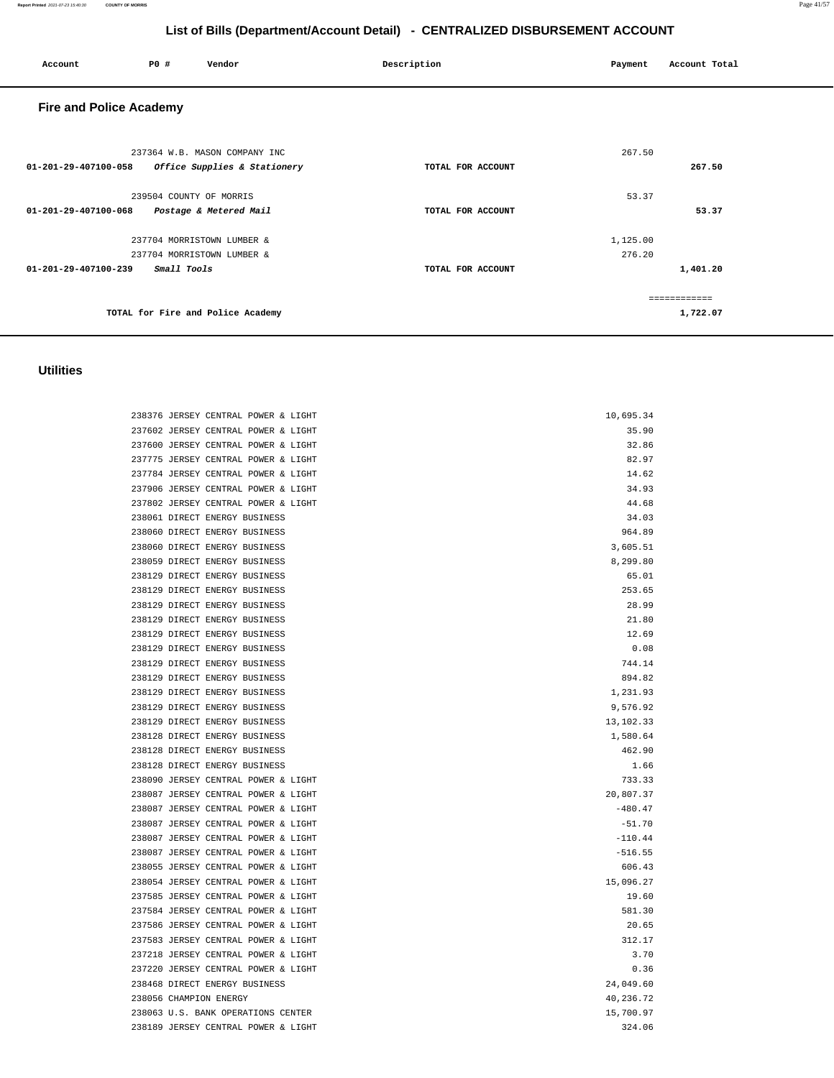| Account                        | P0 #                    | Vendor                                                        | Description       | Payment            | Account Total            |
|--------------------------------|-------------------------|---------------------------------------------------------------|-------------------|--------------------|--------------------------|
| <b>Fire and Police Academy</b> |                         |                                                               |                   |                    |                          |
| 01-201-29-407100-058           |                         | 237364 W.B. MASON COMPANY INC<br>Office Supplies & Stationery | TOTAL FOR ACCOUNT | 267.50             | 267.50                   |
| $01 - 201 - 29 - 407100 - 068$ | 239504 COUNTY OF MORRIS | Postage & Metered Mail                                        | TOTAL FOR ACCOUNT | 53.37              | 53.37                    |
| 01-201-29-407100-239           | Small Tools             | 237704 MORRISTOWN LUMBER &<br>237704 MORRISTOWN LUMBER &      | TOTAL FOR ACCOUNT | 1,125.00<br>276.20 | 1,401.20                 |
|                                |                         | TOTAL for Fire and Police Academy                             |                   |                    | ------------<br>1,722.07 |

## **Utilities**

| 238376 JERSEY CENTRAL POWER & LIGHT | 10,695.34   |
|-------------------------------------|-------------|
| 237602 JERSEY CENTRAL POWER & LIGHT | 35.90       |
| 237600 JERSEY CENTRAL POWER & LIGHT | 32.86       |
| 237775 JERSEY CENTRAL POWER & LIGHT | 82.97       |
| 237784 JERSEY CENTRAL POWER & LIGHT | 14.62       |
| 237906 JERSEY CENTRAL POWER & LIGHT | 34.93       |
| 237802 JERSEY CENTRAL POWER & LIGHT | 44.68       |
| 238061 DIRECT ENERGY BUSINESS       | 34.03       |
| 238060 DIRECT ENERGY BUSINESS       | 964.89      |
| 238060 DIRECT ENERGY BUSINESS       | 3,605.51    |
| 238059 DIRECT ENERGY BUSINESS       | 8,299.80    |
| 238129 DIRECT ENERGY BUSINESS       | 65.01       |
| 238129 DIRECT ENERGY BUSINESS       | 253.65      |
| 238129 DIRECT ENERGY BUSINESS       | 28.99       |
| 238129 DIRECT ENERGY BUSINESS       | 21.80       |
| 238129 DIRECT ENERGY BUSINESS       | 12.69       |
| 238129 DIRECT ENERGY BUSINESS       | 0.08        |
| 238129 DIRECT ENERGY BUSINESS       | 744.14      |
| 238129 DIRECT ENERGY BUSINESS       | 894.82      |
| 238129 DIRECT ENERGY BUSINESS       | 1,231.93    |
| 238129 DIRECT ENERGY BUSINESS       | 9,576.92    |
| 238129 DIRECT ENERGY BUSINESS       | 13, 102. 33 |
| 238128 DIRECT ENERGY BUSINESS       | 1,580.64    |
| 238128 DIRECT ENERGY BUSINESS       | 462.90      |
| 238128 DIRECT ENERGY BUSINESS       | 1.66        |
| 238090 JERSEY CENTRAL POWER & LIGHT | 733.33      |
| 238087 JERSEY CENTRAL POWER & LIGHT | 20,807.37   |
| 238087 JERSEY CENTRAL POWER & LIGHT | $-480.47$   |
| 238087 JERSEY CENTRAL POWER & LIGHT | $-51.70$    |
| 238087 JERSEY CENTRAL POWER & LIGHT | $-110.44$   |
| 238087 JERSEY CENTRAL POWER & LIGHT | $-516.55$   |
| 238055 JERSEY CENTRAL POWER & LIGHT | 606.43      |
| 238054 JERSEY CENTRAL POWER & LIGHT | 15,096.27   |
| 237585 JERSEY CENTRAL POWER & LIGHT | 19.60       |
| 237584 JERSEY CENTRAL POWER & LIGHT | 581.30      |
| 237586 JERSEY CENTRAL POWER & LIGHT | 20.65       |
| 237583 JERSEY CENTRAL POWER & LIGHT | 312.17      |
| 237218 JERSEY CENTRAL POWER & LIGHT | 3.70        |
| 237220 JERSEY CENTRAL POWER & LIGHT | 0.36        |
| 238468 DIRECT ENERGY BUSINESS       | 24,049.60   |
| 238056 CHAMPION ENERGY              | 40,236.72   |
| 238063 U.S. BANK OPERATIONS CENTER  | 15,700.97   |
| 238189 JERSEY CENTRAL POWER & LIGHT | 324.06      |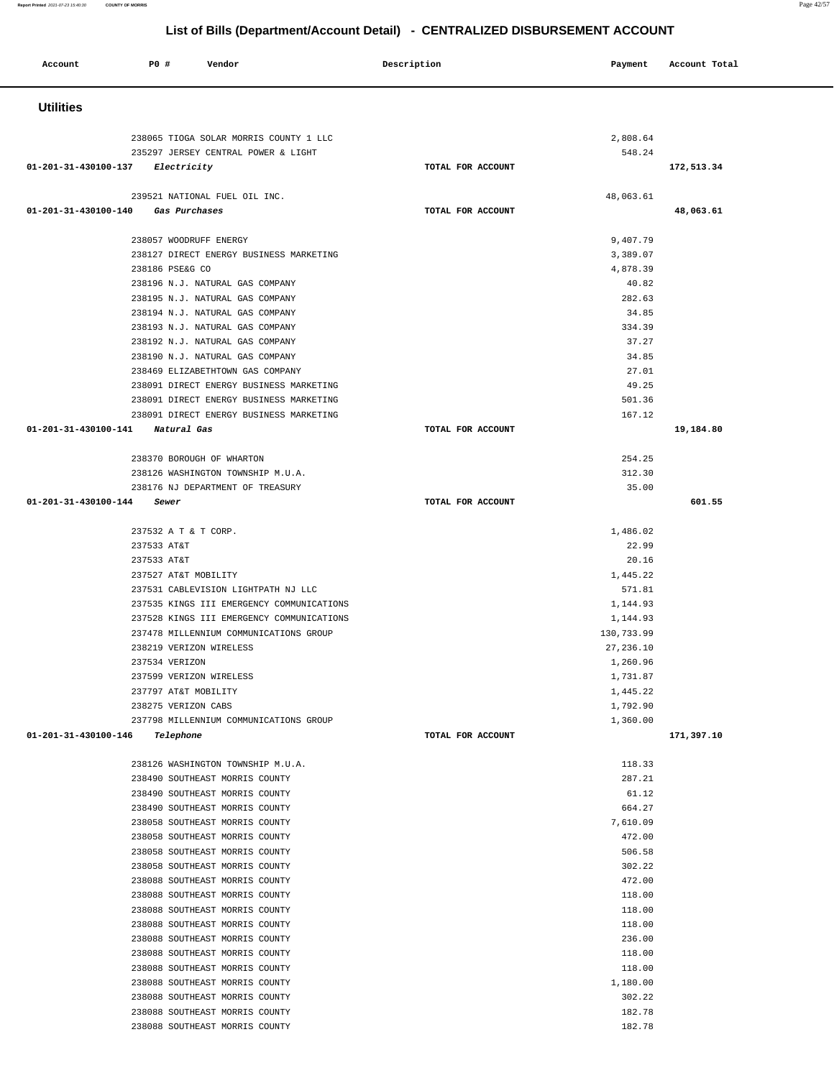|         |     |        | List of Bills (Department/Account Detail) - CENTRALIZED DISBURSEMENT ACCOUNT |         |               |  |
|---------|-----|--------|------------------------------------------------------------------------------|---------|---------------|--|
| Account | P0# | Vendor | Description                                                                  | Payment | Account Total |  |

| <b>Utilities</b>                                                        |                   |                        |            |
|-------------------------------------------------------------------------|-------------------|------------------------|------------|
|                                                                         |                   |                        |            |
| 238065 TIOGA SOLAR MORRIS COUNTY 1 LLC                                  |                   | 2,808.64               |            |
| 235297 JERSEY CENTRAL POWER & LIGHT<br>01-201-31-430100-137 Electricity | TOTAL FOR ACCOUNT | 548.24                 | 172,513.34 |
|                                                                         |                   |                        |            |
| 239521 NATIONAL FUEL OIL INC.                                           |                   | 48,063.61              |            |
| 01-201-31-430100-140 Gas Purchases                                      | TOTAL FOR ACCOUNT |                        | 48,063.61  |
|                                                                         |                   |                        |            |
| 238057 WOODRUFF ENERGY<br>238127 DIRECT ENERGY BUSINESS MARKETING       |                   | 9,407.79<br>3,389.07   |            |
| 238186 PSE&G CO                                                         |                   | 4,878.39               |            |
| 238196 N.J. NATURAL GAS COMPANY                                         |                   | 40.82                  |            |
| 238195 N.J. NATURAL GAS COMPANY                                         |                   | 282.63                 |            |
| 238194 N.J. NATURAL GAS COMPANY                                         |                   | 34.85                  |            |
| 238193 N.J. NATURAL GAS COMPANY                                         |                   | 334.39                 |            |
| 238192 N.J. NATURAL GAS COMPANY<br>238190 N.J. NATURAL GAS COMPANY      |                   | 37.27<br>34.85         |            |
| 238469 ELIZABETHTOWN GAS COMPANY                                        |                   | 27.01                  |            |
| 238091 DIRECT ENERGY BUSINESS MARKETING                                 |                   | 49.25                  |            |
| 238091 DIRECT ENERGY BUSINESS MARKETING                                 |                   | 501.36                 |            |
| 238091 DIRECT ENERGY BUSINESS MARKETING                                 |                   | 167.12                 |            |
| 01-201-31-430100-141 Natural Gas                                        | TOTAL FOR ACCOUNT |                        | 19,184.80  |
| 238370 BOROUGH OF WHARTON                                               |                   | 254.25                 |            |
| 238126 WASHINGTON TOWNSHIP M.U.A.                                       |                   | 312.30                 |            |
| 238176 NJ DEPARTMENT OF TREASURY                                        |                   | 35.00                  |            |
| 01-201-31-430100-144 Sewer                                              | TOTAL FOR ACCOUNT |                        | 601.55     |
|                                                                         |                   |                        |            |
| 237532 A T & T CORP.<br>237533 AT&T                                     |                   | 1,486.02<br>22.99      |            |
| 237533 AT&T                                                             |                   | 20.16                  |            |
| 237527 AT&T MOBILITY                                                    |                   | 1,445.22               |            |
| 237531 CABLEVISION LIGHTPATH NJ LLC                                     |                   | 571.81                 |            |
| 237535 KINGS III EMERGENCY COMMUNICATIONS                               |                   | 1,144.93               |            |
| 237528 KINGS III EMERGENCY COMMUNICATIONS                               |                   | 1,144.93               |            |
| 237478 MILLENNIUM COMMUNICATIONS GROUP                                  |                   | 130,733.99             |            |
| 238219 VERIZON WIRELESS<br>237534 VERIZON                               |                   | 27, 236.10<br>1,260.96 |            |
| 237599 VERIZON WIRELESS                                                 |                   | 1,731.87               |            |
| 237797 AT&T MOBILITY                                                    |                   | 1,445.22               |            |
| 238275 VERIZON CABS                                                     |                   | 1,792.90               |            |
| 237798 MILLENNIUM COMMUNICATIONS GROUP                                  |                   | 1,360.00               |            |
| 01-201-31-430100-146 Telephone                                          | TOTAL FOR ACCOUNT |                        | 171,397.10 |
| 238126 WASHINGTON TOWNSHIP M.U.A.                                       |                   | 118.33                 |            |
| 238490 SOUTHEAST MORRIS COUNTY                                          |                   | 287.21                 |            |
| 238490 SOUTHEAST MORRIS COUNTY                                          |                   | 61.12                  |            |
| 238490 SOUTHEAST MORRIS COUNTY                                          |                   | 664.27                 |            |
| 238058 SOUTHEAST MORRIS COUNTY                                          |                   | 7,610.09               |            |
| 238058 SOUTHEAST MORRIS COUNTY<br>238058 SOUTHEAST MORRIS COUNTY        |                   | 472.00<br>506.58       |            |
| 238058 SOUTHEAST MORRIS COUNTY                                          |                   | 302.22                 |            |
| 238088 SOUTHEAST MORRIS COUNTY                                          |                   | 472.00                 |            |
| 238088 SOUTHEAST MORRIS COUNTY                                          |                   | 118.00                 |            |
| 238088 SOUTHEAST MORRIS COUNTY                                          |                   | 118.00                 |            |
| 238088 SOUTHEAST MORRIS COUNTY                                          |                   | 118.00                 |            |
| 238088 SOUTHEAST MORRIS COUNTY<br>238088 SOUTHEAST MORRIS COUNTY        |                   | 236.00<br>118.00       |            |
| 238088 SOUTHEAST MORRIS COUNTY                                          |                   | 118.00                 |            |
| 238088 SOUTHEAST MORRIS COUNTY                                          |                   | 1,180.00               |            |
| 238088 SOUTHEAST MORRIS COUNTY                                          |                   | 302.22                 |            |
| 238088 SOUTHEAST MORRIS COUNTY                                          |                   | 182.78                 |            |
| 238088 SOUTHEAST MORRIS COUNTY                                          |                   | 182.78                 |            |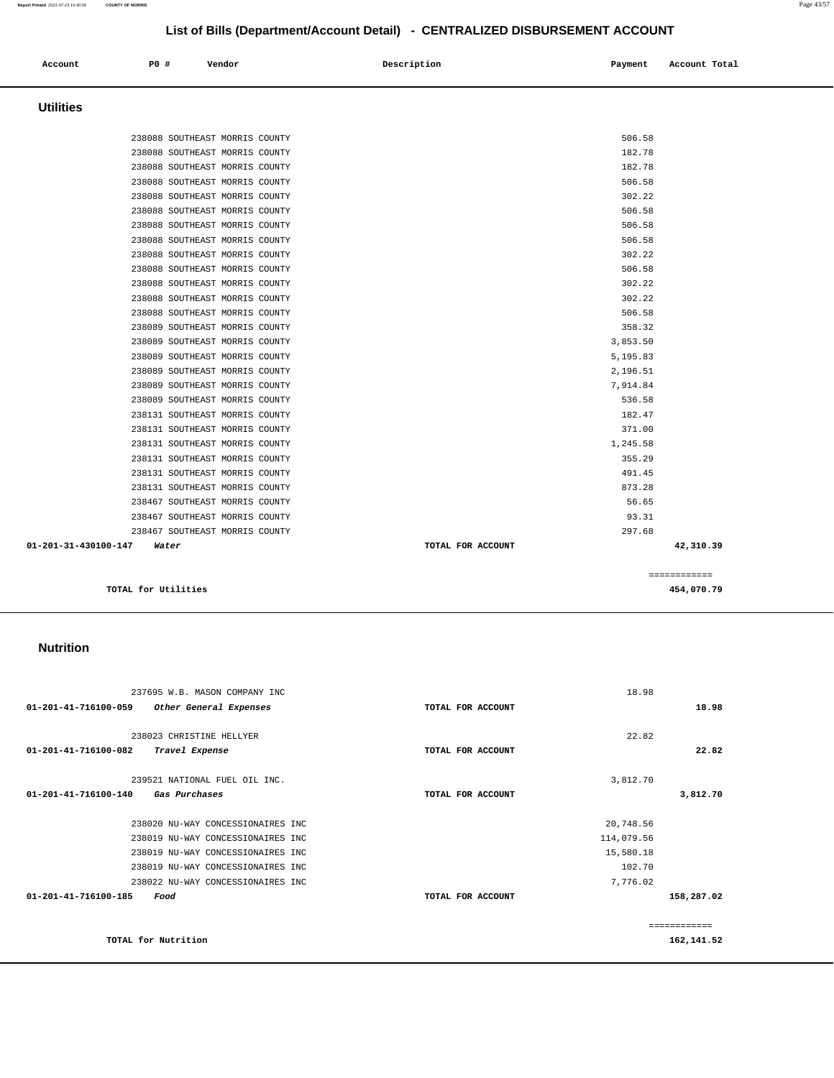#### 238023 CHRISTINE HELLYER **01-201-41-716100-082 Travel Expense TOTAL FOR ACCOUNT**  22.82 **22.82** 239521 NATIONAL FUEL OIL INC. **01-201-41-716100-140 Gas Purchases TOTAL FOR ACCOUNT**  3,812.70 **3,812.70** 238020 NU-WAY CONCESSIONAIRES INC 238019 NU-WAY CONCESSIONAIRES INC 238019 NU-WAY CONCESSIONAIRES INC 238019 NU-WAY CONCESSIONAIRES INC 238022 NU-WAY CONCESSIONAIRES INC **01-201-41-716100-185 Food TOTAL FOR ACCOUNT**  20,748.56 114,079.56 15,580.18 102.70 7,776.02 **158,287.02 TOTAL for Nutrition**  ============ **162,141.52**

18.98

**18.98**

#### **Nutrition**

237695 W.B. MASON COMPANY INC

**01-201-41-716100-059 Other General Expenses TOTAL FOR ACCOUNT** 

| $01 - 201 - 31 - 430100 - 147$ | Water                          | TOTAL FOR ACCOUNT | 42,310.39 |
|--------------------------------|--------------------------------|-------------------|-----------|
|                                | 238467 SOUTHEAST MORRIS COUNTY |                   | 297.68    |
|                                | 238467 SOUTHEAST MORRIS COUNTY |                   | 93.31     |
|                                | 238467 SOUTHEAST MORRIS COUNTY |                   | 56.65     |
|                                | 238131 SOUTHEAST MORRIS COUNTY |                   | 873.28    |
|                                | 238131 SOUTHEAST MORRIS COUNTY |                   | 491.45    |
|                                | 238131 SOUTHEAST MORRIS COUNTY |                   | 355.29    |
|                                | 238131 SOUTHEAST MORRIS COUNTY |                   | 1,245.58  |
|                                | 238131 SOUTHEAST MORRIS COUNTY |                   | 371.00    |
|                                | 238131 SOUTHEAST MORRIS COUNTY |                   | 182.47    |
|                                | 238089 SOUTHEAST MORRIS COUNTY |                   | 536.58    |
|                                | 238089 SOUTHEAST MORRIS COUNTY |                   | 7,914.84  |
|                                | 238089 SOUTHEAST MORRIS COUNTY |                   | 2,196.51  |
|                                | 238089 SOUTHEAST MORRIS COUNTY |                   | 5,195.83  |
|                                | 238089 SOUTHEAST MORRIS COUNTY |                   | 3,853.50  |
|                                | 238089 SOUTHEAST MORRIS COUNTY |                   | 358.32    |
|                                | 238088 SOUTHEAST MORRIS COUNTY |                   | 506.58    |
|                                | 238088 SOUTHEAST MORRIS COUNTY |                   | 302.22    |
|                                | 230000 DOOIHBHOI MONNID COONII |                   | -----     |

| <b>Utilities</b>               |                                |
|--------------------------------|--------------------------------|
|                                |                                |
| 238088 SOUTHEAST MORRIS COUNTY | 506.58                         |
| 238088 SOUTHEAST MORRIS COUNTY | 182.78                         |
| 238088 SOUTHEAST MORRIS COUNTY | 182.78                         |
| 238088 SOUTHEAST MORRIS COUNTY | 506.58                         |
| 238088 SOUTHEAST MORRIS COUNTY | 302.22                         |
| 238088 SOUTHEAST MORRIS COUNTY | 506.58                         |
| 238088 SOUTHEAST MORRIS COUNTY | 506.58                         |
| 238088 SOUTHEAST MORRIS COUNTY | 506.58                         |
| 238088 SOUTHEAST MORRIS COUNTY | 302.22                         |
| 238088 SOUTHEAST MORRIS COUNTY | 506.58                         |
| 238088 SOUTHEAST MORRIS COUNTY | 302.22                         |
| 238088 SOUTHEAST MORRIS COUNTY | 302.22                         |
| 238088 SOUTHEAST MORRIS COUNTY | 506.58                         |
| 238089 SOUTHEAST MORRIS COUNTY | 358.32                         |
| 238089 SOUTHEAST MORRIS COUNTY | 3,853.50                       |
| 238089 SOUTHEAST MORRIS COUNTY | 5,195.83                       |
| 238089 SOUTHEAST MORRIS COUNTY | 2,196.51                       |
| 238089 SOUTHEAST MORRIS COUNTY | 7,914.84                       |
| 238089 SOUTHEAST MORRIS COUNTY | 536.58                         |
| 238131 SOUTHEAST MORRIS COUNTY | 182.47                         |
| 238131 SOUTHEAST MORRIS COUNTY | 371.00                         |
| 238131 SOUTHEAST MORRIS COUNTY | 1,245.58                       |
| 238131 SOUTHEAST MORRIS COUNTY | 355.29                         |
| 238131 SOUTHEAST MORRIS COUNTY | 491.45                         |
| 238131 SOUTHEAST MORRIS COUNTY | 873.28                         |
| 238467 SOUTHEAST MORRIS COUNTY | 56.65                          |
| 238467 SOUTHEAST MORRIS COUNTY | 93.31                          |
| 238467 SOUTHEAST MORRIS COUNTY | 297.68                         |
| 1-201-31-430100-147<br>Water   | 42,310.39<br>TOTAL FOR ACCOUNT |
|                                | ============                   |
| TOTAL for Utilities            | 454,070.79                     |

## **List of Bills (Department/Account Detail) - CENTRALIZED DISBURSEMENT ACCOUNT**

 **Account P0 # Vendor Description Payment Account Total**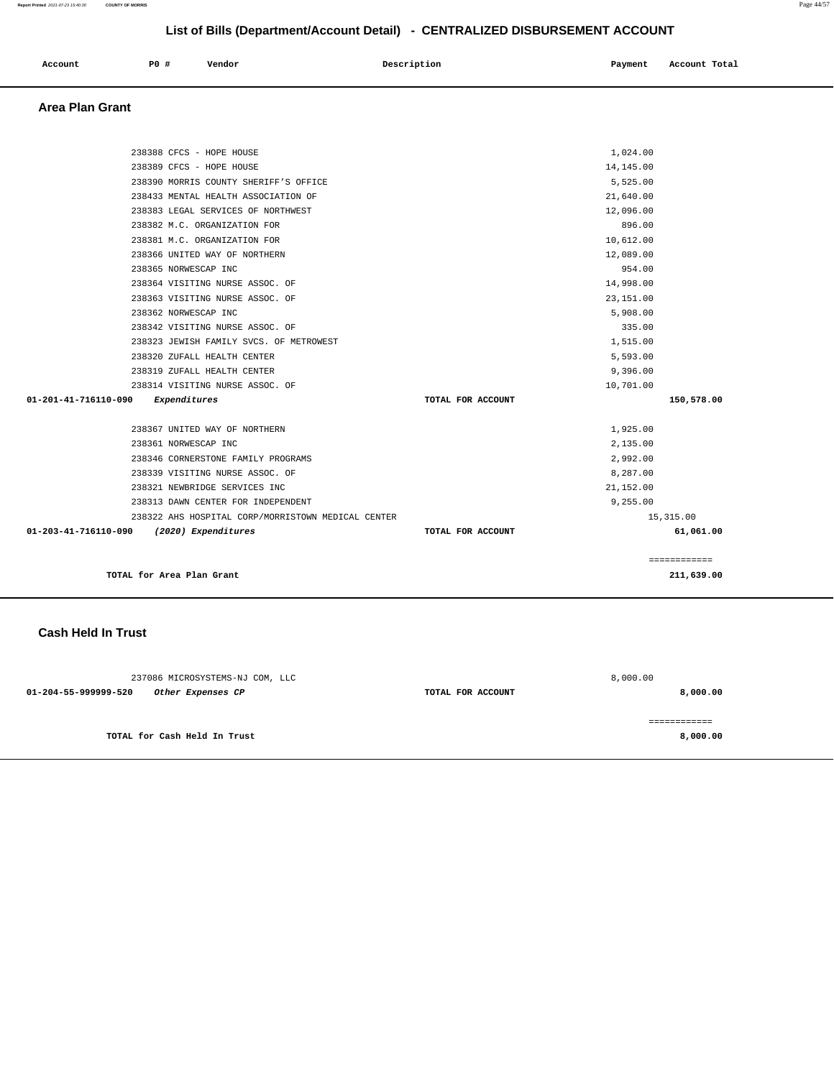| Account | P0 # | Vendor | Description | Payment | Account Total |
|---------|------|--------|-------------|---------|---------------|
|         |      |        |             |         |               |

### **Area Plan Grant**

| 238388 CFCS - HOPE HOUSE                           |                   | 1,024.00     |            |
|----------------------------------------------------|-------------------|--------------|------------|
| 238389 CFCS - HOPE HOUSE                           |                   | 14, 145.00   |            |
| 238390 MORRIS COUNTY SHERIFF'S OFFICE              |                   | 5,525.00     |            |
| 238433 MENTAL HEALTH ASSOCIATION OF                |                   | 21,640.00    |            |
| 238383 LEGAL SERVICES OF NORTHWEST                 |                   | 12,096.00    |            |
| 238382 M.C. ORGANIZATION FOR                       |                   | 896.00       |            |
| 238381 M.C. ORGANIZATION FOR                       |                   | 10,612.00    |            |
| 238366 UNITED WAY OF NORTHERN                      |                   | 12,089.00    |            |
| 238365 NORWESCAP INC                               |                   | 954.00       |            |
| 238364 VISITING NURSE ASSOC. OF                    |                   | 14,998.00    |            |
| 238363 VISITING NURSE ASSOC. OF                    |                   | 23, 151.00   |            |
| 238362 NORWESCAP INC                               |                   | 5,908,00     |            |
| 238342 VISITING NURSE ASSOC. OF                    |                   | 335.00       |            |
|                                                    |                   |              |            |
| 238323 JEWISH FAMILY SVCS. OF METROWEST            |                   | 1,515.00     |            |
| 238320 ZUFALL HEALTH CENTER                        |                   | 5,593.00     |            |
| 238319 ZUFALL HEALTH CENTER                        |                   | 9,396.00     |            |
| 238314 VISITING NURSE ASSOC. OF                    |                   | 10,701.00    |            |
| 01-201-41-716110-090<br>Expenditures               | TOTAL FOR ACCOUNT | 150,578.00   |            |
| 238367 UNITED WAY OF NORTHERN                      |                   | 1,925.00     |            |
| 238361 NORWESCAP INC                               |                   | 2,135.00     |            |
| 238346 CORNERSTONE FAMILY PROGRAMS                 |                   | 2.992.00     |            |
| 238339 VISITING NURSE ASSOC. OF                    |                   | 8,287.00     |            |
| 238321 NEWBRIDGE SERVICES INC                      |                   | 21,152.00    |            |
| 238313 DAWN CENTER FOR INDEPENDENT                 |                   | 9,255.00     |            |
| 238322 AHS HOSPITAL CORP/MORRISTOWN MEDICAL CENTER |                   | 15,315.00    |            |
| 01-203-41-716110-090 (2020) Expenditures           | TOTAL FOR ACCOUNT |              | 61,061.00  |
|                                                    |                   | ============ |            |
| TOTAL for Area Plan Grant                          |                   |              | 211,639.00 |
|                                                    |                   |              |            |

### **Cash Held In Trust**

| 237086 MICROSYSTEMS-NJ COM, LLC           |                   | 8,000.00 |
|-------------------------------------------|-------------------|----------|
| 01-204-55-999999-520<br>Other Expenses CP | TOTAL FOR ACCOUNT | 8,000.00 |
|                                           |                   |          |
| TOTAL for Cash Held In Trust              |                   | 8,000.00 |
|                                           |                   |          |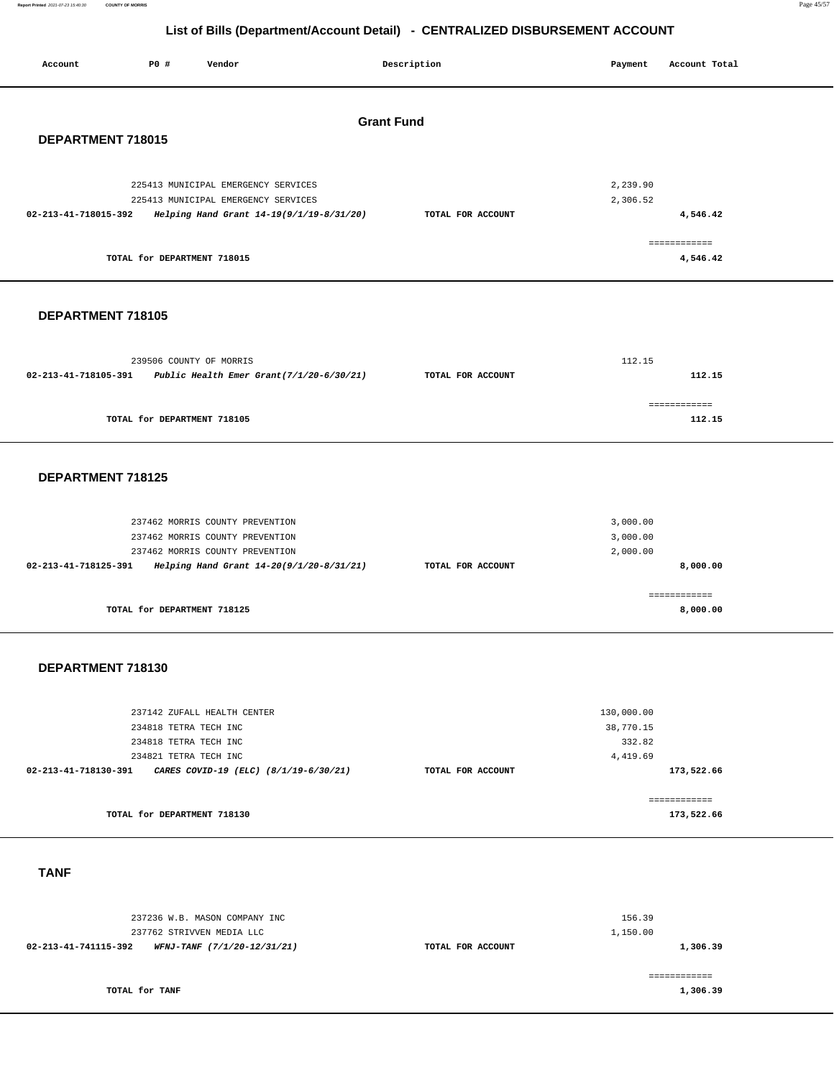**Report Printed** 2021-07-23 15:40:30 **COUNTY OF MORRIS** Page 45/57

# **List of Bills (Department/Account Detail) - CENTRALIZED DISBURSEMENT ACCOUNT**

| Account              | P0 #                        | Vendor                                   | Description       | Payment  | Account Total |
|----------------------|-----------------------------|------------------------------------------|-------------------|----------|---------------|
| DEPARTMENT 718015    |                             |                                          | <b>Grant Fund</b> |          |               |
|                      |                             | 225413 MUNICIPAL EMERGENCY SERVICES      |                   | 2,239.90 |               |
|                      |                             | 225413 MUNICIPAL EMERGENCY SERVICES      |                   | 2,306.52 |               |
| 02-213-41-718015-392 |                             | Helping Hand Grant 14-19(9/1/19-8/31/20) | TOTAL FOR ACCOUNT |          | 4,546.42      |
|                      |                             |                                          |                   |          | ============  |
|                      | TOTAL for DEPARTMENT 718015 |                                          |                   |          | 4,546.42      |

#### **DEPARTMENT 718105**

|                                                                     | 239506 COUNTY OF MORRIS     |                   | 112.15 |
|---------------------------------------------------------------------|-----------------------------|-------------------|--------|
| Public Health Emer Grant $(7/1/20-6/30/21)$<br>02-213-41-718105-391 |                             | TOTAL FOR ACCOUNT | 112.15 |
|                                                                     | TOTAL for DEPARTMENT 718105 |                   | 112.15 |

#### **DEPARTMENT 718125**

|                   | 3,000.00<br>3,000.00 |
|-------------------|----------------------|
|                   | 2,000.00             |
| TOTAL FOR ACCOUNT | 8,000,00             |
|                   | 8,000.00             |
|                   |                      |

#### **DEPARTMENT 718130**

| TOTAL for DEPARTMENT 718130                                   |                   | 173,522.66   |  |
|---------------------------------------------------------------|-------------------|--------------|--|
|                                                               |                   | ------------ |  |
| 02-213-41-718130-391<br>CARES COVID-19 (ELC) (8/1/19-6/30/21) | TOTAL FOR ACCOUNT | 173,522.66   |  |
| 234821 TETRA TECH INC                                         |                   | 4,419.69     |  |
| 234818 TETRA TECH INC                                         |                   | 332.82       |  |
| 234818 TETRA TECH INC                                         |                   | 38,770.15    |  |
| 237142 ZUFALL HEALTH CENTER                                   |                   | 130,000.00   |  |
|                                                               |                   |              |  |

#### **TANF**

| 237236 W.B. MASON COMPANY INC<br>237762 STRIVVEN MEDIA LLC |                   | 156.39<br>1,150.00 |
|------------------------------------------------------------|-------------------|--------------------|
| 02-213-41-741115-392<br>WFNJ-TANF (7/1/20-12/31/21)        | TOTAL FOR ACCOUNT | 1,306.39           |
| TOTAL for TANF                                             |                   | 1,306.39           |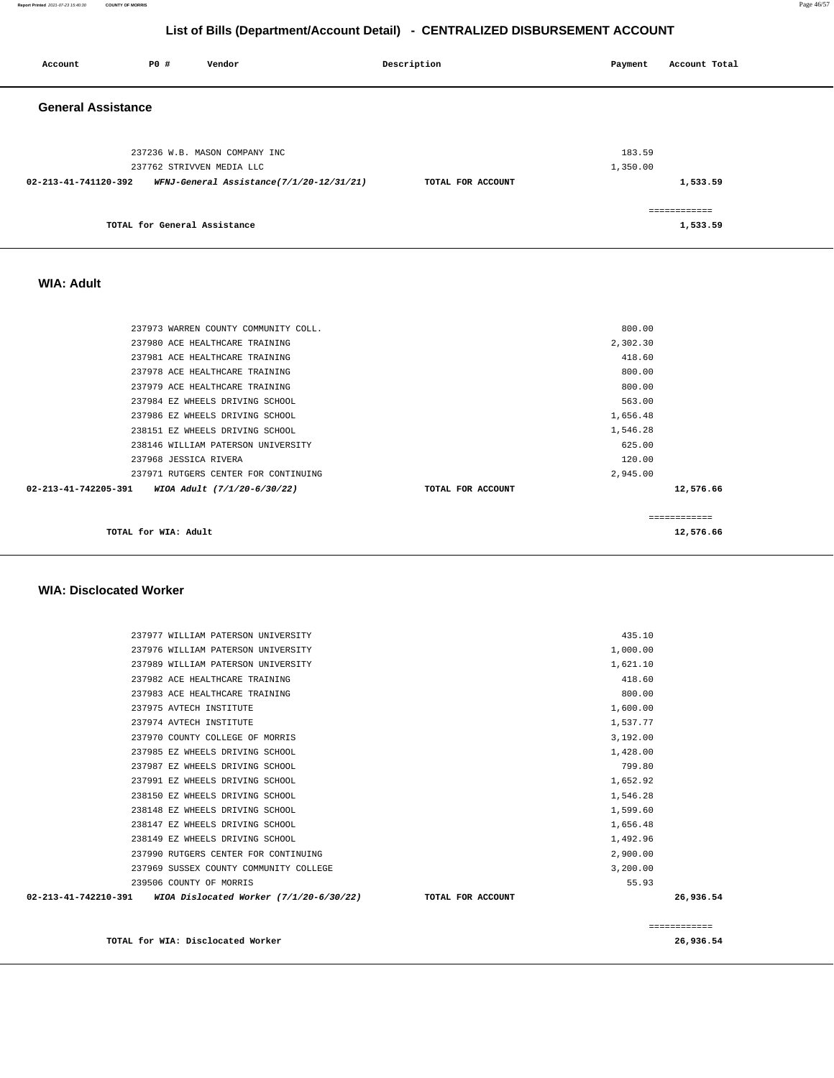**Report Printed** 2021-07-23 15:40:30 **COUNTY OF MORRIS** Page 46/57

## **List of Bills (Department/Account Detail) - CENTRALIZED DISBURSEMENT ACCOUNT**

| Account                   | P0 #                         | Vendor                                                     | Description       | Payment            | Account Total            |
|---------------------------|------------------------------|------------------------------------------------------------|-------------------|--------------------|--------------------------|
| <b>General Assistance</b> |                              |                                                            |                   |                    |                          |
|                           |                              | 237236 W.B. MASON COMPANY INC<br>237762 STRIVVEN MEDIA LLC |                   | 183.59<br>1,350.00 |                          |
| 02-213-41-741120-392      |                              | WFNJ-General Assistance(7/1/20-12/31/21)                   | TOTAL FOR ACCOUNT |                    | 1,533.59                 |
|                           | TOTAL for General Assistance |                                                            |                   |                    | ============<br>1,533.59 |

#### **WIA: Adult**

| TOTAL for WIA: Adult                                |                   |          | 12,576.66 |
|-----------------------------------------------------|-------------------|----------|-----------|
|                                                     |                   |          |           |
| 02-213-41-742205-391<br>WIOA Adult (7/1/20-6/30/22) | TOTAL FOR ACCOUNT |          | 12,576.66 |
| 237971 RUTGERS CENTER FOR CONTINUING                |                   | 2,945.00 |           |
| 237968 JESSICA RIVERA                               |                   | 120.00   |           |
| 238146 WILLIAM PATERSON UNIVERSITY                  |                   | 625.00   |           |
| 238151 EZ WHEELS DRIVING SCHOOL                     |                   | 1,546.28 |           |
| 237986 EZ WHEELS DRIVING SCHOOL                     |                   | 1,656.48 |           |
| 237984 EZ WHEELS DRIVING SCHOOL                     |                   | 563.00   |           |
| 237979 ACE HEALTHCARE TRAINING                      |                   | 800.00   |           |
| 237978 ACE HEALTHCARE TRAINING                      |                   | 800.00   |           |
| 237981 ACE HEALTHCARE TRAINING                      |                   | 418.60   |           |
| 237980 ACE HEALTHCARE TRAINING                      |                   | 2,302.30 |           |
| 237973 WARREN COUNTY COMMUNITY COLL.                |                   | 800.00   |           |
|                                                     |                   |          |           |

#### **WIA: Disclocated Worker**

|                      | TOTAL for WIA: Disclocated Worker       |                   |          | 26,936.54     |
|----------------------|-----------------------------------------|-------------------|----------|---------------|
|                      |                                         |                   |          | ------------- |
| 02-213-41-742210-391 | WIOA Dislocated Worker (7/1/20-6/30/22) | TOTAL FOR ACCOUNT |          | 26,936.54     |
|                      | 239506 COUNTY OF MORRIS                 |                   | 55.93    |               |
|                      | 237969 SUSSEX COUNTY COMMUNITY COLLEGE  |                   | 3,200.00 |               |
|                      | 237990 RUTGERS CENTER FOR CONTINUING    |                   | 2,900.00 |               |
|                      | 238149 EZ WHEELS DRIVING SCHOOL         |                   | 1,492.96 |               |
|                      | 238147 EZ WHEELS DRIVING SCHOOL         |                   | 1,656.48 |               |
|                      | 238148 EZ WHEELS DRIVING SCHOOL         |                   | 1,599.60 |               |
|                      | 238150 EZ WHEELS DRIVING SCHOOL         |                   | 1,546.28 |               |
|                      | 237991 EZ WHEELS DRIVING SCHOOL         |                   | 1,652.92 |               |
|                      | 237987 EZ WHEELS DRIVING SCHOOL         |                   | 799.80   |               |
|                      | 237985 EZ WHEELS DRIVING SCHOOL         |                   | 1,428.00 |               |
|                      | 237970 COUNTY COLLEGE OF MORRIS         |                   | 3,192.00 |               |
|                      | 237974 AVTECH INSTITUTE                 |                   | 1,537.77 |               |
|                      | 237975 AVTECH INSTITUTE                 |                   | 1,600.00 |               |
|                      | 237983 ACE HEALTHCARE TRAINING          |                   | 800.00   |               |
|                      | 237982 ACE HEALTHCARE TRAINING          |                   | 418.60   |               |
|                      | 237989 WILLIAM PATERSON UNIVERSITY      |                   | 1,621.10 |               |
|                      | 237976 WILLIAM PATERSON UNIVERSITY      |                   | 1,000.00 |               |
|                      | 237977 WILLIAM PATERSON UNIVERSITY      |                   | 435.10   |               |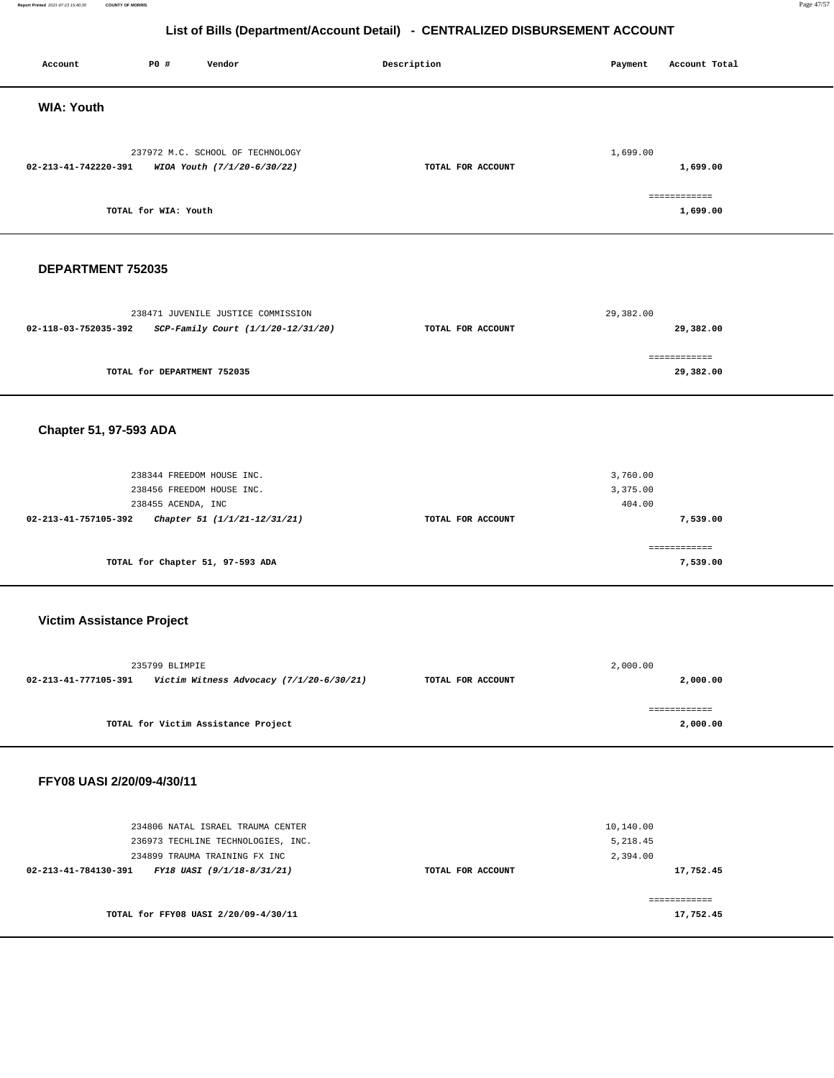**Report Printed** 2021-07-23 15:40:30 **COUNTY OF MORRIS** Page 47/57

# **List of Bills (Department/Account Detail) - CENTRALIZED DISBURSEMENT ACCOUNT**

| Account                                         | P0 #                                                                         | Vendor                                                                                                   | Description |                   | Payment                           | Account Total             |
|-------------------------------------------------|------------------------------------------------------------------------------|----------------------------------------------------------------------------------------------------------|-------------|-------------------|-----------------------------------|---------------------------|
| <b>WIA: Youth</b>                               |                                                                              |                                                                                                          |             |                   |                                   |                           |
| 02-213-41-742220-391                            |                                                                              | 237972 M.C. SCHOOL OF TECHNOLOGY<br>WIOA Youth (7/1/20-6/30/22)                                          |             | TOTAL FOR ACCOUNT | 1,699.00                          | 1,699.00                  |
|                                                 | TOTAL for WIA: Youth                                                         |                                                                                                          |             |                   |                                   | ============<br>1,699.00  |
| DEPARTMENT 752035                               |                                                                              |                                                                                                          |             |                   |                                   |                           |
| 02-118-03-752035-392                            |                                                                              | 238471 JUVENILE JUSTICE COMMISSION<br>SCP-Family Court (1/1/20-12/31/20)                                 |             | TOTAL FOR ACCOUNT | 29,382.00                         | 29,382.00                 |
|                                                 | TOTAL for DEPARTMENT 752035                                                  |                                                                                                          |             |                   |                                   | ============<br>29,382.00 |
| Chapter 51, 97-593 ADA                          |                                                                              |                                                                                                          |             |                   |                                   |                           |
| 02-213-41-757105-392                            | 238344 FREEDOM HOUSE INC.<br>238456 FREEDOM HOUSE INC.<br>238455 ACENDA, INC | Chapter 51 (1/1/21-12/31/21)                                                                             |             | TOTAL FOR ACCOUNT | 3,760.00<br>3,375.00<br>404.00    | 7,539.00                  |
|                                                 |                                                                              | TOTAL for Chapter 51, 97-593 ADA                                                                         |             |                   |                                   | ============<br>7,539.00  |
| <b>Victim Assistance Project</b>                |                                                                              |                                                                                                          |             |                   |                                   |                           |
|                                                 | 235799 BLIMPIE                                                               |                                                                                                          |             | TOTAL FOR ACCOUNT | 2,000.00                          | 2,000.00                  |
|                                                 |                                                                              | TOTAL for Victim Assistance Project                                                                      |             |                   |                                   | ============<br>2,000.00  |
| FFY08 UASI 2/20/09-4/30/11                      |                                                                              |                                                                                                          |             |                   |                                   |                           |
| 02-213-41-784130-391 FY18 UASI (9/1/18-8/31/21) |                                                                              | 234806 NATAL ISRAEL TRAUMA CENTER<br>236973 TECHLINE TECHNOLOGIES, INC.<br>234899 TRAUMA TRAINING FX INC |             | TOTAL FOR ACCOUNT | 10,140.00<br>5,218.45<br>2,394.00 | 17,752.45                 |
|                                                 |                                                                              | TOTAL for FFY08 UASI 2/20/09-4/30/11                                                                     |             |                   |                                   | ============<br>17,752.45 |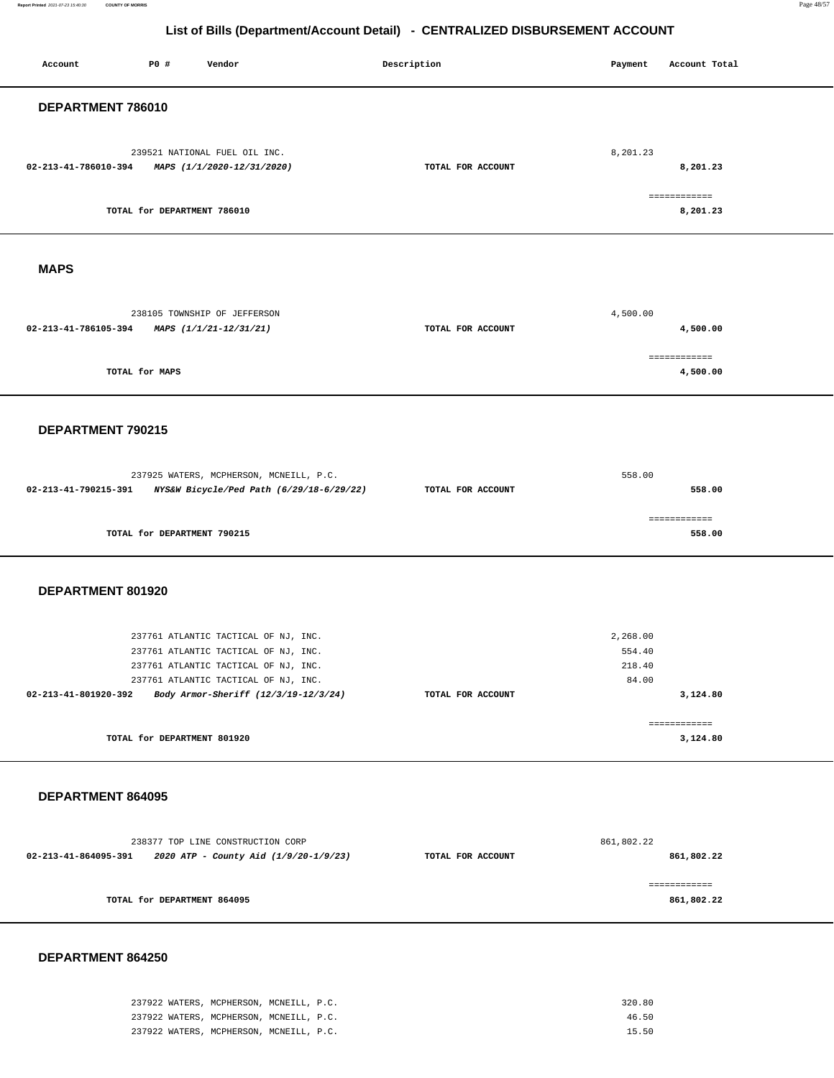Report Printed 2021-07-23 15:40:30 **Report Printed** 2021-07-23 15:40:30 **COUNTY OF MORRIS** Page 48/57

# **List of Bills (Department/Account Detail) - CENTRALIZED DISBURSEMENT ACCOUNT**

| Account              | P0 #                        | Vendor                                                                                                                                                                                               | Description |                   | Payment                               | Account Total              |  |
|----------------------|-----------------------------|------------------------------------------------------------------------------------------------------------------------------------------------------------------------------------------------------|-------------|-------------------|---------------------------------------|----------------------------|--|
| DEPARTMENT 786010    |                             |                                                                                                                                                                                                      |             |                   |                                       |                            |  |
| 02-213-41-786010-394 |                             | 239521 NATIONAL FUEL OIL INC.<br>MAPS (1/1/2020-12/31/2020)                                                                                                                                          |             | TOTAL FOR ACCOUNT | 8,201.23                              | 8,201.23                   |  |
|                      | TOTAL for DEPARTMENT 786010 |                                                                                                                                                                                                      |             |                   |                                       | ============<br>8,201.23   |  |
| <b>MAPS</b>          |                             |                                                                                                                                                                                                      |             |                   |                                       |                            |  |
| 02-213-41-786105-394 |                             | 238105 TOWNSHIP OF JEFFERSON<br>MAPS (1/1/21-12/31/21)                                                                                                                                               |             | TOTAL FOR ACCOUNT | 4,500.00                              | 4,500.00                   |  |
|                      | TOTAL for MAPS              |                                                                                                                                                                                                      |             |                   |                                       | ============<br>4,500.00   |  |
| DEPARTMENT 790215    |                             |                                                                                                                                                                                                      |             |                   |                                       |                            |  |
| 02-213-41-790215-391 |                             | 237925 WATERS, MCPHERSON, MCNEILL, P.C.<br>NYS&W Bicycle/Ped Path (6/29/18-6/29/22)                                                                                                                  |             | TOTAL FOR ACCOUNT | 558.00                                | 558.00                     |  |
|                      | TOTAL for DEPARTMENT 790215 |                                                                                                                                                                                                      |             |                   |                                       | ============<br>558.00     |  |
| DEPARTMENT 801920    |                             |                                                                                                                                                                                                      |             |                   |                                       |                            |  |
| 02-213-41-801920-392 |                             | 237761 ATLANTIC TACTICAL OF NJ, INC.<br>237761 ATLANTIC TACTICAL OF NJ, INC.<br>237761 ATLANTIC TACTICAL OF NJ, INC.<br>237761 ATLANTIC TACTICAL OF NJ, INC.<br>Body Armor-Sheriff (12/3/19-12/3/24) |             | TOTAL FOR ACCOUNT | 2,268.00<br>554.40<br>218.40<br>84.00 | 3,124.80                   |  |
|                      | TOTAL for DEPARTMENT 801920 |                                                                                                                                                                                                      |             |                   |                                       | ------------<br>3,124.80   |  |
| DEPARTMENT 864095    |                             |                                                                                                                                                                                                      |             |                   |                                       |                            |  |
| 02-213-41-864095-391 |                             | 238377 TOP LINE CONSTRUCTION CORP<br>2020 ATP - County Aid (1/9/20-1/9/23)                                                                                                                           |             | TOTAL FOR ACCOUNT | 861,802.22                            | 861,802.22                 |  |
|                      | TOTAL for DEPARTMENT 864095 |                                                                                                                                                                                                      |             |                   |                                       | ============<br>861,802.22 |  |

| 237922 WATERS, MCPHERSON, MCNEILL, P.C. | 320.80 |
|-----------------------------------------|--------|
| 237922 WATERS, MCPHERSON, MCNEILL, P.C. | 46.50  |
| 237922 WATERS, MCPHERSON, MCNEILL, P.C. | 15.50  |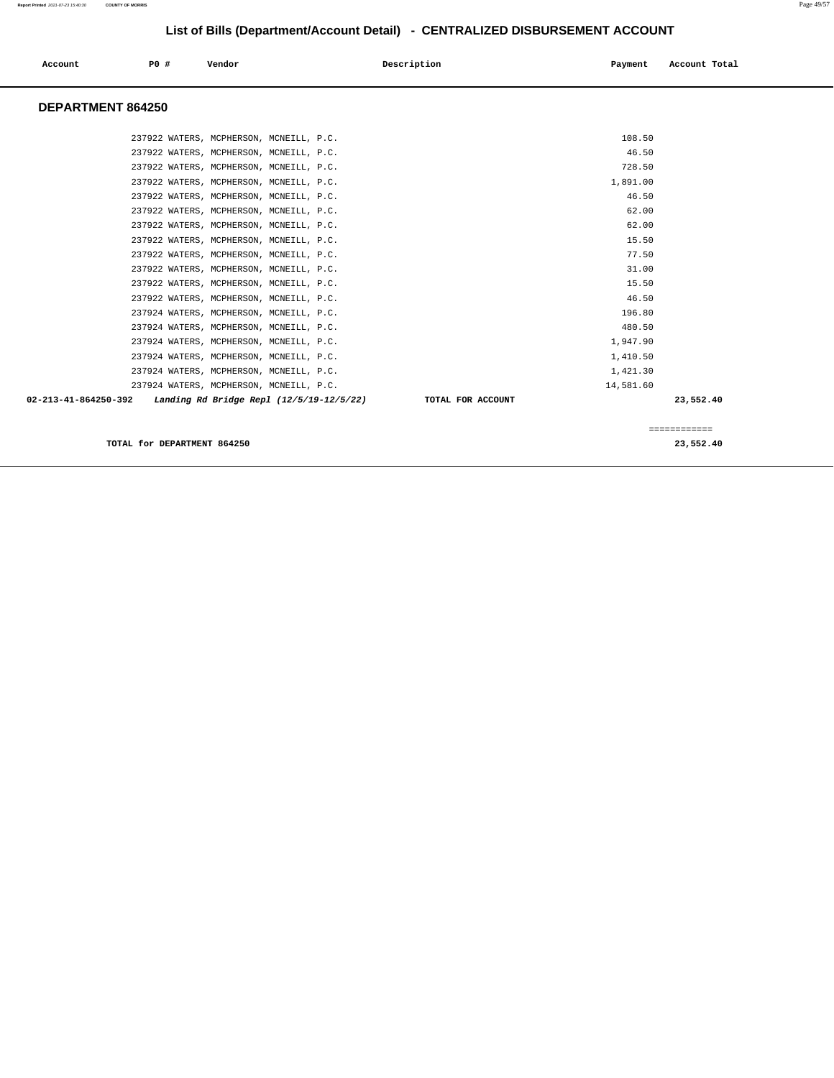| Account           | <b>PO #</b> | Vendor                                                        | Description<br>Payment | Account Total |
|-------------------|-------------|---------------------------------------------------------------|------------------------|---------------|
| DEPARTMENT 864250 |             |                                                               |                        |               |
|                   |             | 237922 WATERS, MCPHERSON, MCNEILL, P.C.                       | 108.50                 |               |
|                   |             | 237922 WATERS, MCPHERSON, MCNEILL, P.C.                       | 46.50                  |               |
|                   |             | 237922 WATERS, MCPHERSON, MCNEILL, P.C.                       | 728.50                 |               |
|                   |             | 237922 WATERS, MCPHERSON, MCNEILL, P.C.                       | 1,891.00               |               |
|                   |             | 237922 WATERS, MCPHERSON, MCNEILL, P.C.                       | 46.50                  |               |
|                   |             | 237922 WATERS, MCPHERSON, MCNEILL, P.C.                       | 62.00                  |               |
|                   |             | 237922 WATERS, MCPHERSON, MCNEILL, P.C.                       | 62.00                  |               |
|                   |             | 237922 WATERS, MCPHERSON, MCNEILL, P.C.                       | 15.50                  |               |
|                   |             | 237922 WATERS, MCPHERSON, MCNEILL, P.C.                       | 77.50                  |               |
|                   |             | 237922 WATERS, MCPHERSON, MCNEILL, P.C.                       | 31.00                  |               |
|                   |             | 237922 WATERS, MCPHERSON, MCNEILL, P.C.                       | 15.50                  |               |
|                   |             | 237922 WATERS, MCPHERSON, MCNEILL, P.C.                       | 46.50                  |               |
|                   |             | 237924 WATERS, MCPHERSON, MCNEILL, P.C.                       | 196.80                 |               |
|                   |             | 237924 WATERS, MCPHERSON, MCNEILL, P.C.                       | 480.50                 |               |
|                   |             | 237924 WATERS, MCPHERSON, MCNEILL, P.C.                       | 1,947.90               |               |
|                   |             | 237924 WATERS, MCPHERSON, MCNEILL, P.C.                       | 1,410.50               |               |
|                   |             | 237924 WATERS, MCPHERSON, MCNEILL, P.C.                       | 1,421.30               |               |
|                   |             | 237924 WATERS, MCPHERSON, MCNEILL, P.C.                       | 14,581.60              |               |
|                   |             | 02-213-41-864250-392 Landing Rd Bridge Repl (12/5/19-12/5/22) | TOTAL FOR ACCOUNT      | 23,552.40     |
|                   |             |                                                               |                        | ============  |

**TOTAL for DEPARTMENT 864250 23,552.40**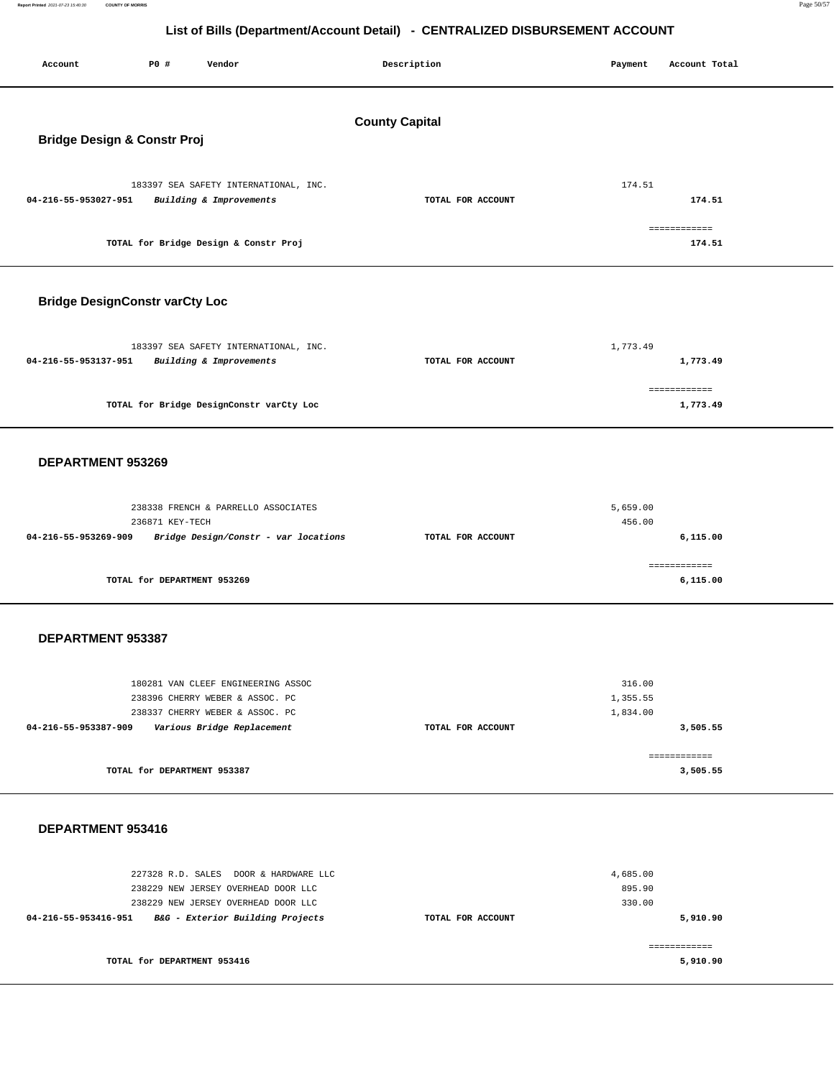**Report Printed** 2021-07-23 15:40:30 **COUNTY OF MORRIS** Page 50/57

## **List of Bills (Department/Account Detail) - CENTRALIZED DISBURSEMENT ACCOUNT**

| P0 #<br>Account<br>Vendor                                                                                                                                                       | Description           | Payment<br>Account Total                   |
|---------------------------------------------------------------------------------------------------------------------------------------------------------------------------------|-----------------------|--------------------------------------------|
| <b>Bridge Design &amp; Constr Proj</b>                                                                                                                                          | <b>County Capital</b> |                                            |
| 183397 SEA SAFETY INTERNATIONAL, INC.<br>04-216-55-953027-951<br>Building & Improvements                                                                                        | TOTAL FOR ACCOUNT     | 174.51<br>174.51                           |
| TOTAL for Bridge Design & Constr Proj                                                                                                                                           |                       | ============<br>174.51                     |
| <b>Bridge DesignConstr varCty Loc</b>                                                                                                                                           |                       |                                            |
| 183397 SEA SAFETY INTERNATIONAL, INC.<br>04-216-55-953137-951<br>Building & Improvements                                                                                        | TOTAL FOR ACCOUNT     | 1,773.49<br>1,773.49                       |
| TOTAL for Bridge DesignConstr varCty Loc                                                                                                                                        |                       | ============<br>1,773.49                   |
| DEPARTMENT 953269                                                                                                                                                               |                       |                                            |
| 238338 FRENCH & PARRELLO ASSOCIATES<br>236871 KEY-TECH<br>04-216-55-953269-909<br>Bridge Design/Constr - var locations                                                          | TOTAL FOR ACCOUNT     | 5,659.00<br>456.00<br>6,115.00             |
| TOTAL for DEPARTMENT 953269                                                                                                                                                     |                       | ============<br>6,115.00                   |
| DEPARTMENT 953387                                                                                                                                                               |                       |                                            |
| 180281 VAN CLEEF ENGINEERING ASSOC<br>238396 CHERRY WEBER & ASSOC. PC<br>238337 CHERRY WEBER & ASSOC. PC<br>04-216-55-953387-909<br>Various Bridge Replacement                  | TOTAL FOR ACCOUNT     | 316.00<br>1,355.55<br>1,834.00<br>3,505.55 |
| TOTAL for DEPARTMENT 953387                                                                                                                                                     |                       | ============<br>3,505.55                   |
| DEPARTMENT 953416                                                                                                                                                               |                       |                                            |
| 227328 R.D. SALES DOOR & HARDWARE LLC<br>238229 NEW JERSEY OVERHEAD DOOR LLC<br>238229 NEW JERSEY OVERHEAD DOOR LLC<br>04-216-55-953416-951<br>B&G - Exterior Building Projects | TOTAL FOR ACCOUNT     | 4,685.00<br>895.90<br>330.00<br>5,910.90   |

**TOTAL for DEPARTMENT 953416** 

============ **5,910.90**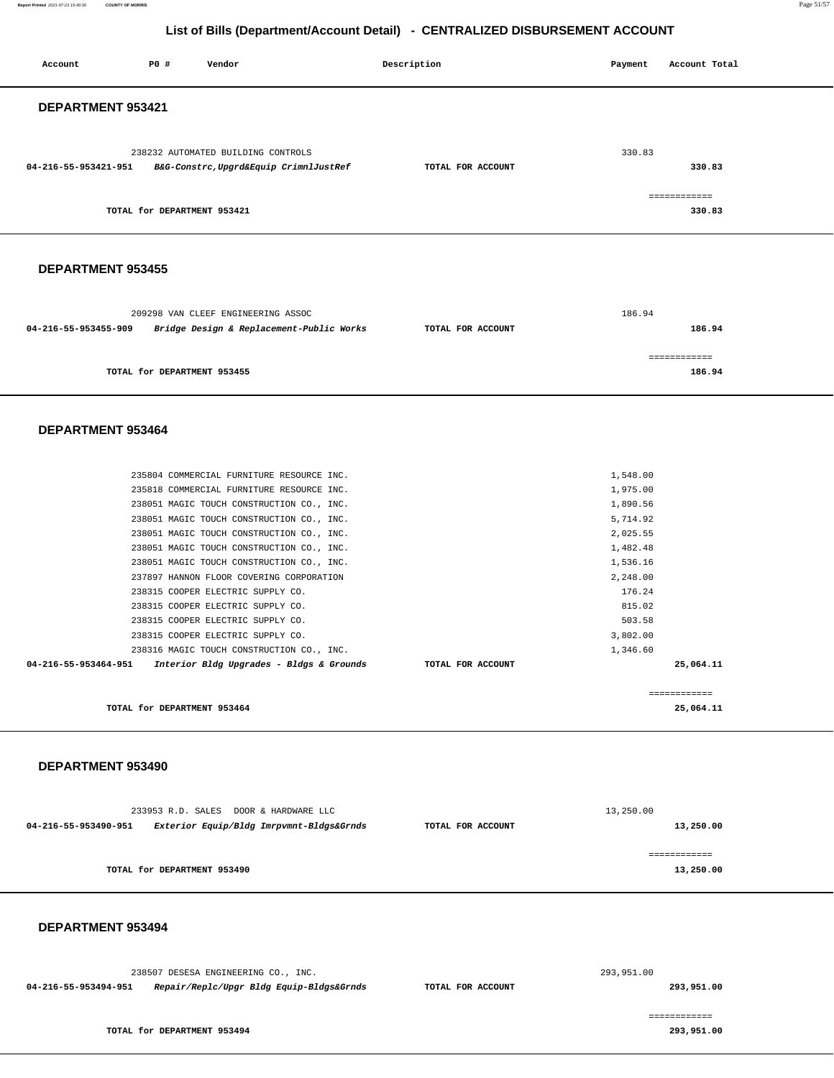**Report Printed** 2021-07-23 15:40:30 **COUNTY OF MORRIS** Page 51/57

## **List of Bills (Department/Account Detail) - CENTRALIZED DISBURSEMENT ACCOUNT**

| Account                                                       | <b>PO #</b>                 | Vendor                                                                                 | Description       | Payment              | Account Total          |  |
|---------------------------------------------------------------|-----------------------------|----------------------------------------------------------------------------------------|-------------------|----------------------|------------------------|--|
| DEPARTMENT 953421                                             |                             |                                                                                        |                   |                      |                        |  |
|                                                               |                             |                                                                                        |                   |                      |                        |  |
|                                                               |                             | 238232 AUTOMATED BUILDING CONTROLS                                                     |                   | 330.83               |                        |  |
| 04-216-55-953421-951 B&G-Constrc, Upgrd&Equip CrimnlJustRef   |                             |                                                                                        | TOTAL FOR ACCOUNT |                      | 330.83                 |  |
|                                                               |                             |                                                                                        |                   |                      |                        |  |
|                                                               | TOTAL for DEPARTMENT 953421 |                                                                                        |                   |                      | ============<br>330.83 |  |
|                                                               |                             |                                                                                        |                   |                      |                        |  |
|                                                               |                             |                                                                                        |                   |                      |                        |  |
| DEPARTMENT 953455                                             |                             |                                                                                        |                   |                      |                        |  |
|                                                               |                             |                                                                                        |                   |                      |                        |  |
|                                                               |                             | 209298 VAN CLEEF ENGINEERING ASSOC                                                     |                   | 186.94               |                        |  |
| 04-216-55-953455-909                                          |                             | Bridge Design & Replacement-Public Works                                               | TOTAL FOR ACCOUNT |                      | 186.94                 |  |
|                                                               |                             |                                                                                        |                   |                      |                        |  |
|                                                               | TOTAL for DEPARTMENT 953455 |                                                                                        |                   |                      | ============<br>186.94 |  |
|                                                               |                             |                                                                                        |                   |                      |                        |  |
|                                                               |                             |                                                                                        |                   |                      |                        |  |
| DEPARTMENT 953464                                             |                             |                                                                                        |                   |                      |                        |  |
|                                                               |                             |                                                                                        |                   |                      |                        |  |
|                                                               |                             |                                                                                        |                   |                      |                        |  |
|                                                               |                             | 235804 COMMERCIAL FURNITURE RESOURCE INC.                                              |                   | 1,548.00             |                        |  |
|                                                               |                             | 235818 COMMERCIAL FURNITURE RESOURCE INC.<br>238051 MAGIC TOUCH CONSTRUCTION CO., INC. |                   | 1,975.00<br>1,890.56 |                        |  |
|                                                               |                             | 238051 MAGIC TOUCH CONSTRUCTION CO., INC.                                              |                   | 5,714.92             |                        |  |
|                                                               |                             | 238051 MAGIC TOUCH CONSTRUCTION CO., INC.                                              |                   | 2,025.55             |                        |  |
|                                                               |                             | 238051 MAGIC TOUCH CONSTRUCTION CO., INC.                                              |                   | 1,482.48             |                        |  |
|                                                               |                             | 238051 MAGIC TOUCH CONSTRUCTION CO., INC.                                              |                   | 1,536.16             |                        |  |
|                                                               |                             | 237897 HANNON FLOOR COVERING CORPORATION                                               |                   | 2,248.00             |                        |  |
|                                                               |                             | 238315 COOPER ELECTRIC SUPPLY CO.                                                      |                   | 176.24               |                        |  |
|                                                               |                             | 238315 COOPER ELECTRIC SUPPLY CO.                                                      |                   | 815.02               |                        |  |
|                                                               |                             | 238315 COOPER ELECTRIC SUPPLY CO.                                                      |                   | 503.58               |                        |  |
|                                                               |                             | 238315 COOPER ELECTRIC SUPPLY CO.                                                      |                   | 3,802.00             |                        |  |
|                                                               |                             | 238316 MAGIC TOUCH CONSTRUCTION CO., INC.                                              |                   | 1,346.60             |                        |  |
| 04-216-55-953464-951 Interior Bldg Upgrades - Bldgs & Grounds |                             |                                                                                        | TOTAL FOR ACCOUNT |                      | 25,064.11              |  |
|                                                               |                             |                                                                                        |                   |                      | ============           |  |
|                                                               | TOTAL for DEPARTMENT 953464 |                                                                                        |                   |                      | 25,064.11              |  |
|                                                               |                             |                                                                                        |                   |                      |                        |  |
|                                                               |                             |                                                                                        |                   |                      |                        |  |
| DEPARTMENT 953490                                             |                             |                                                                                        |                   |                      |                        |  |
|                                                               |                             |                                                                                        |                   |                      |                        |  |
|                                                               |                             | 233953 R.D. SALES DOOR & HARDWARE LLC                                                  |                   | 13,250.00            |                        |  |
| 04-216-55-953490-951                                          |                             | Exterior Equip/Bldg Imrpvmnt-Bldgs&Grnds                                               | TOTAL FOR ACCOUNT |                      | 13,250.00              |  |
|                                                               |                             |                                                                                        |                   |                      |                        |  |
|                                                               |                             |                                                                                        |                   |                      | ============           |  |
|                                                               | TOTAL for DEPARTMENT 953490 |                                                                                        |                   |                      | 13,250.00              |  |
|                                                               |                             |                                                                                        |                   |                      |                        |  |
|                                                               |                             |                                                                                        |                   |                      |                        |  |
| DEPARTMENT 953494                                             |                             |                                                                                        |                   |                      |                        |  |
|                                                               |                             |                                                                                        |                   |                      |                        |  |
|                                                               |                             | 238507 DESESA ENGINEERING CO., INC.                                                    |                   | 293,951.00           |                        |  |
| 04-216-55-953494-951                                          |                             | Repair/Replc/Upgr Bldg Equip-Bldgs&Grnds                                               | TOTAL FOR ACCOUNT |                      | 293,951.00             |  |
|                                                               |                             |                                                                                        |                   |                      | ============           |  |
|                                                               | TOTAL for DEPARTMENT 953494 |                                                                                        |                   |                      | 293,951.00             |  |
|                                                               |                             |                                                                                        |                   |                      |                        |  |
|                                                               |                             |                                                                                        |                   |                      |                        |  |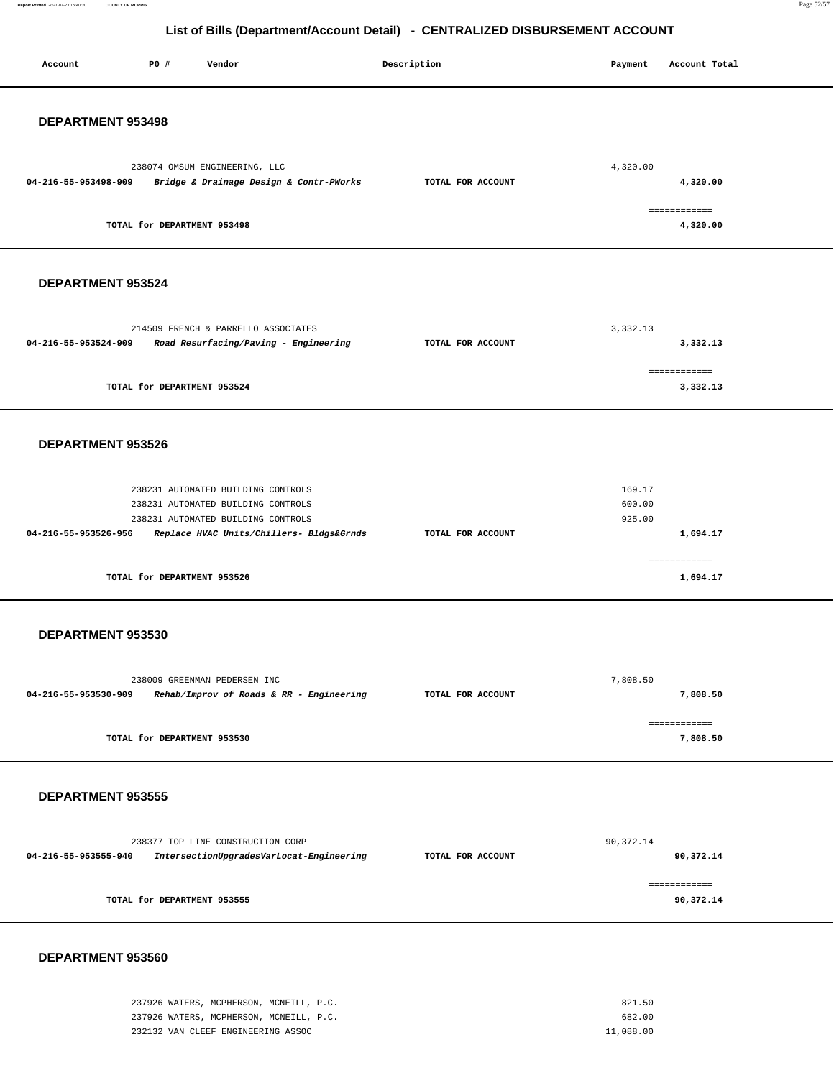Report Printed 2021-07-23 15:40:30 **Report Printed** 2021-07-23 15:40:30 **COUNTY OF MORRIS** Page 52/57

## **List of Bills (Department/Account Detail) - CENTRALIZED DISBURSEMENT ACCOUNT**

| Account              | P0 #                        | Vendor                                                                         | Description       | Payment          | Account Total             |
|----------------------|-----------------------------|--------------------------------------------------------------------------------|-------------------|------------------|---------------------------|
| DEPARTMENT 953498    |                             |                                                                                |                   |                  |                           |
| 04-216-55-953498-909 |                             | 238074 OMSUM ENGINEERING, LLC<br>Bridge & Drainage Design & Contr-PWorks       | TOTAL FOR ACCOUNT | 4,320.00         | 4,320.00<br>============  |
|                      | TOTAL for DEPARTMENT 953498 |                                                                                |                   |                  | 4,320.00                  |
| DEPARTMENT 953524    |                             |                                                                                |                   |                  |                           |
| 04-216-55-953524-909 |                             | 214509 FRENCH & PARRELLO ASSOCIATES<br>Road Resurfacing/Paving - Engineering   | TOTAL FOR ACCOUNT | 3,332.13         | 3,332.13                  |
|                      |                             |                                                                                |                   |                  | ============              |
|                      | TOTAL for DEPARTMENT 953524 |                                                                                |                   |                  | 3,332.13                  |
| DEPARTMENT 953526    |                             |                                                                                |                   |                  |                           |
|                      |                             | 238231 AUTOMATED BUILDING CONTROLS<br>238231 AUTOMATED BUILDING CONTROLS       |                   | 169.17<br>600.00 |                           |
| 04-216-55-953526-956 |                             | 238231 AUTOMATED BUILDING CONTROLS<br>Replace HVAC Units/Chillers- Bldgs&Grnds | TOTAL FOR ACCOUNT | 925.00           | 1,694.17                  |
|                      | TOTAL for DEPARTMENT 953526 |                                                                                |                   |                  | ============<br>1,694.17  |
| DEPARTMENT 953530    |                             |                                                                                |                   |                  |                           |
|                      |                             |                                                                                |                   |                  |                           |
| 04-216-55-953530-909 |                             | 238009 GREENMAN PEDERSEN INC<br>Rehab/Improv of Roads & RR - Engineering       | TOTAL FOR ACCOUNT | 7,808.50         | 7,808.50                  |
|                      | TOTAL for DEPARTMENT 953530 |                                                                                |                   |                  | ============<br>7,808.50  |
| DEPARTMENT 953555    |                             |                                                                                |                   |                  |                           |
| 04-216-55-953555-940 |                             | 238377 TOP LINE CONSTRUCTION CORP<br>IntersectionUpgradesVarLocat-Engineering  | TOTAL FOR ACCOUNT | 90, 372.14       | 90,372.14                 |
|                      | TOTAL for DEPARTMENT 953555 |                                                                                |                   |                  | ============<br>90,372.14 |
|                      |                             |                                                                                |                   |                  |                           |

| 237926 WATERS, MCPHERSON, MCNEILL, P.C. | 821.50    |
|-----------------------------------------|-----------|
| 237926 WATERS, MCPHERSON, MCNEILL, P.C. | 682.00    |
| 232132 VAN CLEEF ENGINEERING ASSOC      | 11,088.00 |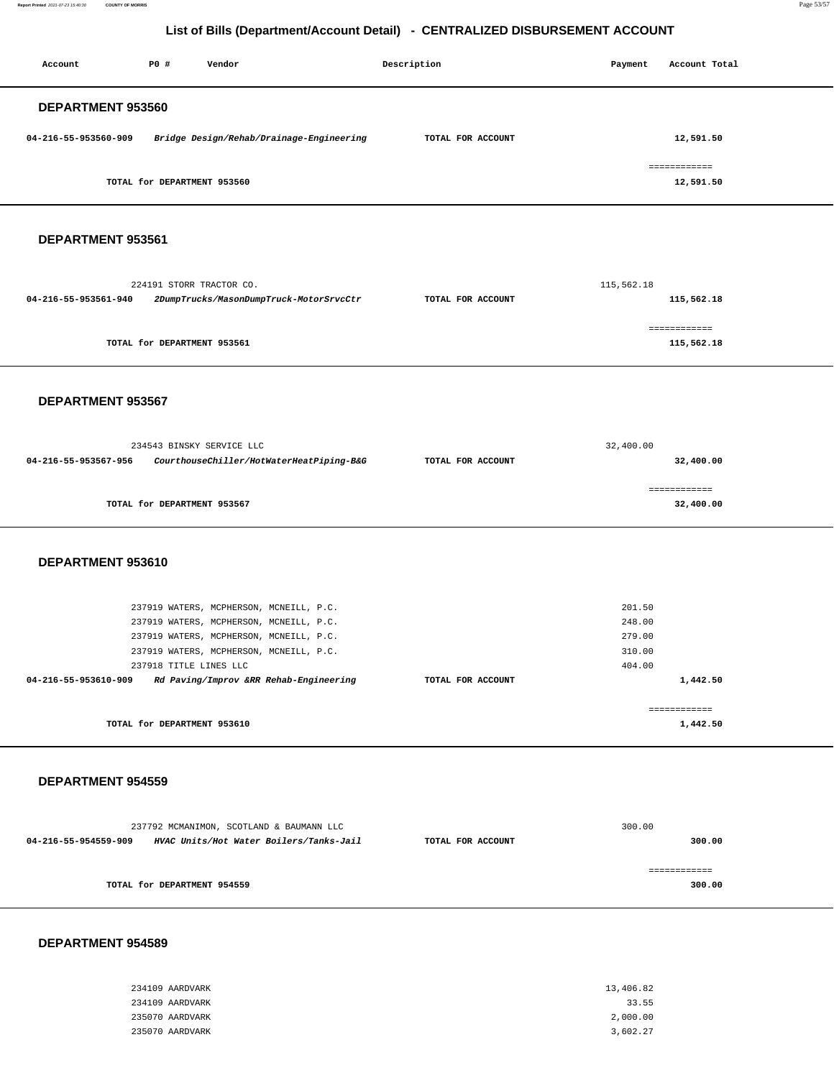**Report Printed** 2021-07-23 15:40:30 **COUNTY OF MORRIS** Page 53/57

### **List of Bills (Department/Account Detail) - CENTRALIZED DISBURSEMENT ACCOUNT**

| Account              | P0 #                        | Vendor                                                       | Description       | Payment    | Account Total                                                                                                                                                                                                                                                                                                                                                                                                                                                                          |
|----------------------|-----------------------------|--------------------------------------------------------------|-------------------|------------|----------------------------------------------------------------------------------------------------------------------------------------------------------------------------------------------------------------------------------------------------------------------------------------------------------------------------------------------------------------------------------------------------------------------------------------------------------------------------------------|
|                      |                             |                                                              |                   |            |                                                                                                                                                                                                                                                                                                                                                                                                                                                                                        |
| DEPARTMENT 953560    |                             |                                                              |                   |            |                                                                                                                                                                                                                                                                                                                                                                                                                                                                                        |
| 04-216-55-953560-909 |                             | Bridge Design/Rehab/Drainage-Engineering                     | TOTAL FOR ACCOUNT |            | 12,591.50                                                                                                                                                                                                                                                                                                                                                                                                                                                                              |
|                      |                             |                                                              |                   |            |                                                                                                                                                                                                                                                                                                                                                                                                                                                                                        |
|                      |                             |                                                              |                   |            | ============                                                                                                                                                                                                                                                                                                                                                                                                                                                                           |
|                      | TOTAL for DEPARTMENT 953560 |                                                              |                   |            | 12,591.50                                                                                                                                                                                                                                                                                                                                                                                                                                                                              |
|                      |                             |                                                              |                   |            |                                                                                                                                                                                                                                                                                                                                                                                                                                                                                        |
| DEPARTMENT 953561    |                             |                                                              |                   |            |                                                                                                                                                                                                                                                                                                                                                                                                                                                                                        |
|                      |                             |                                                              |                   |            |                                                                                                                                                                                                                                                                                                                                                                                                                                                                                        |
|                      |                             |                                                              |                   |            |                                                                                                                                                                                                                                                                                                                                                                                                                                                                                        |
| 04-216-55-953561-940 | 224191 STORR TRACTOR CO.    | 2DumpTrucks/MasonDumpTruck-MotorSrvcCtr                      | TOTAL FOR ACCOUNT | 115,562.18 | 115,562.18                                                                                                                                                                                                                                                                                                                                                                                                                                                                             |
|                      |                             |                                                              |                   |            |                                                                                                                                                                                                                                                                                                                                                                                                                                                                                        |
|                      |                             |                                                              |                   |            | ============                                                                                                                                                                                                                                                                                                                                                                                                                                                                           |
|                      | TOTAL for DEPARTMENT 953561 |                                                              |                   |            | 115,562.18                                                                                                                                                                                                                                                                                                                                                                                                                                                                             |
|                      |                             |                                                              |                   |            |                                                                                                                                                                                                                                                                                                                                                                                                                                                                                        |
| DEPARTMENT 953567    |                             |                                                              |                   |            |                                                                                                                                                                                                                                                                                                                                                                                                                                                                                        |
|                      |                             |                                                              |                   |            |                                                                                                                                                                                                                                                                                                                                                                                                                                                                                        |
|                      |                             |                                                              |                   |            |                                                                                                                                                                                                                                                                                                                                                                                                                                                                                        |
|                      | 234543 BINSKY SERVICE LLC   |                                                              |                   | 32,400.00  |                                                                                                                                                                                                                                                                                                                                                                                                                                                                                        |
| 04-216-55-953567-956 |                             | CourthouseChiller/HotWaterHeatPiping-B&G                     | TOTAL FOR ACCOUNT |            | 32,400.00                                                                                                                                                                                                                                                                                                                                                                                                                                                                              |
|                      |                             |                                                              |                   |            | ------------                                                                                                                                                                                                                                                                                                                                                                                                                                                                           |
|                      |                             |                                                              |                   |            |                                                                                                                                                                                                                                                                                                                                                                                                                                                                                        |
|                      | TOTAL for DEPARTMENT 953567 |                                                              |                   |            | 32,400.00                                                                                                                                                                                                                                                                                                                                                                                                                                                                              |
|                      |                             |                                                              |                   |            |                                                                                                                                                                                                                                                                                                                                                                                                                                                                                        |
|                      |                             |                                                              |                   |            |                                                                                                                                                                                                                                                                                                                                                                                                                                                                                        |
| DEPARTMENT 953610    |                             |                                                              |                   |            |                                                                                                                                                                                                                                                                                                                                                                                                                                                                                        |
|                      |                             |                                                              |                   |            |                                                                                                                                                                                                                                                                                                                                                                                                                                                                                        |
|                      |                             | 237919 WATERS, MCPHERSON, MCNEILL, P.C.                      |                   | 201.50     |                                                                                                                                                                                                                                                                                                                                                                                                                                                                                        |
|                      |                             | 237919 WATERS, MCPHERSON, MCNEILL, P.C.                      |                   | 248.00     |                                                                                                                                                                                                                                                                                                                                                                                                                                                                                        |
|                      |                             | 237919 WATERS, MCPHERSON, MCNEILL, P.C.                      |                   | 279.00     |                                                                                                                                                                                                                                                                                                                                                                                                                                                                                        |
|                      |                             | 237919 WATERS, MCPHERSON, MCNEILL, P.C.                      |                   | 310.00     |                                                                                                                                                                                                                                                                                                                                                                                                                                                                                        |
|                      | 237918 TITLE LINES LLC      |                                                              |                   | 404.00     |                                                                                                                                                                                                                                                                                                                                                                                                                                                                                        |
| 04-216-55-953610-909 |                             | Rd Paving/Improv &RR Rehab-Engineering                       | TOTAL FOR ACCOUNT |            | 1,442.50                                                                                                                                                                                                                                                                                                                                                                                                                                                                               |
|                      |                             |                                                              |                   |            | $\begin{array}{cccccccccc} \multicolumn{2}{c}{} & \multicolumn{2}{c}{} & \multicolumn{2}{c}{} & \multicolumn{2}{c}{} & \multicolumn{2}{c}{} & \multicolumn{2}{c}{} & \multicolumn{2}{c}{} & \multicolumn{2}{c}{} & \multicolumn{2}{c}{} & \multicolumn{2}{c}{} & \multicolumn{2}{c}{} & \multicolumn{2}{c}{} & \multicolumn{2}{c}{} & \multicolumn{2}{c}{} & \multicolumn{2}{c}{} & \multicolumn{2}{c}{} & \multicolumn{2}{c}{} & \multicolumn{2}{c}{} & \multicolumn{2}{c}{} & \mult$ |
|                      | TOTAL for DEPARTMENT 953610 |                                                              |                   |            | 1,442.50                                                                                                                                                                                                                                                                                                                                                                                                                                                                               |
|                      |                             |                                                              |                   |            |                                                                                                                                                                                                                                                                                                                                                                                                                                                                                        |
|                      |                             |                                                              |                   |            |                                                                                                                                                                                                                                                                                                                                                                                                                                                                                        |
| DEPARTMENT 954559    |                             |                                                              |                   |            |                                                                                                                                                                                                                                                                                                                                                                                                                                                                                        |
|                      |                             |                                                              |                   |            |                                                                                                                                                                                                                                                                                                                                                                                                                                                                                        |
|                      |                             | 237792 MCMANIMON, SCOTLAND & BAUMANN LLC                     |                   | 300.00     |                                                                                                                                                                                                                                                                                                                                                                                                                                                                                        |
|                      |                             | 04-216-55-954559-909 HVAC Units/Hot Water Boilers/Tanks-Jail | TOTAL FOR ACCOUNT |            | 300.00                                                                                                                                                                                                                                                                                                                                                                                                                                                                                 |
|                      |                             |                                                              |                   |            | ============                                                                                                                                                                                                                                                                                                                                                                                                                                                                           |
|                      | TOTAL for DEPARTMENT 954559 |                                                              |                   |            | 300.00                                                                                                                                                                                                                                                                                                                                                                                                                                                                                 |
|                      |                             |                                                              |                   |            |                                                                                                                                                                                                                                                                                                                                                                                                                                                                                        |

| 234109 AARDVARK | 13,406.82 |
|-----------------|-----------|
| 234109 AARDVARK | 33.55     |
| 235070 AARDVARK | 2,000.00  |
| 235070 AARDVARK | 3,602.27  |
|                 |           |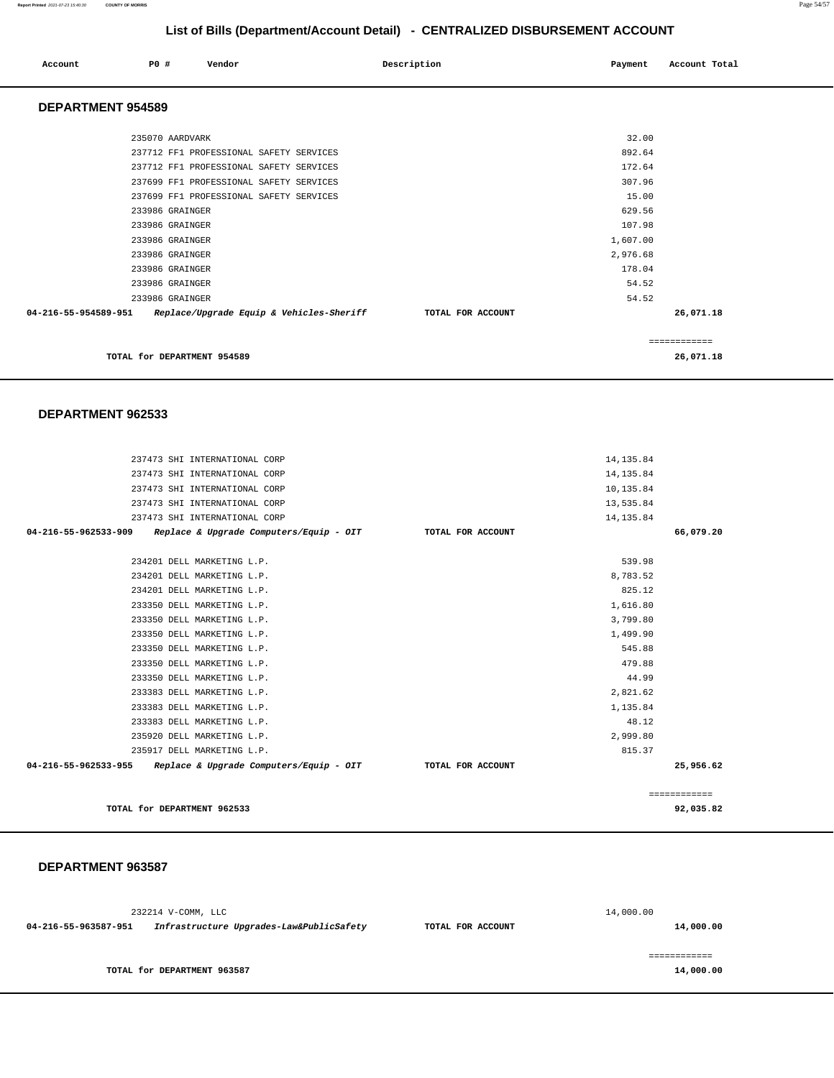#### **Report Printed** 2021-07-23 15:40:30 **COUNTY OF MORRIS** Page 54/57

## **List of Bills (Department/Account Detail) - CENTRALIZED DISBURSEMENT ACCOUNT**

| Account | P0 # | Vendor | Description | Payment Account Total |
|---------|------|--------|-------------|-----------------------|
|         |      |        |             |                       |

#### **DEPARTMENT 954589**

| 235070 AARDVARK                                                  | 32.00             |           |
|------------------------------------------------------------------|-------------------|-----------|
|                                                                  |                   |           |
| 237712 FF1 PROFESSIONAL SAFETY SERVICES                          | 892.64            |           |
| 237712 FF1 PROFESSIONAL SAFETY SERVICES                          | 172.64            |           |
| 237699 FF1 PROFESSIONAL SAFETY SERVICES                          | 307.96            |           |
| 237699 FF1 PROFESSIONAL SAFETY SERVICES                          | 15.00             |           |
| 233986 GRAINGER                                                  | 629.56            |           |
| 233986 GRAINGER                                                  | 107.98            |           |
| 233986 GRAINGER                                                  | 1,607.00          |           |
| 233986 GRAINGER                                                  | 2,976.68          |           |
| 233986 GRAINGER                                                  | 178.04            |           |
| 233986 GRAINGER                                                  | 54.52             |           |
| 233986 GRAINGER                                                  | 54.52             |           |
| 04-216-55-954589-951<br>Replace/Upgrade Equip & Vehicles-Sheriff | TOTAL FOR ACCOUNT | 26,071.18 |
|                                                                  |                   | .         |
| TOTAL for DEPARTMENT 954589                                      |                   | 26,071.18 |

#### **DEPARTMENT 962533**

| 237473 SHI INTERNATIONAL CORP                                  |                   | 14, 135.84 |              |
|----------------------------------------------------------------|-------------------|------------|--------------|
| 237473 SHI INTERNATIONAL CORP                                  |                   | 14, 135.84 |              |
| 237473 SHI INTERNATIONAL CORP                                  |                   | 10,135.84  |              |
| 237473 SHI INTERNATIONAL CORP                                  |                   | 13,535.84  |              |
| 237473 SHI INTERNATIONAL CORP                                  |                   | 14, 135.84 |              |
| 04-216-55-962533-909 Replace & Upgrade Computers/Equip - OIT   | TOTAL FOR ACCOUNT |            | 66,079.20    |
|                                                                |                   |            |              |
| 234201 DELL MARKETING L.P.                                     |                   | 539.98     |              |
| 234201 DELL MARKETING L.P.                                     |                   | 8,783.52   |              |
| 234201 DELL MARKETING L.P.                                     |                   | 825.12     |              |
| 233350 DELL MARKETING L.P.                                     |                   | 1,616.80   |              |
| 233350 DELL MARKETING L.P.                                     |                   | 3,799.80   |              |
| 233350 DELL MARKETING L.P.                                     |                   | 1,499.90   |              |
| 233350 DELL MARKETING L.P.                                     |                   | 545.88     |              |
| 233350 DELL MARKETING L.P.                                     |                   | 479.88     |              |
| 233350 DELL MARKETING L.P.                                     |                   | 44.99      |              |
| 233383 DELL MARKETING L.P.                                     |                   | 2,821.62   |              |
| 233383 DELL MARKETING L.P.                                     |                   | 1,135.84   |              |
| 233383 DELL MARKETING L.P.                                     |                   | 48.12      |              |
| 235920 DELL MARKETING L.P.                                     |                   | 2,999.80   |              |
| 235917 DELL MARKETING L.P.                                     |                   | 815.37     |              |
| $04-216-55-962533-955$ Replace & Upgrade Computers/Equip - OIT | TOTAL FOR ACCOUNT |            | 25,956.62    |
|                                                                |                   |            |              |
|                                                                |                   |            | ============ |
| TOTAL for DEPARTMENT 962533                                    |                   |            | 92,035.82    |

|                      | 232214 V-COMM, LLC                       |                   | 14,000.00 |
|----------------------|------------------------------------------|-------------------|-----------|
| 04-216-55-963587-951 | Infrastructure Upgrades-Law&PublicSafety | TOTAL FOR ACCOUNT | 14,000.00 |
|                      |                                          |                   |           |
|                      |                                          |                   |           |
|                      | TOTAL for DEPARTMENT 963587              |                   | 14,000.00 |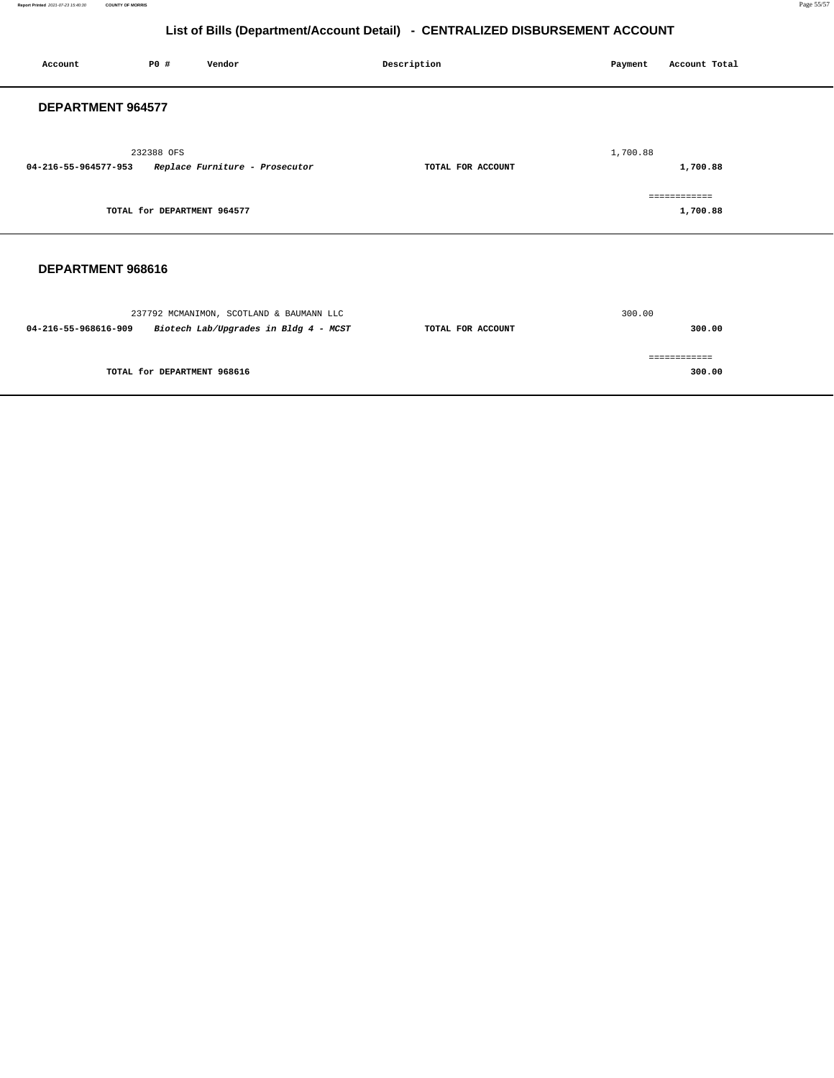**Report Printed** 2021-07-23 15:40:30 **COUNTY OF MORRIS** Page 55/57

## **List of Bills (Department/Account Detail) - CENTRALIZED DISBURSEMENT ACCOUNT**

| Account              | P0 #                        | Vendor                                                                                                 | Description       | Payment  | Account Total            |
|----------------------|-----------------------------|--------------------------------------------------------------------------------------------------------|-------------------|----------|--------------------------|
| DEPARTMENT 964577    |                             |                                                                                                        |                   |          |                          |
| 04-216-55-964577-953 | 232388 OFS                  | Replace Furniture - Prosecutor                                                                         | TOTAL FOR ACCOUNT | 1,700.88 | 1,700.88                 |
|                      | TOTAL for DEPARTMENT 964577 |                                                                                                        |                   |          | ============<br>1,700.88 |
| DEPARTMENT 968616    |                             |                                                                                                        |                   |          |                          |
|                      |                             | 237792 MCMANIMON, SCOTLAND & BAUMANN LLC<br>04-216-55-968616-909 Biotech Lab/Upgrades in Bldg 4 - MCST | TOTAL FOR ACCOUNT | 300.00   | 300.00                   |
|                      | TOTAL for DEPARTMENT 968616 |                                                                                                        |                   |          | ============<br>300.00   |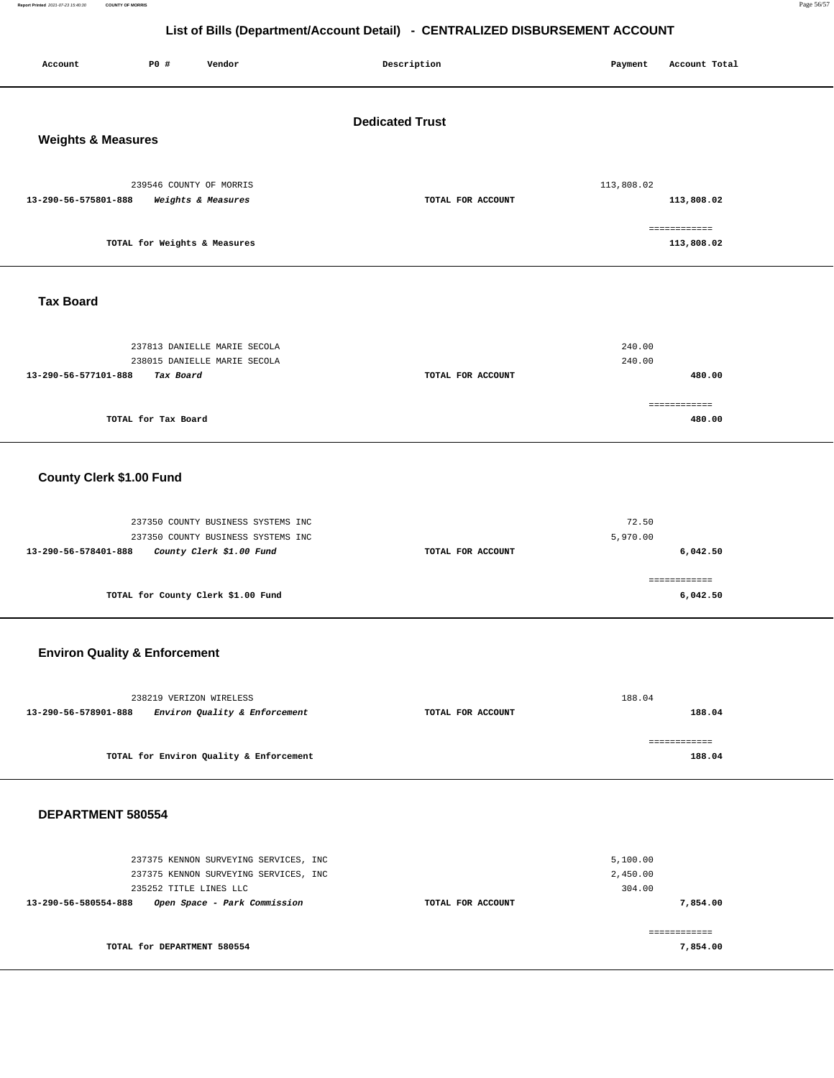**Report Printed** 2021-07-23 15:40:30 **COUNTY OF MORRIS** Page 56/57

## **List of Bills (Department/Account Detail) - CENTRALIZED DISBURSEMENT ACCOUNT**

| P0 #<br>Vendor<br>Account                                                                                                                                        | Description       | Payment<br>Account Total                   |  |  |  |
|------------------------------------------------------------------------------------------------------------------------------------------------------------------|-------------------|--------------------------------------------|--|--|--|
| <b>Dedicated Trust</b><br><b>Weights &amp; Measures</b>                                                                                                          |                   |                                            |  |  |  |
| 239546 COUNTY OF MORRIS<br>13-290-56-575801-888<br>Weights & Measures                                                                                            | TOTAL FOR ACCOUNT | 113,808.02<br>113,808.02                   |  |  |  |
| TOTAL for Weights & Measures                                                                                                                                     |                   | ============<br>113,808.02                 |  |  |  |
| <b>Tax Board</b>                                                                                                                                                 |                   |                                            |  |  |  |
| 237813 DANIELLE MARIE SECOLA<br>238015 DANIELLE MARIE SECOLA<br>13-290-56-577101-888<br>Tax Board                                                                | TOTAL FOR ACCOUNT | 240.00<br>240.00<br>480.00<br>============ |  |  |  |
| TOTAL for Tax Board                                                                                                                                              |                   | 480.00                                     |  |  |  |
| County Clerk \$1.00 Fund                                                                                                                                         |                   |                                            |  |  |  |
| 237350 COUNTY BUSINESS SYSTEMS INC<br>237350 COUNTY BUSINESS SYSTEMS INC<br>13-290-56-578401-888<br>County Clerk \$1.00 Fund                                     | TOTAL FOR ACCOUNT | 72.50<br>5,970.00<br>6,042.50              |  |  |  |
| TOTAL for County Clerk \$1.00 Fund                                                                                                                               |                   | ============<br>6,042.50                   |  |  |  |
| <b>Environ Quality &amp; Enforcement</b>                                                                                                                         |                   |                                            |  |  |  |
| 238219 VERIZON WIRELESS<br>13-290-56-578901-888<br>Environ Quality & Enforcement                                                                                 | TOTAL FOR ACCOUNT | 188.04<br>188.04                           |  |  |  |
| TOTAL for Environ Quality & Enforcement                                                                                                                          |                   | ============<br>188.04                     |  |  |  |
| DEPARTMENT 580554                                                                                                                                                |                   |                                            |  |  |  |
| 237375 KENNON SURVEYING SERVICES, INC<br>237375 KENNON SURVEYING SERVICES, INC<br>235252 TITLE LINES LLC<br>13-290-56-580554-888<br>Open Space - Park Commission | TOTAL FOR ACCOUNT | 5,100.00<br>2,450.00<br>304.00<br>7,854.00 |  |  |  |
| TOTAL for DEPARTMENT 580554                                                                                                                                      |                   | ============<br>7,854.00                   |  |  |  |